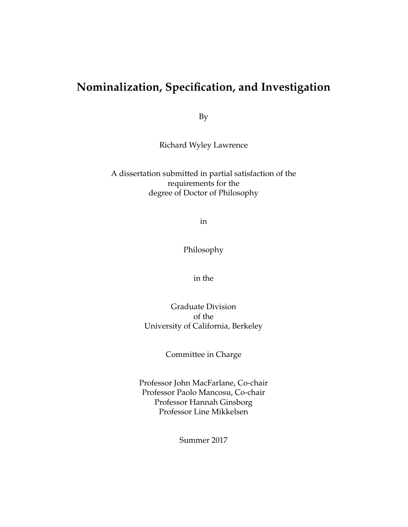# **Nominalization, Specification, and Investigation**

By

Richard Wyley Lawrence

A dissertation submitted in partial satisfaction of the requirements for the degree of Doctor of Philosophy

in

Philosophy

in the

Graduate Division of the University of California, Berkeley

Committee in Charge

Professor John MacFarlane, Co-chair Professor Paolo Mancosu, Co-chair Professor Hannah Ginsborg Professor Line Mikkelsen

Summer 2017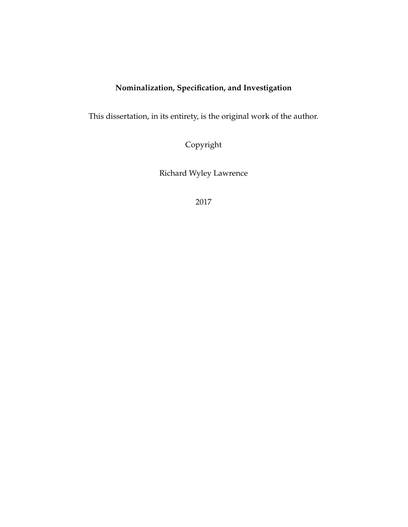# **Nominalization, Specification, and Investigation**

This dissertation, in its entirety, is the original work of the author.

Copyright

Richard Wyley Lawrence

2017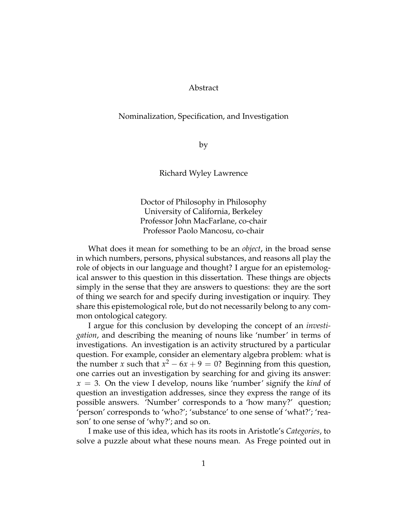# Abstract

## Nominalization, Specification, and Investigation

by

Richard Wyley Lawrence

Doctor of Philosophy in Philosophy University of California, Berkeley Professor John MacFarlane, co-chair Professor Paolo Mancosu, co-chair

What does it mean for something to be an *object*, in the broad sense in which numbers, persons, physical substances, and reasons all play the role of objects in our language and thought? I argue for an epistemological answer to this question in this dissertation. These things are objects simply in the sense that they are answers to questions: they are the sort of thing we search for and specify during investigation or inquiry. They share this epistemological role, but do not necessarily belong to any common ontological category.

I argue for this conclusion by developing the concept of an *investigation*, and describing the meaning of nouns like 'number' in terms of investigations. An investigation is an activity structured by a particular question. For example, consider an elementary algebra problem: what is the number *x* such that  $x^2 - 6x + 9 = 0$ ? Beginning from this question, one carries out an investigation by searching for and giving its answer: *x* = 3. On the view I develop, nouns like 'number' signify the *kind* of question an investigation addresses, since they express the range of its possible answers. 'Number' corresponds to a 'how many?' question; 'person' corresponds to 'who?'; 'substance' to one sense of 'what?'; 'reason' to one sense of 'why?'; and so on.

I make use of this idea, which has its roots in Aristotle's *Categories*, to solve a puzzle about what these nouns mean. As Frege pointed out in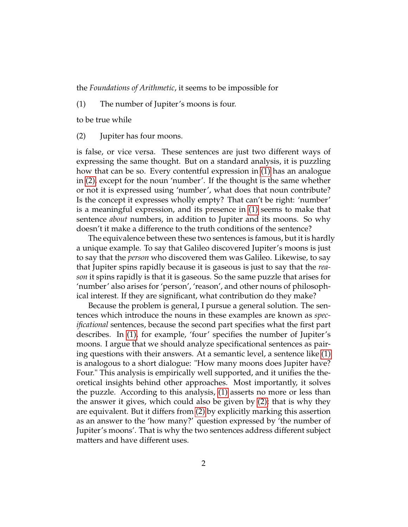<span id="page-3-0"></span>the *Foundations of Arithmetic*, it seems to be impossible for

(1) The number of Jupiter's moons is four.

<span id="page-3-1"></span>to be true while

(2) Jupiter has four moons.

is false, or vice versa. These sentences are just two different ways of expressing the same thought. But on a standard analysis, it is puzzling how that can be so. Every contentful expression in [\(1\)](#page-3-0) has an analogue in [\(2\),](#page-3-1) except for the noun 'number'. If the thought is the same whether or not it is expressed using 'number', what does that noun contribute? Is the concept it expresses wholly empty? That can't be right: 'number' is a meaningful expression, and its presence in [\(1\)](#page-3-0) seems to make that sentence *about* numbers, in addition to Jupiter and its moons. So why doesn't it make a difference to the truth conditions of the sentence?

The equivalence between these two sentences is famous, but it is hardly a unique example. To say that Galileo discovered Jupiter's moons is just to say that the *person* who discovered them was Galileo. Likewise, to say that Jupiter spins rapidly because it is gaseous is just to say that the *reason* it spins rapidly is that it is gaseous. So the same puzzle that arises for 'number' also arises for 'person', 'reason', and other nouns of philosophical interest. If they are significant, what contribution do they make?

Because the problem is general, I pursue a general solution. The sentences which introduce the nouns in these examples are known as *specificational* sentences, because the second part specifies what the first part describes. In [\(1\),](#page-3-0) for example, 'four' specifies the number of Jupiter's moons. I argue that we should analyze specificational sentences as pairing questions with their answers. At a semantic level, a sentence like [\(1\)](#page-3-0) is analogous to a short dialogue: "How many moons does Jupiter have? Four." This analysis is empirically well supported, and it unifies the theoretical insights behind other approaches. Most importantly, it solves the puzzle. According to this analysis, [\(1\)](#page-3-0) asserts no more or less than the answer it gives, which could also be given by [\(2\);](#page-3-1) that is why they are equivalent. But it differs from [\(2\)](#page-3-1) by explicitly marking this assertion as an answer to the 'how many?' question expressed by 'the number of Jupiter's moons'. That is why the two sentences address different subject matters and have different uses.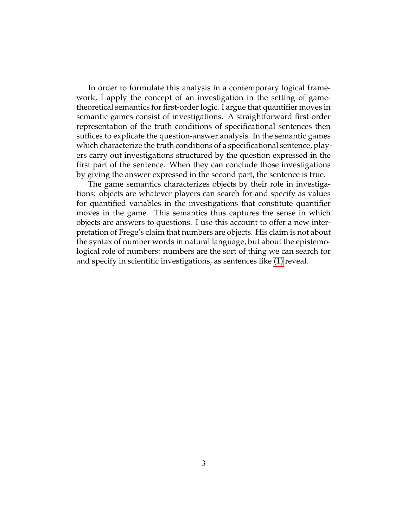In order to formulate this analysis in a contemporary logical framework, I apply the concept of an investigation in the setting of gametheoretical semantics for first-order logic. I argue that quantifier moves in semantic games consist of investigations. A straightforward first-order representation of the truth conditions of specificational sentences then suffices to explicate the question-answer analysis. In the semantic games which characterize the truth conditions of a specificational sentence, players carry out investigations structured by the question expressed in the first part of the sentence. When they can conclude those investigations by giving the answer expressed in the second part, the sentence is true.

The game semantics characterizes objects by their role in investigations: objects are whatever players can search for and specify as values for quantified variables in the investigations that constitute quantifier moves in the game. This semantics thus captures the sense in which objects are answers to questions. I use this account to offer a new interpretation of Frege's claim that numbers are objects. His claim is not about the syntax of number words in natural language, but about the epistemological role of numbers: numbers are the sort of thing we can search for and specify in scientific investigations, as sentences like [\(1\)](#page-3-0) reveal.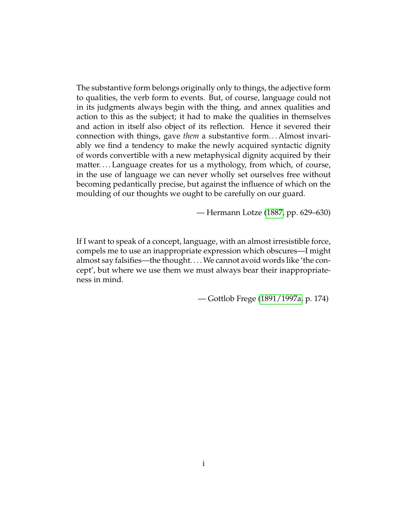The substantive form belongs originally only to things, the adjective form to qualities, the verb form to events. But, of course, language could not in its judgments always begin with the thing, and annex qualities and action to this as the subject; it had to make the qualities in themselves and action in itself also object of its reflection. Hence it severed their connection with things, gave *them* a substantive form... Almost invariably we find a tendency to make the newly acquired syntactic dignity of words convertible with a new metaphysical dignity acquired by their matter. . . . Language creates for us a mythology, from which, of course, in the use of language we can never wholly set ourselves free without becoming pedantically precise, but against the influence of which on the moulding of our thoughts we ought to be carefully on our guard.

— Hermann Lotze [\(1887,](#page-231-0) pp. 629–630)

If I want to speak of a concept, language, with an almost irresistible force, compels me to use an inappropriate expression which obscures—I might almost say falsifies—the thought. . . .We cannot avoid words like 'the concept', but where we use them we must always bear their inappropriateness in mind.

— Gottlob Frege [\(1891/1997a,](#page-230-0) p. 174)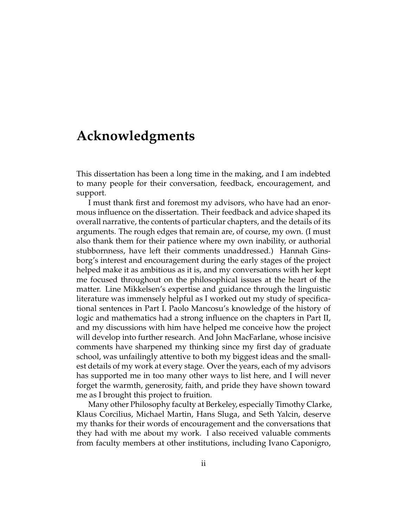# <span id="page-6-0"></span>**Acknowledgments**

This dissertation has been a long time in the making, and I am indebted to many people for their conversation, feedback, encouragement, and support.

I must thank first and foremost my advisors, who have had an enormous influence on the dissertation. Their feedback and advice shaped its overall narrative, the contents of particular chapters, and the details of its arguments. The rough edges that remain are, of course, my own. (I must also thank them for their patience where my own inability, or authorial stubbornness, have left their comments unaddressed.) Hannah Ginsborg's interest and encouragement during the early stages of the project helped make it as ambitious as it is, and my conversations with her kept me focused throughout on the philosophical issues at the heart of the matter. Line Mikkelsen's expertise and guidance through the linguistic literature was immensely helpful as I worked out my study of specificational sentences in Part I. Paolo Mancosu's knowledge of the history of logic and mathematics had a strong influence on the chapters in Part II, and my discussions with him have helped me conceive how the project will develop into further research. And John MacFarlane, whose incisive comments have sharpened my thinking since my first day of graduate school, was unfailingly attentive to both my biggest ideas and the smallest details of my work at every stage. Over the years, each of my advisors has supported me in too many other ways to list here, and I will never forget the warmth, generosity, faith, and pride they have shown toward me as I brought this project to fruition.

Many other Philosophy faculty at Berkeley, especially Timothy Clarke, Klaus Corcilius, Michael Martin, Hans Sluga, and Seth Yalcin, deserve my thanks for their words of encouragement and the conversations that they had with me about my work. I also received valuable comments from faculty members at other institutions, including Ivano Caponigro,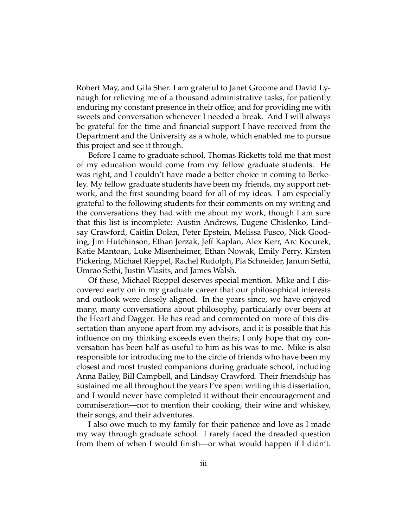Robert May, and Gila Sher. I am grateful to Janet Groome and David Lynaugh for relieving me of a thousand administrative tasks, for patiently enduring my constant presence in their office, and for providing me with sweets and conversation whenever I needed a break. And I will always be grateful for the time and financial support I have received from the Department and the University as a whole, which enabled me to pursue this project and see it through.

Before I came to graduate school, Thomas Ricketts told me that most of my education would come from my fellow graduate students. He was right, and I couldn't have made a better choice in coming to Berkeley. My fellow graduate students have been my friends, my support network, and the first sounding board for all of my ideas. I am especially grateful to the following students for their comments on my writing and the conversations they had with me about my work, though I am sure that this list is incomplete: Austin Andrews, Eugene Chislenko, Lindsay Crawford, Caitlin Dolan, Peter Epstein, Melissa Fusco, Nick Gooding, Jim Hutchinson, Ethan Jerzak, Jeff Kaplan, Alex Kerr, Arc Kocurek, Katie Mantoan, Luke Misenheimer, Ethan Nowak, Emily Perry, Kirsten Pickering, Michael Rieppel, Rachel Rudolph, Pia Schneider, Janum Sethi, Umrao Sethi, Justin Vlasits, and James Walsh.

Of these, Michael Rieppel deserves special mention. Mike and I discovered early on in my graduate career that our philosophical interests and outlook were closely aligned. In the years since, we have enjoyed many, many conversations about philosophy, particularly over beers at the Heart and Dagger. He has read and commented on more of this dissertation than anyone apart from my advisors, and it is possible that his influence on my thinking exceeds even theirs; I only hope that my conversation has been half as useful to him as his was to me. Mike is also responsible for introducing me to the circle of friends who have been my closest and most trusted companions during graduate school, including Anna Bailey, Bill Campbell, and Lindsay Crawford. Their friendship has sustained me all throughout the years I've spent writing this dissertation, and I would never have completed it without their encouragement and commiseration—not to mention their cooking, their wine and whiskey, their songs, and their adventures.

I also owe much to my family for their patience and love as I made my way through graduate school. I rarely faced the dreaded question from them of when I would finish—or what would happen if I didn't.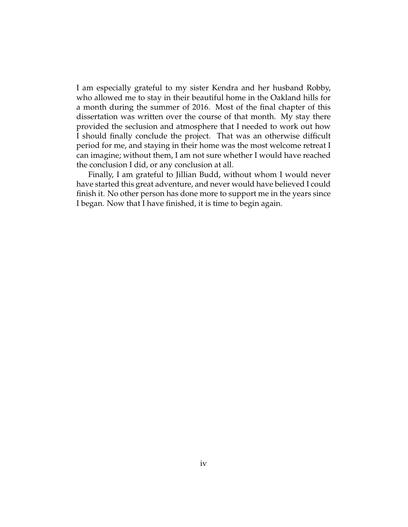I am especially grateful to my sister Kendra and her husband Robby, who allowed me to stay in their beautiful home in the Oakland hills for a month during the summer of 2016. Most of the final chapter of this dissertation was written over the course of that month. My stay there provided the seclusion and atmosphere that I needed to work out how I should finally conclude the project. That was an otherwise difficult period for me, and staying in their home was the most welcome retreat I can imagine; without them, I am not sure whether I would have reached the conclusion I did, or any conclusion at all.

Finally, I am grateful to Jillian Budd, without whom I would never have started this great adventure, and never would have believed I could finish it. No other person has done more to support me in the years since I began. Now that I have finished, it is time to begin again.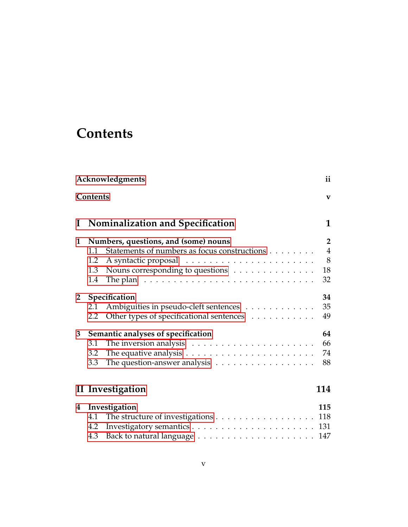# **Contents**

<span id="page-9-0"></span>

|                | Acknowledgments<br>ii                                                               |                |  |  |  |
|----------------|-------------------------------------------------------------------------------------|----------------|--|--|--|
|                | Contents                                                                            | $\mathbf{v}$   |  |  |  |
| $\bf{I}$       | <b>Nominalization and Specification</b>                                             | 1              |  |  |  |
| 1              | Numbers, questions, and (some) nouns                                                | $\mathbf{2}$   |  |  |  |
|                | Statements of numbers as focus constructions<br>1.1                                 | $\overline{4}$ |  |  |  |
|                | 1.2                                                                                 | 8              |  |  |  |
|                | Nouns corresponding to questions<br>1.3                                             | 18             |  |  |  |
|                | The plan $\dots \dots \dots \dots \dots \dots \dots \dots \dots \dots \dots$<br>1.4 | 32             |  |  |  |
| 2 <sub>2</sub> | Specification                                                                       |                |  |  |  |
|                | Ambiguities in pseudo-cleft sentences<br>2.1                                        | 35             |  |  |  |
|                | Other types of specificational sentences<br>2.2                                     | 49             |  |  |  |
| 3              | Semantic analyses of specification                                                  | 64             |  |  |  |
|                | The inversion analysis $\dots \dots \dots \dots \dots \dots \dots$<br>3.1           | 66             |  |  |  |
|                | The equative analysis $\dots \dots \dots \dots \dots \dots \dots \dots$<br>3.2      | 74             |  |  |  |
|                | The question-answer analysis $\dots \dots \dots \dots \dots \dots$<br>3.3           | 88             |  |  |  |
|                | II Investigation                                                                    | 114            |  |  |  |
| 4              | Investigation                                                                       | 115            |  |  |  |
|                | The structure of investigations 118<br>4.1                                          |                |  |  |  |
|                | 4.2                                                                                 |                |  |  |  |
|                | 4.3                                                                                 |                |  |  |  |
|                |                                                                                     |                |  |  |  |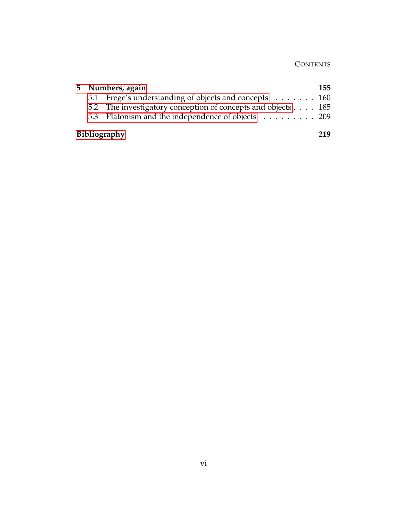# **CONTENTS**

| 5 Numbers, again<br>155 |                                                              |     |
|-------------------------|--------------------------------------------------------------|-----|
|                         | 5.1 Frege's understanding of objects and concepts 160        |     |
|                         | 5.2 The investigatory conception of concepts and objects 185 |     |
|                         | 5.3 Platonism and the independence of objects 209            |     |
|                         | <b>Bibliography</b>                                          | 219 |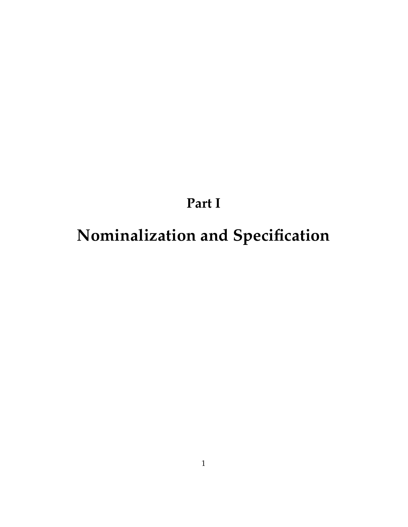# <span id="page-11-0"></span>**Part I Nominalization and Specification**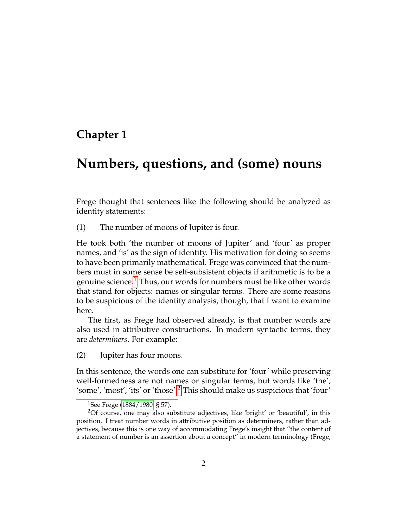# <span id="page-12-0"></span>**Chapter 1**

# **Numbers, questions, and (some) nouns**

<span id="page-12-3"></span>Frege thought that sentences like the following should be analyzed as identity statements:

(1) The number of moons of Jupiter is four.

He took both 'the number of moons of Jupiter' and 'four' as proper names, and 'is' as the sign of identity. His motivation for doing so seems to have been primarily mathematical. Frege was convinced that the numbers must in some sense be self-subsistent objects if arithmetic is to be a genuine science.<sup>[1](#page-12-1)</sup> Thus, our words for numbers must be like other words that stand for objects: names or singular terms. There are some reasons to be suspicious of the identity analysis, though, that I want to examine here.

<span id="page-12-4"></span>The first, as Frege had observed already, is that number words are also used in attributive constructions. In modern syntactic terms, they are *determiners*. For example:

(2) Jupiter has four moons.

In this sentence, the words one can substitute for 'four' while preserving well-formedness are not names or singular terms, but words like 'the', 'some', 'most', 'its' or 'those'.[2](#page-12-2) This should make us suspicious that 'four'

<span id="page-12-2"></span><span id="page-12-1"></span><sup>&</sup>lt;sup>1</sup>See Frege [\(1884/1980,](#page-230-1) § 57).

<sup>&</sup>lt;sup>2</sup>Of course, one may also substitute adjectives, like 'bright' or 'beautiful', in this position. I treat number words in attributive position as determiners, rather than adjectives, because this is one way of accommodating Frege's insight that "the content of a statement of number is an assertion about a concept" in modern terminology (Frege,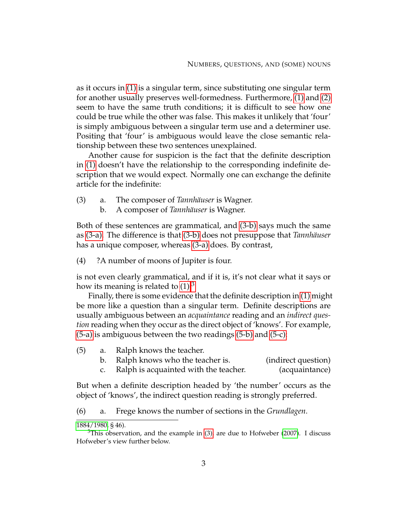as it occurs in [\(1\)](#page-12-3) is a singular term, since substituting one singular term for another usually preserves well-formedness. Furthermore, [\(1\)](#page-12-3) and [\(2\)](#page-12-4) seem to have the same truth conditions; it is difficult to see how one could be true while the other was false. This makes it unlikely that 'four' is simply ambiguous between a singular term use and a determiner use. Positing that 'four' is ambiguous would leave the close semantic relationship between these two sentences unexplained.

Another cause for suspicion is the fact that the definite description in [\(1\)](#page-12-3) doesn't have the relationship to the corresponding indefinite description that we would expect. Normally one can exchange the definite article for the indefinite:

- <span id="page-13-6"></span><span id="page-13-1"></span><span id="page-13-0"></span>(3) a. The composer of *Tannhäuser* is Wagner.
	- b. A composer of *Tannhäuser* is Wagner.

<span id="page-13-8"></span>Both of these sentences are grammatical, and [\(3-b\)](#page-13-0) says much the same as [\(3-a\).](#page-13-1) The difference is that [\(3-b\)](#page-13-0) does not presuppose that *Tannhäuser* has a unique composer, whereas [\(3-a\)](#page-13-1) does. By contrast,

(4) ?A number of moons of Jupiter is four.

is not even clearly grammatical, and if it is, it's not clear what it says or how its meaning is related to  $(1)$ .<sup>[3](#page-13-2)</sup>

Finally, there is some evidence that the definite description in [\(1\)](#page-12-3) might be more like a question than a singular term. Definite descriptions are usually ambiguous between an *acquaintance* reading and an *indirect question* reading when they occur as the direct object of 'knows'. For example, [\(5-a\)](#page-13-3) is ambiguous between the two readings [\(5-b\)](#page-13-4) and [\(5-c\):](#page-13-5)

- <span id="page-13-5"></span><span id="page-13-4"></span><span id="page-13-3"></span>(5) a. Ralph knows the teacher.
	- b. Ralph knows who the teacher is. (indirect question)
	- c. Ralph is acquainted with the teacher. (acquaintance)

But when a definite description headed by 'the number' occurs as the object of 'knows', the indirect question reading is strongly preferred.

<span id="page-13-7"></span>(6) a. Frege knows the number of sections in the *Grundlagen*.

[<sup>1884/1980,</sup>](#page-230-1) § 46).

<span id="page-13-2"></span> $3$ This observation, and the example in [\(3\),](#page-13-6) are due to Hofweber [\(2007\)](#page-231-1). I discuss Hofweber's view further below.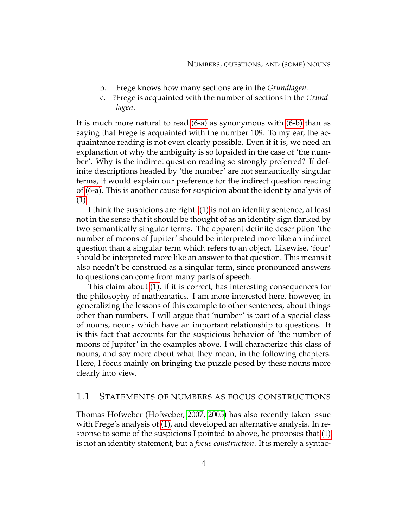- <span id="page-14-1"></span>b. Frege knows how many sections are in the *Grundlagen*.
- c. ?Frege is acquainted with the number of sections in the *Grundlagen*.

It is much more natural to read [\(6-a\)](#page-13-7) as synonymous with [\(6-b\)](#page-14-1) than as saying that Frege is acquainted with the number 109. To my ear, the acquaintance reading is not even clearly possible. Even if it is, we need an explanation of why the ambiguity is so lopsided in the case of 'the number'. Why is the indirect question reading so strongly preferred? If definite descriptions headed by 'the number' are not semantically singular terms, it would explain our preference for the indirect question reading of [\(6-a\).](#page-13-7) This is another cause for suspicion about the identity analysis of [\(1\).](#page-12-3)

I think the suspicions are right: [\(1\)](#page-12-3) is not an identity sentence, at least not in the sense that it should be thought of as an identity sign flanked by two semantically singular terms. The apparent definite description 'the number of moons of Jupiter' should be interpreted more like an indirect question than a singular term which refers to an object. Likewise, 'four' should be interpreted more like an answer to that question. This means it also needn't be construed as a singular term, since pronounced answers to questions can come from many parts of speech.

This claim about [\(1\),](#page-12-3) if it is correct, has interesting consequences for the philosophy of mathematics. I am more interested here, however, in generalizing the lessons of this example to other sentences, about things other than numbers. I will argue that 'number' is part of a special class of nouns, nouns which have an important relationship to questions. It is this fact that accounts for the suspicious behavior of 'the number of moons of Jupiter' in the examples above. I will characterize this class of nouns, and say more about what they mean, in the following chapters. Here, I focus mainly on bringing the puzzle posed by these nouns more clearly into view.

# <span id="page-14-0"></span>1.1 STATEMENTS OF NUMBERS AS FOCUS CONSTRUCTIONS

Thomas Hofweber (Hofweber, [2007,](#page-231-1) [2005\)](#page-231-2) has also recently taken issue with Frege's analysis of [\(1\),](#page-12-3) and developed an alternative analysis. In response to some of the suspicions I pointed to above, he proposes that [\(1\)](#page-12-3) is not an identity statement, but a *focus construction*. It is merely a syntac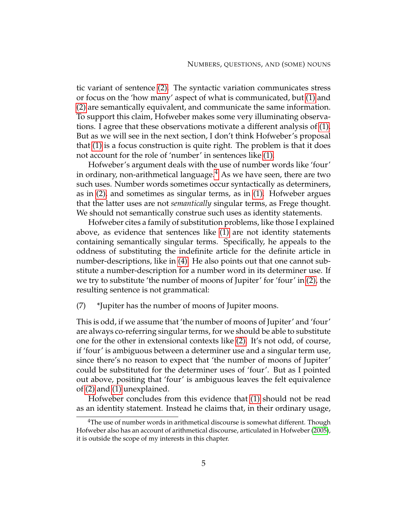tic variant of sentence [\(2\).](#page-12-4) The syntactic variation communicates stress or focus on the 'how many' aspect of what is communicated, but [\(1\)](#page-12-3) and [\(2\)](#page-12-4) are semantically equivalent, and communicate the same information. To support this claim, Hofweber makes some very illuminating observations. I agree that these observations motivate a different analysis of [\(1\).](#page-12-3) But as we will see in the next section, I don't think Hofweber's proposal that [\(1\)](#page-12-3) is a focus construction is quite right. The problem is that it does not account for the role of 'number' in sentences like [\(1\).](#page-12-3)

Hofweber's argument deals with the use of number words like 'four' in ordinary, non-arithmetical language. $4$  As we have seen, there are two such uses. Number words sometimes occur syntactically as determiners, as in [\(2\),](#page-12-4) and sometimes as singular terms, as in [\(1\).](#page-12-3) Hofweber argues that the latter uses are not *semantically* singular terms, as Frege thought. We should not semantically construe such uses as identity statements.

Hofweber cites a family of substitution problems, like those I explained above, as evidence that sentences like [\(1\)](#page-12-3) are not identity statements containing semantically singular terms. Specifically, he appeals to the oddness of substituting the indefinite article for the definite article in number-descriptions, like in [\(4\).](#page-13-8) He also points out that one cannot substitute a number-description for a number word in its determiner use. If we try to substitute 'the number of moons of Jupiter' for 'four' in [\(2\),](#page-12-4) the resulting sentence is not grammatical:

(7) \*Jupiter has the number of moons of Jupiter moons.

This is odd, if we assume that 'the number of moons of Jupiter' and 'four' are always co-referring singular terms, for we should be able to substitute one for the other in extensional contexts like [\(2\).](#page-12-4) It's not odd, of course, if 'four' is ambiguous between a determiner use and a singular term use, since there's no reason to expect that 'the number of moons of Jupiter' could be substituted for the determiner uses of 'four'. But as I pointed out above, positing that 'four' is ambiguous leaves the felt equivalence of [\(2\)](#page-12-4) and [\(1\)](#page-12-3) unexplained.

Hofweber concludes from this evidence that [\(1\)](#page-12-3) should not be read as an identity statement. Instead he claims that, in their ordinary usage,

<span id="page-15-0"></span><sup>&</sup>lt;sup>4</sup>The use of number words in arithmetical discourse is somewhat different. Though Hofweber also has an account of arithmetical discourse, articulated in Hofweber [\(2005\)](#page-231-2), it is outside the scope of my interests in this chapter.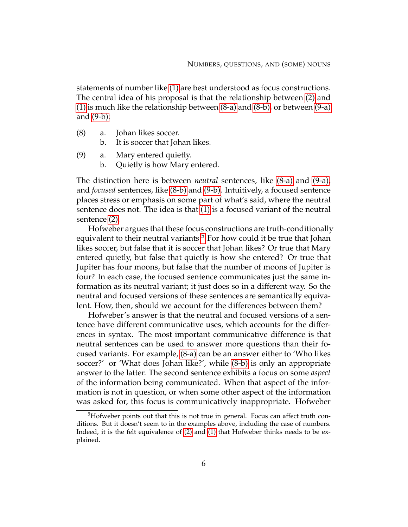statements of number like [\(1\)](#page-12-3) are best understood as focus constructions. The central idea of his proposal is that the relationship between [\(2\)](#page-12-4) and [\(1\)](#page-12-3) is much like the relationship between [\(8-a\)](#page-16-0) and [\(8-b\),](#page-16-1) or between [\(9-a\)](#page-16-2) and [\(9-b\):](#page-16-3)

- <span id="page-16-1"></span><span id="page-16-0"></span>(8) a. Johan likes soccer.
	- b. It is soccer that Johan likes.
- <span id="page-16-3"></span><span id="page-16-2"></span>(9) a. Mary entered quietly.
	- b. Quietly is how Mary entered.

The distinction here is between *neutral* sentences, like [\(8-a\)](#page-16-0) and [\(9-a\),](#page-16-2) and *focused* sentences, like [\(8-b\)](#page-16-1) and [\(9-b\).](#page-16-3) Intuitively, a focused sentence places stress or emphasis on some part of what's said, where the neutral sentence does not. The idea is that [\(1\)](#page-12-3) is a focused variant of the neutral sentence [\(2\).](#page-12-4)

Hofweber argues that these focus constructions are truth-conditionally equivalent to their neutral variants.<sup>[5](#page-16-4)</sup> For how could it be true that Johan likes soccer, but false that it is soccer that Johan likes? Or true that Mary entered quietly, but false that quietly is how she entered? Or true that Jupiter has four moons, but false that the number of moons of Jupiter is four? In each case, the focused sentence communicates just the same information as its neutral variant; it just does so in a different way. So the neutral and focused versions of these sentences are semantically equivalent. How, then, should we account for the differences between them?

Hofweber's answer is that the neutral and focused versions of a sentence have different communicative uses, which accounts for the differences in syntax. The most important communicative difference is that neutral sentences can be used to answer more questions than their focused variants. For example, [\(8-a\)](#page-16-0) can be an answer either to 'Who likes soccer?' or 'What does Johan like?', while [\(8-b\)](#page-16-1) is only an appropriate answer to the latter. The second sentence exhibits a focus on some *aspect* of the information being communicated. When that aspect of the information is not in question, or when some other aspect of the information was asked for, this focus is communicatively inappropriate. Hofweber

<span id="page-16-4"></span><sup>5</sup>Hofweber points out that this is not true in general. Focus can affect truth conditions. But it doesn't seem to in the examples above, including the case of numbers. Indeed, it is the felt equivalence of [\(2\)](#page-12-4) and [\(1\)](#page-12-3) that Hofweber thinks needs to be explained.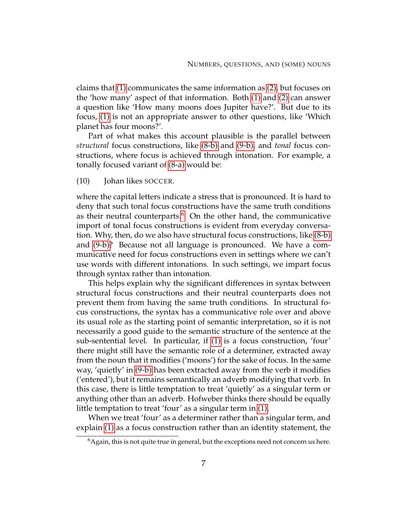claims that [\(1\)](#page-12-3) communicates the same information as [\(2\),](#page-12-4) but focuses on the 'how many' aspect of that information. Both [\(1\)](#page-12-3) and [\(2\)](#page-12-4) can answer a question like 'How many moons does Jupiter have?'. But due to its focus, [\(1\)](#page-12-3) is not an appropriate answer to other questions, like 'Which planet has four moons?'.

Part of what makes this account plausible is the parallel between *structural* focus constructions, like [\(8-b\)](#page-16-1) and [\(9-b\),](#page-16-3) and *tonal* focus constructions, where focus is achieved through intonation. For example, a tonally focused variant of [\(8-a\)](#page-16-0) would be:

(10) Johan likes SOCCER.

where the capital letters indicate a stress that is pronounced. It is hard to deny that such tonal focus constructions have the same truth conditions as their neutral counterparts.<sup>[6](#page-17-0)</sup> On the other hand, the communicative import of tonal focus constructions is evident from everyday conversation. Why, then, do we also have structural focus constructions, like [\(8-b\)](#page-16-1) and [\(9-b\)?](#page-16-3) Because not all language is pronounced. We have a communicative need for focus constructions even in settings where we can't use words with different intonations. In such settings, we impart focus through syntax rather than intonation.

This helps explain why the significant differences in syntax between structural focus constructions and their neutral counterparts does not prevent them from having the same truth conditions. In structural focus constructions, the syntax has a communicative role over and above its usual role as the starting point of semantic interpretation, so it is not necessarily a good guide to the semantic structure of the sentence at the sub-sentential level. In particular, if [\(1\)](#page-12-3) is a focus construction, 'four' there might still have the semantic role of a determiner, extracted away from the noun that it modifies ('moons') for the sake of focus. In the same way, 'quietly' in [\(9-b\)](#page-16-3) has been extracted away from the verb it modifies ('entered'), but it remains semantically an adverb modifying that verb. In this case, there is little temptation to treat 'quietly' as a singular term or anything other than an adverb. Hofweber thinks there should be equally little temptation to treat 'four' as a singular term in [\(1\).](#page-12-3)

When we treat 'four' as a determiner rather than a singular term, and explain [\(1\)](#page-12-3) as a focus construction rather than an identity statement, the

<span id="page-17-0"></span> $<sup>6</sup>$ Again, this is not quite true in general, but the exceptions need not concern us here.</sup>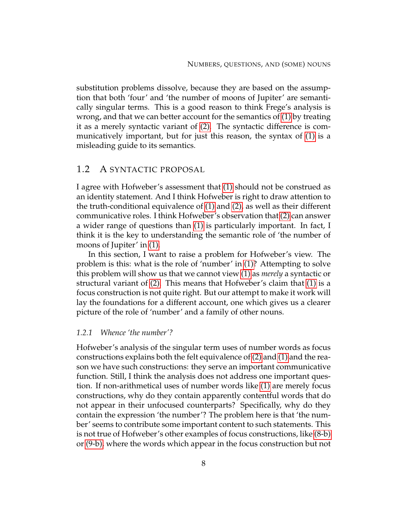substitution problems dissolve, because they are based on the assumption that both 'four' and 'the number of moons of Jupiter' are semantically singular terms. This is a good reason to think Frege's analysis is wrong, and that we can better account for the semantics of [\(1\)](#page-12-3) by treating it as a merely syntactic variant of [\(2\).](#page-12-4) The syntactic difference is communicatively important, but for just this reason, the syntax of [\(1\)](#page-12-3) is a misleading guide to its semantics.

# <span id="page-18-0"></span>1.2 A SYNTACTIC PROPOSAL

I agree with Hofweber's assessment that [\(1\)](#page-12-3) should not be construed as an identity statement. And I think Hofweber is right to draw attention to the truth-conditional equivalence of [\(1\)](#page-12-3) and [\(2\),](#page-12-4) as well as their different communicative roles. I think Hofweber's observation that [\(2\)](#page-12-4) can answer a wider range of questions than [\(1\)](#page-12-3) is particularly important. In fact, I think it is the key to understanding the semantic role of 'the number of moons of Jupiter' in [\(1\).](#page-12-3)

In this section, I want to raise a problem for Hofweber's view. The problem is this: what is the role of 'number' in [\(1\)?](#page-12-3) Attempting to solve this problem will show us that we cannot view [\(1\)](#page-12-3) as *merely* a syntactic or structural variant of [\(2\).](#page-12-4) This means that Hofweber's claim that [\(1\)](#page-12-3) is a focus construction is not quite right. But our attempt to make it work will lay the foundations for a different account, one which gives us a clearer picture of the role of 'number' and a family of other nouns.

## *1.2.1 Whence 'the number'?*

Hofweber's analysis of the singular term uses of number words as focus constructions explains both the felt equivalence of [\(2\)](#page-12-4) and [\(1\)](#page-12-3) and the reason we have such constructions: they serve an important communicative function. Still, I think the analysis does not address one important question. If non-arithmetical uses of number words like [\(1\)](#page-12-3) are merely focus constructions, why do they contain apparently contentful words that do not appear in their unfocused counterparts? Specifically, why do they contain the expression 'the number'? The problem here is that 'the number' seems to contribute some important content to such statements. This is not true of Hofweber's other examples of focus constructions, like [\(8-b\)](#page-16-1) or [\(9-b\),](#page-16-3) where the words which appear in the focus construction but not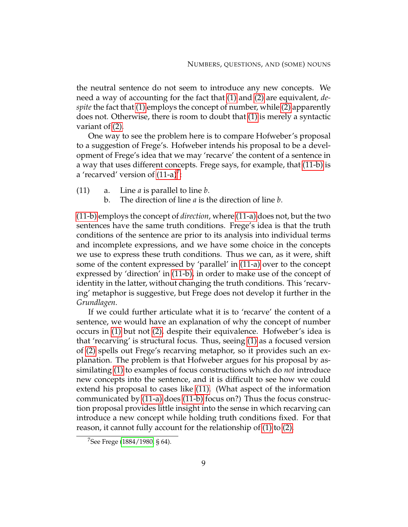the neutral sentence do not seem to introduce any new concepts. We need a way of accounting for the fact that [\(1\)](#page-12-3) and [\(2\)](#page-12-4) are equivalent, *despite* the fact that [\(1\)](#page-12-3) employs the concept of number, while [\(2\)](#page-12-4) apparently does not. Otherwise, there is room to doubt that [\(1\)](#page-12-3) is merely a syntactic variant of [\(2\).](#page-12-4)

One way to see the problem here is to compare Hofweber's proposal to a suggestion of Frege's. Hofweber intends his proposal to be a development of Frege's idea that we may 'recarve' the content of a sentence in a way that uses different concepts. Frege says, for example, that [\(11-b\)](#page-19-0) is a 'recarved' version of  $(11-a)^7$  $(11-a)^7$ :

- <span id="page-19-3"></span><span id="page-19-1"></span><span id="page-19-0"></span>(11) a. Line *a* is parallel to line *b*.
	- b. The direction of line *a* is the direction of line *b*.

[\(11-b\)](#page-19-0) employs the concept of *direction*, where [\(11-a\)](#page-19-1) does not, but the two sentences have the same truth conditions. Frege's idea is that the truth conditions of the sentence are prior to its analysis into individual terms and incomplete expressions, and we have some choice in the concepts we use to express these truth conditions. Thus we can, as it were, shift some of the content expressed by 'parallel' in [\(11-a\)](#page-19-1) over to the concept expressed by 'direction' in [\(11-b\),](#page-19-0) in order to make use of the concept of identity in the latter, without changing the truth conditions. This 'recarving' metaphor is suggestive, but Frege does not develop it further in the *Grundlagen*.

If we could further articulate what it is to 'recarve' the content of a sentence, we would have an explanation of why the concept of number occurs in [\(1\)](#page-12-3) but not [\(2\),](#page-12-4) despite their equivalence. Hofweber's idea is that 'recarving' is structural focus. Thus, seeing [\(1\)](#page-12-3) as a focused version of [\(2\)](#page-12-4) spells out Frege's recarving metaphor, so it provides such an explanation. The problem is that Hofweber argues for his proposal by assimilating [\(1\)](#page-12-3) to examples of focus constructions which do *not* introduce new concepts into the sentence, and it is difficult to see how we could extend his proposal to cases like [\(11\).](#page-19-3) (What aspect of the information communicated by [\(11-a\)](#page-19-1) does [\(11-b\)](#page-19-0) focus on?) Thus the focus construction proposal provides little insight into the sense in which recarving can introduce a new concept while holding truth conditions fixed. For that reason, it cannot fully account for the relationship of [\(1\)](#page-12-3) to [\(2\).](#page-12-4)

<span id="page-19-2"></span><sup>&</sup>lt;sup>7</sup>See Frege [\(1884/1980,](#page-230-1) § 64).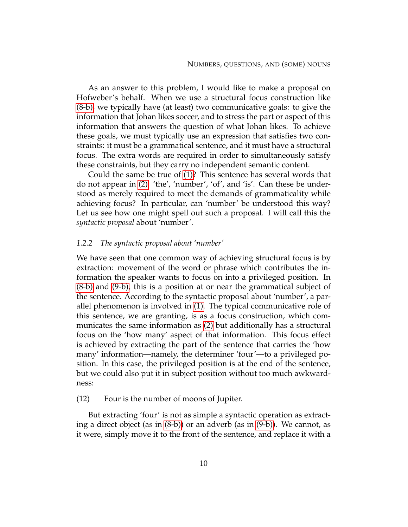As an answer to this problem, I would like to make a proposal on Hofweber's behalf. When we use a structural focus construction like [\(8-b\),](#page-16-1) we typically have (at least) two communicative goals: to give the information that Johan likes soccer, and to stress the part or aspect of this information that answers the question of what Johan likes. To achieve these goals, we must typically use an expression that satisfies two constraints: it must be a grammatical sentence, and it must have a structural focus. The extra words are required in order to simultaneously satisfy these constraints, but they carry no independent semantic content.

Could the same be true of [\(1\)?](#page-12-3) This sentence has several words that do not appear in [\(2\):](#page-12-4) 'the', 'number', 'of', and 'is'. Can these be understood as merely required to meet the demands of grammaticality while achieving focus? In particular, can 'number' be understood this way? Let us see how one might spell out such a proposal. I will call this the *syntactic proposal* about 'number'.

### *1.2.2 The syntactic proposal about 'number'*

We have seen that one common way of achieving structural focus is by extraction: movement of the word or phrase which contributes the information the speaker wants to focus on into a privileged position. In [\(8-b\)](#page-16-1) and [\(9-b\),](#page-16-3) this is a position at or near the grammatical subject of the sentence. According to the syntactic proposal about 'number', a parallel phenomenon is involved in [\(1\).](#page-12-3) The typical communicative role of this sentence, we are granting, is as a focus construction, which communicates the same information as [\(2\)](#page-12-4) but additionally has a structural focus on the 'how many' aspect of that information. This focus effect is achieved by extracting the part of the sentence that carries the 'how many' information—namely, the determiner 'four'—to a privileged position. In this case, the privileged position is at the end of the sentence, but we could also put it in subject position without too much awkwardness:

## <span id="page-20-0"></span>(12) Four is the number of moons of Jupiter.

But extracting 'four' is not as simple a syntactic operation as extracting a direct object (as in [\(8-b\)\)](#page-16-1) or an adverb (as in [\(9-b\)\)](#page-16-3). We cannot, as it were, simply move it to the front of the sentence, and replace it with a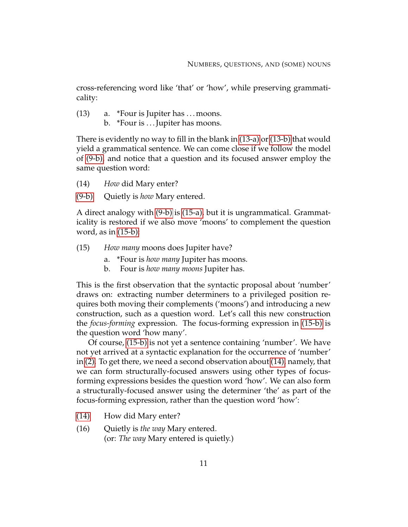cross-referencing word like 'that' or 'how', while preserving grammaticality:

<span id="page-21-1"></span><span id="page-21-0"></span> $(13)$  a. \*Four is Jupiter has ... moons. b. \*Four is ... Jupiter has moons.

There is evidently no way to fill in the blank in [\(13-a\)](#page-21-0) or [\(13-b\)](#page-21-1) that would yield a grammatical sentence. We can come close if we follow the model of [\(9-b\),](#page-16-3) and notice that a question and its focused answer employ the same question word:

- <span id="page-21-4"></span>(14) *How* did Mary enter?
- [\(9-b\)](#page-16-3) Quietly is *how* Mary entered.

A direct analogy with [\(9-b\)](#page-16-3) is [\(15-a\),](#page-21-2) but it is ungrammatical. Grammaticality is restored if we also move 'moons' to complement the question word, as in  $(15-b)$ :

- <span id="page-21-2"></span>(15) *How many* moons does Jupiter have?
	- a. \*Four is *how many* Jupiter has moons.
	- b. Four is *how many moons* Jupiter has.

<span id="page-21-3"></span>This is the first observation that the syntactic proposal about 'number' draws on: extracting number determiners to a privileged position requires both moving their complements ('moons') and introducing a new construction, such as a question word. Let's call this new construction the *focus-forming* expression. The focus-forming expression in [\(15-b\)](#page-21-3) is the question word 'how many'.

Of course, [\(15-b\)](#page-21-3) is not yet a sentence containing 'number'. We have not yet arrived at a syntactic explanation for the occurrence of 'number' in [\(2\).](#page-12-4) To get there, we need a second observation about [\(14\),](#page-21-4) namely, that we can form structurally-focused answers using other types of focusforming expressions besides the question word 'how'. We can also form a structurally-focused answer using the determiner 'the' as part of the focus-forming expression, rather than the question word 'how':

- <span id="page-21-5"></span>[\(14\)](#page-21-4) How did Mary enter?
- (16) Quietly is *the way* Mary entered. (or: *The way* Mary entered is quietly.)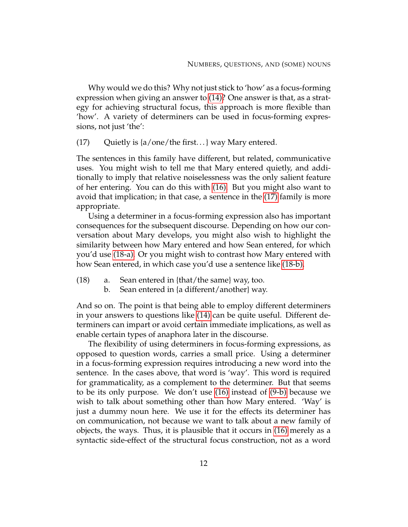Why would we do this? Why not just stick to 'how' as a focus-forming expression when giving an answer to [\(14\)?](#page-21-4) One answer is that, as a strategy for achieving structural focus, this approach is more flexible than 'how'. A variety of determiners can be used in focus-forming expressions, not just 'the':

<span id="page-22-0"></span> $(17)$  Quietly is  $\{a/one/th$ e first...} way Mary entered.

The sentences in this family have different, but related, communicative uses. You might wish to tell me that Mary entered quietly, and additionally to imply that relative noiselessness was the only salient feature of her entering. You can do this with [\(16\).](#page-21-5) But you might also want to avoid that implication; in that case, a sentence in the [\(17\)](#page-22-0) family is more appropriate.

Using a determiner in a focus-forming expression also has important consequences for the subsequent discourse. Depending on how our conversation about Mary develops, you might also wish to highlight the similarity between how Mary entered and how Sean entered, for which you'd use [\(18-a\).](#page-22-1) Or you might wish to contrast how Mary entered with how Sean entered, in which case you'd use a sentence like [\(18-b\).](#page-22-2)

- <span id="page-22-2"></span><span id="page-22-1"></span>(18) a. Sean entered in {that/the same} way, too.
	- b. Sean entered in {a different/another} way.

And so on. The point is that being able to employ different determiners in your answers to questions like [\(14\)](#page-21-4) can be quite useful. Different determiners can impart or avoid certain immediate implications, as well as enable certain types of anaphora later in the discourse.

The flexibility of using determiners in focus-forming expressions, as opposed to question words, carries a small price. Using a determiner in a focus-forming expression requires introducing a new word into the sentence. In the cases above, that word is 'way'. This word is required for grammaticality, as a complement to the determiner. But that seems to be its only purpose. We don't use [\(16\)](#page-21-5) instead of [\(9-b\)](#page-16-3) because we wish to talk about something other than how Mary entered. 'Way' is just a dummy noun here. We use it for the effects its determiner has on communication, not because we want to talk about a new family of objects, the ways. Thus, it is plausible that it occurs in [\(16\)](#page-21-5) merely as a syntactic side-effect of the structural focus construction, not as a word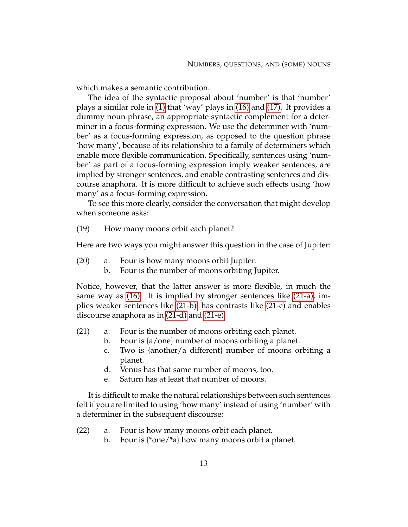which makes a semantic contribution.

The idea of the syntactic proposal about 'number' is that 'number' plays a similar role in [\(1\)](#page-12-3) that 'way' plays in [\(16\)](#page-21-5) and [\(17\).](#page-22-0) It provides a dummy noun phrase, an appropriate syntactic complement for a determiner in a focus-forming expression. We use the determiner with 'number' as a focus-forming expression, as opposed to the question phrase 'how many', because of its relationship to a family of determiners which enable more flexible communication. Specifically, sentences using 'number' as part of a focus-forming expression imply weaker sentences, are implied by stronger sentences, and enable contrasting sentences and discourse anaphora. It is more difficult to achieve such effects using 'how many' as a focus-forming expression.

To see this more clearly, consider the conversation that might develop when someone asks:

(19) How many moons orbit each planet?

Here are two ways you might answer this question in the case of Jupiter:

- <span id="page-23-7"></span><span id="page-23-6"></span>(20) a. Four is how many moons orbit Jupiter.
	- b. Four is the number of moons orbiting Jupiter.

Notice, however, that the latter answer is more flexible, in much the same way as [\(16\).](#page-21-5) It is implied by stronger sentences like [\(21-a\),](#page-23-0) implies weaker sentences like [\(21-b\),](#page-23-1) has contrasts like [\(21-c\)](#page-23-2) and enables discourse anaphora as in [\(21-d\)](#page-23-3) and [\(21-e\):](#page-23-4)

- <span id="page-23-2"></span><span id="page-23-1"></span><span id="page-23-0"></span>(21) a. Four is the number of moons orbiting each planet.
	- b. Four is {a/one} number of moons orbiting a planet.
	- c. Two is {another/a different} number of moons orbiting a planet.
	- d. Venus has that same number of moons, too.
	- e. Saturn has at least that number of moons.

<span id="page-23-4"></span><span id="page-23-3"></span>It is difficult to make the natural relationships between such sentences felt if you are limited to using 'how many' instead of using 'number' with a determiner in the subsequent discourse:

- <span id="page-23-5"></span>(22) a. Four is how many moons orbit each planet.
	- b. Four is {\*one/\*a} how many moons orbit a planet.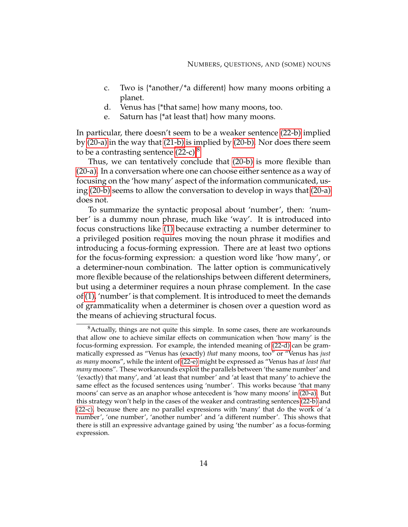- <span id="page-24-0"></span>c. Two is {\*another/\*a different} how many moons orbiting a planet.
- d. Venus has {\*that same} how many moons, too.
- e. Saturn has {\*at least that} how many moons.

<span id="page-24-3"></span><span id="page-24-2"></span>In particular, there doesn't seem to be a weaker sentence [\(22-b\)](#page-23-5) implied by [\(20-a\)](#page-23-6) in the way that [\(21-b\)](#page-23-1) is implied by [\(20-b\).](#page-23-7) Nor does there seem to be a contrasting sentence  $(22-c).$ <sup>[8](#page-24-1)</sup>

Thus, we can tentatively conclude that [\(20-b\)](#page-23-7) is more flexible than [\(20-a\).](#page-23-6) In a conversation where one can choose either sentence as a way of focusing on the 'how many' aspect of the information communicated, using [\(20-b\)](#page-23-7) seems to allow the conversation to develop in ways that [\(20-a\)](#page-23-6) does not.

To summarize the syntactic proposal about 'number', then: 'number' is a dummy noun phrase, much like 'way'. It is introduced into focus constructions like [\(1\)](#page-12-3) because extracting a number determiner to a privileged position requires moving the noun phrase it modifies and introducing a focus-forming expression. There are at least two options for the focus-forming expression: a question word like 'how many', or a determiner-noun combination. The latter option is communicatively more flexible because of the relationships between different determiners, but using a determiner requires a noun phrase complement. In the case of [\(1\),](#page-12-3) 'number' is that complement. It is introduced to meet the demands of grammaticality when a determiner is chosen over a question word as the means of achieving structural focus.

<span id="page-24-1"></span> $8$ Actually, things are not quite this simple. In some cases, there are workarounds that allow one to achieve similar effects on communication when 'how many' is the focus-forming expression. For example, the intended meaning of [\(22-d\)](#page-24-2) can be grammatically expressed as "Venus has (exactly) *that* many moons, too" or "Venus has *just as many* moons", while the intent of [\(22-e\)](#page-24-3) might be expressed as "Venus has *at least that many* moons". These workarounds exploit the parallels between 'the same number' and '(exactly) that many', and 'at least that number' and 'at least that many' to achieve the same effect as the focused sentences using 'number'. This works because 'that many moons' can serve as an anaphor whose antecedent is 'how many moons' in [\(20-a\).](#page-23-6) But this strategy won't help in the cases of the weaker and contrasting sentences [\(22-b\)](#page-23-5) and [\(22-c\),](#page-24-0) because there are no parallel expressions with 'many' that do the work of 'a number', 'one number', 'another number' and 'a different number'. This shows that there is still an expressive advantage gained by using 'the number' as a focus-forming expression.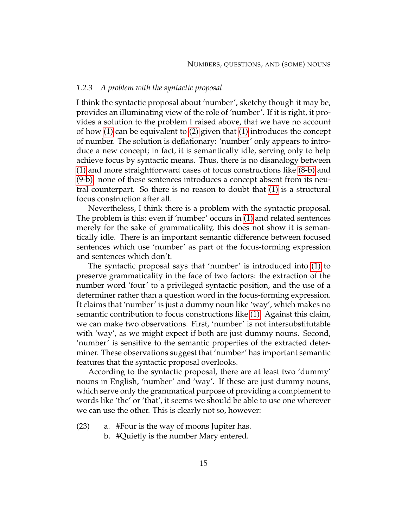#### *1.2.3 A problem with the syntactic proposal*

I think the syntactic proposal about 'number', sketchy though it may be, provides an illuminating view of the role of 'number'. If it is right, it provides a solution to the problem I raised above, that we have no account of how [\(1\)](#page-12-3) can be equivalent to [\(2\)](#page-12-4) given that [\(1\)](#page-12-3) introduces the concept of number. The solution is deflationary: 'number' only appears to introduce a new concept; in fact, it is semantically idle, serving only to help achieve focus by syntactic means. Thus, there is no disanalogy between [\(1\)](#page-12-3) and more straightforward cases of focus constructions like [\(8-b\)](#page-16-1) and [\(9-b\):](#page-16-3) none of these sentences introduces a concept absent from its neutral counterpart. So there is no reason to doubt that [\(1\)](#page-12-3) is a structural focus construction after all.

Nevertheless, I think there is a problem with the syntactic proposal. The problem is this: even if 'number' occurs in [\(1\)](#page-12-3) and related sentences merely for the sake of grammaticality, this does not show it is semantically idle. There is an important semantic difference between focused sentences which use 'number' as part of the focus-forming expression and sentences which don't.

The syntactic proposal says that 'number' is introduced into [\(1\)](#page-12-3) to preserve grammaticality in the face of two factors: the extraction of the number word 'four' to a privileged syntactic position, and the use of a determiner rather than a question word in the focus-forming expression. It claims that 'number' is just a dummy noun like 'way', which makes no semantic contribution to focus constructions like [\(1\).](#page-12-3) Against this claim, we can make two observations. First, 'number' is not intersubstitutable with 'way', as we might expect if both are just dummy nouns. Second, 'number' is sensitive to the semantic properties of the extracted determiner. These observations suggest that 'number' has important semantic features that the syntactic proposal overlooks.

According to the syntactic proposal, there are at least two 'dummy' nouns in English, 'number' and 'way'. If these are just dummy nouns, which serve only the grammatical purpose of providing a complement to words like 'the' or 'that', it seems we should be able to use one wherever we can use the other. This is clearly not so, however:

- (23) a. #Four is the way of moons Jupiter has.
	- b. #Quietly is the number Mary entered.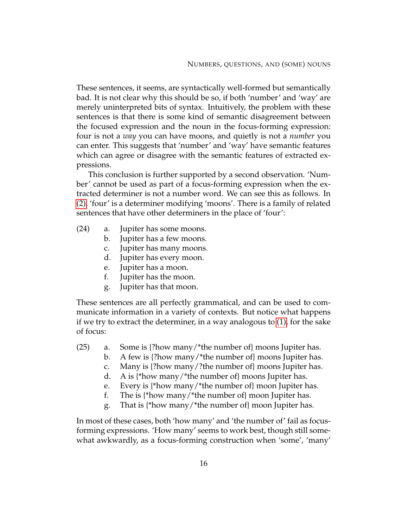These sentences, it seems, are syntactically well-formed but semantically bad. It is not clear why this should be so, if both 'number' and 'way' are merely uninterpreted bits of syntax. Intuitively, the problem with these sentences is that there is some kind of semantic disagreement between the focused expression and the noun in the focus-forming expression: four is not a *way* you can have moons, and quietly is not a *number* you can enter. This suggests that 'number' and 'way' have semantic features which can agree or disagree with the semantic features of extracted expressions.

This conclusion is further supported by a second observation. 'Number' cannot be used as part of a focus-forming expression when the extracted determiner is not a number word. We can see this as follows. In [\(2\),](#page-12-4) 'four' is a determiner modifying 'moons'. There is a family of related sentences that have other determiners in the place of 'four':

- (24) a. Jupiter has some moons.
	- b. Jupiter has a few moons.
	- c. Jupiter has many moons.
	- d. Jupiter has every moon.
	- e. Jupiter has a moon.
	- f. Jupiter has the moon.
	- g. Jupiter has that moon.

These sentences are all perfectly grammatical, and can be used to communicate information in a variety of contexts. But notice what happens if we try to extract the determiner, in a way analogous to [\(1\),](#page-12-3) for the sake of focus:

- (25) a. Some is {?how many/\*the number of} moons Jupiter has.
	- b. A few is {?how many/\*the number of} moons Jupiter has.
	- c. Many is {?how many/?the number of} moons Jupiter has.
	- d. A is {\*how many/\*the number of} moons Jupiter has.
	- e. Every is {\*how many/\*the number of} moon Jupiter has.
	- f. The is {\*how many/\*the number of} moon Jupiter has.
	- g. That is {\*how many/\*the number of} moon Jupiter has.

In most of these cases, both 'how many' and 'the number of' fail as focusforming expressions. 'How many' seems to work best, though still somewhat awkwardly, as a focus-forming construction when 'some', 'many'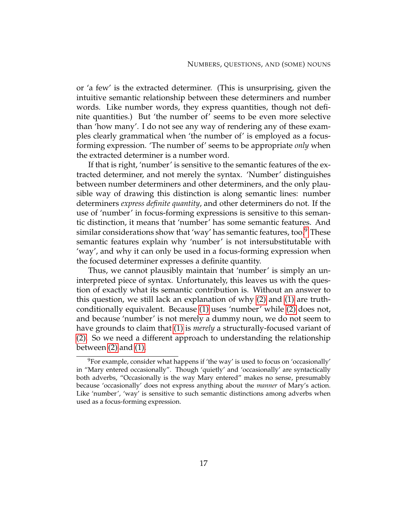or 'a few' is the extracted determiner. (This is unsurprising, given the intuitive semantic relationship between these determiners and number words. Like number words, they express quantities, though not definite quantities.) But 'the number of' seems to be even more selective than 'how many'. I do not see any way of rendering any of these examples clearly grammatical when 'the number of' is employed as a focusforming expression. 'The number of' seems to be appropriate *only* when the extracted determiner is a number word.

If that is right, 'number' is sensitive to the semantic features of the extracted determiner, and not merely the syntax. 'Number' distinguishes between number determiners and other determiners, and the only plausible way of drawing this distinction is along semantic lines: number determiners *express definite quantity*, and other determiners do not. If the use of 'number' in focus-forming expressions is sensitive to this semantic distinction, it means that 'number' has some semantic features. And similar considerations show that 'way' has semantic features, too. $9$  These semantic features explain why 'number' is not intersubstitutable with 'way', and why it can only be used in a focus-forming expression when the focused determiner expresses a definite quantity.

Thus, we cannot plausibly maintain that 'number' is simply an uninterpreted piece of syntax. Unfortunately, this leaves us with the question of exactly what its semantic contribution is. Without an answer to this question, we still lack an explanation of why [\(2\)](#page-12-4) and [\(1\)](#page-12-3) are truthconditionally equivalent. Because [\(1\)](#page-12-3) uses 'number' while [\(2\)](#page-12-4) does not, and because 'number' is not merely a dummy noun, we do not seem to have grounds to claim that [\(1\)](#page-12-3) is *merely* a structurally-focused variant of [\(2\).](#page-12-4) So we need a different approach to understanding the relationship between  $(2)$  and  $(1)$ .

<span id="page-27-0"></span> $9$ For example, consider what happens if 'the way' is used to focus on 'occasionally' in "Mary entered occasionally". Though 'quietly' and 'occasionally' are syntactically both adverbs, "Occasionally is the way Mary entered" makes no sense, presumably because 'occasionally' does not express anything about the *manner* of Mary's action. Like 'number', 'way' is sensitive to such semantic distinctions among adverbs when used as a focus-forming expression.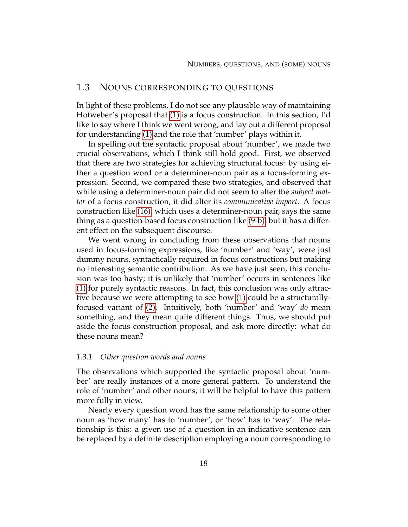# <span id="page-28-0"></span>1.3 NOUNS CORRESPONDING TO QUESTIONS

In light of these problems, I do not see any plausible way of maintaining Hofweber's proposal that [\(1\)](#page-12-3) is a focus construction. In this section, I'd like to say where I think we went wrong, and lay out a different proposal for understanding [\(1\)](#page-12-3) and the role that 'number' plays within it.

In spelling out the syntactic proposal about 'number', we made two crucial observations, which I think still hold good. First, we observed that there are two strategies for achieving structural focus: by using either a question word or a determiner-noun pair as a focus-forming expression. Second, we compared these two strategies, and observed that while using a determiner-noun pair did not seem to alter the *subject matter* of a focus construction, it did alter its *communicative import*. A focus construction like [\(16\),](#page-21-5) which uses a determiner-noun pair, says the same thing as a question-based focus construction like [\(9-b\),](#page-16-3) but it has a different effect on the subsequent discourse.

We went wrong in concluding from these observations that nouns used in focus-forming expressions, like 'number' and 'way', were just dummy nouns, syntactically required in focus constructions but making no interesting semantic contribution. As we have just seen, this conclusion was too hasty; it is unlikely that 'number' occurs in sentences like [\(1\)](#page-12-3) for purely syntactic reasons. In fact, this conclusion was only attractive because we were attempting to see how [\(1\)](#page-12-3) could be a structurallyfocused variant of [\(2\).](#page-12-4) Intuitively, both 'number' and 'way' *do* mean something, and they mean quite different things. Thus, we should put aside the focus construction proposal, and ask more directly: what do these nouns mean?

#### *1.3.1 Other question words and nouns*

The observations which supported the syntactic proposal about 'number' are really instances of a more general pattern. To understand the role of 'number' and other nouns, it will be helpful to have this pattern more fully in view.

Nearly every question word has the same relationship to some other noun as 'how many' has to 'number', or 'how' has to 'way'. The relationship is this: a given use of a question in an indicative sentence can be replaced by a definite description employing a noun corresponding to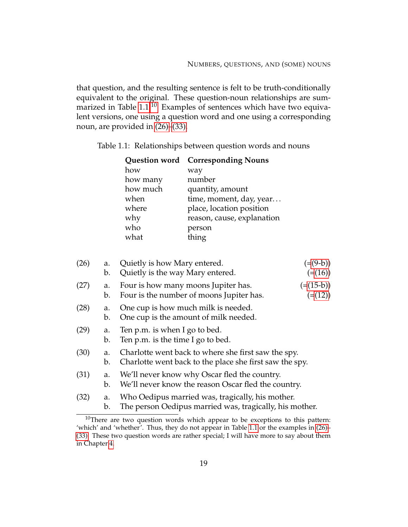that question, and the resulting sentence is felt to be truth-conditionally equivalent to the original. These question-noun relationships are sum-marized in Table [1.1.](#page-29-0)<sup>[10](#page-29-1)</sup> Examples of sentences which have two equivalent versions, one using a question word and one using a corresponding noun, are provided in [\(26\)–](#page-29-2)[\(33\).](#page-29-3)

Table 1.1: Relationships between question words and nouns

<span id="page-29-0"></span>

|          | <b>Question word</b> Corresponding Nouns |
|----------|------------------------------------------|
| how      | way                                      |
| how many | number                                   |
| how much | quantity, amount                         |
| when     | time, moment, day, year                  |
| where    | place, location position                 |
| why      | reason, cause, explanation               |
| who      | person                                   |
| what     | thing                                    |

<span id="page-29-6"></span><span id="page-29-4"></span><span id="page-29-2"></span>

| (26) | a.<br>b. | Quietly is how Mary entered.<br>$(=(9-b))$<br>Quietly is the way Mary entered.<br>$(=(16))$                    |  |
|------|----------|----------------------------------------------------------------------------------------------------------------|--|
| (27) | a.<br>b. | $(=(15-b))$<br>Four is how many moons Jupiter has.<br>Four is the number of moons Jupiter has.<br>$(=(12))$    |  |
| (28) | a.<br>b. | One cup is how much milk is needed.<br>One cup is the amount of milk needed.                                   |  |
| (29) | a.<br>b. | Ten p.m. is when I go to bed.<br>Ten p.m. is the time I go to bed.                                             |  |
| (30) | a.<br>b. | Charlotte went back to where she first saw the spy.<br>Charlotte went back to the place she first saw the spy. |  |
| (31) | a.<br>b. | We'll never know why Oscar fled the country.<br>We'll never know the reason Oscar fled the country.            |  |
| (32) | a.<br>b. | Who Oedipus married was, tragically, his mother.<br>The person Oedipus married was, tragically, his mother.    |  |

<span id="page-29-11"></span><span id="page-29-10"></span><span id="page-29-9"></span><span id="page-29-8"></span><span id="page-29-7"></span><span id="page-29-5"></span><span id="page-29-3"></span><span id="page-29-1"></span> $10$ There are two question words which appear to be exceptions to this pattern: 'which' and 'whether'. Thus, they do not appear in Table [1.1](#page-29-0) or the examples in [\(26\)–](#page-29-2) [\(33\).](#page-29-3) These two question words are rather special; I will have more to say about them in Chapter [4.](#page-125-0)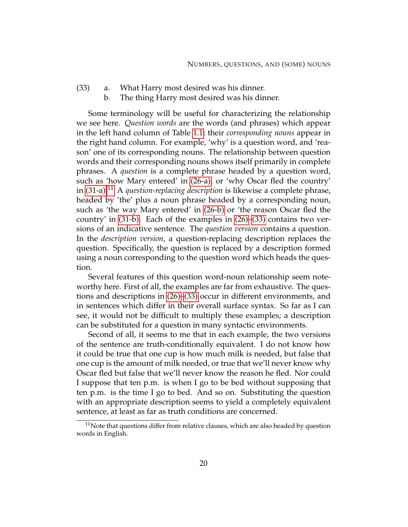- (33) a. What Harry most desired was his dinner.
	- b. The thing Harry most desired was his dinner.

Some terminology will be useful for characterizing the relationship we see here. *Question words* are the words (and phrases) which appear in the left hand column of Table [1.1;](#page-29-0) their *corresponding nouns* appear in the right hand column. For example, 'why' is a question word, and 'reason' one of its corresponding nouns. The relationship between question words and their corresponding nouns shows itself primarily in complete phrases. A *question* is a complete phrase headed by a question word, such as 'how Mary entered' in [\(26-a\),](#page-29-4) or 'why Oscar fled the country' in [\(31-a\).](#page-29-5)<sup>[11](#page-30-0)</sup> A *question-replacing description* is likewise a complete phrase, headed by 'the' plus a noun phrase headed by a corresponding noun, such as 'the way Mary entered' in [\(26-b\)](#page-29-6) or 'the reason Oscar fled the country' in [\(31-b\).](#page-29-7) Each of the examples in [\(26\)](#page-29-2)[–\(33\)](#page-29-3) contains two versions of an indicative sentence. The *question version* contains a question. In the *description version*, a question-replacing description replaces the question. Specifically, the question is replaced by a description formed using a noun corresponding to the question word which heads the question.

Several features of this question word-noun relationship seem noteworthy here. First of all, the examples are far from exhaustive. The questions and descriptions in [\(26\)–](#page-29-2)[\(33\)](#page-29-3) occur in different environments, and in sentences which differ in their overall surface syntax. So far as I can see, it would not be difficult to multiply these examples; a description can be substituted for a question in many syntactic environments.

Second of all, it seems to me that in each example, the two versions of the sentence are truth-conditionally equivalent. I do not know how it could be true that one cup is how much milk is needed, but false that one cup is the amount of milk needed, or true that we'll never know why Oscar fled but false that we'll never know the reason he fled. Nor could I suppose that ten p.m. is when I go to be bed without supposing that ten p.m. is the time I go to bed. And so on. Substituting the question with an appropriate description seems to yield a completely equivalent sentence, at least as far as truth conditions are concerned.

<span id="page-30-0"></span> $11$ Note that questions differ from relative clauses, which are also headed by question words in English.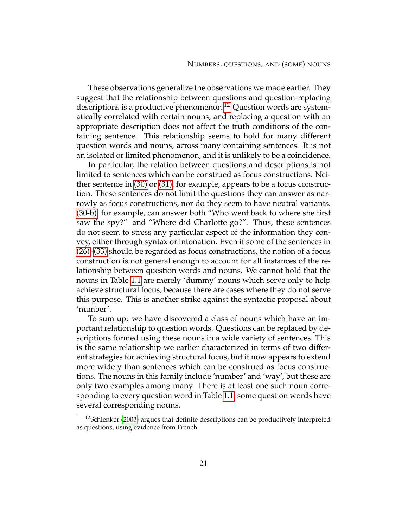These observations generalize the observations we made earlier. They suggest that the relationship between questions and question-replacing descriptions is a productive phenomenon.<sup>[12](#page-31-0)</sup> Question words are systematically correlated with certain nouns, and replacing a question with an appropriate description does not affect the truth conditions of the containing sentence. This relationship seems to hold for many different question words and nouns, across many containing sentences. It is not an isolated or limited phenomenon, and it is unlikely to be a coincidence.

In particular, the relation between questions and descriptions is not limited to sentences which can be construed as focus constructions. Neither sentence in [\(30\)](#page-29-8) or [\(31\),](#page-29-9) for example, appears to be a focus construction. These sentences do not limit the questions they can answer as narrowly as focus constructions, nor do they seem to have neutral variants. [\(30-b\),](#page-29-10) for example, can answer both "Who went back to where she first saw the spy?" and "Where did Charlotte go?". Thus, these sentences do not seem to stress any particular aspect of the information they convey, either through syntax or intonation. Even if some of the sentences in [\(26\)–](#page-29-2)[\(33\)](#page-29-3) should be regarded as focus constructions, the notion of a focus construction is not general enough to account for all instances of the relationship between question words and nouns. We cannot hold that the nouns in Table [1.1](#page-29-0) are merely 'dummy' nouns which serve only to help achieve structural focus, because there are cases where they do not serve this purpose. This is another strike against the syntactic proposal about 'number'.

To sum up: we have discovered a class of nouns which have an important relationship to question words. Questions can be replaced by descriptions formed using these nouns in a wide variety of sentences. This is the same relationship we earlier characterized in terms of two different strategies for achieving structural focus, but it now appears to extend more widely than sentences which can be construed as focus constructions. The nouns in this family include 'number' and 'way', but these are only two examples among many. There is at least one such noun corresponding to every question word in Table [1.1;](#page-29-0) some question words have several corresponding nouns.

<span id="page-31-0"></span> $12$ Schlenker [\(2003\)](#page-232-0) argues that definite descriptions can be productively interpreted as questions, using evidence from French.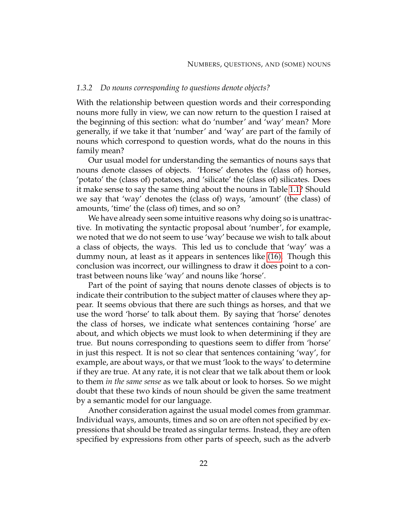### *1.3.2 Do nouns corresponding to questions denote objects?*

With the relationship between question words and their corresponding nouns more fully in view, we can now return to the question I raised at the beginning of this section: what do 'number' and 'way' mean? More generally, if we take it that 'number' and 'way' are part of the family of nouns which correspond to question words, what do the nouns in this family mean?

Our usual model for understanding the semantics of nouns says that nouns denote classes of objects. 'Horse' denotes the (class of) horses, 'potato' the (class of) potatoes, and 'silicate' the (class of) silicates. Does it make sense to say the same thing about the nouns in Table [1.1?](#page-29-0) Should we say that 'way' denotes the (class of) ways, 'amount' (the class) of amounts, 'time' the (class of) times, and so on?

We have already seen some intuitive reasons why doing so is unattractive. In motivating the syntactic proposal about 'number', for example, we noted that we do not seem to use 'way' because we wish to talk about a class of objects, the ways. This led us to conclude that 'way' was a dummy noun, at least as it appears in sentences like [\(16\).](#page-21-5) Though this conclusion was incorrect, our willingness to draw it does point to a contrast between nouns like 'way' and nouns like 'horse'.

Part of the point of saying that nouns denote classes of objects is to indicate their contribution to the subject matter of clauses where they appear. It seems obvious that there are such things as horses, and that we use the word 'horse' to talk about them. By saying that 'horse' denotes the class of horses, we indicate what sentences containing 'horse' are about, and which objects we must look to when determining if they are true. But nouns corresponding to questions seem to differ from 'horse' in just this respect. It is not so clear that sentences containing 'way', for example, are about ways, or that we must 'look to the ways' to determine if they are true. At any rate, it is not clear that we talk about them or look to them *in the same sense* as we talk about or look to horses. So we might doubt that these two kinds of noun should be given the same treatment by a semantic model for our language.

Another consideration against the usual model comes from grammar. Individual ways, amounts, times and so on are often not specified by expressions that should be treated as singular terms. Instead, they are often specified by expressions from other parts of speech, such as the adverb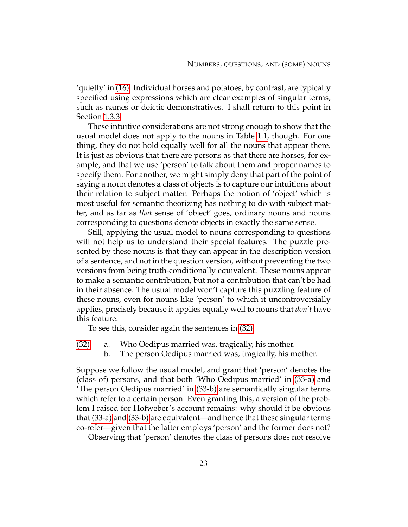'quietly' in [\(16\).](#page-21-5) Individual horses and potatoes, by contrast, are typically specified using expressions which are clear examples of singular terms, such as names or deictic demonstratives. I shall return to this point in Section [1.3.3.](#page-35-0)

These intuitive considerations are not strong enough to show that the usual model does not apply to the nouns in Table [1.1,](#page-29-0) though. For one thing, they do not hold equally well for all the nouns that appear there. It is just as obvious that there are persons as that there are horses, for example, and that we use 'person' to talk about them and proper names to specify them. For another, we might simply deny that part of the point of saying a noun denotes a class of objects is to capture our intuitions about their relation to subject matter. Perhaps the notion of 'object' which is most useful for semantic theorizing has nothing to do with subject matter, and as far as *that* sense of 'object' goes, ordinary nouns and nouns corresponding to questions denote objects in exactly the same sense.

Still, applying the usual model to nouns corresponding to questions will not help us to understand their special features. The puzzle presented by these nouns is that they can appear in the description version of a sentence, and not in the question version, without preventing the two versions from being truth-conditionally equivalent. These nouns appear to make a semantic contribution, but not a contribution that can't be had in their absence. The usual model won't capture this puzzling feature of these nouns, even for nouns like 'person' to which it uncontroversially applies, precisely because it applies equally well to nouns that *don't* have this feature.

To see this, consider again the sentences in [\(32\):](#page-29-11)

- <span id="page-33-1"></span><span id="page-33-0"></span>[\(32\)](#page-29-11) a. Who Oedipus married was, tragically, his mother.
	- b. The person Oedipus married was, tragically, his mother.

Suppose we follow the usual model, and grant that 'person' denotes the (class of) persons, and that both 'Who Oedipus married' in [\(33-a\)](#page-33-0) and 'The person Oedipus married' in [\(33-b\)](#page-33-1) are semantically singular terms which refer to a certain person. Even granting this, a version of the problem I raised for Hofweber's account remains: why should it be obvious that [\(33-a\)](#page-33-0) and [\(33-b\)](#page-33-1) are equivalent—and hence that these singular terms co-refer—given that the latter employs 'person' and the former does not?

Observing that 'person' denotes the class of persons does not resolve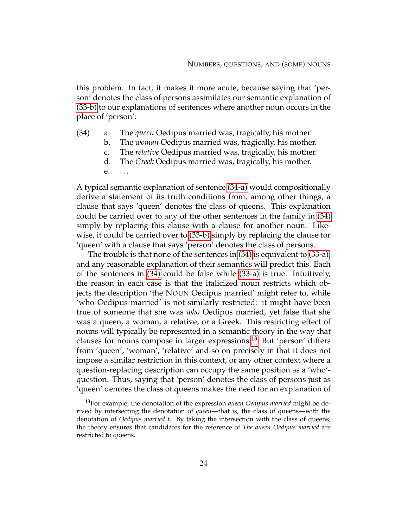this problem. In fact, it makes it more acute, because saying that 'person' denotes the class of persons assimilates our semantic explanation of [\(33-b\)](#page-33-1) to our explanations of sentences where another noun occurs in the place of 'person':

- <span id="page-34-1"></span><span id="page-34-0"></span>(34) a. The *queen* Oedipus married was, tragically, his mother.
	- b. The *woman* Oedipus married was, tragically, his mother.
	- c. The *relative* Oedipus married was, tragically, his mother.
	- d. The *Greek* Oedipus married was, tragically, his mother.
	- e. ...

A typical semantic explanation of sentence [\(34-a\)](#page-34-0) would compositionally derive a statement of its truth conditions from, among other things, a clause that says 'queen' denotes the class of queens. This explanation could be carried over to any of the other sentences in the family in [\(34\)](#page-34-1) simply by replacing this clause with a clause for another noun. Likewise, it could be carried over to [\(33-b\)](#page-33-1) simply by replacing the clause for 'queen' with a clause that says 'person' denotes the class of persons.

The trouble is that none of the sentences in [\(34\)](#page-34-1) is equivalent to [\(33-a\),](#page-33-0) and any reasonable explanation of their semantics will predict this. Each of the sentences in [\(34\)](#page-34-1) could be false while [\(33-a\)](#page-33-0) is true. Intuitively, the reason in each case is that the italicized noun restricts which objects the description 'the NOUN Oedipus married' might refer to, while 'who Oedipus married' is not similarly restricted: it might have been true of someone that she was *who* Oedipus married, yet false that she was a queen, a woman, a relative, or a Greek. This restricting effect of nouns will typically be represented in a semantic theory in the way that clauses for nouns compose in larger expressions.[13](#page-34-2) But 'person' differs from 'queen', 'woman', 'relative' and so on precisely in that it does not impose a similar restriction in this context, or any other context where a question-replacing description can occupy the same position as a 'who' question. Thus, saying that 'person' denotes the class of persons just as 'queen' denotes the class of queens makes the need for an explanation of

<span id="page-34-2"></span><sup>13</sup>For example, the denotation of the expression *queen Oedipus married* might be derived by intersecting the denotation of *queen*—that is, the class of queens—with the denotation of *Oedipus married t*. By taking the intersection with the class of queens, the theory ensures that candidates for the reference of *The queen Oedipus married* are restricted to queens.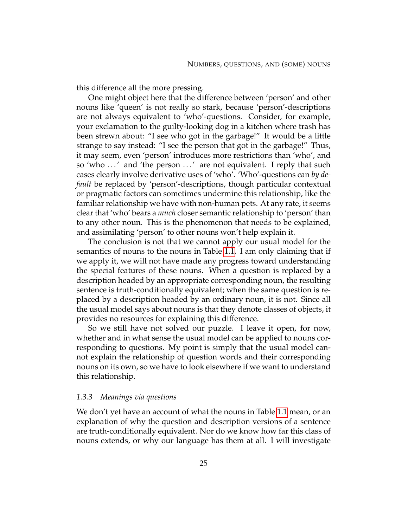this difference all the more pressing.

One might object here that the difference between 'person' and other nouns like 'queen' is not really so stark, because 'person'-descriptions are not always equivalent to 'who'-questions. Consider, for example, your exclamation to the guilty-looking dog in a kitchen where trash has been strewn about: "I see who got in the garbage!" It would be a little strange to say instead: "I see the person that got in the garbage!" Thus, it may seem, even 'person' introduces more restrictions than 'who', and so 'who ...' and 'the person ...' are not equivalent. I reply that such cases clearly involve derivative uses of 'who'. 'Who'-questions can *by default* be replaced by 'person'-descriptions, though particular contextual or pragmatic factors can sometimes undermine this relationship, like the familiar relationship we have with non-human pets. At any rate, it seems clear that 'who' bears a *much* closer semantic relationship to 'person' than to any other noun. This is the phenomenon that needs to be explained, and assimilating 'person' to other nouns won't help explain it.

The conclusion is not that we cannot apply our usual model for the semantics of nouns to the nouns in Table [1.1.](#page-29-0) I am only claiming that if we apply it, we will not have made any progress toward understanding the special features of these nouns. When a question is replaced by a description headed by an appropriate corresponding noun, the resulting sentence is truth-conditionally equivalent; when the same question is replaced by a description headed by an ordinary noun, it is not. Since all the usual model says about nouns is that they denote classes of objects, it provides no resources for explaining this difference.

So we still have not solved our puzzle. I leave it open, for now, whether and in what sense the usual model can be applied to nouns corresponding to questions. My point is simply that the usual model cannot explain the relationship of question words and their corresponding nouns on its own, so we have to look elsewhere if we want to understand this relationship.

## <span id="page-35-0"></span>*1.3.3 Meanings via questions*

We don't yet have an account of what the nouns in Table [1.1](#page-29-0) mean, or an explanation of why the question and description versions of a sentence are truth-conditionally equivalent. Nor do we know how far this class of nouns extends, or why our language has them at all. I will investigate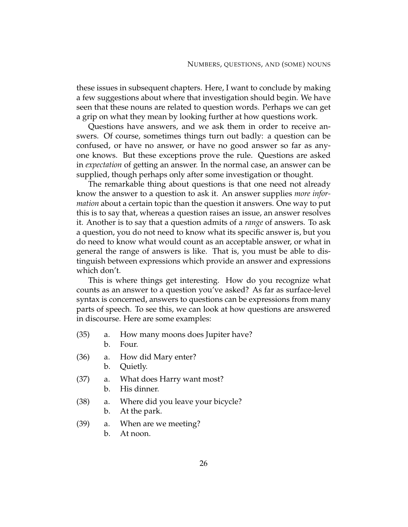these issues in subsequent chapters. Here, I want to conclude by making a few suggestions about where that investigation should begin. We have seen that these nouns are related to question words. Perhaps we can get a grip on what they mean by looking further at how questions work.

Questions have answers, and we ask them in order to receive answers. Of course, sometimes things turn out badly: a question can be confused, or have no answer, or have no good answer so far as anyone knows. But these exceptions prove the rule. Questions are asked in *expectation* of getting an answer. In the normal case, an answer can be supplied, though perhaps only after some investigation or thought.

The remarkable thing about questions is that one need not already know the answer to a question to ask it. An answer supplies *more information* about a certain topic than the question it answers. One way to put this is to say that, whereas a question raises an issue, an answer resolves it. Another is to say that a question admits of a *range* of answers. To ask a question, you do not need to know what its specific answer is, but you do need to know what would count as an acceptable answer, or what in general the range of answers is like. That is, you must be able to distinguish between expressions which provide an answer and expressions which don't.

This is where things get interesting. How do you recognize what counts as an answer to a question you've asked? As far as surface-level syntax is concerned, answers to questions can be expressions from many parts of speech. To see this, we can look at how questions are answered in discourse. Here are some examples:

- <span id="page-36-10"></span><span id="page-36-1"></span><span id="page-36-0"></span>(35) a. How many moons does Jupiter have?
	- b. Four.
- <span id="page-36-3"></span><span id="page-36-2"></span>(36) a. How did Mary enter?
	- b. Quietly.
- <span id="page-36-5"></span><span id="page-36-4"></span>(37) a. What does Harry want most?
	- b. His dinner.
- <span id="page-36-8"></span><span id="page-36-6"></span>(38) a. Where did you leave your bicycle?
	- b. At the park.
- <span id="page-36-11"></span><span id="page-36-9"></span><span id="page-36-7"></span>(39) a. When are we meeting?
	- b. At noon.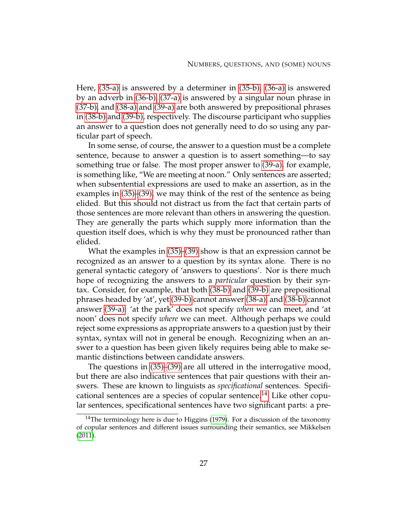Here, [\(35-a\)](#page-36-0) is answered by a determiner in [\(35-b\),](#page-36-1) [\(36-a\)](#page-36-2) is answered by an adverb in [\(36-b\),](#page-36-3) [\(37-a\)](#page-36-4) is answered by a singular noun phrase in [\(37-b\),](#page-36-5) and [\(38-a\)](#page-36-6) and [\(39-a\)](#page-36-7) are both answered by prepositional phrases in [\(38-b\)](#page-36-8) and [\(39-b\),](#page-36-9) respectively. The discourse participant who supplies an answer to a question does not generally need to do so using any particular part of speech.

In some sense, of course, the answer to a question must be a complete sentence, because to answer a question is to assert something—to say something true or false. The most proper answer to [\(39-a\),](#page-36-7) for example, is something like, "We are meeting at noon." Only sentences are asserted; when subsentential expressions are used to make an assertion, as in the examples in [\(35\)](#page-36-10)[–\(39\),](#page-36-11) we may think of the rest of the sentence as being elided. But this should not distract us from the fact that certain parts of those sentences are more relevant than others in answering the question. They are generally the parts which supply more information than the question itself does, which is why they must be pronounced rather than elided.

What the examples in [\(35\)–](#page-36-10)[\(39\)](#page-36-11) show is that an expression cannot be recognized as an answer to a question by its syntax alone. There is no general syntactic category of 'answers to questions'. Nor is there much hope of recognizing the answers to a *particular* question by their syntax. Consider, for example, that both [\(38-b\)](#page-36-8) and [\(39-b\)](#page-36-9) are prepositional phrases headed by 'at', yet [\(39-b\)](#page-36-9) cannot answer [\(38-a\),](#page-36-6) and [\(38-b\)](#page-36-8) cannot answer [\(39-a\):](#page-36-7) 'at the park' does not specify *when* we can meet, and 'at noon' does not specify *where* we can meet. Although perhaps we could reject some expressions as appropriate answers to a question just by their syntax, syntax will not in general be enough. Recognizing when an answer to a question has been given likely requires being able to make semantic distinctions between candidate answers.

The questions in [\(35\)–](#page-36-10)[\(39\)](#page-36-11) are all uttered in the interrogative mood, but there are also indicative sentences that pair questions with their answers. These are known to linguists as *specificational* sentences. Specifi-cational sentences are a species of copular sentence.<sup>[14](#page-37-0)</sup> Like other copular sentences, specificational sentences have two significant parts: a pre-

<span id="page-37-0"></span> $14$ The terminology here is due to Higgins [\(1979\)](#page-231-0). For a discussion of the taxonomy of copular sentences and different issues surrounding their semantics, see Mikkelsen [\(2011\)](#page-232-0).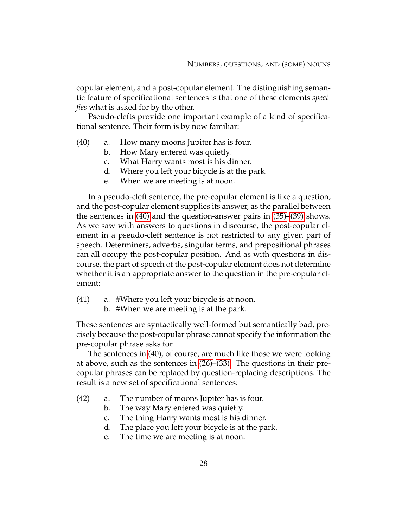copular element, and a post-copular element. The distinguishing semantic feature of specificational sentences is that one of these elements *specifies* what is asked for by the other.

<span id="page-38-0"></span>Pseudo-clefts provide one important example of a kind of specificational sentence. Their form is by now familiar:

- (40) a. How many moons Jupiter has is four.
	- b. How Mary entered was quietly.
	- c. What Harry wants most is his dinner.
	- d. Where you left your bicycle is at the park.
	- e. When we are meeting is at noon.

In a pseudo-cleft sentence, the pre-copular element is like a question, and the post-copular element supplies its answer, as the parallel between the sentences in [\(40\)](#page-38-0) and the question-answer pairs in [\(35\)–](#page-36-10)[\(39\)](#page-36-11) shows. As we saw with answers to questions in discourse, the post-copular element in a pseudo-cleft sentence is not restricted to any given part of speech. Determiners, adverbs, singular terms, and prepositional phrases can all occupy the post-copular position. And as with questions in discourse, the part of speech of the post-copular element does not determine whether it is an appropriate answer to the question in the pre-copular element:

- <span id="page-38-2"></span>(41) a. #Where you left your bicycle is at noon.
	- b. #When we are meeting is at the park.

These sentences are syntactically well-formed but semantically bad, precisely because the post-copular phrase cannot specify the information the pre-copular phrase asks for.

The sentences in [\(40\),](#page-38-0) of course, are much like those we were looking at above, such as the sentences in [\(26\)–](#page-29-0)[\(33\).](#page-29-1) The questions in their precopular phrases can be replaced by question-replacing descriptions. The result is a new set of specificational sentences:

- <span id="page-38-3"></span><span id="page-38-1"></span>(42) a. The number of moons Jupiter has is four.
	- b. The way Mary entered was quietly.
	- c. The thing Harry wants most is his dinner.
	- d. The place you left your bicycle is at the park.
	- e. The time we are meeting is at noon.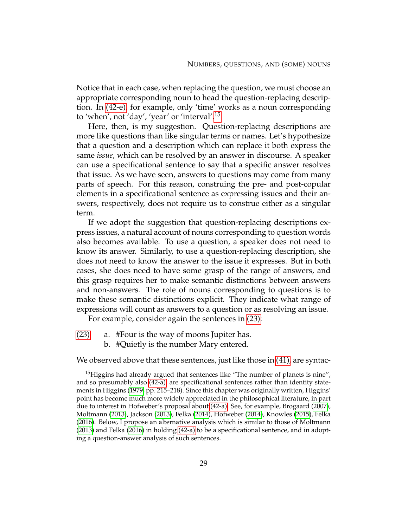Notice that in each case, when replacing the question, we must choose an appropriate corresponding noun to head the question-replacing description. In [\(42-e\),](#page-38-1) for example, only 'time' works as a noun corresponding to 'when', not 'day', 'year' or 'interval'.[15](#page-39-0)

Here, then, is my suggestion. Question-replacing descriptions are more like questions than like singular terms or names. Let's hypothesize that a question and a description which can replace it both express the same *issue*, which can be resolved by an answer in discourse. A speaker can use a specificational sentence to say that a specific answer resolves that issue. As we have seen, answers to questions may come from many parts of speech. For this reason, construing the pre- and post-copular elements in a specificational sentence as expressing issues and their answers, respectively, does not require us to construe either as a singular term.

If we adopt the suggestion that question-replacing descriptions express issues, a natural account of nouns corresponding to question words also becomes available. To use a question, a speaker does not need to know its answer. Similarly, to use a question-replacing description, she does not need to know the answer to the issue it expresses. But in both cases, she does need to have some grasp of the range of answers, and this grasp requires her to make semantic distinctions between answers and non-answers. The role of nouns corresponding to questions is to make these semantic distinctions explicit. They indicate what range of expressions will count as answers to a question or as resolving an issue.

For example, consider again the sentences in [\(23\):](#page-25-0)

- [\(23\)](#page-25-0) a. #Four is the way of moons Jupiter has.
	- b. #Quietly is the number Mary entered.

We observed above that these sentences, just like those in [\(41\),](#page-38-2) are syntac-

<span id="page-39-0"></span><sup>&</sup>lt;sup>15</sup>Higgins had already argued that sentences like "The number of planets is nine", and so presumably also [\(42-a\),](#page-38-3) are specificational sentences rather than identity statements in Higgins [\(1979,](#page-231-0) pp. 215–218). Since this chapter was originally written, Higgins' point has become much more widely appreciated in the philosophical literature, in part due to interest in Hofweber's proposal about [\(42-a\).](#page-38-3) See, for example, Brogaard [\(2007\)](#page-229-0), Moltmann [\(2013\)](#page-232-1), Jackson [\(2013\)](#page-231-1), Felka [\(2014\)](#page-230-0), Hofweber [\(2014\)](#page-231-2), Knowles [\(2015\)](#page-231-3), Felka [\(2016\)](#page-230-1). Below, I propose an alternative analysis which is similar to those of Moltmann [\(2013\)](#page-232-1) and Felka [\(2016\)](#page-230-1) in holding [\(42-a\)](#page-38-3) to be a specificational sentence, and in adopting a question-answer analysis of such sentences.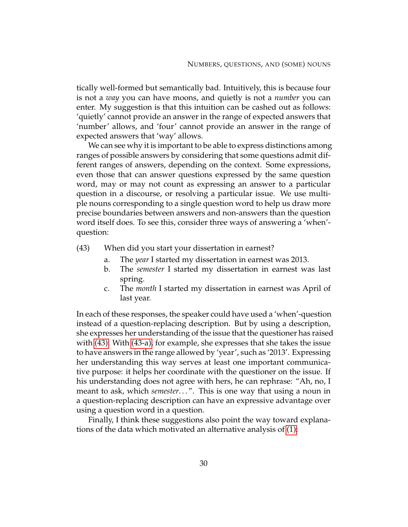tically well-formed but semantically bad. Intuitively, this is because four is not a *way* you can have moons, and quietly is not a *number* you can enter. My suggestion is that this intuition can be cashed out as follows: 'quietly' cannot provide an answer in the range of expected answers that 'number' allows, and 'four' cannot provide an answer in the range of expected answers that 'way' allows.

We can see why it is important to be able to express distinctions among ranges of possible answers by considering that some questions admit different ranges of answers, depending on the context. Some expressions, even those that can answer questions expressed by the same question word, may or may not count as expressing an answer to a particular question in a discourse, or resolving a particular issue. We use multiple nouns corresponding to a single question word to help us draw more precise boundaries between answers and non-answers than the question word itself does. To see this, consider three ways of answering a 'when' question:

- <span id="page-40-1"></span><span id="page-40-0"></span>(43) When did you start your dissertation in earnest?
	- a. The *year* I started my dissertation in earnest was 2013.
	- b. The *semester* I started my dissertation in earnest was last spring.
	- c. The *month* I started my dissertation in earnest was April of last year.

In each of these responses, the speaker could have used a 'when'-question instead of a question-replacing description. But by using a description, she expresses her understanding of the issue that the questioner has raised with [\(43\).](#page-40-0) With [\(43-a\),](#page-40-1) for example, she expresses that she takes the issue to have answers in the range allowed by 'year', such as '2013'. Expressing her understanding this way serves at least one important communicative purpose: it helps her coordinate with the questioner on the issue. If his understanding does not agree with hers, he can rephrase: "Ah, no, I meant to ask, which *semester*...". This is one way that using a noun in a question-replacing description can have an expressive advantage over using a question word in a question.

Finally, I think these suggestions also point the way toward explanations of the data which motivated an alternative analysis of [\(1\):](#page-12-0)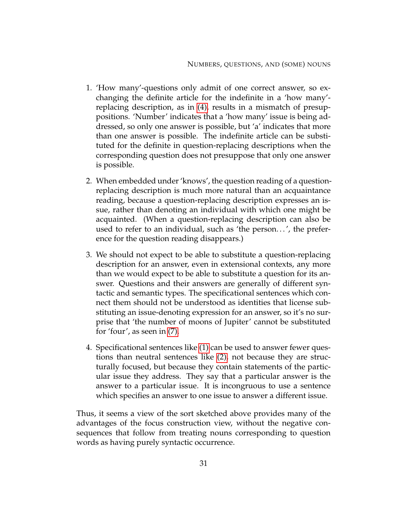- 1. 'How many'-questions only admit of one correct answer, so exchanging the definite article for the indefinite in a 'how many' replacing description, as in [\(4\),](#page-13-0) results in a mismatch of presuppositions. 'Number' indicates that a 'how many' issue is being addressed, so only one answer is possible, but 'a' indicates that more than one answer is possible. The indefinite article can be substituted for the definite in question-replacing descriptions when the corresponding question does not presuppose that only one answer is possible.
- 2. When embedded under 'knows', the question reading of a questionreplacing description is much more natural than an acquaintance reading, because a question-replacing description expresses an issue, rather than denoting an individual with which one might be acquainted. (When a question-replacing description can also be used to refer to an individual, such as 'the person...', the preference for the question reading disappears.)
- 3. We should not expect to be able to substitute a question-replacing description for an answer, even in extensional contexts, any more than we would expect to be able to substitute a question for its answer. Questions and their answers are generally of different syntactic and semantic types. The specificational sentences which connect them should not be understood as identities that license substituting an issue-denoting expression for an answer, so it's no surprise that 'the number of moons of Jupiter' cannot be substituted for 'four', as seen in [\(7\).](#page-15-0)
- 4. Specificational sentences like [\(1\)](#page-12-0) can be used to answer fewer questions than neutral sentences like [\(2\),](#page-12-1) not because they are structurally focused, but because they contain statements of the particular issue they address. They say that a particular answer is the answer to a particular issue. It is incongruous to use a sentence which specifies an answer to one issue to answer a different issue.

Thus, it seems a view of the sort sketched above provides many of the advantages of the focus construction view, without the negative consequences that follow from treating nouns corresponding to question words as having purely syntactic occurrence.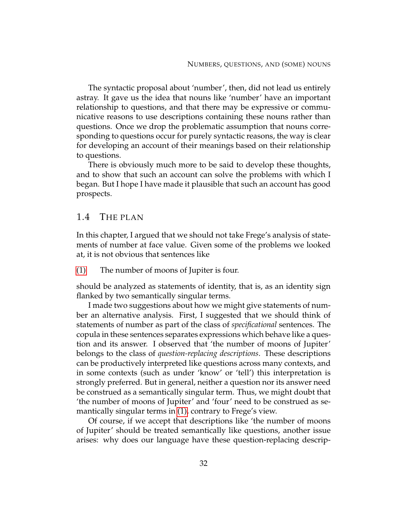The syntactic proposal about 'number', then, did not lead us entirely astray. It gave us the idea that nouns like 'number' have an important relationship to questions, and that there may be expressive or communicative reasons to use descriptions containing these nouns rather than questions. Once we drop the problematic assumption that nouns corresponding to questions occur for purely syntactic reasons, the way is clear for developing an account of their meanings based on their relationship to questions.

There is obviously much more to be said to develop these thoughts, and to show that such an account can solve the problems with which I began. But I hope I have made it plausible that such an account has good prospects.

# 1.4 THE PLAN

In this chapter, I argued that we should not take Frege's analysis of statements of number at face value. Given some of the problems we looked at, it is not obvious that sentences like

[\(1\)](#page-12-0) The number of moons of Jupiter is four.

should be analyzed as statements of identity, that is, as an identity sign flanked by two semantically singular terms.

I made two suggestions about how we might give statements of number an alternative analysis. First, I suggested that we should think of statements of number as part of the class of *specificational* sentences. The copula in these sentences separates expressions which behave like a question and its answer. I observed that 'the number of moons of Jupiter' belongs to the class of *question-replacing descriptions*. These descriptions can be productively interpreted like questions across many contexts, and in some contexts (such as under 'know' or 'tell') this interpretation is strongly preferred. But in general, neither a question nor its answer need be construed as a semantically singular term. Thus, we might doubt that 'the number of moons of Jupiter' and 'four' need to be construed as semantically singular terms in [\(1\),](#page-12-0) contrary to Frege's view.

Of course, if we accept that descriptions like 'the number of moons of Jupiter' should be treated semantically like questions, another issue arises: why does our language have these question-replacing descrip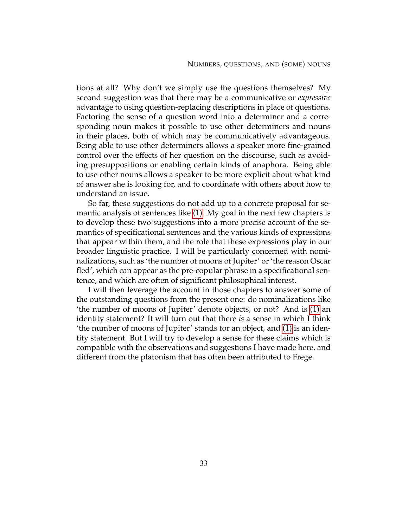tions at all? Why don't we simply use the questions themselves? My second suggestion was that there may be a communicative or *expressive* advantage to using question-replacing descriptions in place of questions. Factoring the sense of a question word into a determiner and a corresponding noun makes it possible to use other determiners and nouns in their places, both of which may be communicatively advantageous. Being able to use other determiners allows a speaker more fine-grained control over the effects of her question on the discourse, such as avoiding presuppositions or enabling certain kinds of anaphora. Being able to use other nouns allows a speaker to be more explicit about what kind of answer she is looking for, and to coordinate with others about how to understand an issue.

So far, these suggestions do not add up to a concrete proposal for semantic analysis of sentences like [\(1\).](#page-12-0) My goal in the next few chapters is to develop these two suggestions into a more precise account of the semantics of specificational sentences and the various kinds of expressions that appear within them, and the role that these expressions play in our broader linguistic practice. I will be particularly concerned with nominalizations, such as 'the number of moons of Jupiter' or 'the reason Oscar fled', which can appear as the pre-copular phrase in a specificational sentence, and which are often of significant philosophical interest.

I will then leverage the account in those chapters to answer some of the outstanding questions from the present one: do nominalizations like 'the number of moons of Jupiter' denote objects, or not? And is [\(1\)](#page-12-0) an identity statement? It will turn out that there *is* a sense in which I think 'the number of moons of Jupiter' stands for an object, and [\(1\)](#page-12-0) is an identity statement. But I will try to develop a sense for these claims which is compatible with the observations and suggestions I have made here, and different from the platonism that has often been attributed to Frege.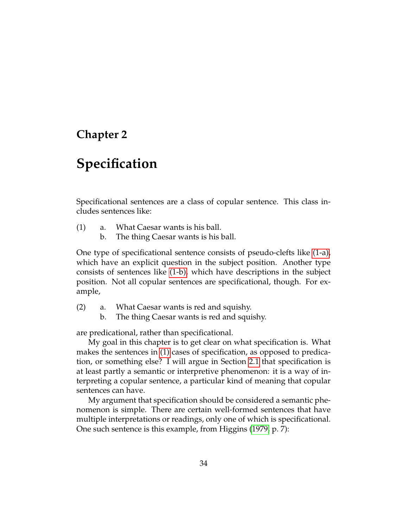# **Chapter 2**

# **Specification**

<span id="page-44-2"></span>Specificational sentences are a class of copular sentence. This class includes sentences like:

- <span id="page-44-1"></span><span id="page-44-0"></span>(1) a. What Caesar wants is his ball.
	- b. The thing Caesar wants is his ball.

One type of specificational sentence consists of pseudo-clefts like [\(1-a\),](#page-44-0) which have an explicit question in the subject position. Another type consists of sentences like [\(1-b\),](#page-44-1) which have descriptions in the subject position. Not all copular sentences are specificational, though. For example,

- (2) a. What Caesar wants is red and squishy.
	- b. The thing Caesar wants is red and squishy.

are predicational, rather than specificational.

My goal in this chapter is to get clear on what specification is. What makes the sentences in [\(1\)](#page-44-2) cases of specification, as opposed to predication, or something else? I will argue in Section [2.1](#page-45-0) that specification is at least partly a semantic or interpretive phenomenon: it is a way of interpreting a copular sentence, a particular kind of meaning that copular sentences can have.

<span id="page-44-3"></span>My argument that specification should be considered a semantic phenomenon is simple. There are certain well-formed sentences that have multiple interpretations or readings, only one of which is specificational. One such sentence is this example, from Higgins [\(1979,](#page-231-0) p. 7):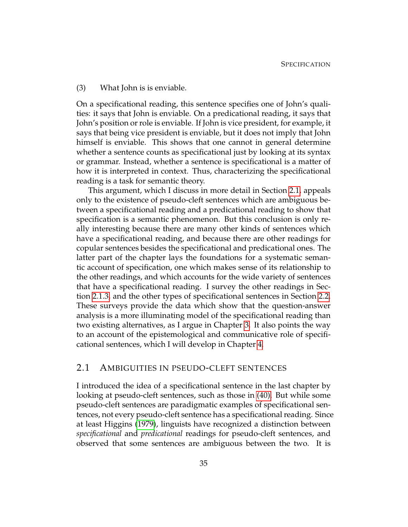#### (3) What John is is enviable.

On a specificational reading, this sentence specifies one of John's qualities: it says that John is enviable. On a predicational reading, it says that John's position or role is enviable. If John is vice president, for example, it says that being vice president is enviable, but it does not imply that John himself is enviable. This shows that one cannot in general determine whether a sentence counts as specificational just by looking at its syntax or grammar. Instead, whether a sentence is specificational is a matter of how it is interpreted in context. Thus, characterizing the specificational reading is a task for semantic theory.

This argument, which I discuss in more detail in Section [2.1,](#page-45-0) appeals only to the existence of pseudo-cleft sentences which are ambiguous between a specificational reading and a predicational reading to show that specification is a semantic phenomenon. But this conclusion is only really interesting because there are many other kinds of sentences which have a specificational reading, and because there are other readings for copular sentences besides the specificational and predicational ones. The latter part of the chapter lays the foundations for a systematic semantic account of specification, one which makes sense of its relationship to the other readings, and which accounts for the wide variety of sentences that have a specificational reading. I survey the other readings in Section [2.1.3,](#page-56-0) and the other types of specificational sentences in Section [2.2.](#page-59-0) These surveys provide the data which show that the question-answer analysis is a more illuminating model of the specificational reading than two existing alternatives, as I argue in Chapter [3.](#page-74-0) It also points the way to an account of the epistemological and communicative role of specificational sentences, which I will develop in Chapter [4.](#page-125-0)

# <span id="page-45-0"></span>2.1 AMBIGUITIES IN PSEUDO-CLEFT SENTENCES

I introduced the idea of a specificational sentence in the last chapter by looking at pseudo-cleft sentences, such as those in [\(40\).](#page-38-0) But while some pseudo-cleft sentences are paradigmatic examples of specificational sentences, not every pseudo-cleft sentence has a specificational reading. Since at least Higgins [\(1979\)](#page-231-0), linguists have recognized a distinction between *specificational* and *predicational* readings for pseudo-cleft sentences, and observed that some sentences are ambiguous between the two. It is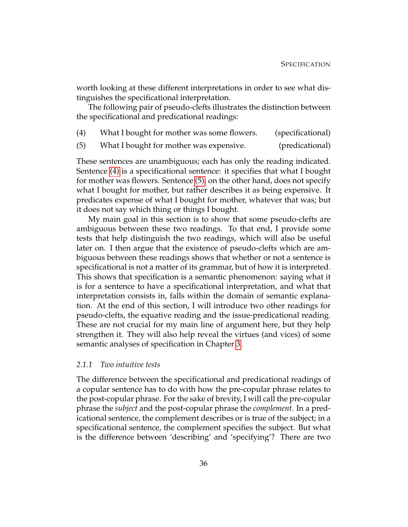worth looking at these different interpretations in order to see what distinguishes the specificational interpretation.

<span id="page-46-0"></span>The following pair of pseudo-clefts illustrates the distinction between the specificational and predicational readings:

<span id="page-46-1"></span>

| (4)<br>What I bought for mother was some flowers. | (specificational) |
|---------------------------------------------------|-------------------|
|---------------------------------------------------|-------------------|

(5) What I bought for mother was expensive. (predicational)

These sentences are unambiguous; each has only the reading indicated. Sentence [\(4\)](#page-46-0) is a specificational sentence: it specifies that what I bought for mother was flowers. Sentence [\(5\),](#page-46-1) on the other hand, does not specify what I bought for mother, but rather describes it as being expensive. It predicates expense of what I bought for mother, whatever that was; but it does not say which thing or things I bought.

My main goal in this section is to show that some pseudo-clefts are ambiguous between these two readings. To that end, I provide some tests that help distinguish the two readings, which will also be useful later on. I then argue that the existence of pseudo-clefts which are ambiguous between these readings shows that whether or not a sentence is specificational is not a matter of its grammar, but of how it is interpreted. This shows that specification is a semantic phenomenon: saying what it is for a sentence to have a specificational interpretation, and what that interpretation consists in, falls within the domain of semantic explanation. At the end of this section, I will introduce two other readings for pseudo-clefts, the equative reading and the issue-predicational reading. These are not crucial for my main line of argument here, but they help strengthen it. They will also help reveal the virtues (and vices) of some semantic analyses of specification in Chapter [3.](#page-74-0)

#### *2.1.1 Two intuitive tests*

The difference between the specificational and predicational readings of a copular sentence has to do with how the pre-copular phrase relates to the post-copular phrase. For the sake of brevity, I will call the pre-copular phrase the *subject* and the post-copular phrase the *complement*. In a predicational sentence, the complement describes or is true of the subject; in a specificational sentence, the complement specifies the subject. But what is the difference between 'describing' and 'specifying'? There are two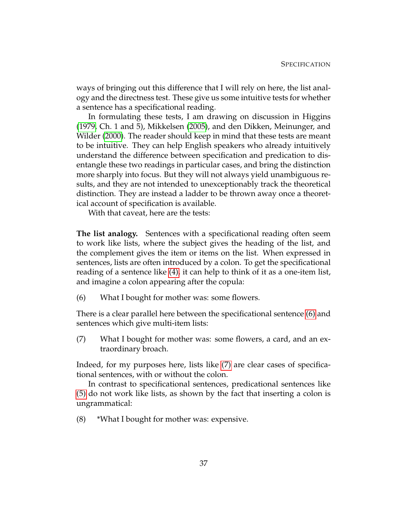ways of bringing out this difference that I will rely on here, the list analogy and the directness test. These give us some intuitive tests for whether a sentence has a specificational reading.

In formulating these tests, I am drawing on discussion in Higgins [\(1979,](#page-231-0) Ch. 1 and 5), Mikkelsen [\(2005\)](#page-232-2), and den Dikken, Meinunger, and Wilder [\(2000\)](#page-229-1). The reader should keep in mind that these tests are meant to be intuitive. They can help English speakers who already intuitively understand the difference between specification and predication to disentangle these two readings in particular cases, and bring the distinction more sharply into focus. But they will not always yield unambiguous results, and they are not intended to unexceptionably track the theoretical distinction. They are instead a ladder to be thrown away once a theoretical account of specification is available.

With that caveat, here are the tests:

**The list analogy.** Sentences with a specificational reading often seem to work like lists, where the subject gives the heading of the list, and the complement gives the item or items on the list. When expressed in sentences, lists are often introduced by a colon. To get the specificational reading of a sentence like [\(4\),](#page-46-0) it can help to think of it as a one-item list, and imagine a colon appearing after the copula:

<span id="page-47-0"></span>(6) What I bought for mother was: some flowers.

<span id="page-47-1"></span>There is a clear parallel here between the specificational sentence [\(6\)](#page-47-0) and sentences which give multi-item lists:

(7) What I bought for mother was: some flowers, a card, and an extraordinary broach.

Indeed, for my purposes here, lists like [\(7\)](#page-47-1) are clear cases of specificational sentences, with or without the colon.

In contrast to specificational sentences, predicational sentences like [\(5\)](#page-46-1) do not work like lists, as shown by the fact that inserting a colon is ungrammatical:

(8) \*What I bought for mother was: expensive.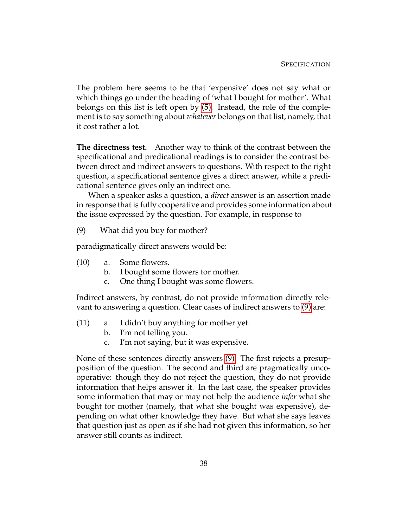The problem here seems to be that 'expensive' does not say what or which things go under the heading of 'what I bought for mother'. What belongs on this list is left open by [\(5\).](#page-46-1) Instead, the role of the complement is to say something about *whatever* belongs on that list, namely, that it cost rather a lot.

**The directness test.** Another way to think of the contrast between the specificational and predicational readings is to consider the contrast between direct and indirect answers to questions. With respect to the right question, a specificational sentence gives a direct answer, while a predicational sentence gives only an indirect one.

<span id="page-48-0"></span>When a speaker asks a question, a *direct* answer is an assertion made in response that is fully cooperative and provides some information about the issue expressed by the question. For example, in response to

(9) What did you buy for mother?

paradigmatically direct answers would be:

- <span id="page-48-2"></span><span id="page-48-1"></span>(10) a. Some flowers.
	- b. I bought some flowers for mother.
	- c. One thing I bought was some flowers.

Indirect answers, by contrast, do not provide information directly relevant to answering a question. Clear cases of indirect answers to [\(9\)](#page-48-0) are:

- <span id="page-48-3"></span>(11) a. I didn't buy anything for mother yet.
	- b. I'm not telling you.
	- c. I'm not saying, but it was expensive.

None of these sentences directly answers [\(9\).](#page-48-0) The first rejects a presupposition of the question. The second and third are pragmatically uncooperative: though they do not reject the question, they do not provide information that helps answer it. In the last case, the speaker provides some information that may or may not help the audience *infer* what she bought for mother (namely, that what she bought was expensive), depending on what other knowledge they have. But what she says leaves that question just as open as if she had not given this information, so her answer still counts as indirect.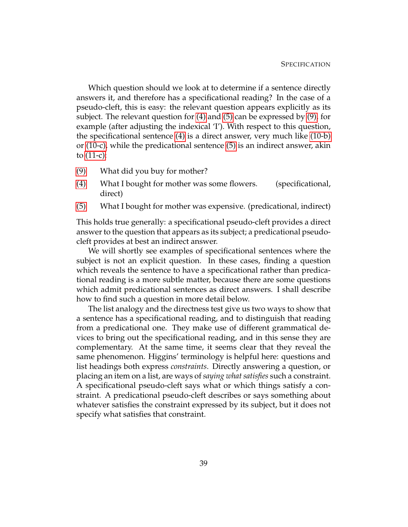Which question should we look at to determine if a sentence directly answers it, and therefore has a specificational reading? In the case of a pseudo-cleft, this is easy: the relevant question appears explicitly as its subject. The relevant question for [\(4\)](#page-46-0) and [\(5\)](#page-46-1) can be expressed by [\(9\),](#page-48-0) for example (after adjusting the indexical 'I'). With respect to this question, the specificational sentence [\(4\)](#page-46-0) is a direct answer, very much like [\(10-b\)](#page-48-1) or [\(10-c\),](#page-48-2) while the predicational sentence [\(5\)](#page-46-1) is an indirect answer, akin to [\(11-c\):](#page-48-3)

- [\(9\)](#page-48-0) What did you buy for mother?
- [\(4\)](#page-46-0) What I bought for mother was some flowers. (specificational, direct)
- [\(5\)](#page-46-1) What I bought for mother was expensive. (predicational, indirect)

This holds true generally: a specificational pseudo-cleft provides a direct answer to the question that appears as its subject; a predicational pseudocleft provides at best an indirect answer.

We will shortly see examples of specificational sentences where the subject is not an explicit question. In these cases, finding a question which reveals the sentence to have a specificational rather than predicational reading is a more subtle matter, because there are some questions which admit predicational sentences as direct answers. I shall describe how to find such a question in more detail below.

The list analogy and the directness test give us two ways to show that a sentence has a specificational reading, and to distinguish that reading from a predicational one. They make use of different grammatical devices to bring out the specificational reading, and in this sense they are complementary. At the same time, it seems clear that they reveal the same phenomenon. Higgins' terminology is helpful here: questions and list headings both express *constraints*. Directly answering a question, or placing an item on a list, are ways of *saying what satisfies* such a constraint. A specificational pseudo-cleft says what or which things satisfy a constraint. A predicational pseudo-cleft describes or says something about whatever satisfies the constraint expressed by its subject, but it does not specify what satisfies that constraint.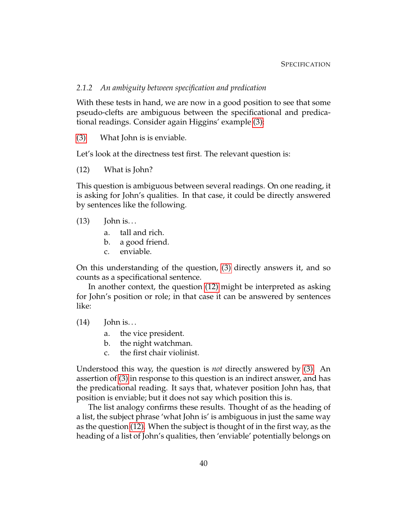#### *2.1.2 An ambiguity between specification and predication*

With these tests in hand, we are now in a good position to see that some pseudo-clefts are ambiguous between the specificational and predicational readings. Consider again Higgins' example [\(3\):](#page-44-3)

[\(3\)](#page-44-3) What John is is enviable.

Let's look at the directness test first. The relevant question is:

(12) What is John?

This question is ambiguous between several readings. On one reading, it is asking for John's qualities. In that case, it could be directly answered by sentences like the following.

#### $(13)$  John is...

- <span id="page-50-0"></span>a. tall and rich.
- b. a good friend.
- c. enviable.

On this understanding of the question, [\(3\)](#page-44-3) directly answers it, and so counts as a specificational sentence.

In another context, the question [\(12\)](#page-50-0) might be interpreted as asking for John's position or role; in that case it can be answered by sentences like:

 $(14)$  John is...

- a. the vice president.
- b. the night watchman.
- c. the first chair violinist.

Understood this way, the question is *not* directly answered by [\(3\).](#page-44-3) An assertion of [\(3\)](#page-44-3) in response to this question is an indirect answer, and has the predicational reading. It says that, whatever position John has, that position is enviable; but it does not say which position this is.

The list analogy confirms these results. Thought of as the heading of a list, the subject phrase 'what John is' is ambiguous in just the same way as the question [\(12\).](#page-50-0) When the subject is thought of in the first way, as the heading of a list of John's qualities, then 'enviable' potentially belongs on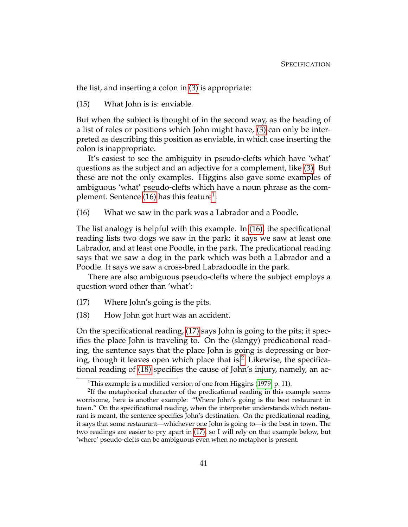the list, and inserting a colon in [\(3\)](#page-44-3) is appropriate:

(15) What John is is: enviable.

But when the subject is thought of in the second way, as the heading of a list of roles or positions which John might have, [\(3\)](#page-44-3) can only be interpreted as describing this position as enviable, in which case inserting the colon is inappropriate.

It's easiest to see the ambiguity in pseudo-clefts which have 'what' questions as the subject and an adjective for a complement, like [\(3\).](#page-44-3) But these are not the only examples. Higgins also gave some examples of ambiguous 'what' pseudo-clefts which have a noun phrase as the com-plement. Sentence [\(16\)](#page-51-0) has this feature $^{\rm 1:}$  $^{\rm 1:}$  $^{\rm 1:}$ 

<span id="page-51-0"></span>(16) What we saw in the park was a Labrador and a Poodle.

The list analogy is helpful with this example. In [\(16\),](#page-51-0) the specificational reading lists two dogs we saw in the park: it says we saw at least one Labrador, and at least one Poodle, in the park. The predicational reading says that we saw a dog in the park which was both a Labrador and a Poodle. It says we saw a cross-bred Labradoodle in the park.

<span id="page-51-2"></span>There are also ambiguous pseudo-clefts where the subject employs a question word other than 'what':

- <span id="page-51-4"></span>(17) Where John's going is the pits.
- (18) How John got hurt was an accident.

On the specificational reading, [\(17\)](#page-51-2) says John is going to the pits; it specifies the place John is traveling to. On the (slangy) predicational reading, the sentence says that the place John is going is depressing or bor-ing, though it leaves open which place that is.<sup>[2](#page-51-3)</sup> Likewise, the specificational reading of [\(18\)](#page-51-4) specifies the cause of John's injury, namely, an ac-

<span id="page-51-3"></span><span id="page-51-1"></span><sup>&</sup>lt;sup>1</sup>This example is a modified version of one from Higgins [\(1979,](#page-231-0) p. 11).

 $2$ If the metaphorical character of the predicational reading in this example seems worrisome, here is another example: "Where John's going is the best restaurant in town." On the specificational reading, when the interpreter understands which restaurant is meant, the sentence specifies John's destination. On the predicational reading, it says that some restaurant—whichever one John is going to—is the best in town. The two readings are easier to pry apart in [\(17\),](#page-51-2) so I will rely on that example below, but 'where' pseudo-clefts can be ambiguous even when no metaphor is present.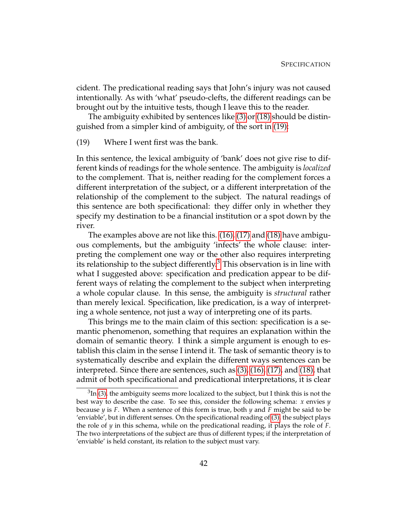cident. The predicational reading says that John's injury was not caused intentionally. As with 'what' pseudo-clefts, the different readings can be brought out by the intuitive tests, though I leave this to the reader.

<span id="page-52-0"></span>The ambiguity exhibited by sentences like [\(3\)](#page-44-3) or [\(18\)](#page-51-4) should be distinguished from a simpler kind of ambiguity, of the sort in [\(19\):](#page-52-0)

(19) Where I went first was the bank.

In this sentence, the lexical ambiguity of 'bank' does not give rise to different kinds of readings for the whole sentence. The ambiguity is *localized* to the complement. That is, neither reading for the complement forces a different interpretation of the subject, or a different interpretation of the relationship of the complement to the subject. The natural readings of this sentence are both specificational: they differ only in whether they specify my destination to be a financial institution or a spot down by the river.

The examples above are not like this. [\(16\),](#page-51-0) [\(17\)](#page-51-2) and [\(18\)](#page-51-4) have ambiguous complements, but the ambiguity 'infects' the whole clause: interpreting the complement one way or the other also requires interpreting its relationship to the subject differently.<sup>[3](#page-52-1)</sup> This observation is in line with what I suggested above: specification and predication appear to be different ways of relating the complement to the subject when interpreting a whole copular clause. In this sense, the ambiguity is *structural* rather than merely lexical. Specification, like predication, is a way of interpreting a whole sentence, not just a way of interpreting one of its parts.

This brings me to the main claim of this section: specification is a semantic phenomenon, something that requires an explanation within the domain of semantic theory. I think a simple argument is enough to establish this claim in the sense I intend it. The task of semantic theory is to systematically describe and explain the different ways sentences can be interpreted. Since there are sentences, such as [\(3\),](#page-44-3) [\(16\),](#page-51-0) [\(17\),](#page-51-2) and [\(18\),](#page-51-4) that admit of both specificational and predicational interpretations, it is clear

<span id="page-52-1"></span> ${}^{3}\text{In}$  [\(3\),](#page-44-3) the ambiguity seems more localized to the subject, but I think this is not the best way to describe the case. To see this, consider the following schema: *x* envies *y* because *y* is *F*. When a sentence of this form is true, both *y* and *F* might be said to be 'enviable', but in different senses. On the specificational reading of [\(3\),](#page-44-3) the subject plays the role of *y* in this schema, while on the predicational reading, it plays the role of *F*. The two interpretations of the subject are thus of different types; if the interpretation of 'enviable' is held constant, its relation to the subject must vary.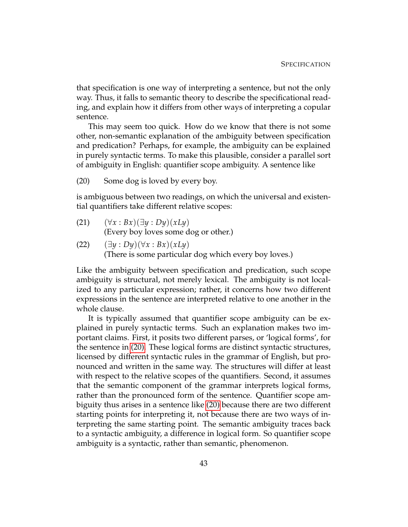that specification is one way of interpreting a sentence, but not the only way. Thus, it falls to semantic theory to describe the specificational reading, and explain how it differs from other ways of interpreting a copular sentence.

This may seem too quick. How do we know that there is not some other, non-semantic explanation of the ambiguity between specification and predication? Perhaps, for example, the ambiguity can be explained in purely syntactic terms. To make this plausible, consider a parallel sort of ambiguity in English: quantifier scope ambiguity. A sentence like

<span id="page-53-0"></span>(20) Some dog is loved by every boy.

is ambiguous between two readings, on which the universal and existential quantifiers take different relative scopes:

- $(21)$   $(\forall x : Bx)(\exists y : Dy)(xLy)$ (Every boy loves some dog or other.)
- $(22)$   $(\exists y : Dy)(\forall x : Bx)(xLy)$ (There is some particular dog which every boy loves.)

Like the ambiguity between specification and predication, such scope ambiguity is structural, not merely lexical. The ambiguity is not localized to any particular expression; rather, it concerns how two different expressions in the sentence are interpreted relative to one another in the whole clause.

It is typically assumed that quantifier scope ambiguity can be explained in purely syntactic terms. Such an explanation makes two important claims. First, it posits two different parses, or 'logical forms', for the sentence in [\(20\).](#page-53-0) These logical forms are distinct syntactic structures, licensed by different syntactic rules in the grammar of English, but pronounced and written in the same way. The structures will differ at least with respect to the relative scopes of the quantifiers. Second, it assumes that the semantic component of the grammar interprets logical forms, rather than the pronounced form of the sentence. Quantifier scope ambiguity thus arises in a sentence like [\(20\)](#page-53-0) because there are two different starting points for interpreting it, not because there are two ways of interpreting the same starting point. The semantic ambiguity traces back to a syntactic ambiguity, a difference in logical form. So quantifier scope ambiguity is a syntactic, rather than semantic, phenomenon.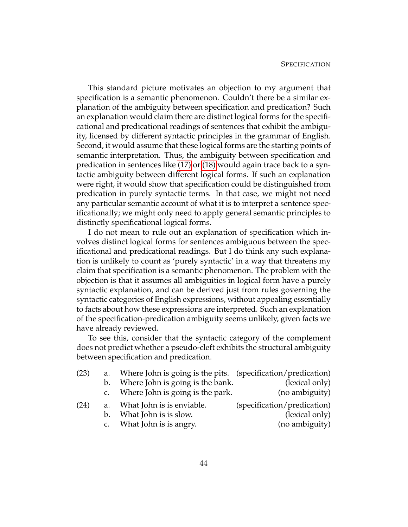This standard picture motivates an objection to my argument that specification is a semantic phenomenon. Couldn't there be a similar explanation of the ambiguity between specification and predication? Such an explanation would claim there are distinct logical forms for the specificational and predicational readings of sentences that exhibit the ambiguity, licensed by different syntactic principles in the grammar of English. Second, it would assume that these logical forms are the starting points of semantic interpretation. Thus, the ambiguity between specification and predication in sentences like [\(17\)](#page-51-2) or [\(18\)](#page-51-4) would again trace back to a syntactic ambiguity between different logical forms. If such an explanation were right, it would show that specification could be distinguished from predication in purely syntactic terms. In that case, we might not need any particular semantic account of what it is to interpret a sentence specificationally; we might only need to apply general semantic principles to distinctly specificational logical forms.

I do not mean to rule out an explanation of specification which involves distinct logical forms for sentences ambiguous between the specificational and predicational readings. But I do think any such explanation is unlikely to count as 'purely syntactic' in a way that threatens my claim that specification is a semantic phenomenon. The problem with the objection is that it assumes all ambiguities in logical form have a purely syntactic explanation, and can be derived just from rules governing the syntactic categories of English expressions, without appealing essentially to facts about how these expressions are interpreted. Such an explanation of the specification-predication ambiguity seems unlikely, given facts we have already reviewed.

<span id="page-54-0"></span>To see this, consider that the syntactic category of the complement does not predict whether a pseudo-cleft exhibits the structural ambiguity between specification and predication.

<span id="page-54-2"></span><span id="page-54-1"></span>

| (23) | a.            | Where John is going is the pits. (specification/predication) |                             |
|------|---------------|--------------------------------------------------------------|-----------------------------|
|      | b.            | Where John is going is the bank.                             | (lexical only)              |
|      | $C_{\bullet}$ | Where John is going is the park.                             | (no ambiguity)              |
| (24) |               | a. What John is is enviable.                                 | (specification/predication) |
|      | $b_{1}$       | What John is is slow.                                        | (lexical only)              |
|      |               | c. What John is is angry.                                    | (no ambiguity)              |
|      |               |                                                              |                             |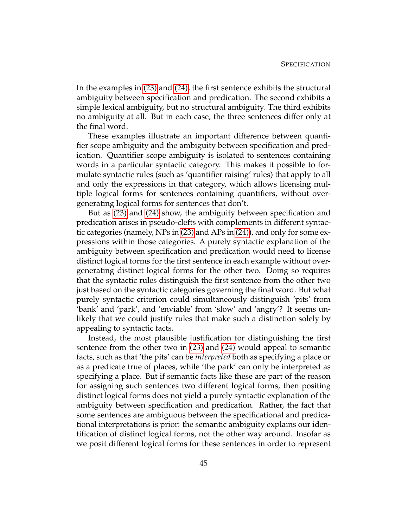In the examples in [\(23\)](#page-54-0) and [\(24\),](#page-54-1) the first sentence exhibits the structural ambiguity between specification and predication. The second exhibits a simple lexical ambiguity, but no structural ambiguity. The third exhibits no ambiguity at all. But in each case, the three sentences differ only at the final word.

These examples illustrate an important difference between quantifier scope ambiguity and the ambiguity between specification and predication. Quantifier scope ambiguity is isolated to sentences containing words in a particular syntactic category. This makes it possible to formulate syntactic rules (such as 'quantifier raising' rules) that apply to all and only the expressions in that category, which allows licensing multiple logical forms for sentences containing quantifiers, without overgenerating logical forms for sentences that don't.

But as [\(23\)](#page-54-0) and [\(24\)](#page-54-1) show, the ambiguity between specification and predication arises in pseudo-clefts with complements in different syntactic categories (namely, NPs in [\(23\)](#page-54-0) and APs in [\(24\)\)](#page-54-1), and only for some expressions within those categories. A purely syntactic explanation of the ambiguity between specification and predication would need to license distinct logical forms for the first sentence in each example without overgenerating distinct logical forms for the other two. Doing so requires that the syntactic rules distinguish the first sentence from the other two just based on the syntactic categories governing the final word. But what purely syntactic criterion could simultaneously distinguish 'pits' from 'bank' and 'park', and 'enviable' from 'slow' and 'angry'? It seems unlikely that we could justify rules that make such a distinction solely by appealing to syntactic facts.

Instead, the most plausible justification for distinguishing the first sentence from the other two in [\(23\)](#page-54-0) and [\(24\)](#page-54-1) would appeal to semantic facts, such as that 'the pits' can be *interpreted* both as specifying a place or as a predicate true of places, while 'the park' can only be interpreted as specifying a place. But if semantic facts like these are part of the reason for assigning such sentences two different logical forms, then positing distinct logical forms does not yield a purely syntactic explanation of the ambiguity between specification and predication. Rather, the fact that some sentences are ambiguous between the specificational and predicational interpretations is prior: the semantic ambiguity explains our identification of distinct logical forms, not the other way around. Insofar as we posit different logical forms for these sentences in order to represent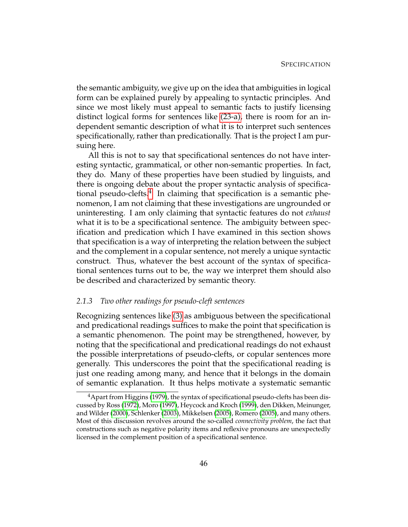the semantic ambiguity, we give up on the idea that ambiguities in logical form can be explained purely by appealing to syntactic principles. And since we most likely must appeal to semantic facts to justify licensing distinct logical forms for sentences like [\(23-a\),](#page-54-2) there is room for an independent semantic description of what it is to interpret such sentences specificationally, rather than predicationally. That is the project I am pursuing here.

All this is not to say that specificational sentences do not have interesting syntactic, grammatical, or other non-semantic properties. In fact, they do. Many of these properties have been studied by linguists, and there is ongoing debate about the proper syntactic analysis of specifica-tional pseudo-clefts.<sup>[4](#page-56-1)</sup> In claiming that specification is a semantic phenomenon, I am not claiming that these investigations are ungrounded or uninteresting. I am only claiming that syntactic features do not *exhaust* what it is to be a specificational sentence. The ambiguity between specification and predication which I have examined in this section shows that specification is a way of interpreting the relation between the subject and the complement in a copular sentence, not merely a unique syntactic construct. Thus, whatever the best account of the syntax of specificational sentences turns out to be, the way we interpret them should also be described and characterized by semantic theory.

# <span id="page-56-0"></span>*2.1.3 Two other readings for pseudo-cleft sentences*

Recognizing sentences like [\(3\)](#page-44-3) as ambiguous between the specificational and predicational readings suffices to make the point that specification is a semantic phenomenon. The point may be strengthened, however, by noting that the specificational and predicational readings do not exhaust the possible interpretations of pseudo-clefts, or copular sentences more generally. This underscores the point that the specificational reading is just one reading among many, and hence that it belongs in the domain of semantic explanation. It thus helps motivate a systematic semantic

<span id="page-56-1"></span> $4A$  Apart from Higgins [\(1979\)](#page-231-0), the syntax of specificational pseudo-clefts has been discussed by Ross [\(1972\)](#page-232-3), Moro [\(1997\)](#page-232-4), Heycock and Kroch [\(1999\)](#page-231-4), den Dikken, Meinunger, and Wilder [\(2000\)](#page-229-1), Schlenker [\(2003\)](#page-232-5), Mikkelsen [\(2005\)](#page-232-2), Romero [\(2005\)](#page-232-6), and many others. Most of this discussion revolves around the so-called *connectivity problem*, the fact that constructions such as negative polarity items and reflexive pronouns are unexpectedly licensed in the complement position of a specificational sentence.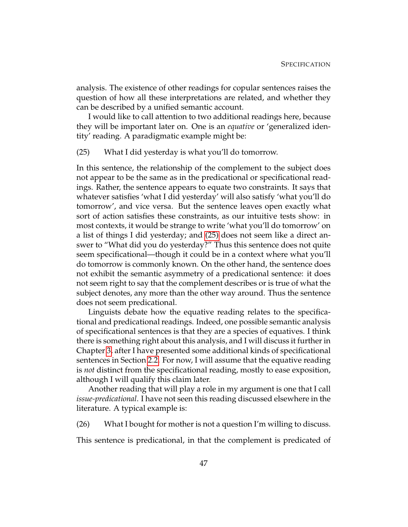analysis. The existence of other readings for copular sentences raises the question of how all these interpretations are related, and whether they can be described by a unified semantic account.

<span id="page-57-0"></span>I would like to call attention to two additional readings here, because they will be important later on. One is an *equative* or 'generalized identity' reading. A paradigmatic example might be:

# (25) What I did yesterday is what you'll do tomorrow.

In this sentence, the relationship of the complement to the subject does not appear to be the same as in the predicational or specificational readings. Rather, the sentence appears to equate two constraints. It says that whatever satisfies 'what I did yesterday' will also satisfy 'what you'll do tomorrow', and vice versa. But the sentence leaves open exactly what sort of action satisfies these constraints, as our intuitive tests show: in most contexts, it would be strange to write 'what you'll do tomorrow' on a list of things I did yesterday; and [\(25\)](#page-57-0) does not seem like a direct answer to "What did you do yesterday?" Thus this sentence does not quite seem specificational—though it could be in a context where what you'll do tomorrow is commonly known. On the other hand, the sentence does not exhibit the semantic asymmetry of a predicational sentence: it does not seem right to say that the complement describes or is true of what the subject denotes, any more than the other way around. Thus the sentence does not seem predicational.

Linguists debate how the equative reading relates to the specificational and predicational readings. Indeed, one possible semantic analysis of specificational sentences is that they are a species of equatives. I think there is something right about this analysis, and I will discuss it further in Chapter [3,](#page-74-0) after I have presented some additional kinds of specificational sentences in Section [2.2.](#page-59-0) For now, I will assume that the equative reading is *not* distinct from the specificational reading, mostly to ease exposition, although I will qualify this claim later.

<span id="page-57-1"></span>Another reading that will play a role in my argument is one that I call *issue-predicational*. I have not seen this reading discussed elsewhere in the literature. A typical example is:

(26) What I bought for mother is not a question I'm willing to discuss.

This sentence is predicational, in that the complement is predicated of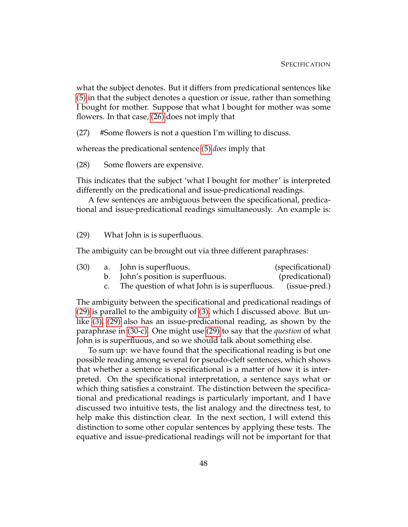what the subject denotes. But it differs from predicational sentences like [\(5\)](#page-46-1) in that the subject denotes a question or issue, rather than something I bought for mother. Suppose that what I bought for mother was some flowers. In that case, [\(26\)](#page-57-1) does not imply that

(27) #Some flowers is not a question I'm willing to discuss.

whereas the predicational sentence [\(5\)](#page-46-1) *does* imply that

(28) Some flowers are expensive.

This indicates that the subject 'what I bought for mother' is interpreted differently on the predicational and issue-predicational readings.

<span id="page-58-0"></span>A few sentences are ambiguous between the specificational, predicational and issue-predicational readings simultaneously. An example is:

(29) What John is is superfluous.

The ambiguity can be brought out via three different paraphrases:

<span id="page-58-1"></span>

| (30) | a. John is superfluous.                                       | (specificational) |
|------|---------------------------------------------------------------|-------------------|
|      | b. John's position is superfluous.                            | (predicational)   |
|      | c. The question of what John is is superfluous. (issue-pred.) |                   |
|      |                                                               |                   |

The ambiguity between the specificational and predicational readings of [\(29\)](#page-58-0) is parallel to the ambiguity of [\(3\),](#page-44-3) which I discussed above. But unlike [\(3\),](#page-44-3) [\(29\)](#page-58-0) also has an issue-predicational reading, as shown by the paraphrase in [\(30-c\).](#page-58-1) One might use [\(29\)](#page-58-0) to say that the *question* of what John is is superfluous, and so we should talk about something else.

To sum up: we have found that the specificational reading is but one possible reading among several for pseudo-cleft sentences, which shows that whether a sentence is specificational is a matter of how it is interpreted. On the specificational interpretation, a sentence says what or which thing satisfies a constraint. The distinction between the specificational and predicational readings is particularly important, and I have discussed two intuitive tests, the list analogy and the directness test, to help make this distinction clear. In the next section, I will extend this distinction to some other copular sentences by applying these tests. The equative and issue-predicational readings will not be important for that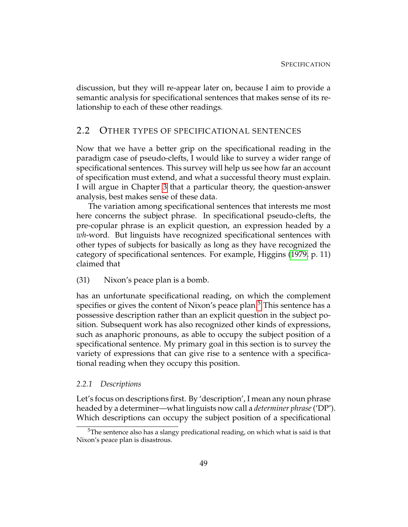discussion, but they will re-appear later on, because I aim to provide a semantic analysis for specificational sentences that makes sense of its relationship to each of these other readings.

# <span id="page-59-0"></span>2.2 OTHER TYPES OF SPECIFICATIONAL SENTENCES

Now that we have a better grip on the specificational reading in the paradigm case of pseudo-clefts, I would like to survey a wider range of specificational sentences. This survey will help us see how far an account of specification must extend, and what a successful theory must explain. I will argue in Chapter [3](#page-74-0) that a particular theory, the question-answer analysis, best makes sense of these data.

The variation among specificational sentences that interests me most here concerns the subject phrase. In specificational pseudo-clefts, the pre-copular phrase is an explicit question, an expression headed by a *wh*-word. But linguists have recognized specificational sentences with other types of subjects for basically as long as they have recognized the category of specificational sentences. For example, Higgins [\(1979,](#page-231-0) p. 11) claimed that

(31) Nixon's peace plan is a bomb.

has an unfortunate specificational reading, on which the complement specifies or gives the content of Nixon's peace plan.<sup>[5](#page-59-1)</sup> This sentence has a possessive description rather than an explicit question in the subject position. Subsequent work has also recognized other kinds of expressions, such as anaphoric pronouns, as able to occupy the subject position of a specificational sentence. My primary goal in this section is to survey the variety of expressions that can give rise to a sentence with a specificational reading when they occupy this position.

#### *2.2.1 Descriptions*

Let's focus on descriptions first. By 'description', I mean any noun phrase headed by a determiner—what linguists now call a *determiner phrase*('DP'). Which descriptions can occupy the subject position of a specificational

<span id="page-59-1"></span> $5$ The sentence also has a slangy predicational reading, on which what is said is that Nixon's peace plan is disastrous.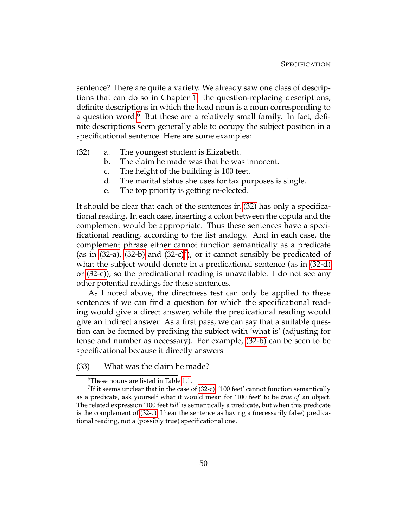sentence? There are quite a variety. We already saw one class of descriptions that can do so in Chapter [1:](#page-12-2) the question-replacing descriptions, definite descriptions in which the head noun is a noun corresponding to a question word.<sup>[6](#page-60-0)</sup> But these are a relatively small family. In fact, definite descriptions seem generally able to occupy the subject position in a specificational sentence. Here are some examples:

- <span id="page-60-6"></span><span id="page-60-4"></span><span id="page-60-3"></span><span id="page-60-2"></span><span id="page-60-1"></span>(32) a. The youngest student is Elizabeth.
	- b. The claim he made was that he was innocent.
	- c. The height of the building is 100 feet.
	- d. The marital status she uses for tax purposes is single.
	- e. The top priority is getting re-elected.

<span id="page-60-7"></span>It should be clear that each of the sentences in [\(32\)](#page-60-1) has only a specificational reading. In each case, inserting a colon between the copula and the complement would be appropriate. Thus these sentences have a specificational reading, according to the list analogy. And in each case, the complement phrase either cannot function semantically as a predicate (as in  $(32-a)$ ,  $(32-b)$  and  $(32-c)<sup>7</sup>$  $(32-c)<sup>7</sup>$  $(32-c)<sup>7</sup>$ ), or it cannot sensibly be predicated of what the subject would denote in a predicational sentence (as in [\(32-d\)](#page-60-6) or [\(32-e\)\)](#page-60-7), so the predicational reading is unavailable. I do not see any other potential readings for these sentences.

As I noted above, the directness test can only be applied to these sentences if we can find a question for which the specificational reading would give a direct answer, while the predicational reading would give an indirect answer. As a first pass, we can say that a suitable question can be formed by prefixing the subject with 'what is' (adjusting for tense and number as necessary). For example, [\(32-b\)](#page-60-3) can be seen to be specificational because it directly answers

(33) What was the claim he made?

<span id="page-60-5"></span><span id="page-60-0"></span><sup>&</sup>lt;sup>6</sup>These nouns are listed in Table [1.1.](#page-29-2)

 $^{7}$ If it seems unclear that in the case of [\(32-c\),](#page-60-4) '100 feet' cannot function semantically as a predicate, ask yourself what it would mean for '100 feet' to be *true of* an object. The related expression '100 feet *tall*' is semantically a predicate, but when this predicate is the complement of [\(32-c\),](#page-60-4) I hear the sentence as having a (necessarily false) predicational reading, not a (possibly true) specificational one.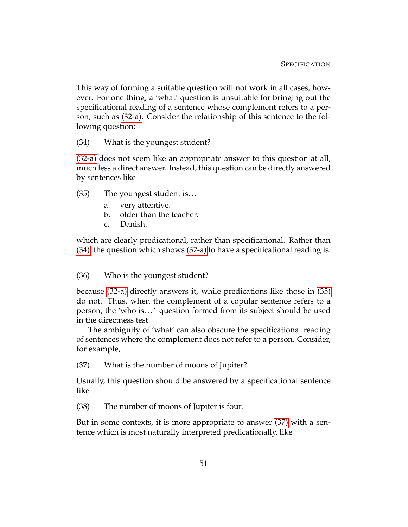This way of forming a suitable question will not work in all cases, however. For one thing, a 'what' question is unsuitable for bringing out the specificational reading of a sentence whose complement refers to a person, such as [\(32-a\).](#page-60-2) Consider the relationship of this sentence to the following question:

# <span id="page-61-0"></span>(34) What is the youngest student?

<span id="page-61-1"></span>[\(32-a\)](#page-60-2) does not seem like an appropriate answer to this question at all, much less a direct answer. Instead, this question can be directly answered by sentences like

- (35) The youngest student is. . .
	- a. very attentive.
	- b. older than the teacher.
	- c. Danish.

which are clearly predicational, rather than specificational. Rather than [\(34\),](#page-61-0) the question which shows [\(32-a\)](#page-60-2) to have a specificational reading is:

# (36) Who is the youngest student?

because [\(32-a\)](#page-60-2) directly answers it, while predications like those in [\(35\)](#page-61-1) do not. Thus, when the complement of a copular sentence refers to a person, the 'who is. . . ' question formed from its subject should be used in the directness test.

<span id="page-61-2"></span>The ambiguity of 'what' can also obscure the specificational reading of sentences where the complement does not refer to a person. Consider, for example,

(37) What is the number of moons of Jupiter?

<span id="page-61-3"></span>Usually, this question should be answered by a specificational sentence like

(38) The number of moons of Jupiter is four.

<span id="page-61-4"></span>But in some contexts, it is more appropriate to answer [\(37\)](#page-61-2) with a sentence which is most naturally interpreted predicationally, like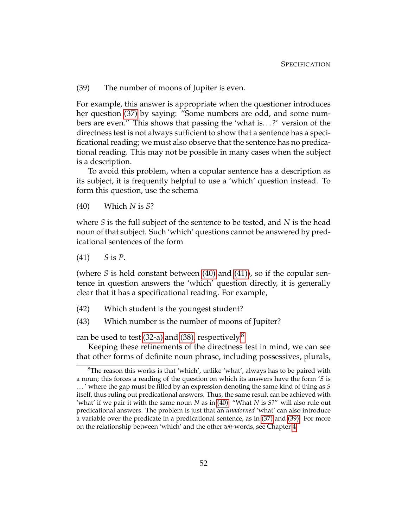(39) The number of moons of Jupiter is even.

For example, this answer is appropriate when the questioner introduces her question [\(37\)](#page-61-2) by saying: "Some numbers are odd, and some numbers are even." This shows that passing the 'what is. . . ?' version of the directness test is not always sufficient to show that a sentence has a specificational reading; we must also observe that the sentence has no predicational reading. This may not be possible in many cases when the subject is a description.

<span id="page-62-0"></span>To avoid this problem, when a copular sentence has a description as its subject, it is frequently helpful to use a 'which' question instead. To form this question, use the schema

(40) Which *N* is *S*?

<span id="page-62-1"></span>where *S* is the full subject of the sentence to be tested, and *N* is the head noun of that subject. Such 'which' questions cannot be answered by predicational sentences of the form

(41) *S* is *P*.

(where *S* is held constant between [\(40\)](#page-62-0) and [\(41\)\)](#page-62-1), so if the copular sentence in question answers the 'which' question directly, it is generally clear that it has a specificational reading. For example,

- (42) Which student is the youngest student?
- (43) Which number is the number of moons of Jupiter?

can be used to test  $(32-a)$  and  $(38)$  $(38)$  $(38)$ , respectively.<sup>8</sup>

Keeping these refinements of the directness test in mind, we can see that other forms of definite noun phrase, including possessives, plurals,

<span id="page-62-2"></span> ${}^{8}$ The reason this works is that 'which', unlike 'what', always has to be paired with a noun; this forces a reading of the question on which its answers have the form '*S* is . . . ' where the gap must be filled by an expression denoting the same kind of thing as *S* itself, thus ruling out predicational answers. Thus, the same result can be achieved with 'what' if we pair it with the same noun *N* as in [\(40\):](#page-62-0) "What *N* is *S*?" will also rule out predicational answers. The problem is just that an *unadorned* 'what' can also introduce a variable over the predicate in a predicational sentence, as in [\(37\)](#page-61-2) and [\(39\).](#page-61-4) For more on the relationship between 'which' and the other *wh*-words, see Chapter [4.](#page-125-0)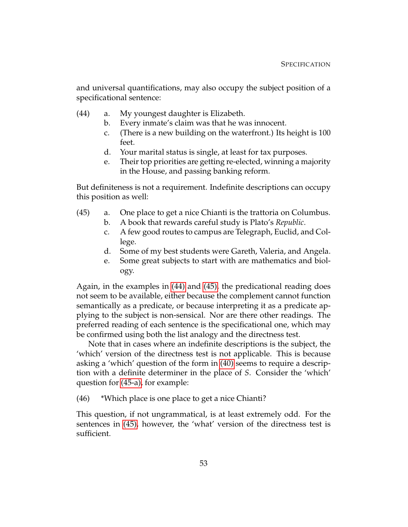<span id="page-63-0"></span>and universal quantifications, may also occupy the subject position of a specificational sentence:

- (44) a. My youngest daughter is Elizabeth.
	- b. Every inmate's claim was that he was innocent.
	- c. (There is a new building on the waterfront.) Its height is 100 feet.
	- d. Your marital status is single, at least for tax purposes.
	- e. Their top priorities are getting re-elected, winning a majority in the House, and passing banking reform.

<span id="page-63-1"></span>But definiteness is not a requirement. Indefinite descriptions can occupy this position as well:

- <span id="page-63-3"></span><span id="page-63-2"></span>(45) a. One place to get a nice Chianti is the trattoria on Columbus.
	- b. A book that rewards careful study is Plato's *Republic*.
	- c. A few good routes to campus are Telegraph, Euclid, and College.
	- d. Some of my best students were Gareth, Valeria, and Angela.
	- e. Some great subjects to start with are mathematics and biology.

Again, in the examples in [\(44\)](#page-63-0) and [\(45\),](#page-63-1) the predicational reading does not seem to be available, either because the complement cannot function semantically as a predicate, or because interpreting it as a predicate applying to the subject is non-sensical. Nor are there other readings. The preferred reading of each sentence is the specificational one, which may be confirmed using both the list analogy and the directness test.

Note that in cases where an indefinite descriptions is the subject, the 'which' version of the directness test is not applicable. This is because asking a 'which' question of the form in [\(40\)](#page-62-0) seems to require a description with a definite determiner in the place of *S*. Consider the 'which' question for [\(45-a\),](#page-63-2) for example:

(46) \*Which place is one place to get a nice Chianti?

This question, if not ungrammatical, is at least extremely odd. For the sentences in [\(45\),](#page-63-1) however, the 'what' version of the directness test is sufficient.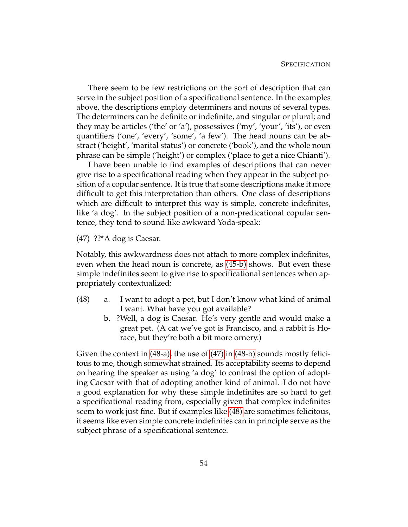There seem to be few restrictions on the sort of description that can serve in the subject position of a specificational sentence. In the examples above, the descriptions employ determiners and nouns of several types. The determiners can be definite or indefinite, and singular or plural; and they may be articles ('the' or 'a'), possessives ('my', 'your', 'its'), or even quantifiers ('one', 'every', 'some', 'a few'). The head nouns can be abstract ('height', 'marital status') or concrete ('book'), and the whole noun phrase can be simple ('height') or complex ('place to get a nice Chianti').

I have been unable to find examples of descriptions that can never give rise to a specificational reading when they appear in the subject position of a copular sentence. It is true that some descriptions make it more difficult to get this interpretation than others. One class of descriptions which are difficult to interpret this way is simple, concrete indefinites, like 'a dog'. In the subject position of a non-predicational copular sentence, they tend to sound like awkward Yoda-speak:

<span id="page-64-1"></span>(47) ??\*A dog is Caesar.

Notably, this awkwardness does not attach to more complex indefinites, even when the head noun is concrete, as [\(45-b\)](#page-63-3) shows. But even these simple indefinites seem to give rise to specificational sentences when appropriately contextualized:

- <span id="page-64-3"></span><span id="page-64-2"></span><span id="page-64-0"></span>(48) a. I want to adopt a pet, but I don't know what kind of animal I want. What have you got available?
	- b. ?Well, a dog is Caesar. He's very gentle and would make a great pet. (A cat we've got is Francisco, and a rabbit is Horace, but they're both a bit more ornery.)

Given the context in [\(48-a\),](#page-64-0) the use of [\(47\)](#page-64-1) in [\(48-b\)](#page-64-2) sounds mostly felicitous to me, though somewhat strained. Its acceptability seems to depend on hearing the speaker as using 'a dog' to contrast the option of adopting Caesar with that of adopting another kind of animal. I do not have a good explanation for why these simple indefinites are so hard to get a specificational reading from, especially given that complex indefinites seem to work just fine. But if examples like [\(48\)](#page-64-3) are sometimes felicitous, it seems like even simple concrete indefinites can in principle serve as the subject phrase of a specificational sentence.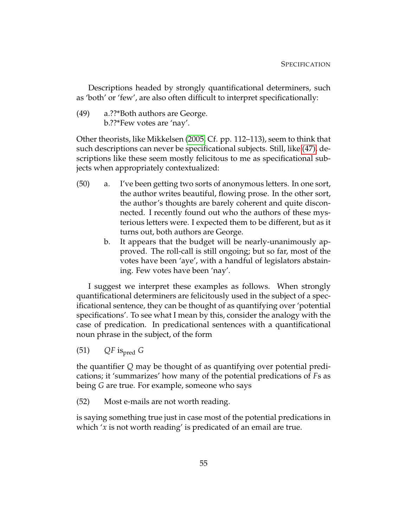Descriptions headed by strongly quantificational determiners, such as 'both' or 'few', are also often difficult to interpret specificationally:

(49) a.??\*Both authors are George. b.??\*Few votes are 'nay'.

Other theorists, like Mikkelsen [\(2005,](#page-232-2) Cf. pp. 112–113), seem to think that such descriptions can never be specificational subjects. Still, like [\(47\),](#page-64-1) descriptions like these seem mostly felicitous to me as specificational subjects when appropriately contextualized:

- <span id="page-65-2"></span><span id="page-65-0"></span>(50) a. I've been getting two sorts of anonymous letters. In one sort, the author writes beautiful, flowing prose. In the other sort, the author's thoughts are barely coherent and quite disconnected. I recently found out who the authors of these mysterious letters were. I expected them to be different, but as it turns out, both authors are George.
	- b. It appears that the budget will be nearly-unanimously approved. The roll-call is still ongoing; but so far, most of the votes have been 'aye', with a handful of legislators abstaining. Few votes have been 'nay'.

<span id="page-65-1"></span>I suggest we interpret these examples as follows. When strongly quantificational determiners are felicitously used in the subject of a specificational sentence, they can be thought of as quantifying over 'potential specifications'. To see what I mean by this, consider the analogy with the case of predication. In predicational sentences with a quantificational noun phrase in the subject, of the form

 $(51)$  *QF* is<sub>pred</sub> *G* 

the quantifier *Q* may be thought of as quantifying over potential predications; it 'summarizes' how many of the potential predications of *F*s as being *G* are true. For example, someone who says

(52) Most e-mails are not worth reading.

is saying something true just in case most of the potential predications in which '*x* is not worth reading' is predicated of an email are true.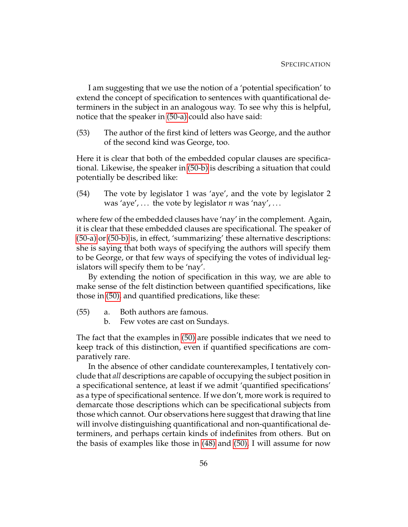I am suggesting that we use the notion of a 'potential specification' to extend the concept of specification to sentences with quantificational determiners in the subject in an analogous way. To see why this is helpful, notice that the speaker in [\(50-a\)](#page-65-0) could also have said:

(53) The author of the first kind of letters was George, and the author of the second kind was George, too.

Here it is clear that both of the embedded copular clauses are specificational. Likewise, the speaker in [\(50-b\)](#page-65-1) is describing a situation that could potentially be described like:

(54) The vote by legislator 1 was 'aye', and the vote by legislator 2 was 'aye', ... the vote by legislator  $n$  was 'nay', ...

where few of the embedded clauses have 'nay' in the complement. Again, it is clear that these embedded clauses are specificational. The speaker of [\(50-a\)](#page-65-0) or [\(50-b\)](#page-65-1) is, in effect, 'summarizing' these alternative descriptions: she is saying that both ways of specifying the authors will specify them to be George, or that few ways of specifying the votes of individual legislators will specify them to be 'nay'.

By extending the notion of specification in this way, we are able to make sense of the felt distinction between quantified specifications, like those in [\(50\),](#page-65-2) and quantified predications, like these:

- (55) a. Both authors are famous.
	- b. Few votes are cast on Sundays.

The fact that the examples in [\(50\)](#page-65-2) are possible indicates that we need to keep track of this distinction, even if quantified specifications are comparatively rare.

In the absence of other candidate counterexamples, I tentatively conclude that *all* descriptions are capable of occupying the subject position in a specificational sentence, at least if we admit 'quantified specifications' as a type of specificational sentence. If we don't, more work is required to demarcate those descriptions which can be specificational subjects from those which cannot. Our observations here suggest that drawing that line will involve distinguishing quantificational and non-quantificational determiners, and perhaps certain kinds of indefinites from others. But on the basis of examples like those in [\(48\)](#page-64-3) and [\(50\),](#page-65-2) I will assume for now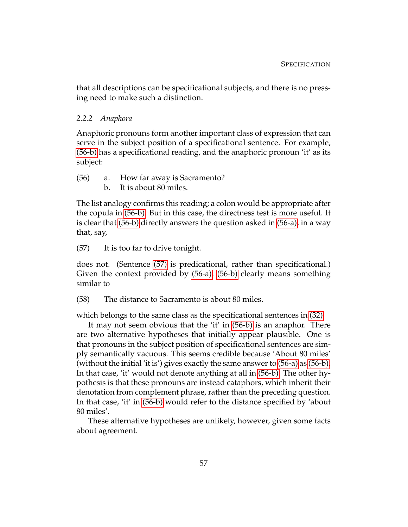that all descriptions can be specificational subjects, and there is no pressing need to make such a distinction.

#### *2.2.2 Anaphora*

Anaphoric pronouns form another important class of expression that can serve in the subject position of a specificational sentence. For example, [\(56-b\)](#page-67-0) has a specificational reading, and the anaphoric pronoun 'it' as its subject:

- <span id="page-67-1"></span><span id="page-67-0"></span>(56) a. How far away is Sacramento?
	- b. It is about 80 miles.

The list analogy confirms this reading; a colon would be appropriate after the copula in [\(56-b\).](#page-67-0) But in this case, the directness test is more useful. It is clear that [\(56-b\)](#page-67-0) directly answers the question asked in [\(56-a\),](#page-67-1) in a way that, say,

<span id="page-67-2"></span>(57) It is too far to drive tonight.

does not. (Sentence [\(57\)](#page-67-2) is predicational, rather than specificational.) Given the context provided by [\(56-a\),](#page-67-1) [\(56-b\)](#page-67-0) clearly means something similar to

(58) The distance to Sacramento is about 80 miles.

which belongs to the same class as the specificational sentences in [\(32\).](#page-60-1)

It may not seem obvious that the 'it' in [\(56-b\)](#page-67-0) is an anaphor. There are two alternative hypotheses that initially appear plausible. One is that pronouns in the subject position of specificational sentences are simply semantically vacuous. This seems credible because 'About 80 miles' (without the initial 'it is') gives exactly the same answer to [\(56-a\)](#page-67-1) as [\(56-b\).](#page-67-0) In that case, 'it' would not denote anything at all in [\(56-b\).](#page-67-0) The other hypothesis is that these pronouns are instead cataphors, which inherit their denotation from complement phrase, rather than the preceding question. In that case, 'it' in [\(56-b\)](#page-67-0) would refer to the distance specified by 'about 80 miles'.

<span id="page-67-3"></span>These alternative hypotheses are unlikely, however, given some facts about agreement.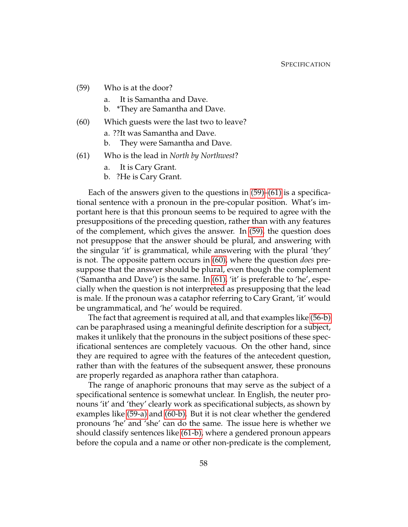- <span id="page-68-2"></span>(59) Who is at the door?
	- a. It is Samantha and Dave.
	- b. \*They are Samantha and Dave.
- <span id="page-68-1"></span>(60) Which guests were the last two to leave?
	- a. ??It was Samantha and Dave.
	- b. They were Samantha and Dave.
- <span id="page-68-3"></span><span id="page-68-0"></span>(61) Who is the lead in *North by Northwest*?
	- a. It is Cary Grant.
	- b. ?He is Cary Grant.

<span id="page-68-4"></span>Each of the answers given to the questions in [\(59\)–](#page-67-3)[\(61\)](#page-68-0) is a specificational sentence with a pronoun in the pre-copular position. What's important here is that this pronoun seems to be required to agree with the presuppositions of the preceding question, rather than with any features of the complement, which gives the answer. In [\(59\),](#page-67-3) the question does not presuppose that the answer should be plural, and answering with the singular 'it' is grammatical, while answering with the plural 'they' is not. The opposite pattern occurs in [\(60\),](#page-68-1) where the question *does* presuppose that the answer should be plural, even though the complement ('Samantha and Dave') is the same. In [\(61\),](#page-68-0) 'it' is preferable to 'he', especially when the question is not interpreted as presupposing that the lead is male. If the pronoun was a cataphor referring to Cary Grant, 'it' would be ungrammatical, and 'he' would be required.

The fact that agreement is required at all, and that examples like [\(56-b\)](#page-67-0) can be paraphrased using a meaningful definite description for a subject, makes it unlikely that the pronouns in the subject positions of these specificational sentences are completely vacuous. On the other hand, since they are required to agree with the features of the antecedent question, rather than with the features of the subsequent answer, these pronouns are properly regarded as anaphora rather than cataphora.

The range of anaphoric pronouns that may serve as the subject of a specificational sentence is somewhat unclear. In English, the neuter pronouns 'it' and 'they' clearly work as specificational subjects, as shown by examples like [\(59-a\)](#page-68-2) and [\(60-b\).](#page-68-3) But it is not clear whether the gendered pronouns 'he' and 'she' can do the same. The issue here is whether we should classify sentences like [\(61-b\),](#page-68-4) where a gendered pronoun appears before the copula and a name or other non-predicate is the complement,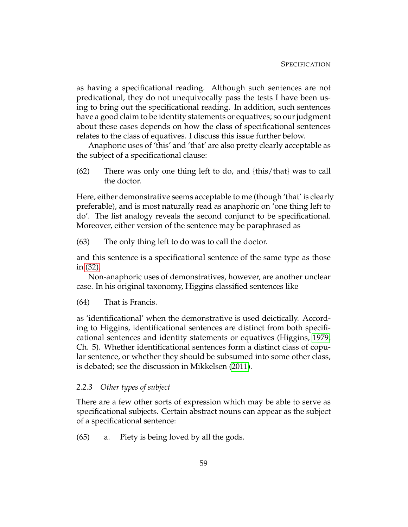as having a specificational reading. Although such sentences are not predicational, they do not unequivocally pass the tests I have been using to bring out the specificational reading. In addition, such sentences have a good claim to be identity statements or equatives; so our judgment about these cases depends on how the class of specificational sentences relates to the class of equatives. I discuss this issue further below.

Anaphoric uses of 'this' and 'that' are also pretty clearly acceptable as the subject of a specificational clause:

(62) There was only one thing left to do, and {this/that} was to call the doctor.

Here, either demonstrative seems acceptable to me (though 'that' is clearly preferable), and is most naturally read as anaphoric on 'one thing left to do'. The list analogy reveals the second conjunct to be specificational. Moreover, either version of the sentence may be paraphrased as

(63) The only thing left to do was to call the doctor.

and this sentence is a specificational sentence of the same type as those in [\(32\).](#page-60-1)

Non-anaphoric uses of demonstratives, however, are another unclear case. In his original taxonomy, Higgins classified sentences like

(64) That is Francis.

as 'identificational' when the demonstrative is used deictically. According to Higgins, identificational sentences are distinct from both specificational sentences and identity statements or equatives (Higgins, [1979,](#page-231-0) Ch. 5). Whether identificational sentences form a distinct class of copular sentence, or whether they should be subsumed into some other class, is debated; see the discussion in Mikkelsen [\(2011\)](#page-232-0).

#### *2.2.3 Other types of subject*

<span id="page-69-0"></span>There are a few other sorts of expression which may be able to serve as specificational subjects. Certain abstract nouns can appear as the subject of a specificational sentence:

(65) a. Piety is being loved by all the gods.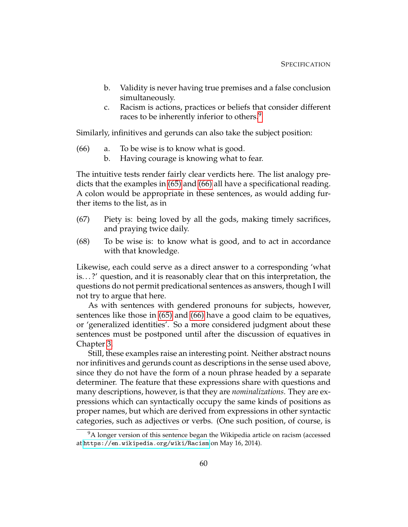- b. Validity is never having true premises and a false conclusion simultaneously.
- <span id="page-70-1"></span>c. Racism is actions, practices or beliefs that consider different races to be inherently inferior to others.<sup>[9](#page-70-0)</sup>

Similarly, infinitives and gerunds can also take the subject position:

- (66) a. To be wise is to know what is good.
	- b. Having courage is knowing what to fear.

The intuitive tests render fairly clear verdicts here. The list analogy predicts that the examples in [\(65\)](#page-69-0) and [\(66\)](#page-70-1) all have a specificational reading. A colon would be appropriate in these sentences, as would adding further items to the list, as in

- (67) Piety is: being loved by all the gods, making timely sacrifices, and praying twice daily.
- (68) To be wise is: to know what is good, and to act in accordance with that knowledge.

Likewise, each could serve as a direct answer to a corresponding 'what is. . . ?' question, and it is reasonably clear that on this interpretation, the questions do not permit predicational sentences as answers, though I will not try to argue that here.

As with sentences with gendered pronouns for subjects, however, sentences like those in [\(65\)](#page-69-0) and [\(66\)](#page-70-1) have a good claim to be equatives, or 'generalized identities'. So a more considered judgment about these sentences must be postponed until after the discussion of equatives in Chapter [3.](#page-74-0)

Still, these examples raise an interesting point. Neither abstract nouns nor infinitives and gerunds count as descriptions in the sense used above, since they do not have the form of a noun phrase headed by a separate determiner. The feature that these expressions share with questions and many descriptions, however, is that they are *nominalizations*. They are expressions which can syntactically occupy the same kinds of positions as proper names, but which are derived from expressions in other syntactic categories, such as adjectives or verbs. (One such position, of course, is

<span id="page-70-0"></span><sup>&</sup>lt;sup>9</sup>A longer version of this sentence began the Wikipedia article on racism (accessed at <https://en.wikipedia.org/wiki/Racism> on May 16, 2014).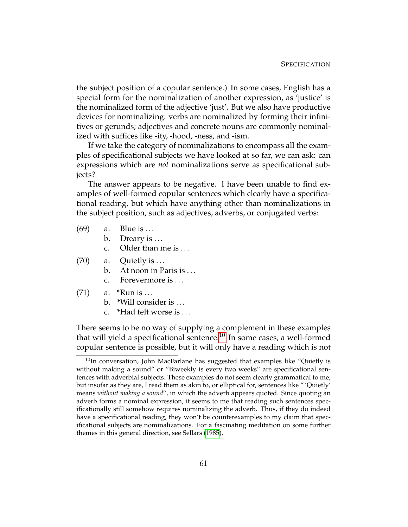the subject position of a copular sentence.) In some cases, English has a special form for the nominalization of another expression, as 'justice' is the nominalized form of the adjective 'just'. But we also have productive devices for nominalizing: verbs are nominalized by forming their infinitives or gerunds; adjectives and concrete nouns are commonly nominalized with suffices like -ity, -hood, -ness, and -ism.

If we take the category of nominalizations to encompass all the examples of specificational subjects we have looked at so far, we can ask: can expressions which are *not* nominalizations serve as specificational subjects?

The answer appears to be negative. I have been unable to find examples of well-formed copular sentences which clearly have a specificational reading, but which have anything other than nominalizations in the subject position, such as adjectives, adverbs, or conjugated verbs:

- $(69)$  a. Blue is ...
	- b. Dreary is  $\dots$
	- c. Older than me is ...
- $(70)$  a. Quietly is ...
	- b. At noon in Paris is ...
	- c. Forevermore is . . .
- (71) a.  $*$ Run is ...
	- b. \*Will consider is . . .
	- c. \*Had felt worse is . . .

There seems to be no way of supplying a complement in these examples that will yield a specificational sentence.[10](#page-71-0) In some cases, a well-formed copular sentence is possible, but it will only have a reading which is not

<span id="page-71-0"></span> $10$ In conversation, John MacFarlane has suggested that examples like "Quietly is without making a sound" or "Biweekly is every two weeks" are specificational sentences with adverbial subjects. These examples do not seem clearly grammatical to me; but insofar as they are, I read them as akin to, or elliptical for, sentences like " 'Quietly' means *without making a sound*", in which the adverb appears quoted. Since quoting an adverb forms a nominal expression, it seems to me that reading such sentences specificationally still somehow requires nominalizing the adverb. Thus, if they do indeed have a specificational reading, they won't be counterexamples to my claim that specificational subjects are nominalizations. For a fascinating meditation on some further themes in this general direction, see Sellars [\(1985\)](#page-232-7).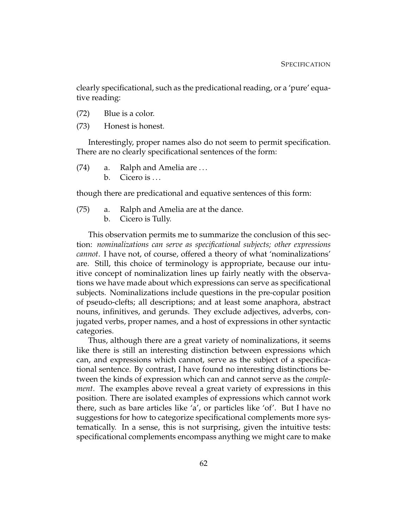clearly specificational, such as the predicational reading, or a 'pure' equative reading:

- (72) Blue is a color.
- (73) Honest is honest.

Interestingly, proper names also do not seem to permit specification. There are no clearly specificational sentences of the form:

(74) a. Ralph and Amelia are . . . b. Cicero is  $\dots$ 

though there are predicational and equative sentences of this form:

- (75) a. Ralph and Amelia are at the dance.
	- b. Cicero is Tully.

This observation permits me to summarize the conclusion of this section: *nominalizations can serve as specificational subjects; other expressions cannot*. I have not, of course, offered a theory of what 'nominalizations' are. Still, this choice of terminology is appropriate, because our intuitive concept of nominalization lines up fairly neatly with the observations we have made about which expressions can serve as specificational subjects. Nominalizations include questions in the pre-copular position of pseudo-clefts; all descriptions; and at least some anaphora, abstract nouns, infinitives, and gerunds. They exclude adjectives, adverbs, conjugated verbs, proper names, and a host of expressions in other syntactic categories.

Thus, although there are a great variety of nominalizations, it seems like there is still an interesting distinction between expressions which can, and expressions which cannot, serve as the subject of a specificational sentence. By contrast, I have found no interesting distinctions between the kinds of expression which can and cannot serve as the *complement*. The examples above reveal a great variety of expressions in this position. There are isolated examples of expressions which cannot work there, such as bare articles like 'a', or particles like 'of'. But I have no suggestions for how to categorize specificational complements more systematically. In a sense, this is not surprising, given the intuitive tests: specificational complements encompass anything we might care to make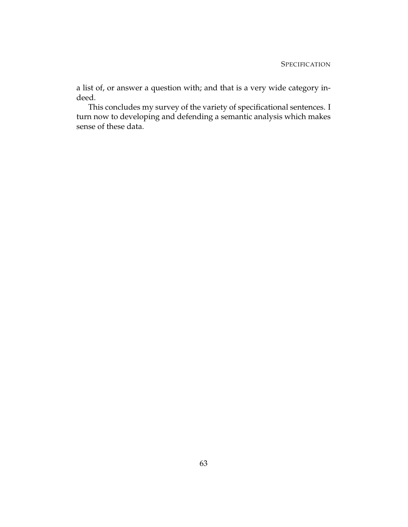a list of, or answer a question with; and that is a very wide category indeed.

This concludes my survey of the variety of specificational sentences. I turn now to developing and defending a semantic analysis which makes sense of these data.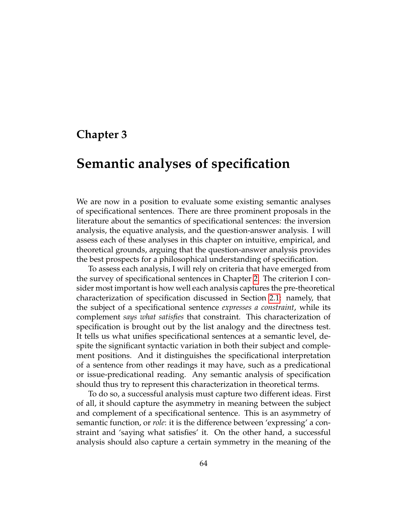## **Chapter 3**

# **Semantic analyses of specification**

We are now in a position to evaluate some existing semantic analyses of specificational sentences. There are three prominent proposals in the literature about the semantics of specificational sentences: the inversion analysis, the equative analysis, and the question-answer analysis. I will assess each of these analyses in this chapter on intuitive, empirical, and theoretical grounds, arguing that the question-answer analysis provides the best prospects for a philosophical understanding of specification.

To assess each analysis, I will rely on criteria that have emerged from the survey of specificational sentences in Chapter [2.](#page-44-0) The criterion I consider most important is how well each analysis captures the pre-theoretical characterization of specification discussed in Section [2.1:](#page-45-0) namely, that the subject of a specificational sentence *expresses a constraint*, while its complement *says what satisfies* that constraint. This characterization of specification is brought out by the list analogy and the directness test. It tells us what unifies specificational sentences at a semantic level, despite the significant syntactic variation in both their subject and complement positions. And it distinguishes the specificational interpretation of a sentence from other readings it may have, such as a predicational or issue-predicational reading. Any semantic analysis of specification should thus try to represent this characterization in theoretical terms.

To do so, a successful analysis must capture two different ideas. First of all, it should capture the asymmetry in meaning between the subject and complement of a specificational sentence. This is an asymmetry of semantic function, or *role*: it is the difference between 'expressing' a constraint and 'saying what satisfies' it. On the other hand, a successful analysis should also capture a certain symmetry in the meaning of the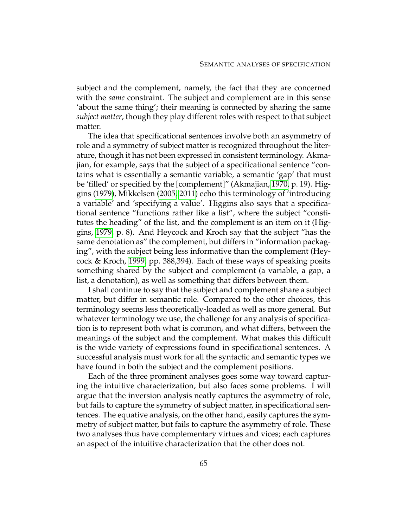subject and the complement, namely, the fact that they are concerned with the *same* constraint. The subject and complement are in this sense 'about the same thing'; their meaning is connected by sharing the same *subject matter*, though they play different roles with respect to that subject matter.

The idea that specificational sentences involve both an asymmetry of role and a symmetry of subject matter is recognized throughout the literature, though it has not been expressed in consistent terminology. Akmajian, for example, says that the subject of a specificational sentence "contains what is essentially a semantic variable, a semantic 'gap' that must be 'filled' or specified by the [complement]" (Akmajian, [1970,](#page-229-0) p. 19). Higgins [\(1979\)](#page-231-0), Mikkelsen [\(2005,](#page-232-0) [2011\)](#page-232-1) echo this terminology of 'introducing a variable' and 'specifying a value'. Higgins also says that a specificational sentence "functions rather like a list", where the subject "constitutes the heading" of the list, and the complement is an item on it (Higgins, [1979,](#page-231-0) p. 8). And Heycock and Kroch say that the subject "has the same denotation as" the complement, but differs in "information packaging", with the subject being less informative than the complement (Heycock & Kroch, [1999,](#page-231-1) pp. 388,394). Each of these ways of speaking posits something shared by the subject and complement (a variable, a gap, a list, a denotation), as well as something that differs between them.

I shall continue to say that the subject and complement share a subject matter, but differ in semantic role. Compared to the other choices, this terminology seems less theoretically-loaded as well as more general. But whatever terminology we use, the challenge for any analysis of specification is to represent both what is common, and what differs, between the meanings of the subject and the complement. What makes this difficult is the wide variety of expressions found in specificational sentences. A successful analysis must work for all the syntactic and semantic types we have found in both the subject and the complement positions.

Each of the three prominent analyses goes some way toward capturing the intuitive characterization, but also faces some problems. I will argue that the inversion analysis neatly captures the asymmetry of role, but fails to capture the symmetry of subject matter, in specificational sentences. The equative analysis, on the other hand, easily captures the symmetry of subject matter, but fails to capture the asymmetry of role. These two analyses thus have complementary virtues and vices; each captures an aspect of the intuitive characterization that the other does not.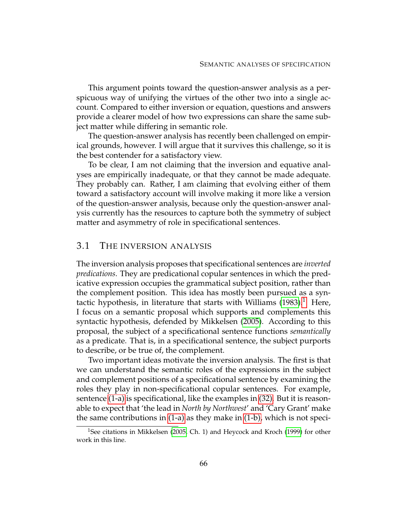This argument points toward the question-answer analysis as a perspicuous way of unifying the virtues of the other two into a single account. Compared to either inversion or equation, questions and answers provide a clearer model of how two expressions can share the same subject matter while differing in semantic role.

The question-answer analysis has recently been challenged on empirical grounds, however. I will argue that it survives this challenge, so it is the best contender for a satisfactory view.

To be clear, I am not claiming that the inversion and equative analyses are empirically inadequate, or that they cannot be made adequate. They probably can. Rather, I am claiming that evolving either of them toward a satisfactory account will involve making it more like a version of the question-answer analysis, because only the question-answer analysis currently has the resources to capture both the symmetry of subject matter and asymmetry of role in specificational sentences.

## 3.1 THE INVERSION ANALYSIS

The inversion analysis proposes that specificational sentences are *inverted predications*. They are predicational copular sentences in which the predicative expression occupies the grammatical subject position, rather than the complement position. This idea has mostly been pursued as a syntactic hypothesis, in literature that starts with Williams  $(1983).<sup>1</sup>$  $(1983).<sup>1</sup>$  $(1983).<sup>1</sup>$  $(1983).<sup>1</sup>$  Here, I focus on a semantic proposal which supports and complements this syntactic hypothesis, defended by Mikkelsen [\(2005\)](#page-232-0). According to this proposal, the subject of a specificational sentence functions *semantically* as a predicate. That is, in a specificational sentence, the subject purports to describe, or be true of, the complement.

Two important ideas motivate the inversion analysis. The first is that we can understand the semantic roles of the expressions in the subject and complement positions of a specificational sentence by examining the roles they play in non-specificational copular sentences. For example, sentence [\(1-a\)](#page-77-0) is specificational, like the examples in [\(32\).](#page-60-0) But it is reasonable to expect that 'the lead in *North by Northwest*' and 'Cary Grant' make the same contributions in [\(1-a\)](#page-77-0) as they make in [\(1-b\),](#page-77-1) which is not speci-

<span id="page-76-0"></span><sup>&</sup>lt;sup>1</sup>See citations in Mikkelsen [\(2005,](#page-232-0) Ch. 1) and Heycock and Kroch [\(1999\)](#page-231-1) for other work in this line.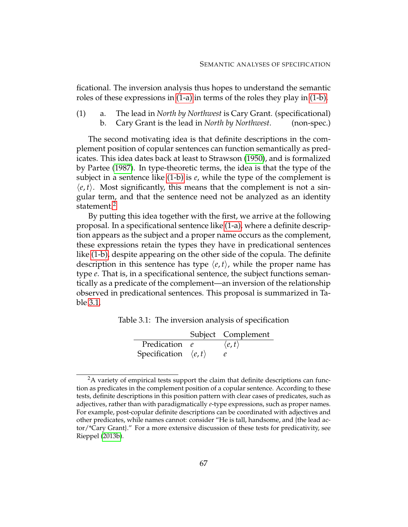ficational. The inversion analysis thus hopes to understand the semantic roles of these expressions in [\(1-a\)](#page-77-0) in terms of the roles they play in [\(1-b\).](#page-77-1)

<span id="page-77-1"></span><span id="page-77-0"></span>(1) a. The lead in *North by Northwest* is Cary Grant. (specificational) b. Cary Grant is the lead in *North by Northwest*. (non-spec.)

The second motivating idea is that definite descriptions in the complement position of copular sentences can function semantically as predicates. This idea dates back at least to Strawson [\(1950\)](#page-232-2), and is formalized by Partee [\(1987\)](#page-232-3). In type-theoretic terms, the idea is that the type of the subject in a sentence like [\(1-b\)](#page-77-1) is *e*, while the type of the complement is  $\langle e, t \rangle$ . Most significantly, this means that the complement is not a singular term, and that the sentence need not be analyzed as an identity statement.<sup>[2](#page-77-2)</sup>

By putting this idea together with the first, we arrive at the following proposal. In a specificational sentence like [\(1-a\),](#page-77-0) where a definite description appears as the subject and a proper name occurs as the complement, these expressions retain the types they have in predicational sentences like [\(1-b\),](#page-77-1) despite appearing on the other side of the copula. The definite description in this sentence has type  $\langle e, t \rangle$ , while the proper name has type *e*. That is, in a specificational sentence, the subject functions semantically as a predicate of the complement—an inversion of the relationship observed in predicational sentences. This proposal is summarized in Table [3.1.](#page-77-3)

Table 3.1: The inversion analysis of specification

<span id="page-77-3"></span>

|                                      | Subject Complement     |
|--------------------------------------|------------------------|
| Predication e                        | $\langle e, t \rangle$ |
| Specification $\langle e, t \rangle$ |                        |

<span id="page-77-2"></span><sup>&</sup>lt;sup>2</sup>A variety of empirical tests support the claim that definite descriptions can function as predicates in the complement position of a copular sentence. According to these tests, definite descriptions in this position pattern with clear cases of predicates, such as adjectives, rather than with paradigmatically *e*-type expressions, such as proper names. For example, post-copular definite descriptions can be coordinated with adjectives and other predicates, while names cannot: consider "He is tall, handsome, and {the lead actor/\*Cary Grant}." For a more extensive discussion of these tests for predicativity, see Rieppel [\(2013b\)](#page-232-4).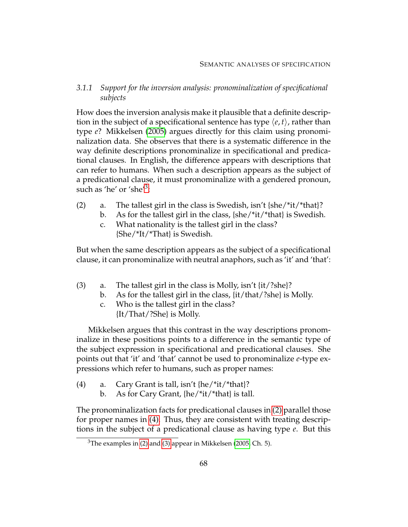*3.1.1 Support for the inversion analysis: pronominalization of specificational subjects*

How does the inversion analysis make it plausible that a definite description in the subject of a specificational sentence has type  $\langle e, t \rangle$ , rather than type *e*? Mikkelsen [\(2005\)](#page-232-0) argues directly for this claim using pronominalization data. She observes that there is a systematic difference in the way definite descriptions pronominalize in specificational and predicational clauses. In English, the difference appears with descriptions that can refer to humans. When such a description appears as the subject of a predicational clause, it must pronominalize with a gendered pronoun, such as 'he' or 'she'<sup>[3](#page-78-0)</sup>:

- <span id="page-78-1"></span>(2) a. The tallest girl in the class is Swedish, isn't  $\{she/*(it)*that\}$ ?
	- b. As for the tallest girl in the class, {she/\*it/\*that} is Swedish.
	- c. What nationality is the tallest girl in the class? {She/\*It/\*That} is Swedish.

<span id="page-78-3"></span>But when the same description appears as the subject of a specificational clause, it can pronominalize with neutral anaphors, such as 'it' and 'that':

- (3) a. The tallest girl in the class is Molly, isn't {it/?she}?
	- b. As for the tallest girl in the class, {it/that/?she} is Molly.
	- c. Who is the tallest girl in the class? {It/That/?She} is Molly.

Mikkelsen argues that this contrast in the way descriptions pronominalize in these positions points to a difference in the semantic type of the subject expression in specificational and predicational clauses. She points out that 'it' and 'that' cannot be used to pronominalize *e*-type expressions which refer to humans, such as proper names:

- <span id="page-78-2"></span>(4) a. Cary Grant is tall, isn't {he/\*it/\*that}?
	- b. As for Cary Grant, {he/\*it/\*that} is tall.

The pronominalization facts for predicational clauses in [\(2\)](#page-78-1) parallel those for proper names in [\(4\).](#page-78-2) Thus, they are consistent with treating descriptions in the subject of a predicational clause as having type *e*. But this

<span id="page-78-0"></span> $3$ The examples in [\(2\)](#page-78-1) and [\(3\)](#page-78-3) appear in Mikkelsen [\(2005,](#page-232-0) Ch. 5).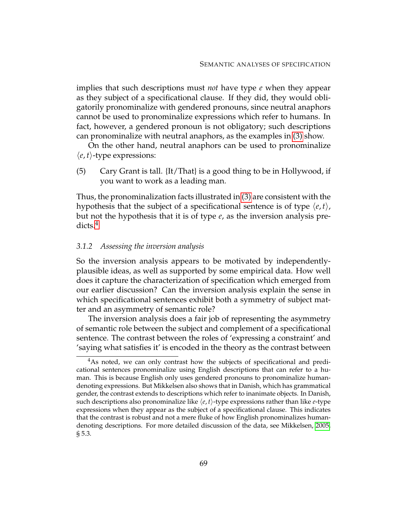implies that such descriptions must *not* have type *e* when they appear as they subject of a specificational clause. If they did, they would obligatorily pronominalize with gendered pronouns, since neutral anaphors cannot be used to pronominalize expressions which refer to humans. In fact, however, a gendered pronoun is not obligatory; such descriptions can pronominalize with neutral anaphors, as the examples in [\(3\)](#page-78-3) show.

On the other hand, neutral anaphors can be used to pronominalize  $\langle e, t \rangle$ -type expressions:

(5) Cary Grant is tall. {It/That} is a good thing to be in Hollywood, if you want to work as a leading man.

Thus, the pronominalization facts illustrated in [\(3\)](#page-78-3) are consistent with the hypothesis that the subject of a specificational sentence is of type  $\langle e, t \rangle$ , but not the hypothesis that it is of type *e*, as the inversion analysis pre-dicts.<sup>[4](#page-79-0)</sup>

#### *3.1.2 Assessing the inversion analysis*

So the inversion analysis appears to be motivated by independentlyplausible ideas, as well as supported by some empirical data. How well does it capture the characterization of specification which emerged from our earlier discussion? Can the inversion analysis explain the sense in which specificational sentences exhibit both a symmetry of subject matter and an asymmetry of semantic role?

The inversion analysis does a fair job of representing the asymmetry of semantic role between the subject and complement of a specificational sentence. The contrast between the roles of 'expressing a constraint' and 'saying what satisfies it' is encoded in the theory as the contrast between

<span id="page-79-0"></span><sup>&</sup>lt;sup>4</sup>As noted, we can only contrast how the subjects of specificational and predicational sentences pronominalize using English descriptions that can refer to a human. This is because English only uses gendered pronouns to pronominalize humandenoting expressions. But Mikkelsen also shows that in Danish, which has grammatical gender, the contrast extends to descriptions which refer to inanimate objects. In Danish, such descriptions also pronominalize like  $\langle e, t \rangle$ -type expressions rather than like *e*-type expressions when they appear as the subject of a specificational clause. This indicates that the contrast is robust and not a mere fluke of how English pronominalizes humandenoting descriptions. For more detailed discussion of the data, see Mikkelsen, [2005,](#page-232-0) § 5.3.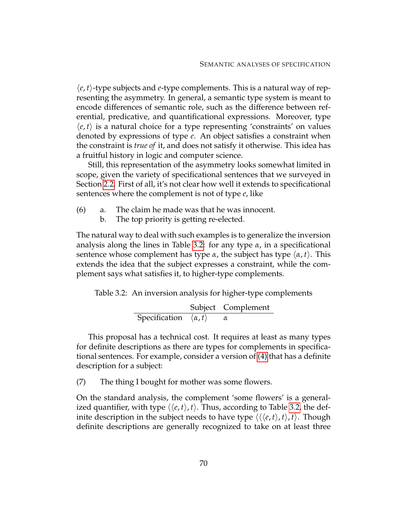$\langle e, t \rangle$ -type subjects and *e*-type complements. This is a natural way of representing the asymmetry. In general, a semantic type system is meant to encode differences of semantic role, such as the difference between referential, predicative, and quantificational expressions. Moreover, type  $\langle e, t \rangle$  is a natural choice for a type representing 'constraints' on values denoted by expressions of type *e*. An object satisfies a constraint when the constraint is *true of* it, and does not satisfy it otherwise. This idea has a fruitful history in logic and computer science.

Still, this representation of the asymmetry looks somewhat limited in scope, given the variety of specificational sentences that we surveyed in Section [2.2.](#page-59-0) First of all, it's not clear how well it extends to specificational sentences where the complement is not of type *e*, like

- (6) a. The claim he made was that he was innocent.
	- b. The top priority is getting re-elected.

The natural way to deal with such examples is to generalize the inversion analysis along the lines in Table [3.2:](#page-80-0) for any type *α*, in a specificational sentence whose complement has type  $\alpha$ , the subject has type  $\langle \alpha, t \rangle$ . This extends the idea that the subject expresses a constraint, while the complement says what satisfies it, to higher-type complements.

Table 3.2: An inversion analysis for higher-type complements

<span id="page-80-0"></span>Subject Complement Specification  $\langle α, t \rangle$  *α* 

This proposal has a technical cost. It requires at least as many types for definite descriptions as there are types for complements in specificational sentences. For example, consider a version of [\(4\)](#page-46-0) that has a definite description for a subject:

(7) The thing I bought for mother was some flowers.

On the standard analysis, the complement 'some flowers' is a generalized quantifier, with type  $\langle \langle e, t \rangle, t \rangle$ . Thus, according to Table [3.2,](#page-80-0) the definite description in the subject needs to have type  $\langle \langle e, t \rangle, t \rangle$ , *t*). Though definite descriptions are generally recognized to take on at least three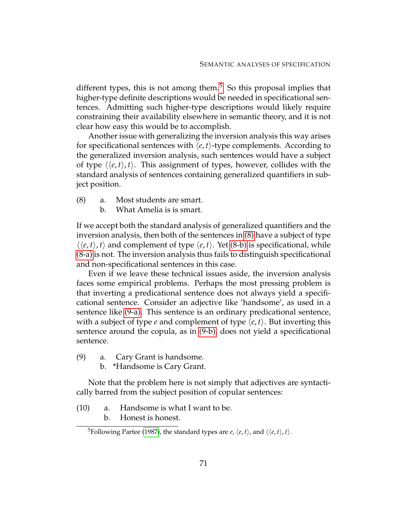different types, this is not among them.<sup>[5](#page-81-0)</sup> So this proposal implies that higher-type definite descriptions would be needed in specificational sentences. Admitting such higher-type descriptions would likely require constraining their availability elsewhere in semantic theory, and it is not clear how easy this would be to accomplish.

Another issue with generalizing the inversion analysis this way arises for specificational sentences with  $\langle e, t \rangle$ -type complements. According to the generalized inversion analysis, such sentences would have a subject of type  $\langle \langle e, t \rangle, t \rangle$ . This assignment of types, however, collides with the standard analysis of sentences containing generalized quantifiers in subject position.

- <span id="page-81-3"></span><span id="page-81-2"></span><span id="page-81-1"></span>(8) a. Most students are smart.
	- b. What Amelia is is smart.

If we accept both the standard analysis of generalized quantifiers and the inversion analysis, then both of the sentences in [\(8\)](#page-81-1) have a subject of type  $\langle \langle e, t \rangle, t \rangle$  and complement of type  $\langle e, t \rangle$ . Yet [\(8-b\)](#page-81-2) is specificational, while [\(8-a\)](#page-81-3) is not. The inversion analysis thus fails to distinguish specificational and non-specificational sentences in this case.

Even if we leave these technical issues aside, the inversion analysis faces some empirical problems. Perhaps the most pressing problem is that inverting a predicational sentence does not always yield a specificational sentence. Consider an adjective like 'handsome', as used in a sentence like [\(9-a\).](#page-81-4) This sentence is an ordinary predicational sentence, with a subject of type *e* and complement of type  $\langle e, t \rangle$ . But inverting this sentence around the copula, as in [\(9-b\),](#page-81-5) does not yield a specificational sentence.

- <span id="page-81-5"></span><span id="page-81-4"></span>(9) a. Cary Grant is handsome.
	- b. \*Handsome is Cary Grant.

Note that the problem here is not simply that adjectives are syntactically barred from the subject position of copular sentences:

- (10) a. Handsome is what I want to be.
	- b. Honest is honest.

<span id="page-81-6"></span><span id="page-81-0"></span><sup>&</sup>lt;sup>5</sup>Following Partee [\(1987\)](#page-232-3), the standard types are *e*,  $\langle e, t \rangle$ , and  $\langle \langle e, t \rangle, t \rangle$ .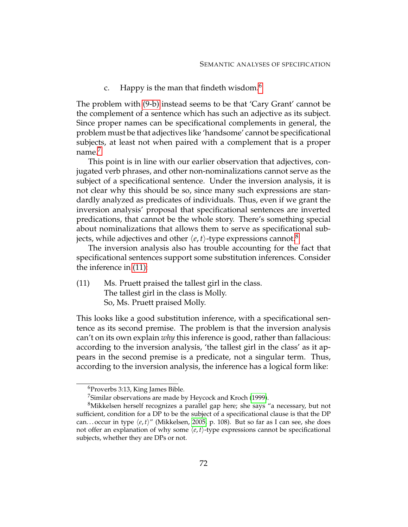c. Happy is the man that findeth wisdom. $<sup>6</sup>$  $<sup>6</sup>$  $<sup>6</sup>$ </sup>

The problem with [\(9-b\)](#page-81-5) instead seems to be that 'Cary Grant' cannot be the complement of a sentence which has such an adjective as its subject. Since proper names can be specificational complements in general, the problem must be that adjectives like 'handsome' cannot be specificational subjects, at least not when paired with a complement that is a proper name.<sup>[7](#page-82-1)</sup>

This point is in line with our earlier observation that adjectives, conjugated verb phrases, and other non-nominalizations cannot serve as the subject of a specificational sentence. Under the inversion analysis, it is not clear why this should be so, since many such expressions are standardly analyzed as predicates of individuals. Thus, even if we grant the inversion analysis' proposal that specificational sentences are inverted predications, that cannot be the whole story. There's something special about nominalizations that allows them to serve as specificational subjects, while adjectives and other  $\langle e, t \rangle$ -type expressions cannot.<sup>[8](#page-82-2)</sup>

<span id="page-82-3"></span>The inversion analysis also has trouble accounting for the fact that specificational sentences support some substitution inferences. Consider the inference in [\(11\):](#page-82-3)

(11) Ms. Pruett praised the tallest girl in the class. The tallest girl in the class is Molly. So, Ms. Pruett praised Molly.

This looks like a good substitution inference, with a specificational sentence as its second premise. The problem is that the inversion analysis can't on its own explain *why* this inference is good, rather than fallacious: according to the inversion analysis, 'the tallest girl in the class' as it appears in the second premise is a predicate, not a singular term. Thus, according to the inversion analysis, the inference has a logical form like:

<span id="page-82-0"></span><sup>6</sup>Proverbs 3:13, King James Bible.

<span id="page-82-2"></span><span id="page-82-1"></span><sup>&</sup>lt;sup>7</sup>Similar observations are made by Heycock and Kroch [\(1999\)](#page-231-1).

<sup>&</sup>lt;sup>8</sup>Mikkelsen herself recognizes a parallel gap here; she says "a necessary, but not sufficient, condition for a DP to be the subject of a specificational clause is that the DP can...occur in type  $\langle e, t \rangle$ " (Mikkelsen, [2005,](#page-232-0) p. 108). But so far as I can see, she does not offer an explanation of why some  $\langle e, t \rangle$ -type expressions cannot be specificational subjects, whether they are DPs or not.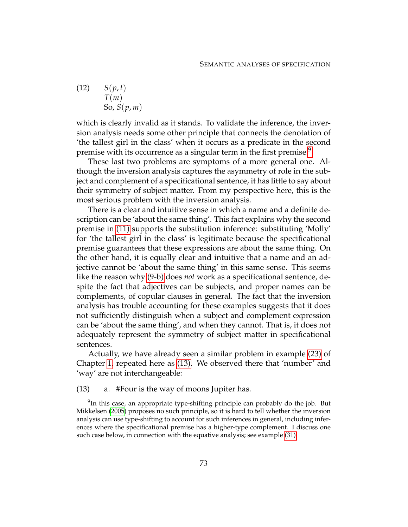(12) 
$$
S(p, t)
$$
  
\n
$$
T(m)
$$
  
\nSo,  $S(p, m)$ 

which is clearly invalid as it stands. To validate the inference, the inversion analysis needs some other principle that connects the denotation of 'the tallest girl in the class' when it occurs as a predicate in the second premise with its occurrence as a singular term in the first premise.<sup>[9](#page-83-0)</sup>

These last two problems are symptoms of a more general one. Although the inversion analysis captures the asymmetry of role in the subject and complement of a specificational sentence, it has little to say about their symmetry of subject matter. From my perspective here, this is the most serious problem with the inversion analysis.

There is a clear and intuitive sense in which a name and a definite description can be 'about the same thing'. This fact explains why the second premise in [\(11\)](#page-82-3) supports the substitution inference: substituting 'Molly' for 'the tallest girl in the class' is legitimate because the specificational premise guarantees that these expressions are about the same thing. On the other hand, it is equally clear and intuitive that a name and an adjective cannot be 'about the same thing' in this same sense. This seems like the reason why [\(9-b\)](#page-81-5) does *not* work as a specificational sentence, despite the fact that adjectives can be subjects, and proper names can be complements, of copular clauses in general. The fact that the inversion analysis has trouble accounting for these examples suggests that it does not sufficiently distinguish when a subject and complement expression can be 'about the same thing', and when they cannot. That is, it does not adequately represent the symmetry of subject matter in specificational sentences.

<span id="page-83-1"></span>Actually, we have already seen a similar problem in example [\(23\)](#page-25-0) of Chapter [1,](#page-12-0) repeated here as [\(13\).](#page-83-1) We observed there that 'number' and 'way' are not interchangeable:

(13) a. #Four is the way of moons Jupiter has.

<span id="page-83-0"></span> $^{9}$ In this case, an appropriate type-shifting principle can probably do the job. But Mikkelsen [\(2005\)](#page-232-0) proposes no such principle, so it is hard to tell whether the inversion analysis can use type-shifting to account for such inferences in general, including inferences where the specificational premise has a higher-type complement. I discuss one such case below, in connection with the equative analysis; see example [\(31\).](#page-91-0)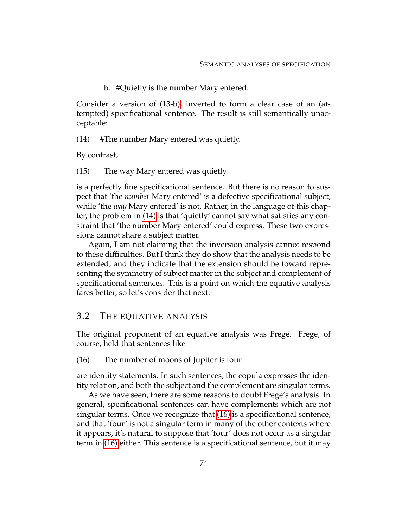<span id="page-84-1"></span>b. #Quietly is the number Mary entered.

<span id="page-84-0"></span>Consider a version of [\(13-b\),](#page-84-0) inverted to form a clear case of an (attempted) specificational sentence. The result is still semantically unacceptable:

(14) #The number Mary entered was quietly.

By contrast,

(15) The way Mary entered was quietly.

is a perfectly fine specificational sentence. But there is no reason to suspect that 'the *number* Mary entered' is a defective specificational subject, while 'the *way* Mary entered' is not. Rather, in the language of this chapter, the problem in [\(14\)](#page-84-1) is that 'quietly' cannot say what satisfies any constraint that 'the number Mary entered' could express. These two expressions cannot share a subject matter.

Again, I am not claiming that the inversion analysis cannot respond to these difficulties. But I think they do show that the analysis needs to be extended, and they indicate that the extension should be toward representing the symmetry of subject matter in the subject and complement of specificational sentences. This is a point on which the equative analysis fares better, so let's consider that next.

## 3.2 THE EQUATIVE ANALYSIS

<span id="page-84-2"></span>The original proponent of an equative analysis was Frege. Frege, of course, held that sentences like

(16) The number of moons of Jupiter is four.

are identity statements. In such sentences, the copula expresses the identity relation, and both the subject and the complement are singular terms.

As we have seen, there are some reasons to doubt Frege's analysis. In general, specificational sentences can have complements which are not singular terms. Once we recognize that [\(16\)](#page-84-2) is a specificational sentence, and that 'four' is not a singular term in many of the other contexts where it appears, it's natural to suppose that 'four' does not occur as a singular term in [\(16\)](#page-84-2) either. This sentence is a specificational sentence, but it may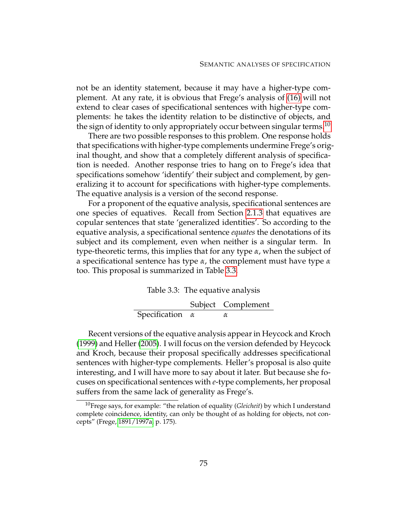not be an identity statement, because it may have a higher-type complement. At any rate, it is obvious that Frege's analysis of [\(16\)](#page-84-2) will not extend to clear cases of specificational sentences with higher-type complements: he takes the identity relation to be distinctive of objects, and the sign of identity to only appropriately occur between singular terms.<sup>[10](#page-85-0)</sup>

There are two possible responses to this problem. One response holds that specifications with higher-type complements undermine Frege's original thought, and show that a completely different analysis of specification is needed. Another response tries to hang on to Frege's idea that specifications somehow 'identify' their subject and complement, by generalizing it to account for specifications with higher-type complements. The equative analysis is a version of the second response.

For a proponent of the equative analysis, specificational sentences are one species of equatives. Recall from Section [2.1.3](#page-56-0) that equatives are copular sentences that state 'generalized identities'. So according to the equative analysis, a specificational sentence *equates* the denotations of its subject and its complement, even when neither is a singular term. In type-theoretic terms, this implies that for any type *α*, when the subject of a specificational sentence has type *α*, the complement must have type *α* too. This proposal is summarized in Table [3.3.](#page-85-1)

#### <span id="page-85-1"></span>Table 3.3: The equative analysis

Subject Complement Specification *α α*

Recent versions of the equative analysis appear in Heycock and Kroch [\(1999\)](#page-231-1) and Heller [\(2005\)](#page-231-2). I will focus on the version defended by Heycock and Kroch, because their proposal specifically addresses specificational sentences with higher-type complements. Heller's proposal is also quite interesting, and I will have more to say about it later. But because she focuses on specificational sentences with *e*-type complements, her proposal suffers from the same lack of generality as Frege's.

<span id="page-85-0"></span><sup>10</sup>Frege says, for example: "the relation of equality (*Gleicheit*) by which I understand complete coincidence, identity, can only be thought of as holding for objects, not concepts" (Frege, [1891/1997a,](#page-230-0) p. 175).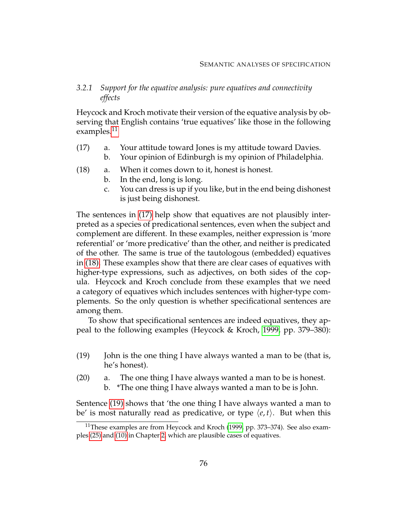## *3.2.1 Support for the equative analysis: pure equatives and connectivity effects*

<span id="page-86-1"></span>Heycock and Kroch motivate their version of the equative analysis by observing that English contains 'true equatives' like those in the following examples.<sup>[11](#page-86-0)</sup>

- (17) a. Your attitude toward Jones is my attitude toward Davies.
	- b. Your opinion of Edinburgh is my opinion of Philadelphia.
- <span id="page-86-2"></span>(18) a. When it comes down to it, honest is honest.
	- b. In the end, long is long.
	- c. You can dress is up if you like, but in the end being dishonest is just being dishonest.

The sentences in [\(17\)](#page-86-1) help show that equatives are not plausibly interpreted as a species of predicational sentences, even when the subject and complement are different. In these examples, neither expression is 'more referential' or 'more predicative' than the other, and neither is predicated of the other. The same is true of the tautologous (embedded) equatives in [\(18\).](#page-86-2) These examples show that there are clear cases of equatives with higher-type expressions, such as adjectives, on both sides of the copula. Heycock and Kroch conclude from these examples that we need a category of equatives which includes sentences with higher-type complements. So the only question is whether specificational sentences are among them.

<span id="page-86-3"></span>To show that specificational sentences are indeed equatives, they appeal to the following examples (Heycock & Kroch, [1999,](#page-231-1) pp. 379–380):

- (19) John is the one thing I have always wanted a man to be (that is, he's honest).
- <span id="page-86-6"></span><span id="page-86-5"></span><span id="page-86-4"></span>(20) a. The one thing I have always wanted a man to be is honest.
	- b. \*The one thing I have always wanted a man to be is John.

Sentence [\(19\)](#page-86-3) shows that 'the one thing I have always wanted a man to be' is most naturally read as predicative, or type  $\langle e, t \rangle$ . But when this

<span id="page-86-0"></span><sup>&</sup>lt;sup>11</sup>These examples are from Heycock and Kroch [\(1999,](#page-231-1) pp. 373–374). See also examples [\(25\)](#page-57-0) and [\(10\)](#page-81-6) in Chapter [2,](#page-44-0) which are plausible cases of equatives.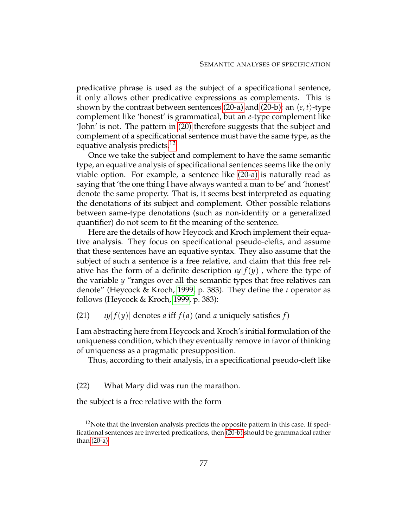predicative phrase is used as the subject of a specificational sentence, it only allows other predicative expressions as complements. This is shown by the contrast between sentences [\(20-a\)](#page-86-4) and [\(20-b\):](#page-86-5) an  $\langle e, t \rangle$ -type complement like 'honest' is grammatical, but an *e*-type complement like 'John' is not. The pattern in [\(20\)](#page-86-6) therefore suggests that the subject and complement of a specificational sentence must have the same type, as the equative analysis predicts.<sup>[12](#page-87-0)</sup>

Once we take the subject and complement to have the same semantic type, an equative analysis of specificational sentences seems like the only viable option. For example, a sentence like [\(20-a\)](#page-86-4) is naturally read as saying that 'the one thing I have always wanted a man to be' and 'honest' denote the same property. That is, it seems best interpreted as equating the denotations of its subject and complement. Other possible relations between same-type denotations (such as non-identity or a generalized quantifier) do not seem to fit the meaning of the sentence.

Here are the details of how Heycock and Kroch implement their equative analysis. They focus on specificational pseudo-clefts, and assume that these sentences have an equative syntax. They also assume that the subject of such a sentence is a free relative, and claim that this free relative has the form of a definite description  $\iota y[f(y)]$ , where the type of the variable *y* "ranges over all the semantic types that free relatives can denote" (Heycock & Kroch, [1999,](#page-231-1) p. 383). They define the *ι* operator as follows (Heycock & Kroch, [1999,](#page-231-1) p. 383):

(21)  $\iota y[f(y)]$  denotes *a* iff  $f(a)$  (and *a* uniquely satisfies *f*)

I am abstracting here from Heycock and Kroch's initial formulation of the uniqueness condition, which they eventually remove in favor of thinking of uniqueness as a pragmatic presupposition.

<span id="page-87-2"></span><span id="page-87-1"></span>Thus, according to their analysis, in a specificational pseudo-cleft like

(22) What Mary did was run the marathon.

the subject is a free relative with the form

<span id="page-87-0"></span> $12$ Note that the inversion analysis predicts the opposite pattern in this case. If specificational sentences are inverted predications, then [\(20-b\)](#page-86-5) should be grammatical rather than [\(20-a\).](#page-86-4)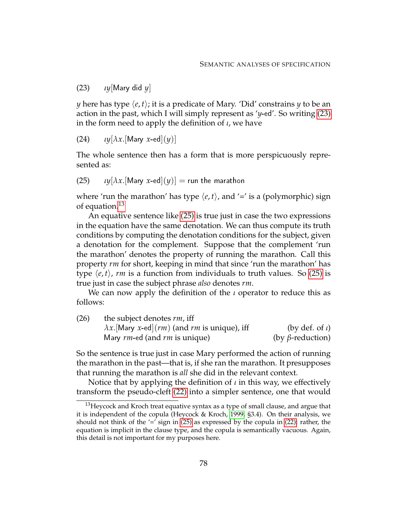(23) *ιy*[Mary did *y*]

*y* here has type  $\langle e, t \rangle$ ; it is a predicate of Mary. 'Did' constrains *y* to be an action in the past, which I will simply represent as '*y*-ed'. So writing [\(23\)](#page-87-1) in the form need to apply the definition of *ι*, we have

(24)  $\iota y[\lambda x.[\text{Mary } x\text{-ed}](y)]$ 

<span id="page-88-1"></span>The whole sentence then has a form that is more perspicuously represented as:

(25)  $\iota y[\lambda x.[\text{Mary } x\text{-ed}](y)] = \text{run the marathon}$ 

where 'run the marathon' has type  $\langle e, t \rangle$ , and '=' is a (polymorphic) sign of equation.<sup>[13](#page-88-0)</sup>

An equative sentence like [\(25\)](#page-88-1) is true just in case the two expressions in the equation have the same denotation. We can thus compute its truth conditions by computing the denotation conditions for the subject, given a denotation for the complement. Suppose that the complement 'run the marathon' denotes the property of running the marathon. Call this property *rm* for short, keeping in mind that since 'run the marathon' has type  $\langle e, t \rangle$ , *rm* is a function from individuals to truth values. So [\(25\)](#page-88-1) is true just in case the subject phrase *also* denotes *rm*.

We can now apply the definition of the *ι* operator to reduce this as follows:

| (26) | the subject denotes rm, iff                           |                         |  |
|------|-------------------------------------------------------|-------------------------|--|
|      | $\lambda x$ . [Mary x-ed](rm) (and rm is unique), iff | (by def. of $\iota$ )   |  |
|      | Mary rm-ed (and rm is unique)                         | (by $\beta$ -reduction) |  |

So the sentence is true just in case Mary performed the action of running the marathon in the past—that is, if she ran the marathon. It presupposes that running the marathon is *all* she did in the relevant context.

Notice that by applying the definition of *ι* in this way, we effectively transform the pseudo-cleft [\(22\)](#page-87-2) into a simpler sentence, one that would

<span id="page-88-0"></span> $13$ Heycock and Kroch treat equative syntax as a type of small clause, and argue that it is independent of the copula (Heycock & Kroch, [1999,](#page-231-1) §3.4). On their analysis, we should not think of the  $\prime$ =' sign in [\(25\)](#page-88-1) as expressed by the copula in [\(22\);](#page-87-2) rather, the equation is implicit in the clause type, and the copula is semantically vacuous. Again, this detail is not important for my purposes here.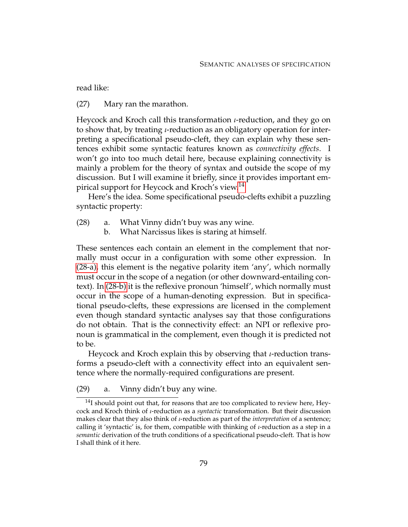read like:

(27) Mary ran the marathon.

Heycock and Kroch call this transformation *ι*-reduction, and they go on to show that, by treating *ι*-reduction as an obligatory operation for interpreting a specificational pseudo-cleft, they can explain why these sentences exhibit some syntactic features known as *connectivity effects*. I won't go into too much detail here, because explaining connectivity is mainly a problem for the theory of syntax and outside the scope of my discussion. But I will examine it briefly, since it provides important em-pirical support for Heycock and Kroch's view.<sup>[14](#page-89-0)</sup>

<span id="page-89-4"></span>Here's the idea. Some specificational pseudo-clefts exhibit a puzzling syntactic property:

- <span id="page-89-2"></span><span id="page-89-1"></span>(28) a. What Vinny didn't buy was any wine.
	- b. What Narcissus likes is staring at himself.

These sentences each contain an element in the complement that normally must occur in a configuration with some other expression. In [\(28-a\),](#page-89-1) this element is the negative polarity item 'any', which normally must occur in the scope of a negation (or other downward-entailing context). In [\(28-b\)](#page-89-2) it is the reflexive pronoun 'himself', which normally must occur in the scope of a human-denoting expression. But in specificational pseudo-clefts, these expressions are licensed in the complement even though standard syntactic analyses say that those configurations do not obtain. That is the connectivity effect: an NPI or reflexive pronoun is grammatical in the complement, even though it is predicted not to be.

Heycock and Kroch explain this by observing that *ι*-reduction transforms a pseudo-cleft with a connectivity effect into an equivalent sentence where the normally-required configurations are present.

<span id="page-89-3"></span>(29) a. Vinny didn't buy any wine.

<span id="page-89-0"></span><sup>&</sup>lt;sup>14</sup>I should point out that, for reasons that are too complicated to review here, Heycock and Kroch think of *ι*-reduction as a *syntactic* transformation. But their discussion makes clear that they also think of *ι*-reduction as part of the *interpretation* of a sentence; calling it 'syntactic' is, for them, compatible with thinking of *ι*-reduction as a step in a *semantic* derivation of the truth conditions of a specificational pseudo-cleft. That is how I shall think of it here.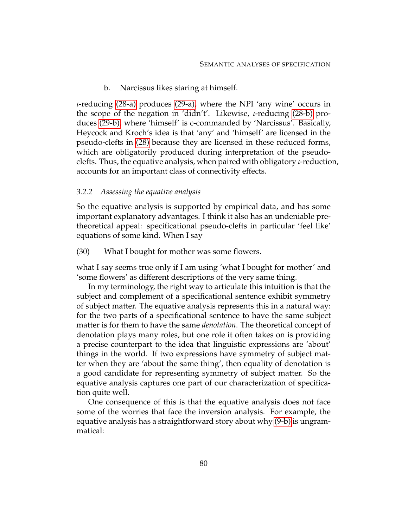b. Narcissus likes staring at himself.

<span id="page-90-0"></span>*ι*-reducing [\(28-a\)](#page-89-1) produces [\(29-a\),](#page-89-3) where the NPI 'any wine' occurs in the scope of the negation in 'didn't'. Likewise, *ι*-reducing [\(28-b\)](#page-89-2) produces [\(29-b\),](#page-90-0) where 'himself' is c-commanded by 'Narcissus'. Basically, Heycock and Kroch's idea is that 'any' and 'himself' are licensed in the pseudo-clefts in [\(28\)](#page-89-4) because they are licensed in these reduced forms, which are obligatorily produced during interpretation of the pseudoclefts. Thus, the equative analysis, when paired with obligatory *ι*-reduction, accounts for an important class of connectivity effects.

### *3.2.2 Assessing the equative analysis*

So the equative analysis is supported by empirical data, and has some important explanatory advantages. I think it also has an undeniable pretheoretical appeal: specificational pseudo-clefts in particular 'feel like' equations of some kind. When I say

(30) What I bought for mother was some flowers.

what I say seems true only if I am using 'what I bought for mother' and 'some flowers' as different descriptions of the very same thing.

In my terminology, the right way to articulate this intuition is that the subject and complement of a specificational sentence exhibit symmetry of subject matter. The equative analysis represents this in a natural way: for the two parts of a specificational sentence to have the same subject matter is for them to have the same *denotation*. The theoretical concept of denotation plays many roles, but one role it often takes on is providing a precise counterpart to the idea that linguistic expressions are 'about' things in the world. If two expressions have symmetry of subject matter when they are 'about the same thing', then equality of denotation is a good candidate for representing symmetry of subject matter. So the equative analysis captures one part of our characterization of specification quite well.

One consequence of this is that the equative analysis does not face some of the worries that face the inversion analysis. For example, the equative analysis has a straightforward story about why [\(9-b\)](#page-81-5) is ungrammatical: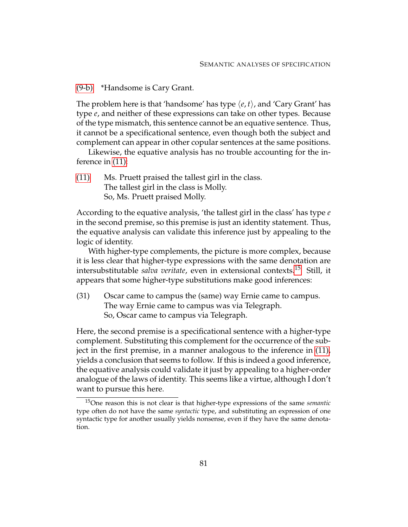[\(9-b\)](#page-81-5) \*Handsome is Cary Grant.

The problem here is that 'handsome' has type  $\langle e, t \rangle$ , and 'Cary Grant' has type *e*, and neither of these expressions can take on other types. Because of the type mismatch, this sentence cannot be an equative sentence. Thus, it cannot be a specificational sentence, even though both the subject and complement can appear in other copular sentences at the same positions.

Likewise, the equative analysis has no trouble accounting for the inference in [\(11\):](#page-82-3)

[\(11\)](#page-82-3) Ms. Pruett praised the tallest girl in the class. The tallest girl in the class is Molly. So, Ms. Pruett praised Molly.

According to the equative analysis, 'the tallest girl in the class' has type *e* in the second premise, so this premise is just an identity statement. Thus, the equative analysis can validate this inference just by appealing to the logic of identity.

With higher-type complements, the picture is more complex, because it is less clear that higher-type expressions with the same denotation are intersubstitutable *salva veritate*, even in extensional contexts.[15](#page-91-1) Still, it appears that some higher-type substitutions make good inferences:

<span id="page-91-0"></span>(31) Oscar came to campus the (same) way Ernie came to campus. The way Ernie came to campus was via Telegraph. So, Oscar came to campus via Telegraph.

Here, the second premise is a specificational sentence with a higher-type complement. Substituting this complement for the occurrence of the subject in the first premise, in a manner analogous to the inference in [\(11\),](#page-82-3) yields a conclusion that seems to follow. If this is indeed a good inference, the equative analysis could validate it just by appealing to a higher-order analogue of the laws of identity. This seems like a virtue, although I don't want to pursue this here.

<span id="page-91-1"></span><sup>15</sup>One reason this is not clear is that higher-type expressions of the same *semantic* type often do not have the same *syntactic* type, and substituting an expression of one syntactic type for another usually yields nonsense, even if they have the same denotation.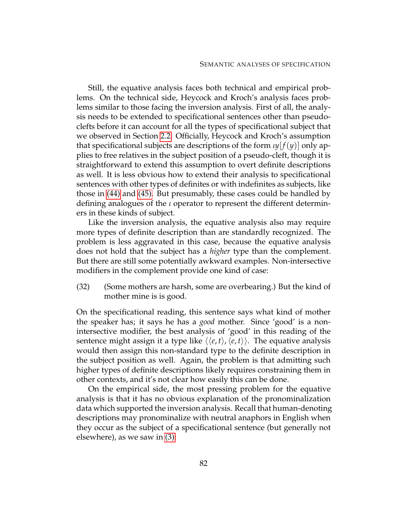Still, the equative analysis faces both technical and empirical problems. On the technical side, Heycock and Kroch's analysis faces problems similar to those facing the inversion analysis. First of all, the analysis needs to be extended to specificational sentences other than pseudoclefts before it can account for all the types of specificational subject that we observed in Section [2.2.](#page-59-0) Officially, Heycock and Kroch's assumption that specificational subjects are descriptions of the form  $\iota y[f(y)]$  only applies to free relatives in the subject position of a pseudo-cleft, though it is straightforward to extend this assumption to overt definite descriptions as well. It is less obvious how to extend their analysis to specificational sentences with other types of definites or with indefinites as subjects, like those in [\(44\)](#page-63-0) and [\(45\).](#page-63-1) But presumably, these cases could be handled by defining analogues of the *ι* operator to represent the different determiners in these kinds of subject.

Like the inversion analysis, the equative analysis also may require more types of definite description than are standardly recognized. The problem is less aggravated in this case, because the equative analysis does not hold that the subject has a *higher* type than the complement. But there are still some potentially awkward examples. Non-intersective modifiers in the complement provide one kind of case:

(32) (Some mothers are harsh, some are overbearing.) But the kind of mother mine is is good.

On the specificational reading, this sentence says what kind of mother the speaker has; it says he has a *good* mother. Since 'good' is a nonintersective modifier, the best analysis of 'good' in this reading of the sentence might assign it a type like  $\langle \langle e, t \rangle, \langle e, t \rangle$ . The equative analysis would then assign this non-standard type to the definite description in the subject position as well. Again, the problem is that admitting such higher types of definite descriptions likely requires constraining them in other contexts, and it's not clear how easily this can be done.

On the empirical side, the most pressing problem for the equative analysis is that it has no obvious explanation of the pronominalization data which supported the inversion analysis. Recall that human-denoting descriptions may pronominalize with neutral anaphors in English when they occur as the subject of a specificational sentence (but generally not elsewhere), as we saw in [\(3\):](#page-78-3)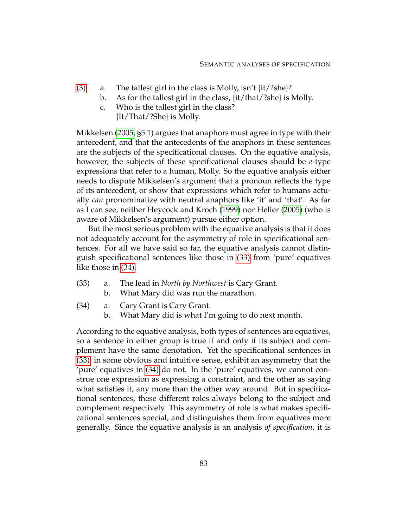- [\(3\)](#page-78-3) a. The tallest girl in the class is Molly, isn't  $\{it/?she\}$ ?
	- b. As for the tallest girl in the class, {it/that/?she} is Molly.
	- c. Who is the tallest girl in the class? {It/That/?She} is Molly.

Mikkelsen [\(2005,](#page-232-0) §5.1) argues that anaphors must agree in type with their antecedent, and that the antecedents of the anaphors in these sentences are the subjects of the specificational clauses. On the equative analysis, however, the subjects of these specificational clauses should be *e*-type expressions that refer to a human, Molly. So the equative analysis either needs to dispute Mikkelsen's argument that a pronoun reflects the type of its antecedent, or show that expressions which refer to humans actually *can* pronominalize with neutral anaphors like 'it' and 'that'. As far as I can see, neither Heycock and Kroch [\(1999\)](#page-231-1) nor Heller [\(2005\)](#page-231-2) (who is aware of Mikkelsen's argument) pursue either option.

But the most serious problem with the equative analysis is that it does not adequately account for the asymmetry of role in specificational sentences. For all we have said so far, the equative analysis cannot distinguish specificational sentences like those in [\(33\)](#page-93-0) from 'pure' equatives like those in [\(34\).](#page-93-1)

- <span id="page-93-2"></span><span id="page-93-0"></span>(33) a. The lead in *North by Northwest* is Cary Grant.
	- b. What Mary did was run the marathon.
- <span id="page-93-3"></span><span id="page-93-1"></span>(34) a. Cary Grant is Cary Grant.
	- b. What Mary did is what I'm going to do next month.

According to the equative analysis, both types of sentences are equatives, so a sentence in either group is true if and only if its subject and complement have the same denotation. Yet the specificational sentences in [\(33\),](#page-93-0) in some obvious and intuitive sense, exhibit an asymmetry that the 'pure' equatives in [\(34\)](#page-93-1) do not. In the 'pure' equatives, we cannot construe one expression as expressing a constraint, and the other as saying what satisfies it, any more than the other way around. But in specificational sentences, these different roles always belong to the subject and complement respectively. This asymmetry of role is what makes specificational sentences special, and distinguishes them from equatives more generally. Since the equative analysis is an analysis *of specification*, it is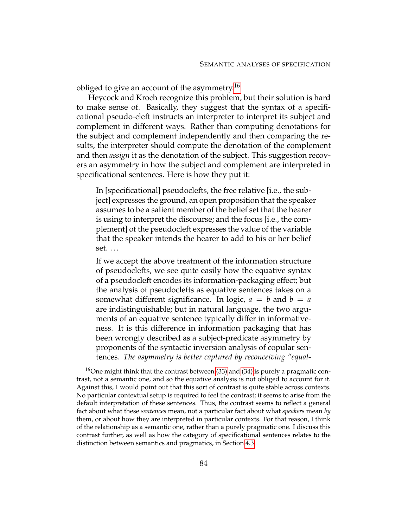obliged to give an account of the asymmetry.[16](#page-94-0)

Heycock and Kroch recognize this problem, but their solution is hard to make sense of. Basically, they suggest that the syntax of a specificational pseudo-cleft instructs an interpreter to interpret its subject and complement in different ways. Rather than computing denotations for the subject and complement independently and then comparing the results, the interpreter should compute the denotation of the complement and then *assign* it as the denotation of the subject. This suggestion recovers an asymmetry in how the subject and complement are interpreted in specificational sentences. Here is how they put it:

In [specificational] pseudoclefts, the free relative [i.e., the subject] expresses the ground, an open proposition that the speaker assumes to be a salient member of the belief set that the hearer is using to interpret the discourse; and the focus [i.e., the complement] of the pseudocleft expresses the value of the variable that the speaker intends the hearer to add to his or her belief set. . . .

If we accept the above treatment of the information structure of pseudoclefts, we see quite easily how the equative syntax of a pseudocleft encodes its information-packaging effect; but the analysis of pseudoclefts as equative sentences takes on a somewhat different significance. In logic,  $a = b$  and  $b = a$ are indistinguishable; but in natural language, the two arguments of an equative sentence typically differ in informativeness. It is this difference in information packaging that has been wrongly described as a subject-predicate asymmetry by proponents of the syntactic inversion analysis of copular sentences. *The asymmetry is better captured by reconceiving "equal-*

<span id="page-94-0"></span> $16$ One might think that the contrast between [\(33\)](#page-93-0) and [\(34\)](#page-93-1) is purely a pragmatic contrast, not a semantic one, and so the equative analysis is not obliged to account for it. Against this, I would point out that this sort of contrast is quite stable across contexts. No particular contextual setup is required to feel the contrast; it seems to arise from the default interpretation of these sentences. Thus, the contrast seems to reflect a general fact about what these *sentences* mean, not a particular fact about what *speakers* mean *by* them, or about how they are interpreted in particular contexts. For that reason, I think of the relationship as a semantic one, rather than a purely pragmatic one. I discuss this contrast further, as well as how the category of specificational sentences relates to the distinction between semantics and pragmatics, in Section [4.3.](#page-157-0)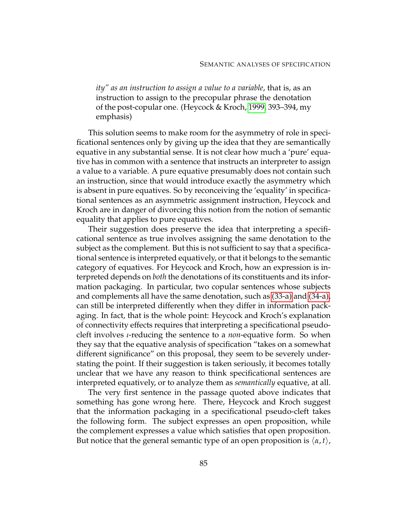*ity" as an instruction to assign a value to a variable*, that is, as an instruction to assign to the precopular phrase the denotation of the post-copular one. (Heycock & Kroch, [1999,](#page-231-1) 393–394, my emphasis)

This solution seems to make room for the asymmetry of role in specificational sentences only by giving up the idea that they are semantically equative in any substantial sense. It is not clear how much a 'pure' equative has in common with a sentence that instructs an interpreter to assign a value to a variable. A pure equative presumably does not contain such an instruction, since that would introduce exactly the asymmetry which is absent in pure equatives. So by reconceiving the 'equality' in specificational sentences as an asymmetric assignment instruction, Heycock and Kroch are in danger of divorcing this notion from the notion of semantic equality that applies to pure equatives.

Their suggestion does preserve the idea that interpreting a specificational sentence as true involves assigning the same denotation to the subject as the complement. But this is not sufficient to say that a specificational sentence is interpreted equatively, or that it belongs to the semantic category of equatives. For Heycock and Kroch, how an expression is interpreted depends on *both* the denotations of its constituents and its information packaging. In particular, two copular sentences whose subjects and complements all have the same denotation, such as [\(33-a\)](#page-93-2) and [\(34-a\),](#page-93-3) can still be interpreted differently when they differ in information packaging. In fact, that is the whole point: Heycock and Kroch's explanation of connectivity effects requires that interpreting a specificational pseudocleft involves *ι*-reducing the sentence to a *non*-equative form. So when they say that the equative analysis of specification "takes on a somewhat different significance" on this proposal, they seem to be severely understating the point. If their suggestion is taken seriously, it becomes totally unclear that we have any reason to think specificational sentences are interpreted equatively, or to analyze them as *semantically* equative, at all.

The very first sentence in the passage quoted above indicates that something has gone wrong here. There, Heycock and Kroch suggest that the information packaging in a specificational pseudo-cleft takes the following form. The subject expresses an open proposition, while the complement expresses a value which satisfies that open proposition. But notice that the general semantic type of an open proposition is  $\langle \alpha, t \rangle$ ,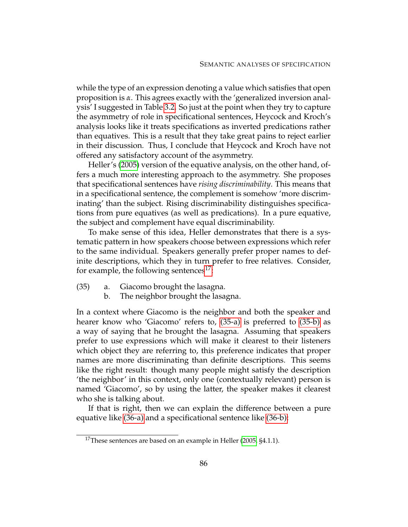while the type of an expression denoting a value which satisfies that open proposition is *α*. This agrees exactly with the 'generalized inversion analysis' I suggested in Table [3.2.](#page-80-0) So just at the point when they try to capture the asymmetry of role in specificational sentences, Heycock and Kroch's analysis looks like it treats specifications as inverted predications rather than equatives. This is a result that they take great pains to reject earlier in their discussion. Thus, I conclude that Heycock and Kroch have not offered any satisfactory account of the asymmetry.

Heller's [\(2005\)](#page-231-2) version of the equative analysis, on the other hand, offers a much more interesting approach to the asymmetry. She proposes that specificational sentences have *rising discriminability*. This means that in a specificational sentence, the complement is somehow 'more discriminating' than the subject. Rising discriminability distinguishes specifications from pure equatives (as well as predications). In a pure equative, the subject and complement have equal discriminability.

To make sense of this idea, Heller demonstrates that there is a systematic pattern in how speakers choose between expressions which refer to the same individual. Speakers generally prefer proper names to definite descriptions, which they in turn prefer to free relatives. Consider, for example, the following sentences<sup>[17](#page-96-0)</sup>:

- <span id="page-96-2"></span><span id="page-96-1"></span>(35) a. Giacomo brought the lasagna.
	- b. The neighbor brought the lasagna.

In a context where Giacomo is the neighbor and both the speaker and hearer know who 'Giacomo' refers to, [\(35-a\)](#page-96-1) is preferred to [\(35-b\)](#page-96-2) as a way of saying that he brought the lasagna. Assuming that speakers prefer to use expressions which will make it clearest to their listeners which object they are referring to, this preference indicates that proper names are more discriminating than definite descriptions. This seems like the right result: though many people might satisfy the description 'the neighbor' in this context, only one (contextually relevant) person is named 'Giacomo', so by using the latter, the speaker makes it clearest who she is talking about.

If that is right, then we can explain the difference between a pure equative like [\(36-a\)](#page-96-3) and a specificational sentence like [\(36-b\):](#page-97-0)

<span id="page-96-3"></span><span id="page-96-0"></span><sup>&</sup>lt;sup>17</sup>These sentences are based on an example in Heller [\(2005,](#page-231-2)  $\S 4.1.1$ ).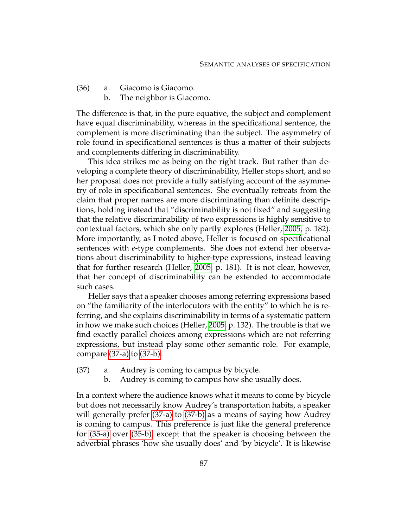- <span id="page-97-0"></span>(36) a. Giacomo is Giacomo.
	- b. The neighbor is Giacomo.

The difference is that, in the pure equative, the subject and complement have equal discriminability, whereas in the specificational sentence, the complement is more discriminating than the subject. The asymmetry of role found in specificational sentences is thus a matter of their subjects and complements differing in discriminability.

This idea strikes me as being on the right track. But rather than developing a complete theory of discriminability, Heller stops short, and so her proposal does not provide a fully satisfying account of the asymmetry of role in specificational sentences. She eventually retreats from the claim that proper names are more discriminating than definite descriptions, holding instead that "discriminability is not fixed" and suggesting that the relative discriminability of two expressions is highly sensitive to contextual factors, which she only partly explores (Heller, [2005,](#page-231-2) p. 182). More importantly, as I noted above, Heller is focused on specificational sentences with *e*-type complements. She does not extend her observations about discriminability to higher-type expressions, instead leaving that for further research (Heller, [2005,](#page-231-2) p. 181). It is not clear, however, that her concept of discriminability can be extended to accommodate such cases.

Heller says that a speaker chooses among referring expressions based on "the familiarity of the interlocutors with the entity" to which he is referring, and she explains discriminability in terms of a systematic pattern in how we make such choices (Heller, [2005,](#page-231-2) p. 132). The trouble is that we find exactly parallel choices among expressions which are not referring expressions, but instead play some other semantic role. For example, compare [\(37-a\)](#page-97-1) to [\(37-b\):](#page-97-2)

- <span id="page-97-2"></span><span id="page-97-1"></span>(37) a. Audrey is coming to campus by bicycle.
	- b. Audrey is coming to campus how she usually does.

In a context where the audience knows what it means to come by bicycle but does not necessarily know Audrey's transportation habits, a speaker will generally prefer [\(37-a\)](#page-97-1) to [\(37-b\)](#page-97-2) as a means of saying how Audrey is coming to campus. This preference is just like the general preference for [\(35-a\)](#page-96-1) over [\(35-b\),](#page-96-2) except that the speaker is choosing between the adverbial phrases 'how she usually does' and 'by bicycle'. It is likewise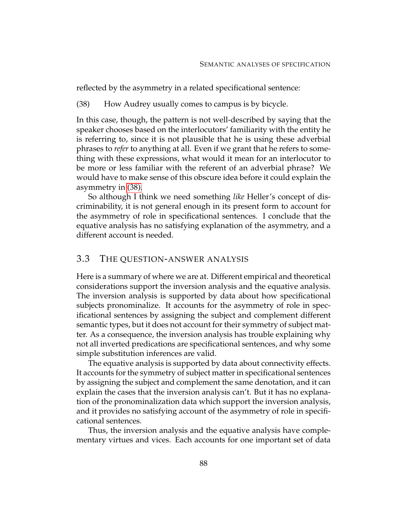<span id="page-98-0"></span>reflected by the asymmetry in a related specificational sentence:

(38) How Audrey usually comes to campus is by bicycle.

In this case, though, the pattern is not well-described by saying that the speaker chooses based on the interlocutors' familiarity with the entity he is referring to, since it is not plausible that he is using these adverbial phrases to *refer* to anything at all. Even if we grant that he refers to something with these expressions, what would it mean for an interlocutor to be more or less familiar with the referent of an adverbial phrase? We would have to make sense of this obscure idea before it could explain the asymmetry in [\(38\).](#page-98-0)

So although I think we need something *like* Heller's concept of discriminability, it is not general enough in its present form to account for the asymmetry of role in specificational sentences. I conclude that the equative analysis has no satisfying explanation of the asymmetry, and a different account is needed.

## 3.3 THE QUESTION-ANSWER ANALYSIS

Here is a summary of where we are at. Different empirical and theoretical considerations support the inversion analysis and the equative analysis. The inversion analysis is supported by data about how specificational subjects pronominalize. It accounts for the asymmetry of role in specificational sentences by assigning the subject and complement different semantic types, but it does not account for their symmetry of subject matter. As a consequence, the inversion analysis has trouble explaining why not all inverted predications are specificational sentences, and why some simple substitution inferences are valid.

The equative analysis is supported by data about connectivity effects. It accounts for the symmetry of subject matter in specificational sentences by assigning the subject and complement the same denotation, and it can explain the cases that the inversion analysis can't. But it has no explanation of the pronominalization data which support the inversion analysis, and it provides no satisfying account of the asymmetry of role in specificational sentences.

Thus, the inversion analysis and the equative analysis have complementary virtues and vices. Each accounts for one important set of data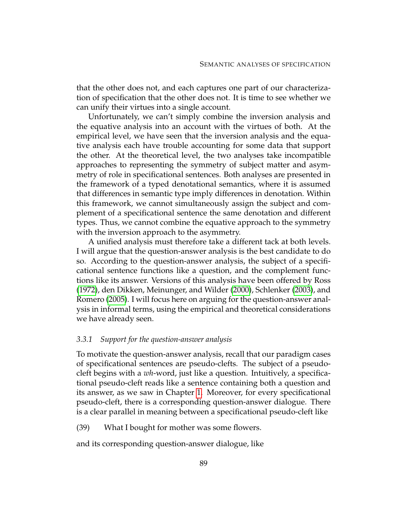that the other does not, and each captures one part of our characterization of specification that the other does not. It is time to see whether we can unify their virtues into a single account.

Unfortunately, we can't simply combine the inversion analysis and the equative analysis into an account with the virtues of both. At the empirical level, we have seen that the inversion analysis and the equative analysis each have trouble accounting for some data that support the other. At the theoretical level, the two analyses take incompatible approaches to representing the symmetry of subject matter and asymmetry of role in specificational sentences. Both analyses are presented in the framework of a typed denotational semantics, where it is assumed that differences in semantic type imply differences in denotation. Within this framework, we cannot simultaneously assign the subject and complement of a specificational sentence the same denotation and different types. Thus, we cannot combine the equative approach to the symmetry with the inversion approach to the asymmetry.

A unified analysis must therefore take a different tack at both levels. I will argue that the question-answer analysis is the best candidate to do so. According to the question-answer analysis, the subject of a specificational sentence functions like a question, and the complement functions like its answer. Versions of this analysis have been offered by Ross [\(1972\)](#page-232-5), den Dikken, Meinunger, and Wilder [\(2000\)](#page-229-1), Schlenker [\(2003\)](#page-232-6), and Romero [\(2005\)](#page-232-7). I will focus here on arguing for the question-answer analysis in informal terms, using the empirical and theoretical considerations we have already seen.

### *3.3.1 Support for the question-answer analysis*

To motivate the question-answer analysis, recall that our paradigm cases of specificational sentences are pseudo-clefts. The subject of a pseudocleft begins with a *wh*-word, just like a question. Intuitively, a specificational pseudo-cleft reads like a sentence containing both a question and its answer, as we saw in Chapter [1.](#page-12-0) Moreover, for every specificational pseudo-cleft, there is a corresponding question-answer dialogue. There is a clear parallel in meaning between a specificational pseudo-cleft like

(39) What I bought for mother was some flowers.

and its corresponding question-answer dialogue, like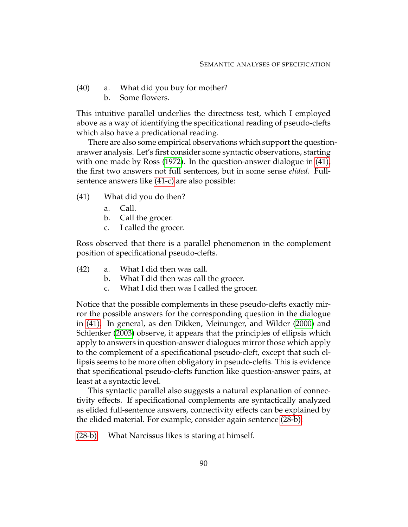- (40) a. What did you buy for mother?
	- b. Some flowers.

This intuitive parallel underlies the directness test, which I employed above as a way of identifying the specificational reading of pseudo-clefts which also have a predicational reading.

There are also some empirical observations which support the questionanswer analysis. Let's first consider some syntactic observations, starting with one made by Ross [\(1972\)](#page-232-5). In the question-answer dialogue in [\(41\),](#page-100-0) the first two answers not full sentences, but in some sense *elided*. Fullsentence answers like [\(41-c\)](#page-100-1) are also possible:

- <span id="page-100-0"></span>(41) What did you do then?
	- a. Call.
	- b. Call the grocer.
	- c. I called the grocer.

<span id="page-100-1"></span>Ross observed that there is a parallel phenomenon in the complement position of specificational pseudo-clefts.

- (42) a. What I did then was call.
	- b. What I did then was call the grocer.
	- c. What I did then was I called the grocer.

Notice that the possible complements in these pseudo-clefts exactly mirror the possible answers for the corresponding question in the dialogue in [\(41\).](#page-100-0) In general, as den Dikken, Meinunger, and Wilder [\(2000\)](#page-229-1) and Schlenker [\(2003\)](#page-232-6) observe, it appears that the principles of ellipsis which apply to answers in question-answer dialogues mirror those which apply to the complement of a specificational pseudo-cleft, except that such ellipsis seems to be more often obligatory in pseudo-clefts. This is evidence that specificational pseudo-clefts function like question-answer pairs, at least at a syntactic level.

This syntactic parallel also suggests a natural explanation of connectivity effects. If specificational complements are syntactically analyzed as elided full-sentence answers, connectivity effects can be explained by the elided material. For example, consider again sentence [\(28-b\):](#page-89-2)

[\(28-b\)](#page-89-2) What Narcissus likes is staring at himself.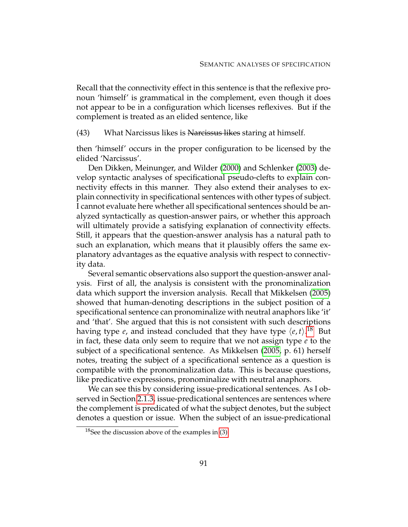Recall that the connectivity effect in this sentence is that the reflexive pronoun 'himself' is grammatical in the complement, even though it does not appear to be in a configuration which licenses reflexives. But if the complement is treated as an elided sentence, like

(43) What Narcissus likes is Narcissus likes staring at himself.

then 'himself' occurs in the proper configuration to be licensed by the elided 'Narcissus'.

Den Dikken, Meinunger, and Wilder [\(2000\)](#page-229-1) and Schlenker [\(2003\)](#page-232-6) develop syntactic analyses of specificational pseudo-clefts to explain connectivity effects in this manner. They also extend their analyses to explain connectivity in specificational sentences with other types of subject. I cannot evaluate here whether all specificational sentences should be analyzed syntactically as question-answer pairs, or whether this approach will ultimately provide a satisfying explanation of connectivity effects. Still, it appears that the question-answer analysis has a natural path to such an explanation, which means that it plausibly offers the same explanatory advantages as the equative analysis with respect to connectivity data.

Several semantic observations also support the question-answer analysis. First of all, the analysis is consistent with the pronominalization data which support the inversion analysis. Recall that Mikkelsen [\(2005\)](#page-232-0) showed that human-denoting descriptions in the subject position of a specificational sentence can pronominalize with neutral anaphors like 'it' and 'that'. She argued that this is not consistent with such descriptions having type  $e$ , and instead concluded that they have type  $\langle e, t \rangle$ .<sup>[18](#page-101-0)</sup> But in fact, these data only seem to require that we not assign type *e* to the subject of a specificational sentence. As Mikkelsen [\(2005,](#page-232-0) p. 61) herself notes, treating the subject of a specificational sentence as a question is compatible with the pronominalization data. This is because questions, like predicative expressions, pronominalize with neutral anaphors.

We can see this by considering issue-predicational sentences. As I observed in Section [2.1.3,](#page-56-0) issue-predicational sentences are sentences where the complement is predicated of what the subject denotes, but the subject denotes a question or issue. When the subject of an issue-predicational

<span id="page-101-0"></span> $18$ See the discussion above of the examples in [\(3\).](#page-78-3)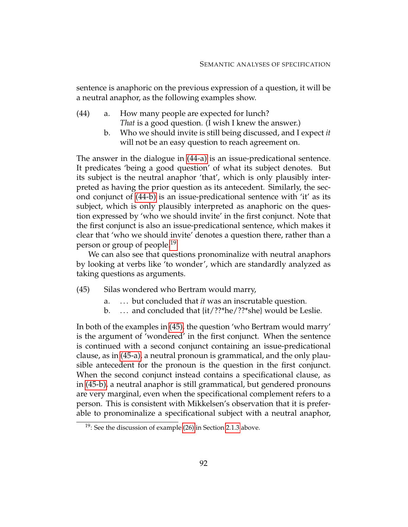sentence is anaphoric on the previous expression of a question, it will be a neutral anaphor, as the following examples show.

- <span id="page-102-1"></span><span id="page-102-0"></span>(44) a. How many people are expected for lunch? *That* is a good question. (I wish I knew the answer.)
	- b. Who we should invite is still being discussed, and I expect *it* will not be an easy question to reach agreement on.

The answer in the dialogue in [\(44-a\)](#page-102-0) is an issue-predicational sentence. It predicates 'being a good question' of what its subject denotes. But its subject is the neutral anaphor 'that', which is only plausibly interpreted as having the prior question as its antecedent. Similarly, the second conjunct of [\(44-b\)](#page-102-1) is an issue-predicational sentence with 'it' as its subject, which is only plausibly interpreted as anaphoric on the question expressed by 'who we should invite' in the first conjunct. Note that the first conjunct is also an issue-predicational sentence, which makes it clear that 'who we should invite' denotes a question there, rather than a person or group of people.<sup>[19](#page-102-2)</sup>

We can also see that questions pronominalize with neutral anaphors by looking at verbs like 'to wonder', which are standardly analyzed as taking questions as arguments.

<span id="page-102-4"></span>(45) Silas wondered who Bertram would marry,

- <span id="page-102-3"></span>a. . . . but concluded that *it* was an inscrutable question.
- b. ... and concluded that  $\{it/??*he/??*she\}$  would be Leslie.

<span id="page-102-5"></span>In both of the examples in [\(45\),](#page-102-3) the question 'who Bertram would marry' is the argument of 'wondered' in the first conjunct. When the sentence is continued with a second conjunct containing an issue-predicational clause, as in [\(45-a\),](#page-102-4) a neutral pronoun is grammatical, and the only plausible antecedent for the pronoun is the question in the first conjunct. When the second conjunct instead contains a specificational clause, as in [\(45-b\),](#page-102-5) a neutral anaphor is still grammatical, but gendered pronouns are very marginal, even when the specificational complement refers to a person. This is consistent with Mikkelsen's observation that it is preferable to pronominalize a specificational subject with a neutral anaphor,

<span id="page-102-2"></span><sup>&</sup>lt;sup>19</sup>: See the discussion of example  $(26)$  in Section [2.1.3](#page-56-0) above.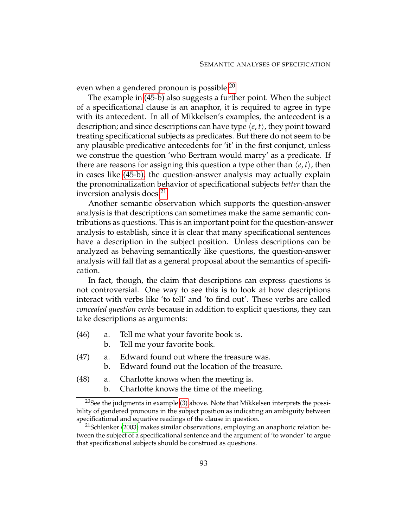even when a gendered pronoun is possible.<sup>[20](#page-103-0)</sup>

The example in [\(45-b\)](#page-102-5) also suggests a further point. When the subject of a specificational clause is an anaphor, it is required to agree in type with its antecedent. In all of Mikkelsen's examples, the antecedent is a description; and since descriptions can have type  $\langle e, t \rangle$ , they point toward treating specificational subjects as predicates. But there do not seem to be any plausible predicative antecedents for 'it' in the first conjunct, unless we construe the question 'who Bertram would marry' as a predicate. If there are reasons for assigning this question a type other than  $\langle e, t \rangle$ , then in cases like [\(45-b\),](#page-102-5) the question-answer analysis may actually explain the pronominalization behavior of specificational subjects *better* than the inversion analysis does.<sup>[21](#page-103-1)</sup>

Another semantic observation which supports the question-answer analysis is that descriptions can sometimes make the same semantic contributions as questions. This is an important point for the question-answer analysis to establish, since it is clear that many specificational sentences have a description in the subject position. Unless descriptions can be analyzed as behaving semantically like questions, the question-answer analysis will fall flat as a general proposal about the semantics of specification.

In fact, though, the claim that descriptions can express questions is not controversial. One way to see this is to look at how descriptions interact with verbs like 'to tell' and 'to find out'. These verbs are called *concealed question verbs* because in addition to explicit questions, they can take descriptions as arguments:

- (46) a. Tell me what your favorite book is.
	- b. Tell me your favorite book.
- (47) a. Edward found out where the treasure was.
	- b. Edward found out the location of the treasure.
- (48) a. Charlotte knows when the meeting is.
	- b. Charlotte knows the time of the meeting.

<span id="page-103-0"></span> $20$ See the judgments in example [\(3\)](#page-78-3) above. Note that Mikkelsen interprets the possibility of gendered pronouns in the subject position as indicating an ambiguity between specificational and equative readings of the clause in question.

<span id="page-103-1"></span> $21$ Schlenker [\(2003\)](#page-232-6) makes similar observations, employing an anaphoric relation between the subject of a specificational sentence and the argument of 'to wonder' to argue that specificational subjects should be construed as questions.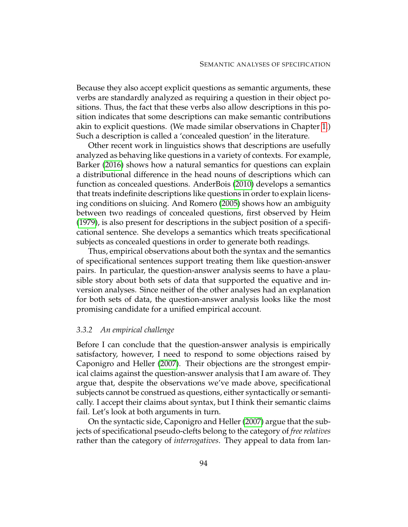Because they also accept explicit questions as semantic arguments, these verbs are standardly analyzed as requiring a question in their object positions. Thus, the fact that these verbs also allow descriptions in this position indicates that some descriptions can make semantic contributions akin to explicit questions. (We made similar observations in Chapter [1.](#page-12-0)) Such a description is called a 'concealed question' in the literature.

Other recent work in linguistics shows that descriptions are usefully analyzed as behaving like questions in a variety of contexts. For example, Barker [\(2016\)](#page-229-2) shows how a natural semantics for questions can explain a distributional difference in the head nouns of descriptions which can function as concealed questions. AnderBois [\(2010\)](#page-229-3) develops a semantics that treats indefinite descriptions like questions in order to explain licensing conditions on sluicing. And Romero [\(2005\)](#page-232-7) shows how an ambiguity between two readings of concealed questions, first observed by Heim [\(1979\)](#page-230-1), is also present for descriptions in the subject position of a specificational sentence. She develops a semantics which treats specificational subjects as concealed questions in order to generate both readings.

Thus, empirical observations about both the syntax and the semantics of specificational sentences support treating them like question-answer pairs. In particular, the question-answer analysis seems to have a plausible story about both sets of data that supported the equative and inversion analyses. Since neither of the other analyses had an explanation for both sets of data, the question-answer analysis looks like the most promising candidate for a unified empirical account.

### *3.3.2 An empirical challenge*

Before I can conclude that the question-answer analysis is empirically satisfactory, however, I need to respond to some objections raised by Caponigro and Heller [\(2007\)](#page-229-4). Their objections are the strongest empirical claims against the question-answer analysis that I am aware of. They argue that, despite the observations we've made above, specificational subjects cannot be construed as questions, either syntactically or semantically. I accept their claims about syntax, but I think their semantic claims fail. Let's look at both arguments in turn.

On the syntactic side, Caponigro and Heller [\(2007\)](#page-229-4) argue that the subjects of specificational pseudo-clefts belong to the category of *free relatives* rather than the category of *interrogatives*. They appeal to data from lan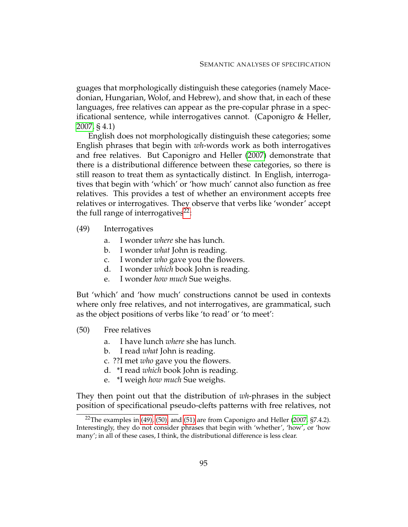guages that morphologically distinguish these categories (namely Macedonian, Hungarian, Wolof, and Hebrew), and show that, in each of these languages, free relatives can appear as the pre-copular phrase in a specificational sentence, while interrogatives cannot. (Caponigro & Heller, [2007,](#page-229-4) § 4.1)

English does not morphologically distinguish these categories; some English phrases that begin with *wh*-words work as both interrogatives and free relatives. But Caponigro and Heller [\(2007\)](#page-229-4) demonstrate that there is a distributional difference between these categories, so there is still reason to treat them as syntactically distinct. In English, interrogatives that begin with 'which' or 'how much' cannot also function as free relatives. This provides a test of whether an environment accepts free relatives or interrogatives. They observe that verbs like 'wonder' accept the full range of interrogatives<sup>[22](#page-105-0)</sup>:

- <span id="page-105-1"></span>(49) Interrogatives
	- a. I wonder *where* she has lunch.
	- b. I wonder *what* John is reading.
	- c. I wonder *who* gave you the flowers.
	- d. I wonder *which* book John is reading.
	- e. I wonder *how much* Sue weighs.

<span id="page-105-2"></span>But 'which' and 'how much' constructions cannot be used in contexts where only free relatives, and not interrogatives, are grammatical, such as the object positions of verbs like 'to read' or 'to meet':

- (50) Free relatives
	- a. I have lunch *where* she has lunch.
	- b. I read *what* John is reading.
	- c. ??I met *who* gave you the flowers.
	- d. \*I read *which* book John is reading.
	- e. \*I weigh *how much* Sue weighs.

They then point out that the distribution of *wh*-phrases in the subject position of specificational pseudo-clefts patterns with free relatives, not

<span id="page-105-0"></span><sup>&</sup>lt;sup>22</sup>The examples in  $(49)$ ,  $(50)$ , and  $(51)$  are from Caponigro and Heller  $(2007, \frac{5}{7}$  $(2007, \frac{5}{7}$ .4.2). Interestingly, they do not consider phrases that begin with 'whether', 'how', or 'how many'; in all of these cases, I think, the distributional difference is less clear.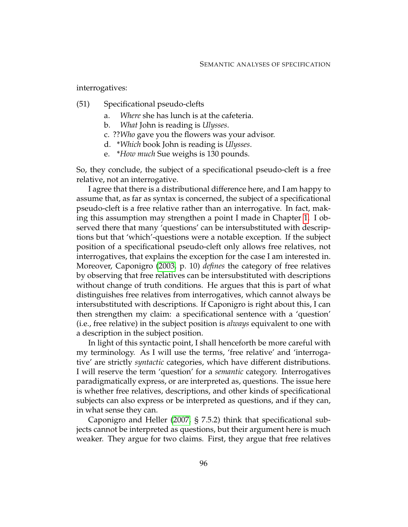<span id="page-106-0"></span>interrogatives:

- (51) Specificational pseudo-clefts
	- a. *Where* she has lunch is at the cafeteria.
	- b. *What* John is reading is *Ulysses*.
	- c. ??*Who* gave you the flowers was your advisor.
	- d. \**Which* book John is reading is *Ulysses*.
	- e. \**How much* Sue weighs is 130 pounds.

So, they conclude, the subject of a specificational pseudo-cleft is a free relative, not an interrogative.

I agree that there is a distributional difference here, and I am happy to assume that, as far as syntax is concerned, the subject of a specificational pseudo-cleft is a free relative rather than an interrogative. In fact, making this assumption may strengthen a point I made in Chapter [1.](#page-12-0) I observed there that many 'questions' can be intersubstituted with descriptions but that 'which'-questions were a notable exception. If the subject position of a specificational pseudo-cleft only allows free relatives, not interrogatives, that explains the exception for the case I am interested in. Moreover, Caponigro [\(2003,](#page-229-5) p. 10) *defines* the category of free relatives by observing that free relatives can be intersubstituted with descriptions without change of truth conditions. He argues that this is part of what distinguishes free relatives from interrogatives, which cannot always be intersubstituted with descriptions. If Caponigro is right about this, I can then strengthen my claim: a specificational sentence with a 'question' (i.e., free relative) in the subject position is *always* equivalent to one with a description in the subject position.

In light of this syntactic point, I shall henceforth be more careful with my terminology. As I will use the terms, 'free relative' and 'interrogative' are strictly *syntactic* categories, which have different distributions. I will reserve the term 'question' for a *semantic* category. Interrogatives paradigmatically express, or are interpreted as, questions. The issue here is whether free relatives, descriptions, and other kinds of specificational subjects can also express or be interpreted as questions, and if they can, in what sense they can.

Caponigro and Heller [\(2007,](#page-229-4) § 7.5.2) think that specificational subjects cannot be interpreted as questions, but their argument here is much weaker. They argue for two claims. First, they argue that free relatives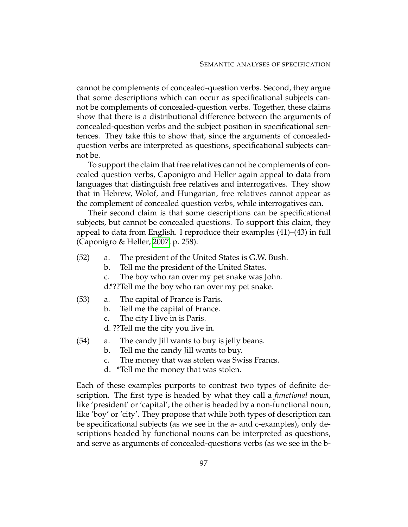cannot be complements of concealed-question verbs. Second, they argue that some descriptions which can occur as specificational subjects cannot be complements of concealed-question verbs. Together, these claims show that there is a distributional difference between the arguments of concealed-question verbs and the subject position in specificational sentences. They take this to show that, since the arguments of concealedquestion verbs are interpreted as questions, specificational subjects cannot be.

To support the claim that free relatives cannot be complements of concealed question verbs, Caponigro and Heller again appeal to data from languages that distinguish free relatives and interrogatives. They show that in Hebrew, Wolof, and Hungarian, free relatives cannot appear as the complement of concealed question verbs, while interrogatives can.

Their second claim is that some descriptions can be specificational subjects, but cannot be concealed questions. To support this claim, they appeal to data from English. I reproduce their examples (41)–(43) in full (Caponigro & Heller, [2007,](#page-229-4) p. 258):

- (52) a. The president of the United States is G.W. Bush.
	- b. Tell me the president of the United States.
	- c. The boy who ran over my pet snake was John.

d.\*??Tell me the boy who ran over my pet snake.

- (53) a. The capital of France is Paris.
	- b. Tell me the capital of France.
	- c. The city I live in is Paris.
	- d. ??Tell me the city you live in.
- (54) a. The candy Jill wants to buy is jelly beans.
	- b. Tell me the candy Jill wants to buy.
	- c. The money that was stolen was Swiss Francs.
	- d. \*Tell me the money that was stolen.

Each of these examples purports to contrast two types of definite description. The first type is headed by what they call a *functional* noun, like 'president' or 'capital'; the other is headed by a non-functional noun, like 'boy' or 'city'. They propose that while both types of description can be specificational subjects (as we see in the a- and c-examples), only descriptions headed by functional nouns can be interpreted as questions, and serve as arguments of concealed-questions verbs (as we see in the b-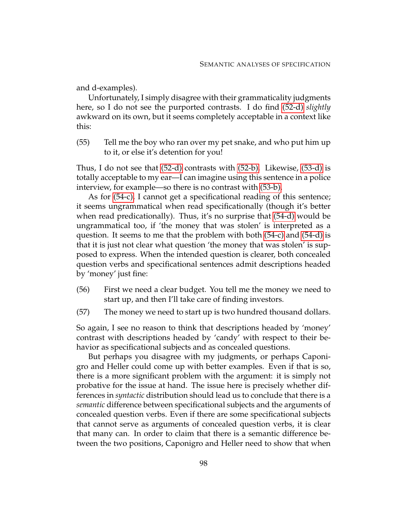and d-examples).

Unfortunately, I simply disagree with their grammaticality judgments here, so I do not see the purported contrasts. I do find [\(52-d\)](#page-107-0) *slightly* awkward on its own, but it seems completely acceptable in a context like this:

(55) Tell me the boy who ran over my pet snake, and who put him up to it, or else it's detention for you!

Thus, I do not see that [\(52-d\)](#page-107-0) contrasts with [\(52-b\).](#page-107-1) Likewise, [\(53-d\)](#page-107-2) is totally acceptable to my ear—I can imagine using this sentence in a police interview, for example—so there is no contrast with [\(53-b\).](#page-107-3)

As for [\(54-c\),](#page-107-4) I cannot get a specificational reading of this sentence; it seems ungrammatical when read specificationally (though it's better when read predicationally). Thus, it's no surprise that [\(54-d\)](#page-107-5) would be ungrammatical too, if 'the money that was stolen' is interpreted as a question. It seems to me that the problem with both [\(54-c\)](#page-107-4) and [\(54-d\)](#page-107-5) is that it is just not clear what question 'the money that was stolen' is supposed to express. When the intended question is clearer, both concealed question verbs and specificational sentences admit descriptions headed by 'money' just fine:

- (56) First we need a clear budget. You tell me the money we need to start up, and then I'll take care of finding investors.
- (57) The money we need to start up is two hundred thousand dollars.

So again, I see no reason to think that descriptions headed by 'money' contrast with descriptions headed by 'candy' with respect to their behavior as specificational subjects and as concealed questions.

But perhaps you disagree with my judgments, or perhaps Caponigro and Heller could come up with better examples. Even if that is so, there is a more significant problem with the argument: it is simply not probative for the issue at hand. The issue here is precisely whether differences in *syntactic* distribution should lead us to conclude that there is a *semantic* difference between specificational subjects and the arguments of concealed question verbs. Even if there are some specificational subjects that cannot serve as arguments of concealed question verbs, it is clear that many can. In order to claim that there is a semantic difference between the two positions, Caponigro and Heller need to show that when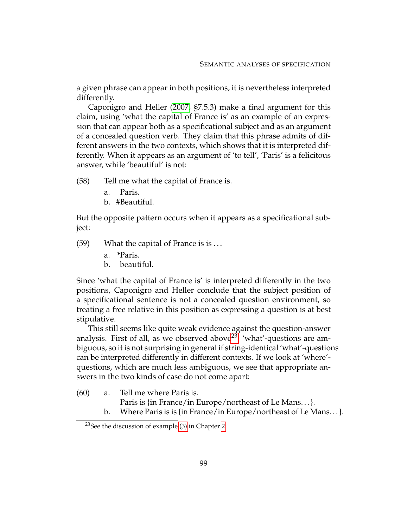a given phrase can appear in both positions, it is nevertheless interpreted differently.

Caponigro and Heller [\(2007,](#page-229-0) §7.5.3) make a final argument for this claim, using 'what the capital of France is' as an example of an expression that can appear both as a specificational subject and as an argument of a concealed question verb. They claim that this phrase admits of different answers in the two contexts, which shows that it is interpreted differently. When it appears as an argument of 'to tell', 'Paris' is a felicitous answer, while 'beautiful' is not:

(58) Tell me what the capital of France is.

- <span id="page-109-1"></span>a. Paris.
- b. #Beautiful.

<span id="page-109-2"></span>But the opposite pattern occurs when it appears as a specificational subject:

(59) What the capital of France is is . . .

- a. \*Paris.
- b. beautiful.

Since 'what the capital of France is' is interpreted differently in the two positions, Caponigro and Heller conclude that the subject position of a specificational sentence is not a concealed question environment, so treating a free relative in this position as expressing a question is at best stipulative.

This still seems like quite weak evidence against the question-answer analysis. First of all, as we observed above<sup>[23](#page-109-0)</sup>, 'what'-questions are ambiguous, so it is not surprising in general if string-identical 'what'-questions can be interpreted differently in different contexts. If we look at 'where' questions, which are much less ambiguous, we see that appropriate answers in the two kinds of case do not come apart:

- (60) a. Tell me where Paris is.
	- Paris is {in France/in Europe/northeast of Le Mans. . . }.
	- b. Where Paris is is {in France/in Europe/northeast of Le Mans...}.

<span id="page-109-0"></span><sup>&</sup>lt;sup>23</sup>See the discussion of example [\(3\)](#page-44-0) in Chapter [2.](#page-44-1)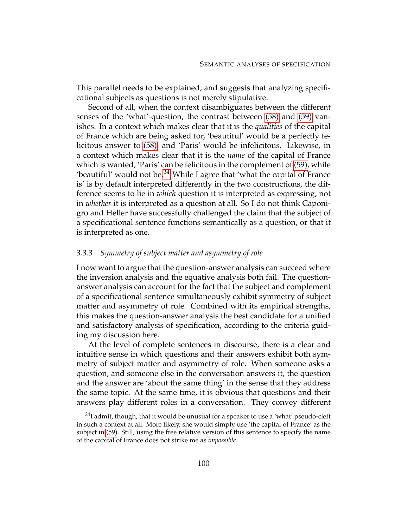This parallel needs to be explained, and suggests that analyzing specificational subjects as questions is not merely stipulative.

Second of all, when the context disambiguates between the different senses of the 'what'-question, the contrast between [\(58\)](#page-109-1) and [\(59\)](#page-109-2) vanishes. In a context which makes clear that it is the *qualities* of the capital of France which are being asked for, 'beautiful' would be a perfectly felicitous answer to [\(58\),](#page-109-1) and 'Paris' would be infelicitous. Likewise, in a context which makes clear that it is the *name* of the capital of France which is wanted, 'Paris' can be felicitous in the complement of [\(59\),](#page-109-2) while 'beautiful' would not be.<sup>[24](#page-110-0)</sup> While I agree that 'what the capital of France is' is by default interpreted differently in the two constructions, the difference seems to lie in *which* question it is interpreted as expressing, not in *whether* it is interpreted as a question at all. So I do not think Caponigro and Heller have successfully challenged the claim that the subject of a specificational sentence functions semantically as a question, or that it is interpreted as one.

#### *3.3.3 Symmetry of subject matter and asymmetry of role*

I now want to argue that the question-answer analysis can succeed where the inversion analysis and the equative analysis both fail. The questionanswer analysis can account for the fact that the subject and complement of a specificational sentence simultaneously exhibit symmetry of subject matter and asymmetry of role. Combined with its empirical strengths, this makes the question-answer analysis the best candidate for a unified and satisfactory analysis of specification, according to the criteria guiding my discussion here.

At the level of complete sentences in discourse, there is a clear and intuitive sense in which questions and their answers exhibit both symmetry of subject matter and asymmetry of role. When someone asks a question, and someone else in the conversation answers it, the question and the answer are 'about the same thing' in the sense that they address the same topic. At the same time, it is obvious that questions and their answers play different roles in a conversation. They convey different

<span id="page-110-0"></span> $24$ I admit, though, that it would be unusual for a speaker to use a 'what' pseudo-cleft in such a context at all. More likely, she would simply use 'the capital of France' as the subject in [\(59\).](#page-109-2) Still, using the free relative version of this sentence to specify the name of the capital of France does not strike me as *impossible*.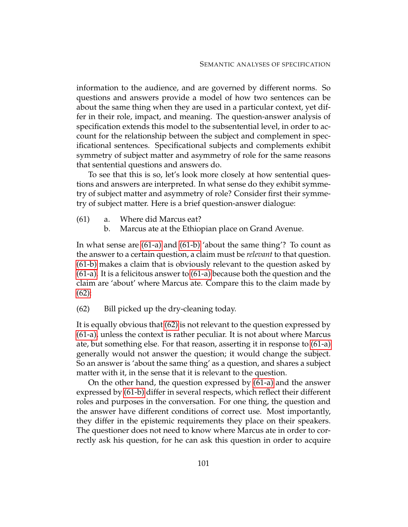information to the audience, and are governed by different norms. So questions and answers provide a model of how two sentences can be about the same thing when they are used in a particular context, yet differ in their role, impact, and meaning. The question-answer analysis of specification extends this model to the subsentential level, in order to account for the relationship between the subject and complement in specificational sentences. Specificational subjects and complements exhibit symmetry of subject matter and asymmetry of role for the same reasons that sentential questions and answers do.

To see that this is so, let's look more closely at how sentential questions and answers are interpreted. In what sense do they exhibit symmetry of subject matter and asymmetry of role? Consider first their symmetry of subject matter. Here is a brief question-answer dialogue:

- <span id="page-111-3"></span><span id="page-111-1"></span><span id="page-111-0"></span>(61) a. Where did Marcus eat?
	- b. Marcus ate at the Ethiopian place on Grand Avenue.

In what sense are [\(61-a\)](#page-111-0) and [\(61-b\)](#page-111-1) 'about the same thing'? To count as the answer to a certain question, a claim must be *relevant* to that question. [\(61-b\)](#page-111-1) makes a claim that is obviously relevant to the question asked by [\(61-a\).](#page-111-0) It is a felicitous answer to [\(61-a\)](#page-111-0) because both the question and the claim are 'about' where Marcus ate. Compare this to the claim made by [\(62\):](#page-111-2)

<span id="page-111-2"></span>(62) Bill picked up the dry-cleaning today.

It is equally obvious that [\(62\)](#page-111-2) is not relevant to the question expressed by [\(61-a\),](#page-111-0) unless the context is rather peculiar. It is not about where Marcus ate, but something else. For that reason, asserting it in response to [\(61-a\)](#page-111-0) generally would not answer the question; it would change the subject. So an answer is 'about the same thing' as a question, and shares a subject matter with it, in the sense that it is relevant to the question.

On the other hand, the question expressed by [\(61-a\)](#page-111-0) and the answer expressed by [\(61-b\)](#page-111-1) differ in several respects, which reflect their different roles and purposes in the conversation. For one thing, the question and the answer have different conditions of correct use. Most importantly, they differ in the epistemic requirements they place on their speakers. The questioner does not need to know where Marcus ate in order to correctly ask his question, for he can ask this question in order to acquire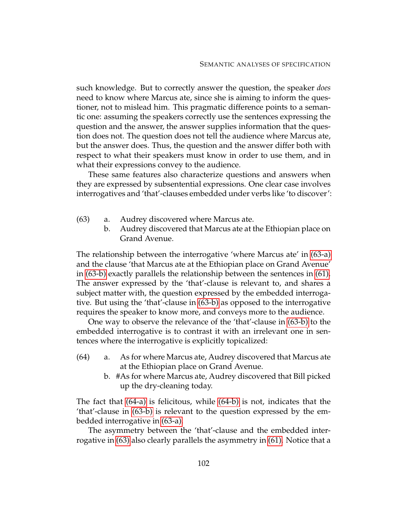such knowledge. But to correctly answer the question, the speaker *does* need to know where Marcus ate, since she is aiming to inform the questioner, not to mislead him. This pragmatic difference points to a semantic one: assuming the speakers correctly use the sentences expressing the question and the answer, the answer supplies information that the question does not. The question does not tell the audience where Marcus ate, but the answer does. Thus, the question and the answer differ both with respect to what their speakers must know in order to use them, and in what their expressions convey to the audience.

These same features also characterize questions and answers when they are expressed by subsentential expressions. One clear case involves interrogatives and 'that'-clauses embedded under verbs like 'to discover':

- <span id="page-112-4"></span><span id="page-112-1"></span><span id="page-112-0"></span>(63) a. Audrey discovered where Marcus ate.
	- b. Audrey discovered that Marcus ate at the Ethiopian place on Grand Avenue.

The relationship between the interrogative 'where Marcus ate' in [\(63-a\)](#page-112-0) and the clause 'that Marcus ate at the Ethiopian place on Grand Avenue' in [\(63-b\)](#page-112-1) exactly parallels the relationship between the sentences in [\(61\).](#page-111-3) The answer expressed by the 'that'-clause is relevant to, and shares a subject matter with, the question expressed by the embedded interrogative. But using the 'that'-clause in [\(63-b\)](#page-112-1) as opposed to the interrogative requires the speaker to know more, and conveys more to the audience.

One way to observe the relevance of the 'that'-clause in [\(63-b\)](#page-112-1) to the embedded interrogative is to contrast it with an irrelevant one in sentences where the interrogative is explicitly topicalized:

- <span id="page-112-3"></span><span id="page-112-2"></span>(64) a. As for where Marcus ate, Audrey discovered that Marcus ate at the Ethiopian place on Grand Avenue.
	- b. #As for where Marcus ate, Audrey discovered that Bill picked up the dry-cleaning today.

The fact that [\(64-a\)](#page-112-2) is felicitous, while [\(64-b\)](#page-112-3) is not, indicates that the 'that'-clause in [\(63-b\)](#page-112-1) is relevant to the question expressed by the embedded interrogative in [\(63-a\).](#page-112-0)

The asymmetry between the 'that'-clause and the embedded interrogative in [\(63\)](#page-112-4) also clearly parallels the asymmetry in [\(61\).](#page-111-3) Notice that a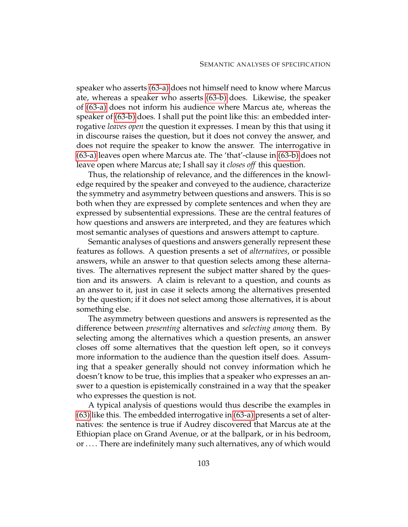speaker who asserts [\(63-a\)](#page-112-0) does not himself need to know where Marcus ate, whereas a speaker who asserts [\(63-b\)](#page-112-1) does. Likewise, the speaker of [\(63-a\)](#page-112-0) does not inform his audience where Marcus ate, whereas the speaker of [\(63-b\)](#page-112-1) does. I shall put the point like this: an embedded interrogative *leaves open* the question it expresses. I mean by this that using it in discourse raises the question, but it does not convey the answer, and does not require the speaker to know the answer. The interrogative in [\(63-a\)](#page-112-0) leaves open where Marcus ate. The 'that'-clause in [\(63-b\)](#page-112-1) does not leave open where Marcus ate; I shall say it *closes off* this question.

Thus, the relationship of relevance, and the differences in the knowledge required by the speaker and conveyed to the audience, characterize the symmetry and asymmetry between questions and answers. This is so both when they are expressed by complete sentences and when they are expressed by subsentential expressions. These are the central features of how questions and answers are interpreted, and they are features which most semantic analyses of questions and answers attempt to capture.

Semantic analyses of questions and answers generally represent these features as follows. A question presents a set of *alternatives*, or possible answers, while an answer to that question selects among these alternatives. The alternatives represent the subject matter shared by the question and its answers. A claim is relevant to a question, and counts as an answer to it, just in case it selects among the alternatives presented by the question; if it does not select among those alternatives, it is about something else.

The asymmetry between questions and answers is represented as the difference between *presenting* alternatives and *selecting among* them. By selecting among the alternatives which a question presents, an answer closes off some alternatives that the question left open, so it conveys more information to the audience than the question itself does. Assuming that a speaker generally should not convey information which he doesn't know to be true, this implies that a speaker who expresses an answer to a question is epistemically constrained in a way that the speaker who expresses the question is not.

A typical analysis of questions would thus describe the examples in [\(63\)](#page-112-4) like this. The embedded interrogative in [\(63-a\)](#page-112-0) presents a set of alternatives: the sentence is true if Audrey discovered that Marcus ate at the Ethiopian place on Grand Avenue, or at the ballpark, or in his bedroom, or . . . . There are indefinitely many such alternatives, any of which would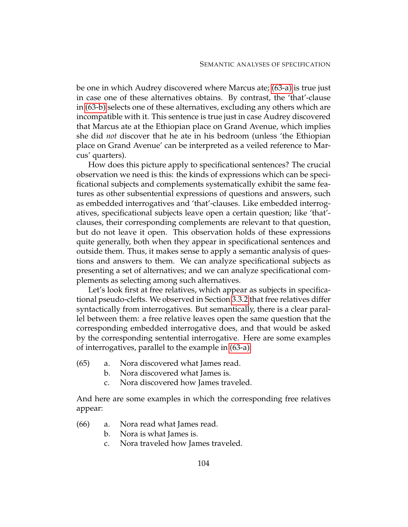be one in which Audrey discovered where Marcus ate; [\(63-a\)](#page-112-0) is true just in case one of these alternatives obtains. By contrast, the 'that'-clause in [\(63-b\)](#page-112-1) selects one of these alternatives, excluding any others which are incompatible with it. This sentence is true just in case Audrey discovered that Marcus ate at the Ethiopian place on Grand Avenue, which implies she did *not* discover that he ate in his bedroom (unless 'the Ethiopian place on Grand Avenue' can be interpreted as a veiled reference to Marcus' quarters).

How does this picture apply to specificational sentences? The crucial observation we need is this: the kinds of expressions which can be specificational subjects and complements systematically exhibit the same features as other subsentential expressions of questions and answers, such as embedded interrogatives and 'that'-clauses. Like embedded interrogatives, specificational subjects leave open a certain question; like 'that' clauses, their corresponding complements are relevant to that question, but do not leave it open. This observation holds of these expressions quite generally, both when they appear in specificational sentences and outside them. Thus, it makes sense to apply a semantic analysis of questions and answers to them. We can analyze specificational subjects as presenting a set of alternatives; and we can analyze specificational complements as selecting among such alternatives.

Let's look first at free relatives, which appear as subjects in specificational pseudo-clefts. We observed in Section [3.3.2](#page-104-0) that free relatives differ syntactically from interrogatives. But semantically, there is a clear parallel between them: a free relative leaves open the same question that the corresponding embedded interrogative does, and that would be asked by the corresponding sentential interrogative. Here are some examples of interrogatives, parallel to the example in [\(63-a\):](#page-112-0)

- <span id="page-114-3"></span><span id="page-114-1"></span>(65) a. Nora discovered what James read.
	- b. Nora discovered what James is.
	- c. Nora discovered how James traveled.

<span id="page-114-0"></span>And here are some examples in which the corresponding free relatives appear:

- <span id="page-114-5"></span><span id="page-114-4"></span><span id="page-114-2"></span>(66) a. Nora read what James read.
	- b. Nora is what James is.
	- c. Nora traveled how James traveled.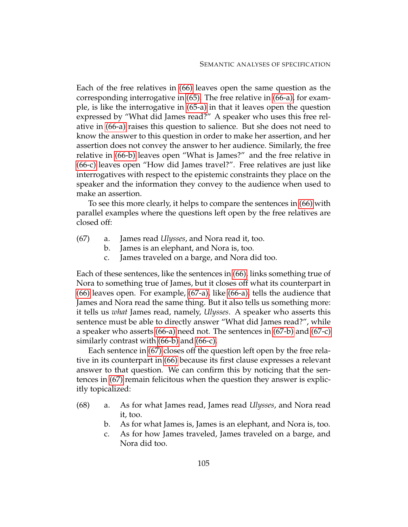Each of the free relatives in [\(66\)](#page-114-0) leaves open the same question as the corresponding interrogative in [\(65\).](#page-114-1) The free relative in [\(66-a\),](#page-114-2) for example, is like the interrogative in [\(65-a\)](#page-114-3) in that it leaves open the question expressed by "What did James read?" A speaker who uses this free relative in [\(66-a\)](#page-114-2) raises this question to salience. But she does not need to know the answer to this question in order to make her assertion, and her assertion does not convey the answer to her audience. Similarly, the free relative in [\(66-b\)](#page-114-4) leaves open "What is James?" and the free relative in [\(66-c\)](#page-114-5) leaves open "How did James travel?". Free relatives are just like interrogatives with respect to the epistemic constraints they place on the speaker and the information they convey to the audience when used to make an assertion.

<span id="page-115-3"></span>To see this more clearly, it helps to compare the sentences in [\(66\)](#page-114-0) with parallel examples where the questions left open by the free relatives are closed off:

- <span id="page-115-2"></span><span id="page-115-1"></span><span id="page-115-0"></span>(67) a. James read *Ulysses*, and Nora read it, too.
	- b. James is an elephant, and Nora is, too.
	- c. James traveled on a barge, and Nora did too.

Each of these sentences, like the sentences in [\(66\),](#page-114-0) links something true of Nora to something true of James, but it closes off what its counterpart in [\(66\)](#page-114-0) leaves open. For example, [\(67-a\),](#page-115-0) like [\(66-a\),](#page-114-2) tells the audience that James and Nora read the same thing. But it also tells us something more: it tells us *what* James read, namely, *Ulysses*. A speaker who asserts this sentence must be able to directly answer "What did James read?", while a speaker who asserts [\(66-a\)](#page-114-2) need not. The sentences in [\(67-b\)](#page-115-1) and [\(67-c\)](#page-115-2) similarly contrast with [\(66-b\)](#page-114-4) and [\(66-c\).](#page-114-5)

Each sentence in [\(67\)](#page-115-3) closes off the question left open by the free relative in its counterpart in [\(66\)](#page-114-0) because its first clause expresses a relevant answer to that question. We can confirm this by noticing that the sentences in [\(67\)](#page-115-3) remain felicitous when the question they answer is explicitly topicalized:

- (68) a. As for what James read, James read *Ulysses*, and Nora read it, too.
	- b. As for what James is, James is an elephant, and Nora is, too.
	- c. As for how James traveled, James traveled on a barge, and Nora did too.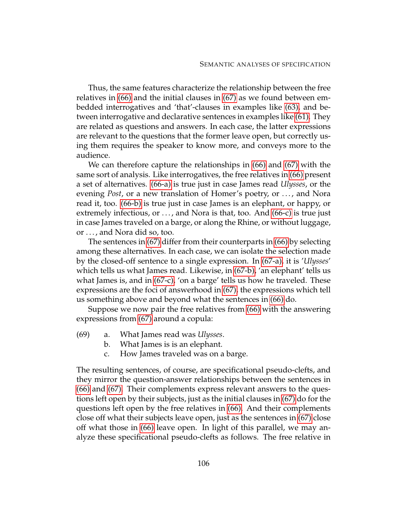Thus, the same features characterize the relationship between the free relatives in [\(66\)](#page-114-0) and the initial clauses in [\(67\)](#page-115-3) as we found between embedded interrogatives and 'that'-clauses in examples like [\(63\),](#page-112-4) and between interrogative and declarative sentences in examples like [\(61\).](#page-111-3) They are related as questions and answers. In each case, the latter expressions are relevant to the questions that the former leave open, but correctly using them requires the speaker to know more, and conveys more to the audience.

We can therefore capture the relationships in [\(66\)](#page-114-0) and [\(67\)](#page-115-3) with the same sort of analysis. Like interrogatives, the free relatives in [\(66\)](#page-114-0) present a set of alternatives. [\(66-a\)](#page-114-2) is true just in case James read *Ulysses*, or the evening *Post*, or a new translation of Homer's poetry, or . . . , and Nora read it, too. [\(66-b\)](#page-114-4) is true just in case James is an elephant, or happy, or extremely infectious, or . . . , and Nora is that, too. And [\(66-c\)](#page-114-5) is true just in case James traveled on a barge, or along the Rhine, or without luggage, or . . . , and Nora did so, too.

The sentences in [\(67\)](#page-115-3) differ from their counterparts in [\(66\)](#page-114-0) by selecting among these alternatives. In each case, we can isolate the selection made by the closed-off sentence to a single expression. In [\(67-a\),](#page-115-0) it is '*Ulysses*' which tells us what James read. Likewise, in [\(67-b\),](#page-115-1) 'an elephant' tells us what James is, and in [\(67-c\),](#page-115-2) 'on a barge' tells us how he traveled. These expressions are the foci of answerhood in [\(67\),](#page-115-3) the expressions which tell us something above and beyond what the sentences in [\(66\)](#page-114-0) do.

<span id="page-116-0"></span>Suppose we now pair the free relatives from [\(66\)](#page-114-0) with the answering expressions from [\(67\)](#page-115-3) around a copula:

- (69) a. What James read was *Ulysses*.
	- b. What James is is an elephant.
	- c. How James traveled was on a barge.

The resulting sentences, of course, are specificational pseudo-clefts, and they mirror the question-answer relationships between the sentences in [\(66\)](#page-114-0) and [\(67\).](#page-115-3) Their complements express relevant answers to the questions left open by their subjects, just as the initial clauses in [\(67\)](#page-115-3) do for the questions left open by the free relatives in [\(66\).](#page-114-0) And their complements close off what their subjects leave open, just as the sentences in [\(67\)](#page-115-3) close off what those in [\(66\)](#page-114-0) leave open. In light of this parallel, we may analyze these specificational pseudo-clefts as follows. The free relative in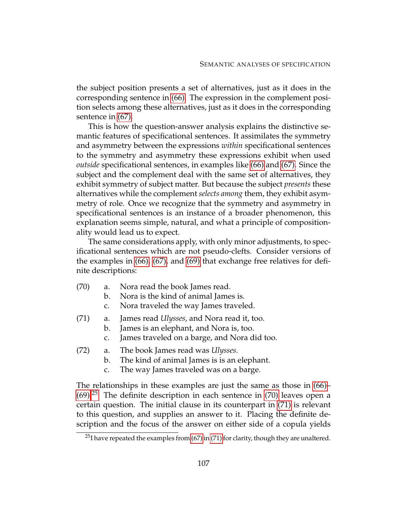the subject position presents a set of alternatives, just as it does in the corresponding sentence in [\(66\).](#page-114-0) The expression in the complement position selects among these alternatives, just as it does in the corresponding sentence in [\(67\).](#page-115-3)

This is how the question-answer analysis explains the distinctive semantic features of specificational sentences. It assimilates the symmetry and asymmetry between the expressions *within* specificational sentences to the symmetry and asymmetry these expressions exhibit when used *outside* specificational sentences, in examples like [\(66\)](#page-114-0) and [\(67\).](#page-115-3) Since the subject and the complement deal with the same set of alternatives, they exhibit symmetry of subject matter. But because the subject *presents* these alternatives while the complement *selects among* them, they exhibit asymmetry of role. Once we recognize that the symmetry and asymmetry in specificational sentences is an instance of a broader phenomenon, this explanation seems simple, natural, and what a principle of compositionality would lead us to expect.

The same considerations apply, with only minor adjustments, to specificational sentences which are not pseudo-clefts. Consider versions of the examples in [\(66\),](#page-114-0) [\(67\),](#page-115-3) and [\(69\)](#page-116-0) that exchange free relatives for definite descriptions:

- <span id="page-117-5"></span><span id="page-117-4"></span><span id="page-117-1"></span>(70) a. Nora read the book James read.
	- b. Nora is the kind of animal James is.
	- c. Nora traveled the way James traveled.
- <span id="page-117-7"></span><span id="page-117-2"></span>(71) a. James read *Ulysses*, and Nora read it, too.
	- b. James is an elephant, and Nora is, too.
	- c. James traveled on a barge, and Nora did too.
- <span id="page-117-6"></span><span id="page-117-3"></span>(72) a. The book James read was *Ulysses*.
	- b. The kind of animal James is is an elephant.
	- c. The way James traveled was on a barge.

The relationships in these examples are just the same as those in [\(66\)–](#page-114-0)  $(69).^{25}$  $(69).^{25}$  $(69).^{25}$  $(69).^{25}$  The definite description in each sentence in [\(70\)](#page-117-1) leaves open a certain question. The initial clause in its counterpart in [\(71\)](#page-117-2) is relevant to this question, and supplies an answer to it. Placing the definite description and the focus of the answer on either side of a copula yields

<span id="page-117-0"></span><sup>&</sup>lt;sup>25</sup>I have repeated the examples from  $(67)$  in  $(71)$  for clarity, though they are unaltered.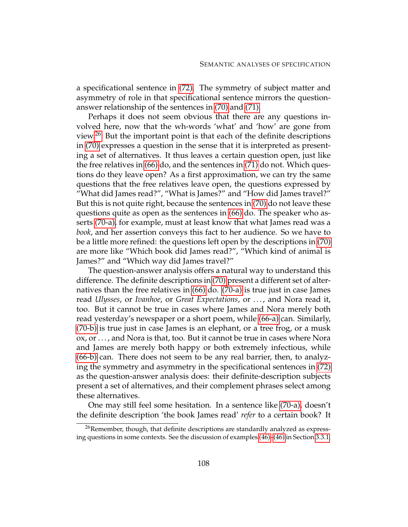a specificational sentence in [\(72\).](#page-117-3) The symmetry of subject matter and asymmetry of role in that specificational sentence mirrors the questionanswer relationship of the sentences in [\(70\)](#page-117-1) and [\(71\).](#page-117-2)

Perhaps it does not seem obvious that there are any questions involved here, now that the wh-words 'what' and 'how' are gone from view.[26](#page-118-0) But the important point is that each of the definite descriptions in [\(70\)](#page-117-1) expresses a question in the sense that it is interpreted as presenting a set of alternatives. It thus leaves a certain question open, just like the free relatives in [\(66\)](#page-114-0) do, and the sentences in [\(71\)](#page-117-2) do not. Which questions do they leave open? As a first approximation, we can try the same questions that the free relatives leave open, the questions expressed by "What did James read?", "What is James?" and "How did James travel?" But this is not quite right, because the sentences in [\(70\)](#page-117-1) do not leave these questions quite as open as the sentences in [\(66\)](#page-114-0) do. The speaker who asserts [\(70-a\),](#page-117-4) for example, must at least know that what James read was a *book*, and her assertion conveys this fact to her audience. So we have to be a little more refined: the questions left open by the descriptions in [\(70\)](#page-117-1) are more like "Which book did James read?", "Which kind of animal is James?" and "Which way did James travel?"

The question-answer analysis offers a natural way to understand this difference. The definite descriptions in [\(70\)](#page-117-1) present a different set of alternatives than the free relatives in [\(66\)](#page-114-0) do. [\(70-a\)](#page-117-4) is true just in case James read *Ulysses*, or *Ivanhoe*, or *Great Expectations*, or . . . , and Nora read it, too. But it cannot be true in cases where James and Nora merely both read yesterday's newspaper or a short poem, while [\(66-a\)](#page-114-2) can. Similarly, [\(70-b\)](#page-117-5) is true just in case James is an elephant, or a tree frog, or a musk ox, or . . . , and Nora is that, too. But it cannot be true in cases where Nora and James are merely both happy or both extremely infectious, while [\(66-b\)](#page-114-4) can. There does not seem to be any real barrier, then, to analyzing the symmetry and asymmetry in the specificational sentences in [\(72\)](#page-117-3) as the question-answer analysis does: their definite-description subjects present a set of alternatives, and their complement phrases select among these alternatives.

One may still feel some hesitation. In a sentence like [\(70-a\),](#page-117-4) doesn't the definite description 'the book James read' *refer* to a certain book? It

<span id="page-118-0"></span> $26$ Remember, though, that definite descriptions are standardly analyzed as expressing questions in some contexts. See the discussion of examples [\(46\)–\(46\)](#page-103-0) in Section [3.3.1.](#page-99-0)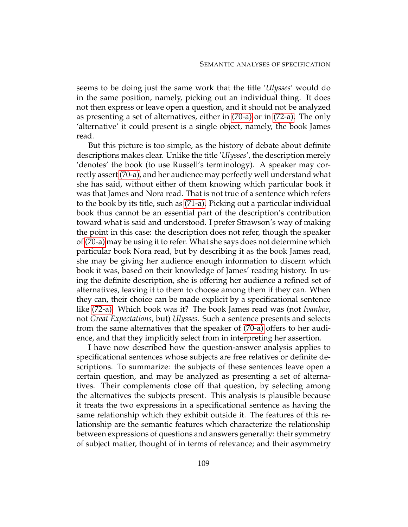seems to be doing just the same work that the title '*Ulysses*' would do in the same position, namely, picking out an individual thing. It does not then express or leave open a question, and it should not be analyzed as presenting a set of alternatives, either in [\(70-a\)](#page-117-4) or in [\(72-a\).](#page-117-6) The only 'alternative' it could present is a single object, namely, the book James read.

But this picture is too simple, as the history of debate about definite descriptions makes clear. Unlike the title '*Ulysses*', the description merely 'denotes' the book (to use Russell's terminology). A speaker may correctly assert [\(70-a\),](#page-117-4) and her audience may perfectly well understand what she has said, without either of them knowing which particular book it was that James and Nora read. That is not true of a sentence which refers to the book by its title, such as [\(71-a\).](#page-117-7) Picking out a particular individual book thus cannot be an essential part of the description's contribution toward what is said and understood. I prefer Strawson's way of making the point in this case: the description does not refer, though the speaker of [\(70-a\)](#page-117-4) may be using it to refer. What she says does not determine which particular book Nora read, but by describing it as the book James read, she may be giving her audience enough information to discern which book it was, based on their knowledge of James' reading history. In using the definite description, she is offering her audience a refined set of alternatives, leaving it to them to choose among them if they can. When they can, their choice can be made explicit by a specificational sentence like [\(72-a\).](#page-117-6) Which book was it? The book James read was (not *Ivanhoe*, not *Great Expectations*, but) *Ulysses*. Such a sentence presents and selects from the same alternatives that the speaker of [\(70-a\)](#page-117-4) offers to her audience, and that they implicitly select from in interpreting her assertion.

I have now described how the question-answer analysis applies to specificational sentences whose subjects are free relatives or definite descriptions. To summarize: the subjects of these sentences leave open a certain question, and may be analyzed as presenting a set of alternatives. Their complements close off that question, by selecting among the alternatives the subjects present. This analysis is plausible because it treats the two expressions in a specificational sentence as having the same relationship which they exhibit outside it. The features of this relationship are the semantic features which characterize the relationship between expressions of questions and answers generally: their symmetry of subject matter, thought of in terms of relevance; and their asymmetry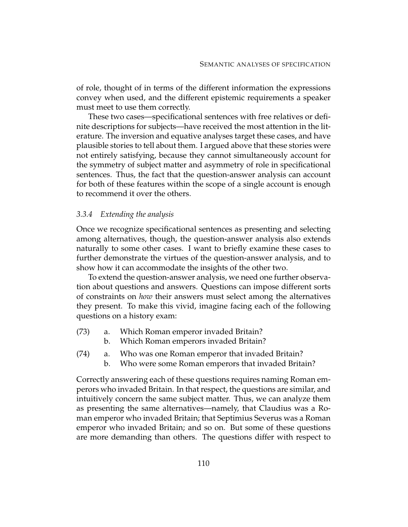of role, thought of in terms of the different information the expressions convey when used, and the different epistemic requirements a speaker must meet to use them correctly.

These two cases—specificational sentences with free relatives or definite descriptions for subjects—have received the most attention in the literature. The inversion and equative analyses target these cases, and have plausible stories to tell about them. I argued above that these stories were not entirely satisfying, because they cannot simultaneously account for the symmetry of subject matter and asymmetry of role in specificational sentences. Thus, the fact that the question-answer analysis can account for both of these features within the scope of a single account is enough to recommend it over the others.

#### <span id="page-120-6"></span>*3.3.4 Extending the analysis*

Once we recognize specificational sentences as presenting and selecting among alternatives, though, the question-answer analysis also extends naturally to some other cases. I want to briefly examine these cases to further demonstrate the virtues of the question-answer analysis, and to show how it can accommodate the insights of the other two.

To extend the question-answer analysis, we need one further observation about questions and answers. Questions can impose different sorts of constraints on *how* their answers must select among the alternatives they present. To make this vivid, imagine facing each of the following questions on a history exam:

- <span id="page-120-4"></span><span id="page-120-1"></span><span id="page-120-0"></span>(73) a. Which Roman emperor invaded Britain?
	- b. Which Roman emperors invaded Britain?
- <span id="page-120-5"></span><span id="page-120-3"></span><span id="page-120-2"></span>(74) a. Who was one Roman emperor that invaded Britain?
	- b. Who were some Roman emperors that invaded Britain?

Correctly answering each of these questions requires naming Roman emperors who invaded Britain. In that respect, the questions are similar, and intuitively concern the same subject matter. Thus, we can analyze them as presenting the same alternatives—namely, that Claudius was a Roman emperor who invaded Britain; that Septimius Severus was a Roman emperor who invaded Britain; and so on. But some of these questions are more demanding than others. The questions differ with respect to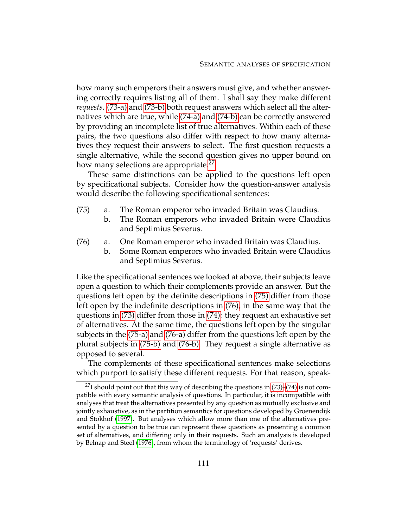how many such emperors their answers must give, and whether answering correctly requires listing all of them. I shall say they make different *requests*. [\(73-a\)](#page-120-0) and [\(73-b\)](#page-120-1) both request answers which select all the alternatives which are true, while [\(74-a\)](#page-120-2) and [\(74-b\)](#page-120-3) can be correctly answered by providing an incomplete list of true alternatives. Within each of these pairs, the two questions also differ with respect to how many alternatives they request their answers to select. The first question requests a single alternative, while the second question gives no upper bound on how many selections are appropriate.<sup>[27](#page-121-0)</sup>

<span id="page-121-1"></span>These same distinctions can be applied to the questions left open by specificational subjects. Consider how the question-answer analysis would describe the following specificational sentences:

- <span id="page-121-5"></span><span id="page-121-3"></span>(75) a. The Roman emperor who invaded Britain was Claudius.
	- b. The Roman emperors who invaded Britain were Claudius and Septimius Severus.
- <span id="page-121-6"></span><span id="page-121-4"></span><span id="page-121-2"></span>(76) a. One Roman emperor who invaded Britain was Claudius.
	- b. Some Roman emperors who invaded Britain were Claudius and Septimius Severus.

Like the specificational sentences we looked at above, their subjects leave open a question to which their complements provide an answer. But the questions left open by the definite descriptions in [\(75\)](#page-121-1) differ from those left open by the indefinite descriptions in [\(76\),](#page-121-2) in the same way that the questions in [\(73\)](#page-120-4) differ from those in [\(74\):](#page-120-5) they request an exhaustive set of alternatives. At the same time, the questions left open by the singular subjects in the [\(75-a\)](#page-121-3) and [\(76-a\)](#page-121-4) differ from the questions left open by the plural subjects in [\(75-b\)](#page-121-5) and [\(76-b\).](#page-121-6) They request a single alternative as opposed to several.

The complements of these specificational sentences make selections which purport to satisfy these different requests. For that reason, speak-

<span id="page-121-0"></span> $^{27}$ I should point out that this way of describing the questions in [\(73\)](#page-120-4)[–\(74\)](#page-120-5) is not compatible with every semantic analysis of questions. In particular, it is incompatible with analyses that treat the alternatives presented by any question as mutually exclusive and jointly exhaustive, as in the partition semantics for questions developed by Groenendijk and Stokhof [\(1997\)](#page-230-0). But analyses which allow more than one of the alternatives presented by a question to be true can represent these questions as presenting a common set of alternatives, and differing only in their requests. Such an analysis is developed by Belnap and Steel [\(1976\)](#page-229-1), from whom the terminology of 'requests' derives.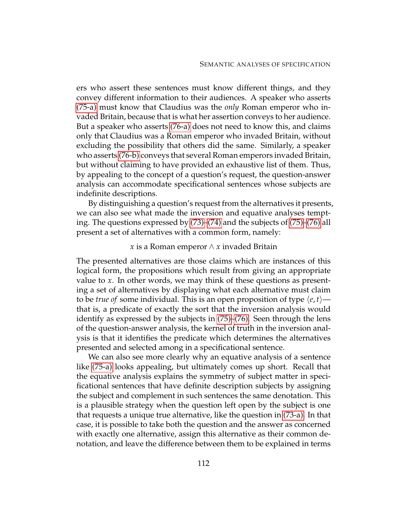ers who assert these sentences must know different things, and they convey different information to their audiences. A speaker who asserts [\(75-a\)](#page-121-3) must know that Claudius was the *only* Roman emperor who invaded Britain, because that is what her assertion conveys to her audience. But a speaker who asserts [\(76-a\)](#page-121-4) does not need to know this, and claims only that Claudius was a Roman emperor who invaded Britain, without excluding the possibility that others did the same. Similarly, a speaker who asserts [\(76-b\)](#page-121-6) conveys that several Roman emperors invaded Britain, but without claiming to have provided an exhaustive list of them. Thus, by appealing to the concept of a question's request, the question-answer analysis can accommodate specificational sentences whose subjects are indefinite descriptions.

By distinguishing a question's request from the alternatives it presents, we can also see what made the inversion and equative analyses tempting. The questions expressed by [\(73\)](#page-120-4)[–\(74\)](#page-120-5) and the subjects of [\(75\)–](#page-121-1)[\(76\)](#page-121-2) all present a set of alternatives with a common form, namely:

#### *x* is a Roman emperor ∧ *x* invaded Britain

The presented alternatives are those claims which are instances of this logical form, the propositions which result from giving an appropriate value to *x*. In other words, we may think of these questions as presenting a set of alternatives by displaying what each alternative must claim to be *true of* some individual. This is an open proposition of type  $\langle e, t \rangle$  that is, a predicate of exactly the sort that the inversion analysis would identify as expressed by the subjects in [\(75\)](#page-121-1)[–\(76\).](#page-121-2) Seen through the lens of the question-answer analysis, the kernel of truth in the inversion analysis is that it identifies the predicate which determines the alternatives presented and selected among in a specificational sentence.

We can also see more clearly why an equative analysis of a sentence like [\(75-a\)](#page-121-3) looks appealing, but ultimately comes up short. Recall that the equative analysis explains the symmetry of subject matter in specificational sentences that have definite description subjects by assigning the subject and complement in such sentences the same denotation. This is a plausible strategy when the question left open by the subject is one that requests a unique true alternative, like the question in [\(73-a\).](#page-120-0) In that case, it is possible to take both the question and the answer as concerned with exactly one alternative, assign this alternative as their common denotation, and leave the difference between them to be explained in terms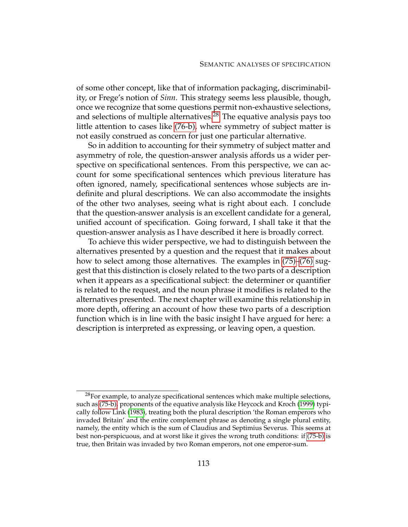of some other concept, like that of information packaging, discriminability, or Frege's notion of *Sinn*. This strategy seems less plausible, though, once we recognize that some questions permit non-exhaustive selections, and selections of multiple alternatives.<sup>[28](#page-123-0)</sup> The equative analysis pays too little attention to cases like [\(76-b\),](#page-121-6) where symmetry of subject matter is not easily construed as concern for just one particular alternative.

So in addition to accounting for their symmetry of subject matter and asymmetry of role, the question-answer analysis affords us a wider perspective on specificational sentences. From this perspective, we can account for some specificational sentences which previous literature has often ignored, namely, specificational sentences whose subjects are indefinite and plural descriptions. We can also accommodate the insights of the other two analyses, seeing what is right about each. I conclude that the question-answer analysis is an excellent candidate for a general, unified account of specification. Going forward, I shall take it that the question-answer analysis as I have described it here is broadly correct.

To achieve this wider perspective, we had to distinguish between the alternatives presented by a question and the request that it makes about how to select among those alternatives. The examples in [\(75\)–](#page-121-1)[\(76\)](#page-121-2) suggest that this distinction is closely related to the two parts of a description when it appears as a specificational subject: the determiner or quantifier is related to the request, and the noun phrase it modifies is related to the alternatives presented. The next chapter will examine this relationship in more depth, offering an account of how these two parts of a description function which is in line with the basic insight I have argued for here: a description is interpreted as expressing, or leaving open, a question.

<span id="page-123-0"></span> $^{28}$ For example, to analyze specificational sentences which make multiple selections, such as [\(75-b\),](#page-121-5) proponents of the equative analysis like Heycock and Kroch [\(1999\)](#page-231-0) typically follow Link [\(1983\)](#page-231-1), treating both the plural description 'the Roman emperors who invaded Britain' and the entire complement phrase as denoting a single plural entity, namely, the entity which is the sum of Claudius and Septimius Severus. This seems at best non-perspicuous, and at worst like it gives the wrong truth conditions: if [\(75-b\)](#page-121-5) is true, then Britain was invaded by two Roman emperors, not one emperor-sum.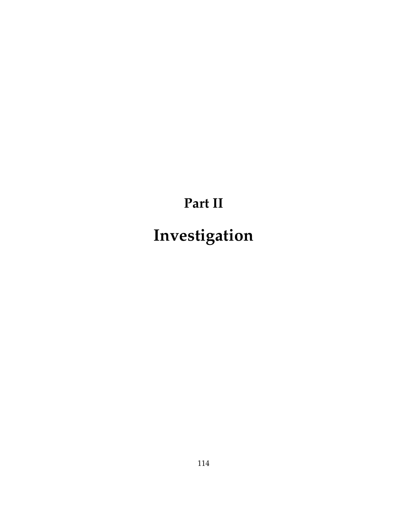# **Part II Investigation**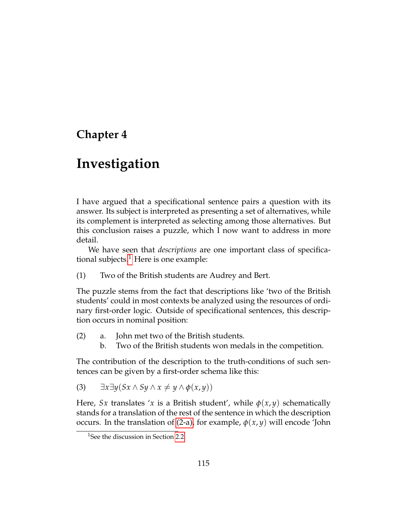### **Chapter 4**

## **Investigation**

I have argued that a specificational sentence pairs a question with its answer. Its subject is interpreted as presenting a set of alternatives, while its complement is interpreted as selecting among those alternatives. But this conclusion raises a puzzle, which I now want to address in more detail.

<span id="page-125-2"></span>We have seen that *descriptions* are one important class of specificational subjects. $<sup>1</sup>$  $<sup>1</sup>$  $<sup>1</sup>$  Here is one example:</sup>

(1) Two of the British students are Audrey and Bert.

The puzzle stems from the fact that descriptions like 'two of the British students' could in most contexts be analyzed using the resources of ordinary first-order logic. Outside of specificational sentences, this description occurs in nominal position:

- <span id="page-125-1"></span>(2) a. John met two of the British students.
	- b. Two of the British students won medals in the competition.

<span id="page-125-3"></span>The contribution of the description to the truth-conditions of such sentences can be given by a first-order schema like this:

(3)  $\exists x \exists y (Sx \land Sy \land x \neq y \land \phi(x, y))$ 

Here, *Sx* translates '*x* is a British student', while  $\phi(x, y)$  schematically stands for a translation of the rest of the sentence in which the description occurs. In the translation of [\(2-a\),](#page-125-1) for example,  $\phi(x, y)$  will encode 'John

<span id="page-125-0"></span><sup>&</sup>lt;sup>1</sup>See the discussion in Section [2.2.](#page-59-0)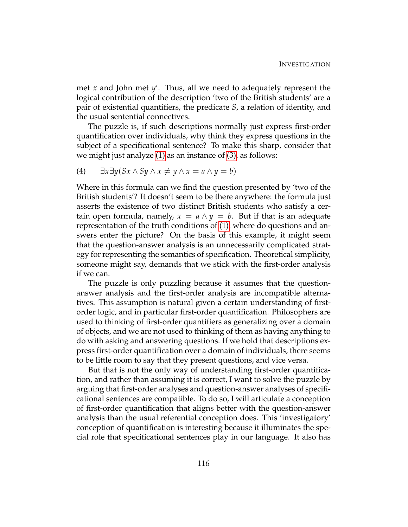met *x* and John met *y*'. Thus, all we need to adequately represent the logical contribution of the description 'two of the British students' are a pair of existential quantifiers, the predicate *S*, a relation of identity, and the usual sentential connectives.

The puzzle is, if such descriptions normally just express first-order quantification over individuals, why think they express questions in the subject of a specificational sentence? To make this sharp, consider that we might just analyze [\(1\)](#page-125-2) as an instance of [\(3\),](#page-125-3) as follows:

(4)  $\exists x \exists y (Sx \land Sy \land x \neq y \land x = a \land y = b)$ 

Where in this formula can we find the question presented by 'two of the British students'? It doesn't seem to be there anywhere: the formula just asserts the existence of two distinct British students who satisfy a certain open formula, namely,  $x = a \wedge y = b$ . But if that is an adequate representation of the truth conditions of [\(1\),](#page-125-2) where do questions and answers enter the picture? On the basis of this example, it might seem that the question-answer analysis is an unnecessarily complicated strategy for representing the semantics of specification. Theoretical simplicity, someone might say, demands that we stick with the first-order analysis if we can.

The puzzle is only puzzling because it assumes that the questionanswer analysis and the first-order analysis are incompatible alternatives. This assumption is natural given a certain understanding of firstorder logic, and in particular first-order quantification. Philosophers are used to thinking of first-order quantifiers as generalizing over a domain of objects, and we are not used to thinking of them as having anything to do with asking and answering questions. If we hold that descriptions express first-order quantification over a domain of individuals, there seems to be little room to say that they present questions, and vice versa.

But that is not the only way of understanding first-order quantification, and rather than assuming it is correct, I want to solve the puzzle by arguing that first-order analyses and question-answer analyses of specificational sentences are compatible. To do so, I will articulate a conception of first-order quantification that aligns better with the question-answer analysis than the usual referential conception does. This 'investigatory' conception of quantification is interesting because it illuminates the special role that specificational sentences play in our language. It also has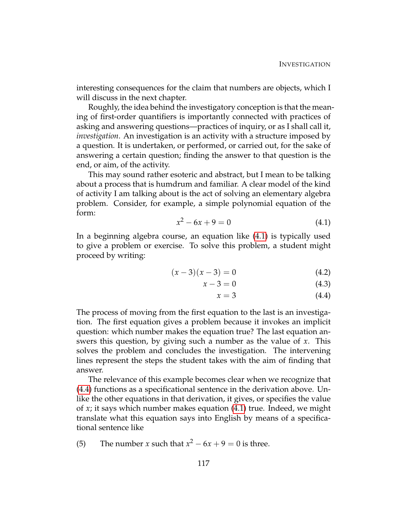interesting consequences for the claim that numbers are objects, which I will discuss in the next chapter.

Roughly, the idea behind the investigatory conception is that the meaning of first-order quantifiers is importantly connected with practices of asking and answering questions—practices of inquiry, or as I shall call it, *investigation*. An investigation is an activity with a structure imposed by a question. It is undertaken, or performed, or carried out, for the sake of answering a certain question; finding the answer to that question is the end, or aim, of the activity.

This may sound rather esoteric and abstract, but I mean to be talking about a process that is humdrum and familiar. A clear model of the kind of activity I am talking about is the act of solving an elementary algebra problem. Consider, for example, a simple polynomial equation of the form:

<span id="page-127-0"></span>
$$
x^2 - 6x + 9 = 0 \tag{4.1}
$$

In a beginning algebra course, an equation like [\(4.1\)](#page-127-0) is typically used to give a problem or exercise. To solve this problem, a student might proceed by writing:

$$
(x-3)(x-3) = 0 \t\t(4.2)
$$

$$
x - 3 = 0 \tag{4.3}
$$

<span id="page-127-3"></span><span id="page-127-2"></span><span id="page-127-1"></span>
$$
x = 3 \tag{4.4}
$$

The process of moving from the first equation to the last is an investigation. The first equation gives a problem because it invokes an implicit question: which number makes the equation true? The last equation answers this question, by giving such a number as the value of *x*. This solves the problem and concludes the investigation. The intervening lines represent the steps the student takes with the aim of finding that answer.

The relevance of this example becomes clear when we recognize that [\(4.4\)](#page-127-1) functions as a specificational sentence in the derivation above. Unlike the other equations in that derivation, it gives, or specifies the value of *x*; it says which number makes equation [\(4.1\)](#page-127-0) true. Indeed, we might translate what this equation says into English by means of a specificational sentence like

(5) The number *x* such that 
$$
x^2 - 6x + 9 = 0
$$
 is three.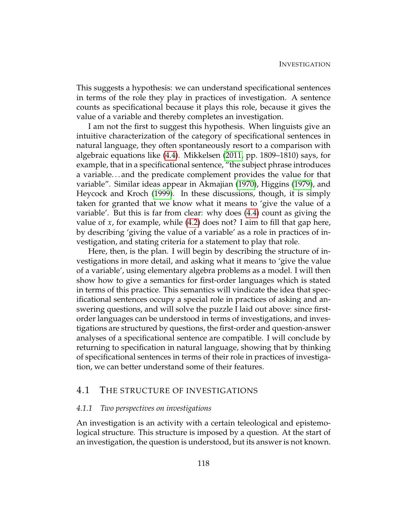This suggests a hypothesis: we can understand specificational sentences in terms of the role they play in practices of investigation. A sentence counts as specificational because it plays this role, because it gives the value of a variable and thereby completes an investigation.

I am not the first to suggest this hypothesis. When linguists give an intuitive characterization of the category of specificational sentences in natural language, they often spontaneously resort to a comparison with algebraic equations like [\(4.4\)](#page-127-1). Mikkelsen [\(2011,](#page-232-0) pp. 1809–1810) says, for example, that in a specificational sentence, "the subject phrase introduces a variable. . . and the predicate complement provides the value for that variable". Similar ideas appear in Akmajian [\(1970\)](#page-229-2), Higgins [\(1979\)](#page-231-2), and Heycock and Kroch [\(1999\)](#page-231-0). In these discussions, though, it is simply taken for granted that we know what it means to 'give the value of a variable'. But this is far from clear: why does [\(4.4\)](#page-127-1) count as giving the value of *x*, for example, while [\(4.2\)](#page-127-2) does not? I aim to fill that gap here, by describing 'giving the value of a variable' as a role in practices of investigation, and stating criteria for a statement to play that role.

Here, then, is the plan. I will begin by describing the structure of investigations in more detail, and asking what it means to 'give the value of a variable', using elementary algebra problems as a model. I will then show how to give a semantics for first-order languages which is stated in terms of this practice. This semantics will vindicate the idea that specificational sentences occupy a special role in practices of asking and answering questions, and will solve the puzzle I laid out above: since firstorder languages can be understood in terms of investigations, and investigations are structured by questions, the first-order and question-answer analyses of a specificational sentence are compatible. I will conclude by returning to specification in natural language, showing that by thinking of specificational sentences in terms of their role in practices of investigation, we can better understand some of their features.

#### 4.1 THE STRUCTURE OF INVESTIGATIONS

#### *4.1.1 Two perspectives on investigations*

An investigation is an activity with a certain teleological and epistemological structure. This structure is imposed by a question. At the start of an investigation, the question is understood, but its answer is not known.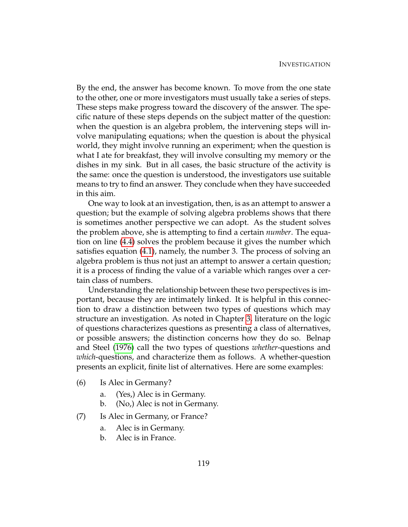By the end, the answer has become known. To move from the one state to the other, one or more investigators must usually take a series of steps. These steps make progress toward the discovery of the answer. The specific nature of these steps depends on the subject matter of the question: when the question is an algebra problem, the intervening steps will involve manipulating equations; when the question is about the physical world, they might involve running an experiment; when the question is what I ate for breakfast, they will involve consulting my memory or the dishes in my sink. But in all cases, the basic structure of the activity is the same: once the question is understood, the investigators use suitable means to try to find an answer. They conclude when they have succeeded in this aim.

One way to look at an investigation, then, is as an attempt to answer a question; but the example of solving algebra problems shows that there is sometimes another perspective we can adopt. As the student solves the problem above, she is attempting to find a certain *number*. The equation on line [\(4.4\)](#page-127-1) solves the problem because it gives the number which satisfies equation [\(4.1\)](#page-127-0), namely, the number 3. The process of solving an algebra problem is thus not just an attempt to answer a certain question; it is a process of finding the value of a variable which ranges over a certain class of numbers.

Understanding the relationship between these two perspectives is important, because they are intimately linked. It is helpful in this connection to draw a distinction between two types of questions which may structure an investigation. As noted in Chapter [3,](#page-74-0) literature on the logic of questions characterizes questions as presenting a class of alternatives, or possible answers; the distinction concerns how they do so. Belnap and Steel [\(1976\)](#page-229-1) call the two types of questions *whether*-questions and *which*-questions, and characterize them as follows. A whether-question presents an explicit, finite list of alternatives. Here are some examples:

- (6) Is Alec in Germany?
	- a. (Yes,) Alec is in Germany.
	- b. (No,) Alec is not in Germany.
- (7) Is Alec in Germany, or France?
	- a. Alec is in Germany.
	- b. Alec is in France.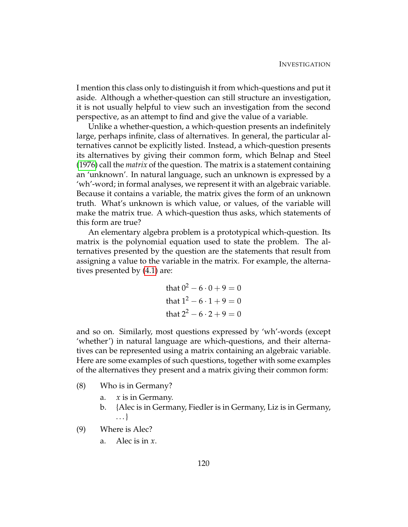I mention this class only to distinguish it from which-questions and put it aside. Although a whether-question can still structure an investigation, it is not usually helpful to view such an investigation from the second perspective, as an attempt to find and give the value of a variable.

Unlike a whether-question, a which-question presents an indefinitely large, perhaps infinite, class of alternatives. In general, the particular alternatives cannot be explicitly listed. Instead, a which-question presents its alternatives by giving their common form, which Belnap and Steel [\(1976\)](#page-229-1) call the *matrix* of the question. The matrix is a statement containing an 'unknown'. In natural language, such an unknown is expressed by a 'wh'-word; in formal analyses, we represent it with an algebraic variable. Because it contains a variable, the matrix gives the form of an unknown truth. What's unknown is which value, or values, of the variable will make the matrix true. A which-question thus asks, which statements of this form are true?

An elementary algebra problem is a prototypical which-question. Its matrix is the polynomial equation used to state the problem. The alternatives presented by the question are the statements that result from assigning a value to the variable in the matrix. For example, the alternatives presented by [\(4.1\)](#page-127-0) are:

<span id="page-130-0"></span>that 
$$
0^2 - 6 \cdot 0 + 9 = 0
$$
  
that  $1^2 - 6 \cdot 1 + 9 = 0$   
that  $2^2 - 6 \cdot 2 + 9 = 0$ 

and so on. Similarly, most questions expressed by 'wh'-words (except 'whether') in natural language are which-questions, and their alternatives can be represented using a matrix containing an algebraic variable. Here are some examples of such questions, together with some examples of the alternatives they present and a matrix giving their common form:

- (8) Who is in Germany?
	- a. *x* is in Germany.
	- b. {Alec is in Germany, Fiedler is in Germany, Liz is in Germany, . . . }
- (9) Where is Alec?
	- a. Alec is in *x*.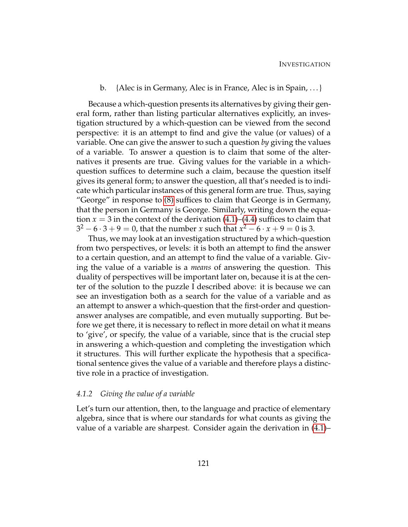#### b. {Alec is in Germany, Alec is in France, Alec is in Spain, . . . }

Because a which-question presents its alternatives by giving their general form, rather than listing particular alternatives explicitly, an investigation structured by a which-question can be viewed from the second perspective: it is an attempt to find and give the value (or values) of a variable. One can give the answer to such a question *by* giving the values of a variable. To answer a question is to claim that some of the alternatives it presents are true. Giving values for the variable in a whichquestion suffices to determine such a claim, because the question itself gives its general form; to answer the question, all that's needed is to indicate which particular instances of this general form are true. Thus, saying "George" in response to [\(8\)](#page-130-0) suffices to claim that George is in Germany, that the person in Germany is George. Similarly, writing down the equation  $x = 3$  in the context of the derivation  $(4.1)$ – $(4.4)$  suffices to claim that  $3^2-6\cdot 3+9=0$ , that the number *x* such that  $x^2-6\cdot x+9=0$  is 3.

Thus, we may look at an investigation structured by a which-question from two perspectives, or levels: it is both an attempt to find the answer to a certain question, and an attempt to find the value of a variable. Giving the value of a variable is a *means* of answering the question. This duality of perspectives will be important later on, because it is at the center of the solution to the puzzle I described above: it is because we can see an investigation both as a search for the value of a variable and as an attempt to answer a which-question that the first-order and questionanswer analyses are compatible, and even mutually supporting. But before we get there, it is necessary to reflect in more detail on what it means to 'give', or specify, the value of a variable, since that is the crucial step in answering a which-question and completing the investigation which it structures. This will further explicate the hypothesis that a specificational sentence gives the value of a variable and therefore plays a distinctive role in a practice of investigation.

#### *4.1.2 Giving the value of a variable*

Let's turn our attention, then, to the language and practice of elementary algebra, since that is where our standards for what counts as giving the value of a variable are sharpest. Consider again the derivation in [\(4.1\)](#page-127-0)–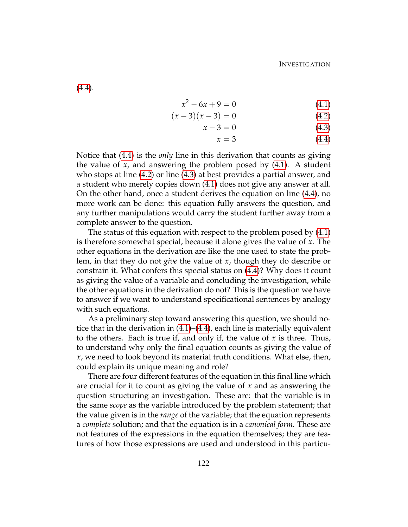[\(4.4\)](#page-127-1).

$$
x^2 - 6x + 9 = 0 \tag{4.1}
$$

$$
(x-3)(x-3) = 0 \tag{4.2}
$$

$$
x - 3 = 0 \tag{4.3}
$$

$$
x = 3 \tag{4.4}
$$

Notice that [\(4.4\)](#page-127-1) is the *only* line in this derivation that counts as giving the value of *x*, and answering the problem posed by [\(4.1\)](#page-127-0). A student who stops at line [\(4.2\)](#page-127-2) or line [\(4.3\)](#page-127-3) at best provides a partial answer, and a student who merely copies down [\(4.1\)](#page-127-0) does not give any answer at all. On the other hand, once a student derives the equation on line [\(4.4\)](#page-127-1), no more work can be done: this equation fully answers the question, and any further manipulations would carry the student further away from a complete answer to the question.

The status of this equation with respect to the problem posed by [\(4.1\)](#page-127-0) is therefore somewhat special, because it alone gives the value of *x*. The other equations in the derivation are like the one used to state the problem, in that they do not *give* the value of *x*, though they do describe or constrain it. What confers this special status on [\(4.4\)](#page-127-1)? Why does it count as giving the value of a variable and concluding the investigation, while the other equations in the derivation do not? This is the question we have to answer if we want to understand specificational sentences by analogy with such equations.

As a preliminary step toward answering this question, we should notice that in the derivation in [\(4.1\)](#page-127-0)–[\(4.4\)](#page-127-1), each line is materially equivalent to the others. Each is true if, and only if, the value of *x* is three. Thus, to understand why only the final equation counts as giving the value of *x*, we need to look beyond its material truth conditions. What else, then, could explain its unique meaning and role?

There are four different features of the equation in this final line which are crucial for it to count as giving the value of *x* and as answering the question structuring an investigation. These are: that the variable is in the same *scope* as the variable introduced by the problem statement; that the value given is in the *range* of the variable; that the equation represents a *complete* solution; and that the equation is in a *canonical form*. These are not features of the expressions in the equation themselves; they are features of how those expressions are used and understood in this particu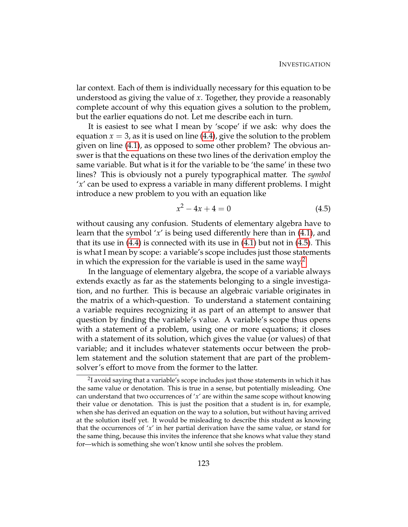lar context. Each of them is individually necessary for this equation to be understood as giving the value of *x*. Together, they provide a reasonably complete account of why this equation gives a solution to the problem, but the earlier equations do not. Let me describe each in turn.

It is easiest to see what I mean by 'scope' if we ask: why does the equation  $x = 3$ , as it is used on line [\(4.4\)](#page-127-1), give the solution to the problem given on line [\(4.1\)](#page-127-0), as opposed to some other problem? The obvious answer is that the equations on these two lines of the derivation employ the same variable. But what is it for the variable to be 'the same' in these two lines? This is obviously not a purely typographical matter. The *symbol* '*x*' can be used to express a variable in many different problems. I might introduce a new problem to you with an equation like

<span id="page-133-0"></span>
$$
x^2 - 4x + 4 = 0 \tag{4.5}
$$

without causing any confusion. Students of elementary algebra have to learn that the symbol '*x*' is being used differently here than in [\(4.1\)](#page-127-0), and that its use in  $(4.4)$  is connected with its use in  $(4.1)$  but not in  $(4.5)$ . This is what I mean by scope: a variable's scope includes just those statements in which the expression for the variable is used in the same way.<sup>[2](#page-133-1)</sup>

In the language of elementary algebra, the scope of a variable always extends exactly as far as the statements belonging to a single investigation, and no further. This is because an algebraic variable originates in the matrix of a which-question. To understand a statement containing a variable requires recognizing it as part of an attempt to answer that question by finding the variable's value. A variable's scope thus opens with a statement of a problem, using one or more equations; it closes with a statement of its solution, which gives the value (or values) of that variable; and it includes whatever statements occur between the problem statement and the solution statement that are part of the problemsolver's effort to move from the former to the latter.

<span id="page-133-1"></span> $^2$ I avoid saying that a variable's scope includes just those statements in which it has the same value or denotation. This is true in a sense, but potentially misleading. One can understand that two occurrences of '*x*' are within the same scope without knowing their value or denotation. This is just the position that a student is in, for example, when she has derived an equation on the way to a solution, but without having arrived at the solution itself yet. It would be misleading to describe this student as knowing that the occurrences of '*x*' in her partial derivation have the same value, or stand for the same thing, because this invites the inference that she knows what value they stand for—which is something she won't know until she solves the problem.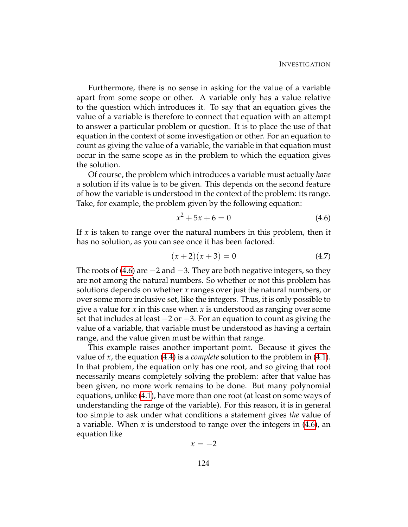Furthermore, there is no sense in asking for the value of a variable apart from some scope or other. A variable only has a value relative to the question which introduces it. To say that an equation gives the value of a variable is therefore to connect that equation with an attempt to answer a particular problem or question. It is to place the use of that equation in the context of some investigation or other. For an equation to count as giving the value of a variable, the variable in that equation must occur in the same scope as in the problem to which the equation gives the solution.

Of course, the problem which introduces a variable must actually *have* a solution if its value is to be given. This depends on the second feature of how the variable is understood in the context of the problem: its range. Take, for example, the problem given by the following equation:

<span id="page-134-0"></span>
$$
x^2 + 5x + 6 = 0 \tag{4.6}
$$

If *x* is taken to range over the natural numbers in this problem, then it has no solution, as you can see once it has been factored:

$$
(x+2)(x+3) = 0 \t\t(4.7)
$$

The roots of [\(4.6\)](#page-134-0) are  $-2$  and  $-3$ . They are both negative integers, so they are not among the natural numbers. So whether or not this problem has solutions depends on whether *x* ranges over just the natural numbers, or over some more inclusive set, like the integers. Thus, it is only possible to give a value for *x* in this case when *x* is understood as ranging over some set that includes at least −2 or −3. For an equation to count as giving the value of a variable, that variable must be understood as having a certain range, and the value given must be within that range.

This example raises another important point. Because it gives the value of *x*, the equation [\(4.4\)](#page-127-1) is a *complete* solution to the problem in [\(4.1\)](#page-127-0). In that problem, the equation only has one root, and so giving that root necessarily means completely solving the problem: after that value has been given, no more work remains to be done. But many polynomial equations, unlike [\(4.1\)](#page-127-0), have more than one root (at least on some ways of understanding the range of the variable). For this reason, it is in general too simple to ask under what conditions a statement gives *the* value of a variable. When *x* is understood to range over the integers in [\(4.6\)](#page-134-0), an equation like

$$
x=-2
$$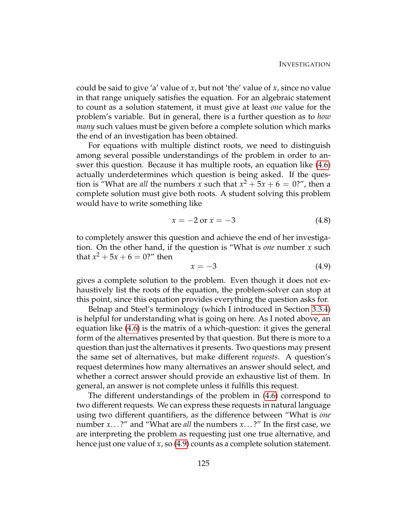could be said to give 'a' value of *x*, but not 'the' value of *x*, since no value in that range uniquely satisfies the equation. For an algebraic statement to count as a solution statement, it must give at least *one* value for the problem's variable. But in general, there is a further question as to *how many* such values must be given before a complete solution which marks the end of an investigation has been obtained.

For equations with multiple distinct roots, we need to distinguish among several possible understandings of the problem in order to answer this question. Because it has multiple roots, an equation like [\(4.6\)](#page-134-0) actually underdetermines which question is being asked. If the question is "What are *all* the numbers *x* such that  $x^2 + 5x + 6 = 0$ ?", then a complete solution must give both roots. A student solving this problem would have to write something like

<span id="page-135-1"></span>
$$
x = -2 \text{ or } x = -3 \tag{4.8}
$$

to completely answer this question and achieve the end of her investigation. On the other hand, if the question is "What is *one* number *x* such that  $x^2 + 5x + 6 = 0$ ?" then

<span id="page-135-0"></span>
$$
x = -3 \tag{4.9}
$$

gives a complete solution to the problem. Even though it does not exhaustively list the roots of the equation, the problem-solver can stop at this point, since this equation provides everything the question asks for.

Belnap and Steel's terminology (which I introduced in Section [3.3.4\)](#page-120-6) is helpful for understanding what is going on here. As I noted above, an equation like [\(4.6\)](#page-134-0) is the matrix of a which-question: it gives the general form of the alternatives presented by that question. But there is more to a question than just the alternatives it presents. Two questions may present the same set of alternatives, but make different *requests*. A question's request determines how many alternatives an answer should select, and whether a correct answer should provide an exhaustive list of them. In general, an answer is not complete unless it fulfills this request.

The different understandings of the problem in [\(4.6\)](#page-134-0) correspond to two different requests. We can express these requests in natural language using two different quantifiers, as the difference between "What is *one* number *x*. . . ?" and "What are *all* the numbers *x*. . . ?" In the first case, we are interpreting the problem as requesting just one true alternative, and hence just one value of *x*, so [\(4.9\)](#page-135-0) counts as a complete solution statement.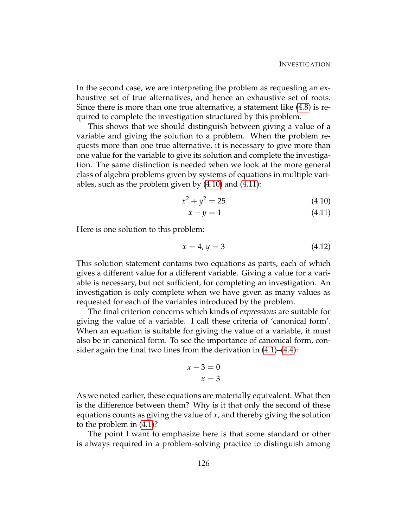In the second case, we are interpreting the problem as requesting an exhaustive set of true alternatives, and hence an exhaustive set of roots. Since there is more than one true alternative, a statement like [\(4.8\)](#page-135-1) is required to complete the investigation structured by this problem.

This shows that we should distinguish between giving a value of a variable and giving the solution to a problem. When the problem requests more than one true alternative, it is necessary to give more than one value for the variable to give its solution and complete the investigation. The same distinction is needed when we look at the more general class of algebra problems given by systems of equations in multiple variables, such as the problem given by [\(4.10\)](#page-136-0) and [\(4.11\)](#page-136-1):

$$
x^2 + y^2 = 25 \tag{4.10}
$$

<span id="page-136-1"></span><span id="page-136-0"></span>
$$
x - y = 1 \tag{4.11}
$$

Here is one solution to this problem:

$$
x = 4, y = 3 \tag{4.12}
$$

This solution statement contains two equations as parts, each of which gives a different value for a different variable. Giving a value for a variable is necessary, but not sufficient, for completing an investigation. An investigation is only complete when we have given as many values as requested for each of the variables introduced by the problem.

The final criterion concerns which kinds of *expressions* are suitable for giving the value of a variable. I call these criteria of 'canonical form'. When an equation is suitable for giving the value of a variable, it must also be in canonical form. To see the importance of canonical form, consider again the final two lines from the derivation in [\(4.1\)](#page-127-0)–[\(4.4\)](#page-127-1):

$$
x - 3 = 0
$$

$$
x = 3
$$

As we noted earlier, these equations are materially equivalent. What then is the difference between them? Why is it that only the second of these equations counts as giving the value of *x*, and thereby giving the solution to the problem in [\(4.1\)](#page-127-0)?

The point I want to emphasize here is that some standard or other is always required in a problem-solving practice to distinguish among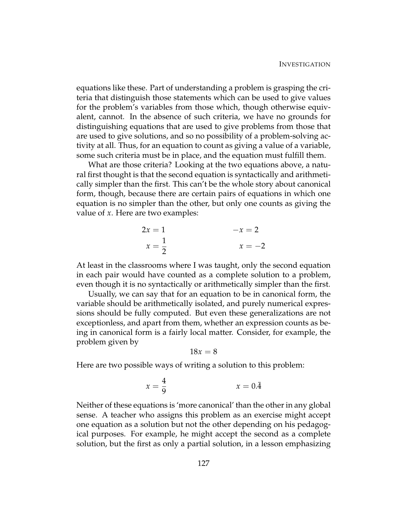equations like these. Part of understanding a problem is grasping the criteria that distinguish those statements which can be used to give values for the problem's variables from those which, though otherwise equivalent, cannot. In the absence of such criteria, we have no grounds for distinguishing equations that are used to give problems from those that are used to give solutions, and so no possibility of a problem-solving activity at all. Thus, for an equation to count as giving a value of a variable, some such criteria must be in place, and the equation must fulfill them.

What are those criteria? Looking at the two equations above, a natural first thought is that the second equation is syntactically and arithmetically simpler than the first. This can't be the whole story about canonical form, though, because there are certain pairs of equations in which one equation is no simpler than the other, but only one counts as giving the value of *x*. Here are two examples:

$$
2x = 1
$$
  
\n
$$
x = \frac{1}{2}
$$
  
\n
$$
-x = 2
$$
  
\n
$$
x = -2
$$

At least in the classrooms where I was taught, only the second equation in each pair would have counted as a complete solution to a problem, even though it is no syntactically or arithmetically simpler than the first.

Usually, we can say that for an equation to be in canonical form, the variable should be arithmetically isolated, and purely numerical expressions should be fully computed. But even these generalizations are not exceptionless, and apart from them, whether an expression counts as being in canonical form is a fairly local matter. Consider, for example, the problem given by

$$
18x=8
$$

Here are two possible ways of writing a solution to this problem:

$$
x = \frac{4}{9} \qquad \qquad x = 0.\overline{4}
$$

Neither of these equations is 'more canonical' than the other in any global sense. A teacher who assigns this problem as an exercise might accept one equation as a solution but not the other depending on his pedagogical purposes. For example, he might accept the second as a complete solution, but the first as only a partial solution, in a lesson emphasizing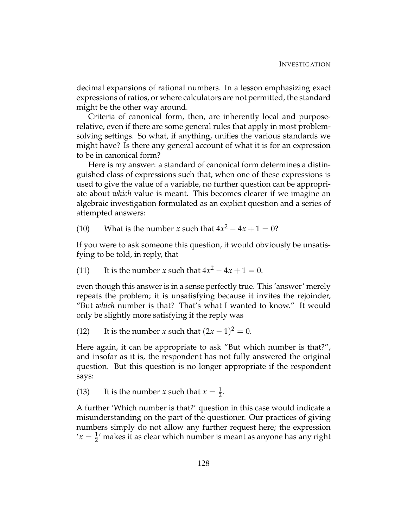decimal expansions of rational numbers. In a lesson emphasizing exact expressions of ratios, or where calculators are not permitted, the standard might be the other way around.

Criteria of canonical form, then, are inherently local and purposerelative, even if there are some general rules that apply in most problemsolving settings. So what, if anything, unifies the various standards we might have? Is there any general account of what it is for an expression to be in canonical form?

Here is my answer: a standard of canonical form determines a distinguished class of expressions such that, when one of these expressions is used to give the value of a variable, no further question can be appropriate about *which* value is meant. This becomes clearer if we imagine an algebraic investigation formulated as an explicit question and a series of attempted answers:

(10) What is the number *x* such that  $4x^2 - 4x + 1 = 0$ ?

If you were to ask someone this question, it would obviously be unsatisfying to be told, in reply, that

(11) It is the number *x* such that  $4x^2 - 4x + 1 = 0$ .

even though this answer is in a sense perfectly true. This 'answer' merely repeats the problem; it is unsatisfying because it invites the rejoinder, "But *which* number is that? That's what I wanted to know." It would only be slightly more satisfying if the reply was

(12) It is the number *x* such that  $(2x - 1)^2 = 0$ .

Here again, it can be appropriate to ask "But which number is that?", and insofar as it is, the respondent has not fully answered the original question. But this question is no longer appropriate if the respondent says:

(13) It is the number *x* such that  $x = \frac{1}{2}$ .

A further 'Which number is that?' question in this case would indicate a misunderstanding on the part of the questioner. Our practices of giving numbers simply do not allow any further request here; the expression  $x' = \frac{1}{2}$ ' makes it as clear which number is meant as anyone has any right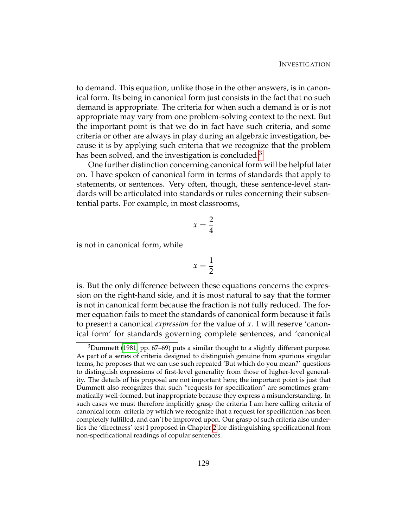to demand. This equation, unlike those in the other answers, is in canonical form. Its being in canonical form just consists in the fact that no such demand is appropriate. The criteria for when such a demand is or is not appropriate may vary from one problem-solving context to the next. But the important point is that we do in fact have such criteria, and some criteria or other are always in play during an algebraic investigation, because it is by applying such criteria that we recognize that the problem has been solved, and the investigation is concluded.<sup>[3](#page-139-0)</sup>

One further distinction concerning canonical form will be helpful later on. I have spoken of canonical form in terms of standards that apply to statements, or sentences. Very often, though, these sentence-level standards will be articulated into standards or rules concerning their subsentential parts. For example, in most classrooms,

$$
x=\frac{2}{4}
$$

is not in canonical form, while

$$
x=\frac{1}{2}
$$

is. But the only difference between these equations concerns the expression on the right-hand side, and it is most natural to say that the former is not in canonical form because the fraction is not fully reduced. The former equation fails to meet the standards of canonical form because it fails to present a canonical *expression* for the value of *x*. I will reserve 'canonical form' for standards governing complete sentences, and 'canonical

<span id="page-139-0"></span> $3$ Dummett [\(1981,](#page-230-1) pp. 67–69) puts a similar thought to a slightly different purpose. As part of a series of criteria designed to distinguish genuine from spurious singular terms, he proposes that we can use such repeated 'But which do you mean?' questions to distinguish expressions of first-level generality from those of higher-level generality. The details of his proposal are not important here; the important point is just that Dummett also recognizes that such "requests for specification" are sometimes grammatically well-formed, but inappropriate because they express a misunderstanding. In such cases we must therefore implicitly grasp the criteria I am here calling criteria of canonical form: criteria by which we recognize that a request for specification has been completely fulfilled, and can't be improved upon. Our grasp of such criteria also underlies the 'directness' test I proposed in Chapter [2](#page-44-1) for distinguishing specificational from non-specificational readings of copular sentences.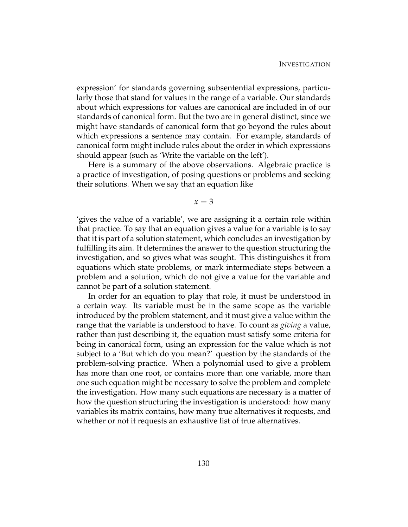expression' for standards governing subsentential expressions, particularly those that stand for values in the range of a variable. Our standards about which expressions for values are canonical are included in of our standards of canonical form. But the two are in general distinct, since we might have standards of canonical form that go beyond the rules about which expressions a sentence may contain. For example, standards of canonical form might include rules about the order in which expressions should appear (such as 'Write the variable on the left').

Here is a summary of the above observations. Algebraic practice is a practice of investigation, of posing questions or problems and seeking their solutions. When we say that an equation like

 $x = 3$ 

'gives the value of a variable', we are assigning it a certain role within that practice. To say that an equation gives a value for a variable is to say that it is part of a solution statement, which concludes an investigation by fulfilling its aim. It determines the answer to the question structuring the investigation, and so gives what was sought. This distinguishes it from equations which state problems, or mark intermediate steps between a problem and a solution, which do not give a value for the variable and cannot be part of a solution statement.

In order for an equation to play that role, it must be understood in a certain way. Its variable must be in the same scope as the variable introduced by the problem statement, and it must give a value within the range that the variable is understood to have. To count as *giving* a value, rather than just describing it, the equation must satisfy some criteria for being in canonical form, using an expression for the value which is not subject to a 'But which do you mean?' question by the standards of the problem-solving practice. When a polynomial used to give a problem has more than one root, or contains more than one variable, more than one such equation might be necessary to solve the problem and complete the investigation. How many such equations are necessary is a matter of how the question structuring the investigation is understood: how many variables its matrix contains, how many true alternatives it requests, and whether or not it requests an exhaustive list of true alternatives.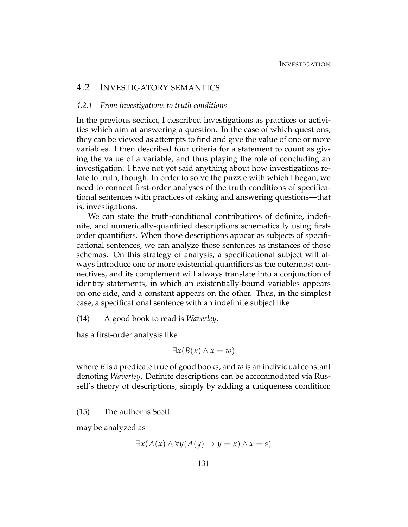#### 4.2 INVESTIGATORY SEMANTICS

#### *4.2.1 From investigations to truth conditions*

In the previous section, I described investigations as practices or activities which aim at answering a question. In the case of which-questions, they can be viewed as attempts to find and give the value of one or more variables. I then described four criteria for a statement to count as giving the value of a variable, and thus playing the role of concluding an investigation. I have not yet said anything about how investigations relate to truth, though. In order to solve the puzzle with which I began, we need to connect first-order analyses of the truth conditions of specificational sentences with practices of asking and answering questions—that is, investigations.

We can state the truth-conditional contributions of definite, indefinite, and numerically-quantified descriptions schematically using firstorder quantifiers. When those descriptions appear as subjects of specificational sentences, we can analyze those sentences as instances of those schemas. On this strategy of analysis, a specificational subject will always introduce one or more existential quantifiers as the outermost connectives, and its complement will always translate into a conjunction of identity statements, in which an existentially-bound variables appears on one side, and a constant appears on the other. Thus, in the simplest case, a specificational sentence with an indefinite subject like

(14) A good book to read is *Waverley*.

has a first-order analysis like

<span id="page-141-0"></span>
$$
\exists x (B(x) \land x = w)
$$

where *B* is a predicate true of good books, and *w* is an individual constant denoting *Waverley*. Definite descriptions can be accommodated via Russell's theory of descriptions, simply by adding a uniqueness condition:

<span id="page-141-1"></span>(15) The author is Scott.

may be analyzed as

$$
\exists x (A(x) \land \forall y (A(y) \to y = x) \land x = s)
$$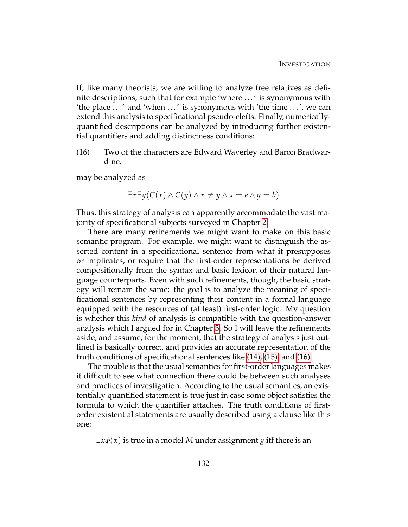If, like many theorists, we are willing to analyze free relatives as definite descriptions, such that for example 'where . . . ' is synonymous with 'the place  $\ldots$ ' and 'when  $\ldots$ ' is synonymous with 'the time  $\ldots$ ', we can extend this analysis to specificational pseudo-clefts. Finally, numericallyquantified descriptions can be analyzed by introducing further existential quantifiers and adding distinctness conditions:

(16) Two of the characters are Edward Waverley and Baron Bradwardine.

may be analyzed as

<span id="page-142-0"></span>
$$
\exists x \exists y (C(x) \land C(y) \land x \neq y \land x = e \land y = b)
$$

Thus, this strategy of analysis can apparently accommodate the vast majority of specificational subjects surveyed in Chapter [2.](#page-44-1)

There are many refinements we might want to make on this basic semantic program. For example, we might want to distinguish the asserted content in a specificational sentence from what it presupposes or implicates, or require that the first-order representations be derived compositionally from the syntax and basic lexicon of their natural language counterparts. Even with such refinements, though, the basic strategy will remain the same: the goal is to analyze the meaning of specificational sentences by representing their content in a formal language equipped with the resources of (at least) first-order logic. My question is whether this *kind* of analysis is compatible with the question-answer analysis which I argued for in Chapter [3.](#page-74-0) So I will leave the refinements aside, and assume, for the moment, that the strategy of analysis just outlined is basically correct, and provides an accurate representation of the truth conditions of specificational sentences like [\(14\),](#page-141-0) [\(15\),](#page-141-1) and [\(16\).](#page-142-0)

The trouble is that the usual semantics for first-order languages makes it difficult to see what connection there could be between such analyses and practices of investigation. According to the usual semantics, an existentially quantified statement is true just in case some object satisfies the formula to which the quantifier attaches. The truth conditions of firstorder existential statements are usually described using a clause like this one:

 $\exists x \phi(x)$  is true in a model M under assignment *g* iff there is an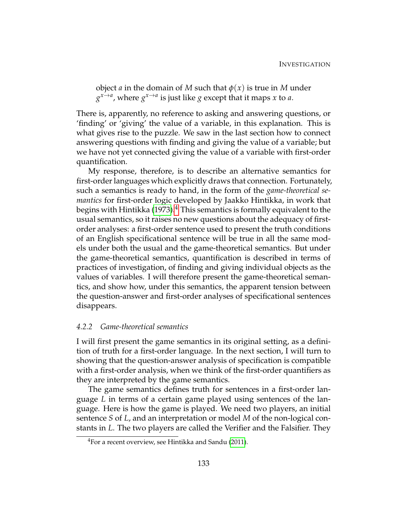object *a* in the domain of *M* such that  $\phi(x)$  is true in *M* under  $g^{x \to a}$ , where  $g^{x \to a}$  is just like *g* except that it maps *x* to *a*.

There is, apparently, no reference to asking and answering questions, or 'finding' or 'giving' the value of a variable, in this explanation. This is what gives rise to the puzzle. We saw in the last section how to connect answering questions with finding and giving the value of a variable; but we have not yet connected giving the value of a variable with first-order quantification.

My response, therefore, is to describe an alternative semantics for first-order languages which explicitly draws that connection. Fortunately, such a semantics is ready to hand, in the form of the *game-theoretical semantics* for first-order logic developed by Jaakko Hintikka, in work that begins with Hintikka [\(1973\)](#page-231-3).<sup>[4](#page-143-0)</sup> This semantics is formally equivalent to the usual semantics, so it raises no new questions about the adequacy of firstorder analyses: a first-order sentence used to present the truth conditions of an English specificational sentence will be true in all the same models under both the usual and the game-theoretical semantics. But under the game-theoretical semantics, quantification is described in terms of practices of investigation, of finding and giving individual objects as the values of variables. I will therefore present the game-theoretical semantics, and show how, under this semantics, the apparent tension between the question-answer and first-order analyses of specificational sentences disappears.

#### *4.2.2 Game-theoretical semantics*

I will first present the game semantics in its original setting, as a definition of truth for a first-order language. In the next section, I will turn to showing that the question-answer analysis of specification is compatible with a first-order analysis, when we think of the first-order quantifiers as they are interpreted by the game semantics.

The game semantics defines truth for sentences in a first-order language *L* in terms of a certain game played using sentences of the language. Here is how the game is played. We need two players, an initial sentence *S* of *L*, and an interpretation or model *M* of the non-logical constants in *L*. The two players are called the Verifier and the Falsifier. They

<span id="page-143-0"></span><sup>&</sup>lt;sup>4</sup>For a recent overview, see Hintikka and Sandu [\(2011\)](#page-231-4).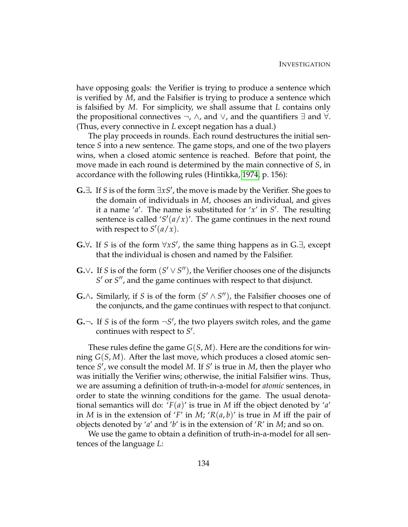have opposing goals: the Verifier is trying to produce a sentence which is verified by *M*, and the Falsifier is trying to produce a sentence which is falsified by *M*. For simplicity, we shall assume that *L* contains only the propositional connectives  $\neg$ ,  $\wedge$ , and  $\vee$ , and the quantifiers  $\exists$  and  $\forall$ . (Thus, every connective in *L* except negation has a dual.)

The play proceeds in rounds. Each round destructures the initial sentence *S* into a new sentence. The game stops, and one of the two players wins, when a closed atomic sentence is reached. Before that point, the move made in each round is determined by the main connective of *S*, in accordance with the following rules (Hintikka, [1974,](#page-231-0) p. 156):

- G. $∃$ . If *S* is of the form  $∃xS'$ , the move is made by the Verifier. She goes to the domain of individuals in *M*, chooses an individual, and gives it a name ' $a'$ . The name is substituted for ' $x'$  in  $S'$ . The resulting sentence is called  $'S'(a/x)'$ . The game continues in the next round with respect to  $S'(a/x)$ .
- G.∀. If *S* is of the form  $\forall xS'$ , the same thing happens as in G.∃, except that the individual is chosen and named by the Falsifier.
- G.∨**.** If *S* is of the form  $(S' \vee S'')$ , the Verifier chooses one of the disjuncts *S*' or *S*<sup>"</sup>, and the game continues with respect to that disjunct.
- **G**.∧**.** Similarly, if *S* is of the form  $(S' \wedge S'')$ , the Falsifier chooses one of the conjuncts, and the game continues with respect to that conjunct.
- **G.**  $\lnot$  . If *S* is of the form  $\neg S'$ , the two players switch roles, and the game continues with respect to S<sup>'</sup>.

These rules define the game *G*(*S*, *M*). Here are the conditions for winning *G*(*S*, *M*). After the last move, which produces a closed atomic sentence S', we consult the model M. If S' is true in *M*, then the player who was initially the Verifier wins; otherwise, the initial Falsifier wins. Thus, we are assuming a definition of truth-in-a-model for *atomic* sentences, in order to state the winning conditions for the game. The usual denotational semantics will do: '*F*(*a*)' is true in *M* iff the object denoted by '*a*' in *M* is in the extension of '*F'* in *M*; ' $R(a, b)$ ' is true in *M* iff the pair of objects denoted by '*a*' and '*b*' is in the extension of '*R*' in *M*; and so on.

We use the game to obtain a definition of truth-in-a-model for all sentences of the language *L*: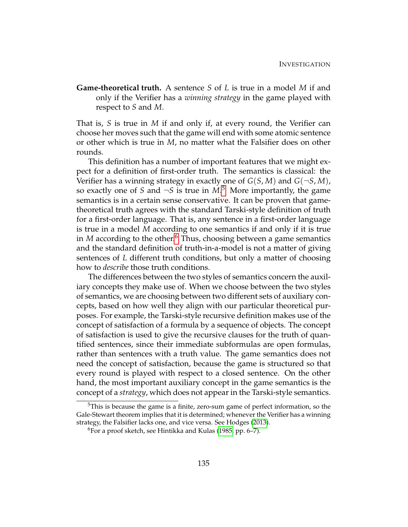**Game-theoretical truth.** A sentence *S* of *L* is true in a model *M* if and only if the Verifier has a *winning strategy* in the game played with respect to *S* and *M*.

That is, *S* is true in *M* if and only if, at every round, the Verifier can choose her moves such that the game will end with some atomic sentence or other which is true in *M*, no matter what the Falsifier does on other rounds.

This definition has a number of important features that we might expect for a definition of first-order truth. The semantics is classical: the Verifier has a winning strategy in exactly one of  $G(S, M)$  and  $G(\neg S, M)$ , so exactly one of *S* and  $\neg S$  is true in  $M$ .<sup>[5](#page-145-0)</sup> More importantly, the game semantics is in a certain sense conservative. It can be proven that gametheoretical truth agrees with the standard Tarski-style definition of truth for a first-order language. That is, any sentence in a first-order language is true in a model *M* according to one semantics if and only if it is true in *M* according to the other.<sup>[6](#page-145-1)</sup> Thus, choosing between a game semantics and the standard definition of truth-in-a-model is not a matter of giving sentences of *L* different truth conditions, but only a matter of choosing how to *describe* those truth conditions.

The differences between the two styles of semantics concern the auxiliary concepts they make use of. When we choose between the two styles of semantics, we are choosing between two different sets of auxiliary concepts, based on how well they align with our particular theoretical purposes. For example, the Tarski-style recursive definition makes use of the concept of satisfaction of a formula by a sequence of objects. The concept of satisfaction is used to give the recursive clauses for the truth of quantified sentences, since their immediate subformulas are open formulas, rather than sentences with a truth value. The game semantics does not need the concept of satisfaction, because the game is structured so that every round is played with respect to a closed sentence. On the other hand, the most important auxiliary concept in the game semantics is the concept of a *strategy*, which does not appear in the Tarski-style semantics.

<span id="page-145-0"></span><sup>5</sup>This is because the game is a finite, zero-sum game of perfect information, so the Gale-Stewart theorem implies that it is determined; whenever the Verifier has a winning strategy, the Falsifier lacks one, and vice versa. See Hodges [\(2013\)](#page-231-1).

<span id="page-145-1"></span><sup>6</sup>For a proof sketch, see Hintikka and Kulas [\(1985,](#page-231-2) pp. 6–7).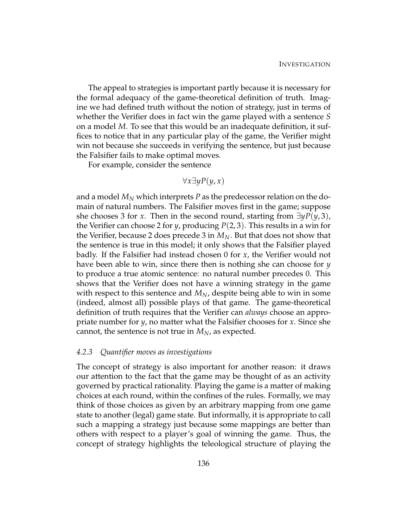The appeal to strategies is important partly because it is necessary for the formal adequacy of the game-theoretical definition of truth. Imagine we had defined truth without the notion of strategy, just in terms of whether the Verifier does in fact win the game played with a sentence *S* on a model *M*. To see that this would be an inadequate definition, it suffices to notice that in any particular play of the game, the Verifier might win not because she succeeds in verifying the sentence, but just because the Falsifier fails to make optimal moves.

For example, consider the sentence

$$
\forall x \exists y P(y, x)
$$

and a model  $M_N$  which interprets  $P$  as the predecessor relation on the domain of natural numbers. The Falsifier moves first in the game; suppose she chooses 3 for *x*. Then in the second round, starting from ∃*yP*(*y*, 3), the Verifier can choose 2 for *y*, producing *P*(2, 3). This results in a win for the Verifier, because 2 does precede 3 in *MN*. But that does not show that the sentence is true in this model; it only shows that the Falsifier played badly. If the Falsifier had instead chosen 0 for *x*, the Verifier would not have been able to win, since there then is nothing she can choose for *y* to produce a true atomic sentence: no natural number precedes 0. This shows that the Verifier does not have a winning strategy in the game with respect to this sentence and *MN*, despite being able to win in some (indeed, almost all) possible plays of that game. The game-theoretical definition of truth requires that the Verifier can *always* choose an appropriate number for *y*, no matter what the Falsifier chooses for *x*. Since she cannot, the sentence is not true in  $M_N$ , as expected.

#### *4.2.3 Quantifier moves as investigations*

The concept of strategy is also important for another reason: it draws our attention to the fact that the game may be thought of as an activity governed by practical rationality. Playing the game is a matter of making choices at each round, within the confines of the rules. Formally, we may think of those choices as given by an arbitrary mapping from one game state to another (legal) game state. But informally, it is appropriate to call such a mapping a strategy just because some mappings are better than others with respect to a player's goal of winning the game. Thus, the concept of strategy highlights the teleological structure of playing the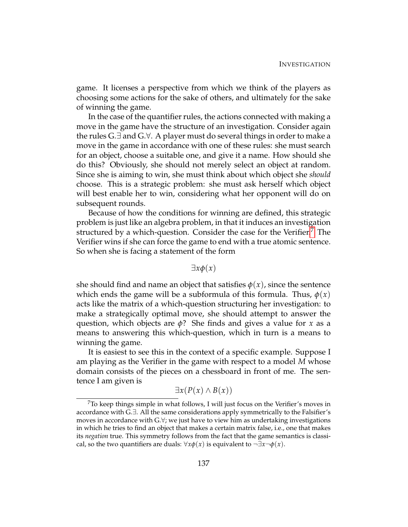game. It licenses a perspective from which we think of the players as choosing some actions for the sake of others, and ultimately for the sake of winning the game.

In the case of the quantifier rules, the actions connected with making a move in the game have the structure of an investigation. Consider again the rules G.∃ and G.∀. A player must do several things in order to make a move in the game in accordance with one of these rules: she must search for an object, choose a suitable one, and give it a name. How should she do this? Obviously, she should not merely select an object at random. Since she is aiming to win, she must think about which object she *should* choose. This is a strategic problem: she must ask herself which object will best enable her to win, considering what her opponent will do on subsequent rounds.

Because of how the conditions for winning are defined, this strategic problem is just like an algebra problem, in that it induces an investigation structured by a which-question. Consider the case for the Verifier. $\frac{7}{10}$  $\frac{7}{10}$  $\frac{7}{10}$  The Verifier wins if she can force the game to end with a true atomic sentence. So when she is facing a statement of the form

### ∃*xφ*(*x*)

she should find and name an object that satisfies  $\phi(x)$ , since the sentence which ends the game will be a subformula of this formula. Thus,  $\phi(x)$ acts like the matrix of a which-question structuring her investigation: to make a strategically optimal move, she should attempt to answer the question, which objects are *φ*? She finds and gives a value for *x* as a means to answering this which-question, which in turn is a means to winning the game.

It is easiest to see this in the context of a specific example. Suppose I am playing as the Verifier in the game with respect to a model *M* whose domain consists of the pieces on a chessboard in front of me. The sentence I am given is

$$
\exists x (P(x) \land B(x))
$$

<span id="page-147-0"></span> $7\sigma$  keep things simple in what follows, I will just focus on the Verifier's moves in accordance with G.∃. All the same considerations apply symmetrically to the Falsifier's moves in accordance with G.∀; we just have to view him as undertaking investigations in which he tries to find an object that makes a certain matrix false, i.e., one that makes its *negation* true. This symmetry follows from the fact that the game semantics is classical, so the two quantifiers are duals:  $\forall x \phi(x)$  is equivalent to  $\neg \exists x \neg \phi(x)$ .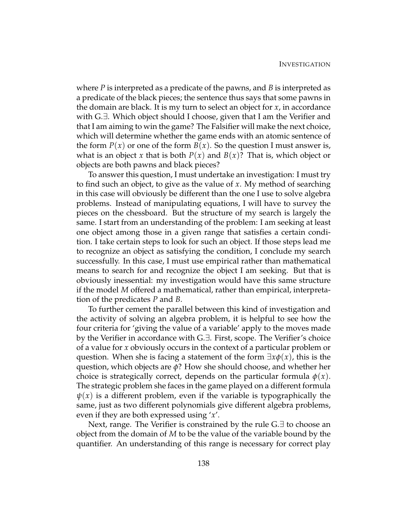where *P* is interpreted as a predicate of the pawns, and *B* is interpreted as a predicate of the black pieces; the sentence thus says that some pawns in the domain are black. It is my turn to select an object for *x*, in accordance with G.∃. Which object should I choose, given that I am the Verifier and that I am aiming to win the game? The Falsifier will make the next choice, which will determine whether the game ends with an atomic sentence of the form  $P(x)$  or one of the form  $B(x)$ . So the question I must answer is, what is an object *x* that is both  $P(x)$  and  $B(x)$ ? That is, which object or objects are both pawns and black pieces?

To answer this question, I must undertake an investigation: I must try to find such an object, to give as the value of *x*. My method of searching in this case will obviously be different than the one I use to solve algebra problems. Instead of manipulating equations, I will have to survey the pieces on the chessboard. But the structure of my search is largely the same. I start from an understanding of the problem: I am seeking at least one object among those in a given range that satisfies a certain condition. I take certain steps to look for such an object. If those steps lead me to recognize an object as satisfying the condition, I conclude my search successfully. In this case, I must use empirical rather than mathematical means to search for and recognize the object I am seeking. But that is obviously inessential: my investigation would have this same structure if the model *M* offered a mathematical, rather than empirical, interpretation of the predicates *P* and *B*.

To further cement the parallel between this kind of investigation and the activity of solving an algebra problem, it is helpful to see how the four criteria for 'giving the value of a variable' apply to the moves made by the Verifier in accordance with G.∃. First, scope. The Verifier's choice of a value for *x* obviously occurs in the context of a particular problem or question. When she is facing a statement of the form ∃*xφ*(*x*), this is the question, which objects are *φ*? How she should choose, and whether her choice is strategically correct, depends on the particular formula  $\phi(x)$ . The strategic problem she faces in the game played on a different formula  $\psi(x)$  is a different problem, even if the variable is typographically the same, just as two different polynomials give different algebra problems, even if they are both expressed using '*x*'.

Next, range. The Verifier is constrained by the rule G.∃ to choose an object from the domain of *M* to be the value of the variable bound by the quantifier. An understanding of this range is necessary for correct play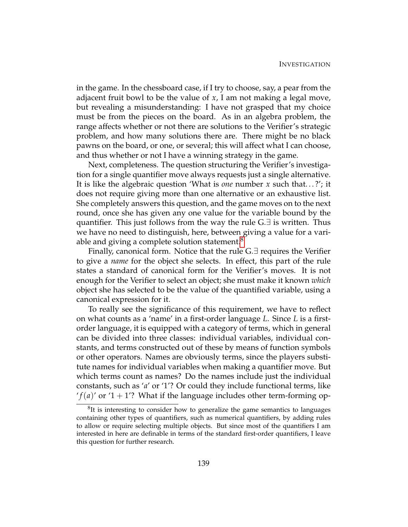in the game. In the chessboard case, if I try to choose, say, a pear from the adjacent fruit bowl to be the value of *x*, I am not making a legal move, but revealing a misunderstanding: I have not grasped that my choice must be from the pieces on the board. As in an algebra problem, the range affects whether or not there are solutions to the Verifier's strategic problem, and how many solutions there are. There might be no black pawns on the board, or one, or several; this will affect what I can choose, and thus whether or not I have a winning strategy in the game.

Next, completeness. The question structuring the Verifier's investigation for a single quantifier move always requests just a single alternative. It is like the algebraic question 'What is *one* number *x* such that. . . ?'; it does not require giving more than one alternative or an exhaustive list. She completely answers this question, and the game moves on to the next round, once she has given any one value for the variable bound by the quantifier. This just follows from the way the rule G.∃ is written. Thus we have no need to distinguish, here, between giving a value for a vari-able and giving a complete solution statement.<sup>[8](#page-149-0)</sup>

Finally, canonical form. Notice that the rule  $G.\exists$  requires the Verifier to give a *name* for the object she selects. In effect, this part of the rule states a standard of canonical form for the Verifier's moves. It is not enough for the Verifier to select an object; she must make it known *which* object she has selected to be the value of the quantified variable, using a canonical expression for it.

To really see the significance of this requirement, we have to reflect on what counts as a 'name' in a first-order language *L*. Since *L* is a firstorder language, it is equipped with a category of terms, which in general can be divided into three classes: individual variables, individual constants, and terms constructed out of these by means of function symbols or other operators. Names are obviously terms, since the players substitute names for individual variables when making a quantifier move. But which terms count as names? Do the names include just the individual constants, such as '*a*' or '1'? Or could they include functional terms, like  $f(a)'$  or  $1 + 1$ ? What if the language includes other term-forming op-

<span id="page-149-0"></span><sup>&</sup>lt;sup>8</sup>It is interesting to consider how to generalize the game semantics to languages containing other types of quantifiers, such as numerical quantifiers, by adding rules to allow or require selecting multiple objects. But since most of the quantifiers I am interested in here are definable in terms of the standard first-order quantifiers, I leave this question for further research.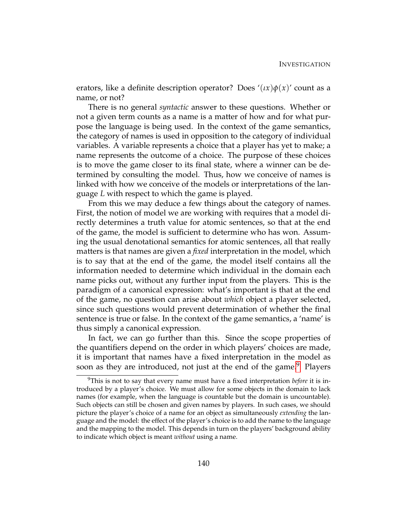erators, like a definite description operator? Does  $\ell(x)\phi(x)$  count as a name, or not?

There is no general *syntactic* answer to these questions. Whether or not a given term counts as a name is a matter of how and for what purpose the language is being used. In the context of the game semantics, the category of names is used in opposition to the category of individual variables. A variable represents a choice that a player has yet to make; a name represents the outcome of a choice. The purpose of these choices is to move the game closer to its final state, where a winner can be determined by consulting the model. Thus, how we conceive of names is linked with how we conceive of the models or interpretations of the language *L* with respect to which the game is played.

From this we may deduce a few things about the category of names. First, the notion of model we are working with requires that a model directly determines a truth value for atomic sentences, so that at the end of the game, the model is sufficient to determine who has won. Assuming the usual denotational semantics for atomic sentences, all that really matters is that names are given a *fixed* interpretation in the model, which is to say that at the end of the game, the model itself contains all the information needed to determine which individual in the domain each name picks out, without any further input from the players. This is the paradigm of a canonical expression: what's important is that at the end of the game, no question can arise about *which* object a player selected, since such questions would prevent determination of whether the final sentence is true or false. In the context of the game semantics, a 'name' is thus simply a canonical expression.

In fact, we can go further than this. Since the scope properties of the quantifiers depend on the order in which players' choices are made, it is important that names have a fixed interpretation in the model as soon as they are introduced, not just at the end of the game.<sup>[9](#page-150-0)</sup> Players

<span id="page-150-0"></span><sup>9</sup>This is not to say that every name must have a fixed interpretation *before* it is introduced by a player's choice. We must allow for some objects in the domain to lack names (for example, when the language is countable but the domain is uncountable). Such objects can still be chosen and given names by players. In such cases, we should picture the player's choice of a name for an object as simultaneously *extending* the language and the model: the effect of the player's choice is to add the name to the language and the mapping to the model. This depends in turn on the players' background ability to indicate which object is meant *without* using a name.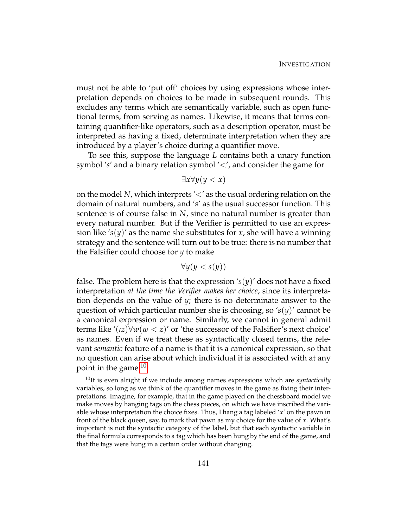must not be able to 'put off' choices by using expressions whose interpretation depends on choices to be made in subsequent rounds. This excludes any terms which are semantically variable, such as open functional terms, from serving as names. Likewise, it means that terms containing quantifier-like operators, such as a description operator, must be interpreted as having a fixed, determinate interpretation when they are introduced by a player's choice during a quantifier move.

To see this, suppose the language *L* contains both a unary function symbol '*s*' and a binary relation symbol '<', and consider the game for

$$
\exists x \forall y (y < x)
$$

on the model *N*, which interprets '<' as the usual ordering relation on the domain of natural numbers, and '*s*' as the usual successor function. This sentence is of course false in *N*, since no natural number is greater than every natural number. But if the Verifier is permitted to use an expression like  $\mathscr{L}(y)$  as the name she substitutes for *x*, she will have a winning strategy and the sentence will turn out to be true: there is no number that the Falsifier could choose for *y* to make

$$
\forall y(y < s(y))
$$

false. The problem here is that the expression  $\mathcal{L}(y)$  does not have a fixed interpretation *at the time the Verifier makes her choice*, since its interpretation depends on the value of *y*; there is no determinate answer to the question of which particular number she is choosing, so '*s*(*y*)' cannot be a canonical expression or name. Similarly, we cannot in general admit terms like ' $(iz)$  $\forall w(w < z)'$  or 'the successor of the Falsifier's next choice' as names. Even if we treat these as syntactically closed terms, the relevant *semantic* feature of a name is that it is a canonical expression, so that no question can arise about which individual it is associated with at any point in the game. $10$ 

<span id="page-151-0"></span><sup>10</sup>It is even alright if we include among names expressions which are *syntactically* variables, so long as we think of the quantifier moves in the game as fixing their interpretations. Imagine, for example, that in the game played on the chessboard model we make moves by hanging tags on the chess pieces, on which we have inscribed the variable whose interpretation the choice fixes. Thus, I hang a tag labeled '*x*' on the pawn in front of the black queen, say, to mark that pawn as my choice for the value of *x*. What's important is not the syntactic category of the label, but that each syntactic variable in the final formula corresponds to a tag which has been hung by the end of the game, and that the tags were hung in a certain order without changing.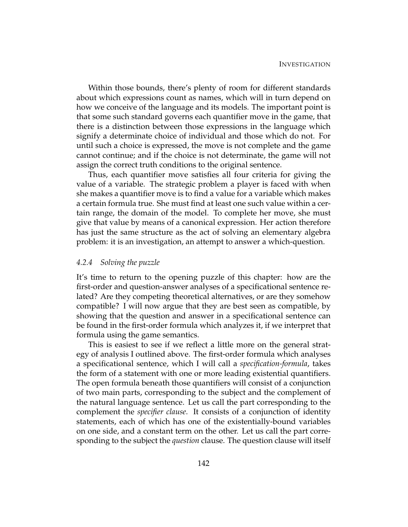Within those bounds, there's plenty of room for different standards about which expressions count as names, which will in turn depend on how we conceive of the language and its models. The important point is that some such standard governs each quantifier move in the game, that there is a distinction between those expressions in the language which signify a determinate choice of individual and those which do not. For until such a choice is expressed, the move is not complete and the game cannot continue; and if the choice is not determinate, the game will not assign the correct truth conditions to the original sentence.

Thus, each quantifier move satisfies all four criteria for giving the value of a variable. The strategic problem a player is faced with when she makes a quantifier move is to find a value for a variable which makes a certain formula true. She must find at least one such value within a certain range, the domain of the model. To complete her move, she must give that value by means of a canonical expression. Her action therefore has just the same structure as the act of solving an elementary algebra problem: it is an investigation, an attempt to answer a which-question.

### *4.2.4 Solving the puzzle*

It's time to return to the opening puzzle of this chapter: how are the first-order and question-answer analyses of a specificational sentence related? Are they competing theoretical alternatives, or are they somehow compatible? I will now argue that they are best seen as compatible, by showing that the question and answer in a specificational sentence can be found in the first-order formula which analyzes it, if we interpret that formula using the game semantics.

This is easiest to see if we reflect a little more on the general strategy of analysis I outlined above. The first-order formula which analyses a specificational sentence, which I will call a *specification-formula*, takes the form of a statement with one or more leading existential quantifiers. The open formula beneath those quantifiers will consist of a conjunction of two main parts, corresponding to the subject and the complement of the natural language sentence. Let us call the part corresponding to the complement the *specifier clause*. It consists of a conjunction of identity statements, each of which has one of the existentially-bound variables on one side, and a constant term on the other. Let us call the part corresponding to the subject the *question* clause. The question clause will itself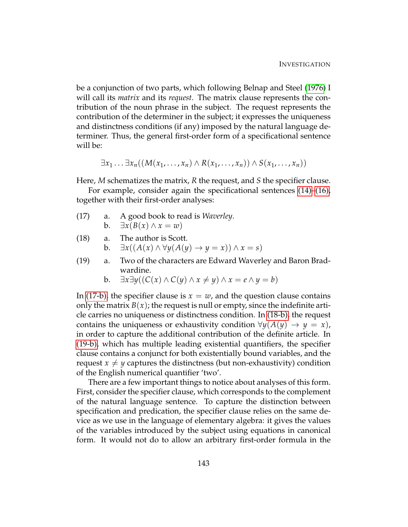be a conjunction of two parts, which following Belnap and Steel [\(1976\)](#page-229-0) I will call its *matrix* and its *request*. The matrix clause represents the contribution of the noun phrase in the subject. The request represents the contribution of the determiner in the subject; it expresses the uniqueness and distinctness conditions (if any) imposed by the natural language determiner. Thus, the general first-order form of a specificational sentence will be:

$$
\exists x_1 \ldots \exists x_n ((M(x_1, \ldots, x_n) \wedge R(x_1, \ldots, x_n)) \wedge S(x_1, \ldots, x_n))
$$

Here, *M* schematizes the matrix, *R* the request, and *S* the specifier clause.

For example, consider again the specificational sentences [\(14\)–](#page-141-0)[\(16\),](#page-142-0) together with their first-order analyses:

- <span id="page-153-4"></span><span id="page-153-0"></span>(17) a. A good book to read is *Waverley*. **b.** ∃*x*(*B*(*x*) ∧ *x* = *w*)
- <span id="page-153-3"></span><span id="page-153-1"></span>(18) a. The author is Scott. b. ∃*x*((*A*(*x*) ∧ ∀*y*(*A*(*y*) → *y* = *x*)) ∧ *x* = *s*)
- <span id="page-153-5"></span><span id="page-153-2"></span>(19) a. Two of the characters are Edward Waverley and Baron Bradwardine.
	- **b**. ∃ $x\exists y((C(x) \land C(y) \land x \neq y) \land x = e \land y = b)$

In [\(17-b\),](#page-153-0) the specifier clause is  $x = w$ , and the question clause contains only the matrix  $B(x)$ ; the request is null or empty, since the indefinite article carries no uniqueness or distinctness condition. In [\(18-b\),](#page-153-1) the request contains the uniqueness or exhaustivity condition  $\forall y(A(y) \rightarrow y = x)$ , in order to capture the additional contribution of the definite article. In [\(19-b\),](#page-153-2) which has multiple leading existential quantifiers, the specifier clause contains a conjunct for both existentially bound variables, and the request  $x \neq y$  captures the distinctness (but non-exhaustivity) condition of the English numerical quantifier 'two'.

There are a few important things to notice about analyses of this form. First, consider the specifier clause, which corresponds to the complement of the natural language sentence. To capture the distinction between specification and predication, the specifier clause relies on the same device as we use in the language of elementary algebra: it gives the values of the variables introduced by the subject using equations in canonical form. It would not do to allow an arbitrary first-order formula in the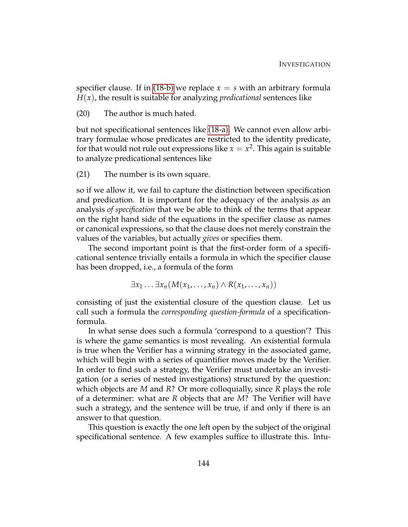specifier clause. If in [\(18-b\)](#page-153-1) we replace  $x = s$  with an arbitrary formula  $H(x)$ , the result is suitable for analyzing *predicational* sentences like

(20) The author is much hated.

but not specificational sentences like [\(18-a\).](#page-153-3) We cannot even allow arbitrary formulae whose predicates are restricted to the identity predicate, for that would not rule out expressions like  $x=x^2.$  This again is suitable to analyze predicational sentences like

(21) The number is its own square.

so if we allow it, we fail to capture the distinction between specification and predication. It is important for the adequacy of the analysis as an analysis *of specification* that we be able to think of the terms that appear on the right hand side of the equations in the specifier clause as names or canonical expressions, so that the clause does not merely constrain the values of the variables, but actually *gives* or specifies them.

The second important point is that the first-order form of a specificational sentence trivially entails a formula in which the specifier clause has been dropped, i.e., a formula of the form

$$
\exists x_1 \ldots \exists x_n (M(x_1, \ldots, x_n) \wedge R(x_1, \ldots, x_n))
$$

consisting of just the existential closure of the question clause. Let us call such a formula the *corresponding question-formula* of a specificationformula.

In what sense does such a formula 'correspond to a question'? This is where the game semantics is most revealing. An existential formula is true when the Verifier has a winning strategy in the associated game, which will begin with a series of quantifier moves made by the Verifier. In order to find such a strategy, the Verifier must undertake an investigation (or a series of nested investigations) structured by the question: which objects are *M* and *R*? Or more colloquially, since *R* plays the role of a determiner: what are *R* objects that are *M*? The Verifier will have such a strategy, and the sentence will be true, if and only if there is an answer to that question.

This question is exactly the one left open by the subject of the original specificational sentence. A few examples suffice to illustrate this. Intu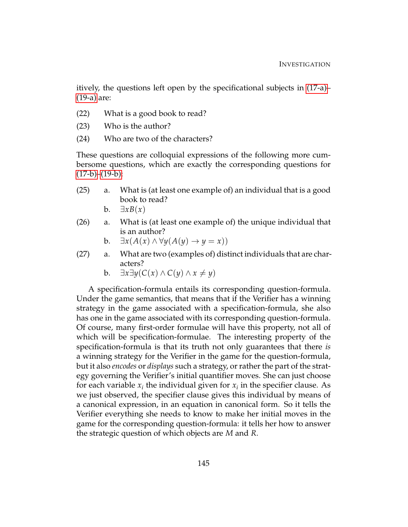itively, the questions left open by the specificational subjects in [\(17-a\)–](#page-153-4) [\(19-a\)](#page-153-5) are:

- (22) What is a good book to read?
- (23) Who is the author?
- (24) Who are two of the characters?

These questions are colloquial expressions of the following more cumbersome questions, which are exactly the corresponding questions for  $(17-b)-(19-b)$  $(17-b)-(19-b)$ :

- (25) a. What is (at least one example of) an individual that is a good book to read?
	- b. ∃*xB*(*x*)
- (26) a. What is (at least one example of) the unique individual that is an author?

b. 
$$
\exists x(A(x) \land \forall y(A(y) \rightarrow y = x))
$$

- (27) a. What are two (examples of) distinct individuals that are characters?
	- **b.** ∃ $x\exists y$ (*C*(*x*) ∧ *C*(*y*) ∧ *x*  $\neq$  *y*)

A specification-formula entails its corresponding question-formula. Under the game semantics, that means that if the Verifier has a winning strategy in the game associated with a specification-formula, she also has one in the game associated with its corresponding question-formula. Of course, many first-order formulae will have this property, not all of which will be specification-formulae. The interesting property of the specification-formula is that its truth not only guarantees that there *is* a winning strategy for the Verifier in the game for the question-formula, but it also *encodes* or *displays* such a strategy, or rather the part of the strategy governing the Verifier's initial quantifier moves. She can just choose for each variable  $x_i$  the individual given for  $x_i$  in the specifier clause. As we just observed, the specifier clause gives this individual by means of a canonical expression, in an equation in canonical form. So it tells the Verifier everything she needs to know to make her initial moves in the game for the corresponding question-formula: it tells her how to answer the strategic question of which objects are *M* and *R*.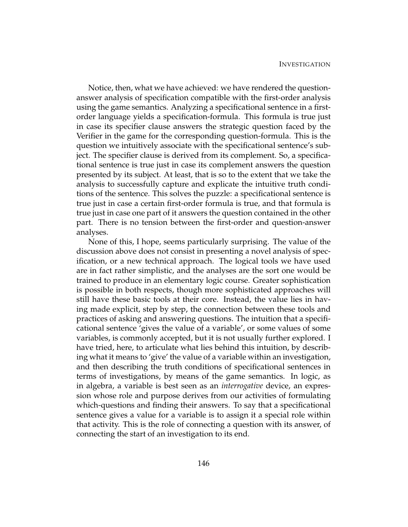Notice, then, what we have achieved: we have rendered the questionanswer analysis of specification compatible with the first-order analysis using the game semantics. Analyzing a specificational sentence in a firstorder language yields a specification-formula. This formula is true just in case its specifier clause answers the strategic question faced by the Verifier in the game for the corresponding question-formula. This is the question we intuitively associate with the specificational sentence's subject. The specifier clause is derived from its complement. So, a specificational sentence is true just in case its complement answers the question presented by its subject. At least, that is so to the extent that we take the analysis to successfully capture and explicate the intuitive truth conditions of the sentence. This solves the puzzle: a specificational sentence is true just in case a certain first-order formula is true, and that formula is true just in case one part of it answers the question contained in the other part. There is no tension between the first-order and question-answer analyses.

None of this, I hope, seems particularly surprising. The value of the discussion above does not consist in presenting a novel analysis of specification, or a new technical approach. The logical tools we have used are in fact rather simplistic, and the analyses are the sort one would be trained to produce in an elementary logic course. Greater sophistication is possible in both respects, though more sophisticated approaches will still have these basic tools at their core. Instead, the value lies in having made explicit, step by step, the connection between these tools and practices of asking and answering questions. The intuition that a specificational sentence 'gives the value of a variable', or some values of some variables, is commonly accepted, but it is not usually further explored. I have tried, here, to articulate what lies behind this intuition, by describing what it means to 'give' the value of a variable within an investigation, and then describing the truth conditions of specificational sentences in terms of investigations, by means of the game semantics. In logic, as in algebra, a variable is best seen as an *interrogative* device, an expression whose role and purpose derives from our activities of formulating which-questions and finding their answers. To say that a specificational sentence gives a value for a variable is to assign it a special role within that activity. This is the role of connecting a question with its answer, of connecting the start of an investigation to its end.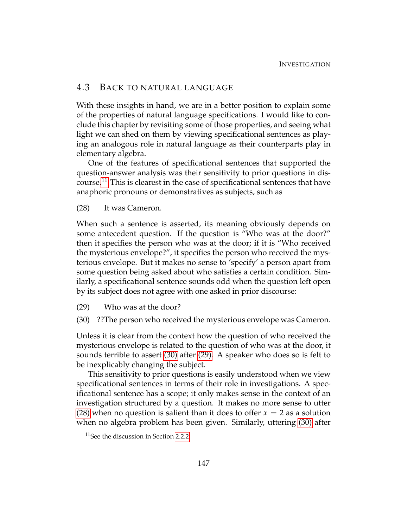### 4.3 BACK TO NATURAL LANGUAGE

With these insights in hand, we are in a better position to explain some of the properties of natural language specifications. I would like to conclude this chapter by revisiting some of those properties, and seeing what light we can shed on them by viewing specificational sentences as playing an analogous role in natural language as their counterparts play in elementary algebra.

One of the features of specificational sentences that supported the question-answer analysis was their sensitivity to prior questions in discourse.[11](#page-157-0) This is clearest in the case of specificational sentences that have anaphoric pronouns or demonstratives as subjects, such as

<span id="page-157-3"></span>(28) It was Cameron.

When such a sentence is asserted, its meaning obviously depends on some antecedent question. If the question is "Who was at the door?" then it specifies the person who was at the door; if it is "Who received the mysterious envelope?", it specifies the person who received the mysterious envelope. But it makes no sense to 'specify' a person apart from some question being asked about who satisfies a certain condition. Similarly, a specificational sentence sounds odd when the question left open by its subject does not agree with one asked in prior discourse:

- <span id="page-157-2"></span><span id="page-157-1"></span>(29) Who was at the door?
- (30) ??The person who received the mysterious envelope was Cameron.

Unless it is clear from the context how the question of who received the mysterious envelope is related to the question of who was at the door, it sounds terrible to assert [\(30\)](#page-157-1) after [\(29\).](#page-157-2) A speaker who does so is felt to be inexplicably changing the subject.

This sensitivity to prior questions is easily understood when we view specificational sentences in terms of their role in investigations. A specificational sentence has a scope; it only makes sense in the context of an investigation structured by a question. It makes no more sense to utter [\(28\)](#page-157-3) when no question is salient than it does to offer  $x = 2$  as a solution when no algebra problem has been given. Similarly, uttering [\(30\)](#page-157-1) after

<span id="page-157-0"></span><sup>&</sup>lt;sup>11</sup>See the discussion in Section [2.2.2.](#page-67-0)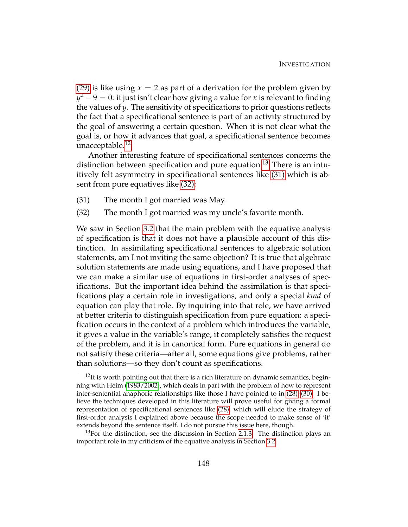[\(29\)](#page-157-2) is like using  $x = 2$  as part of a derivation for the problem given by *y*<sup>2</sup> − 9 = 0: it just isn't clear how giving a value for *x* is relevant to finding the values of *y*. The sensitivity of specifications to prior questions reflects the fact that a specificational sentence is part of an activity structured by the goal of answering a certain question. When it is not clear what the goal is, or how it advances that goal, a specificational sentence becomes unacceptable.[12](#page-158-0)

Another interesting feature of specificational sentences concerns the distinction between specification and pure equation.<sup>[13](#page-158-1)</sup> There is an intuitively felt asymmetry in specificational sentences like [\(31\)](#page-158-2) which is absent from pure equatives like [\(32\):](#page-158-3)

- <span id="page-158-3"></span><span id="page-158-2"></span>(31) The month I got married was May.
- (32) The month I got married was my uncle's favorite month.

We saw in Section [3.2](#page-84-0) that the main problem with the equative analysis of specification is that it does not have a plausible account of this distinction. In assimilating specificational sentences to algebraic solution statements, am I not inviting the same objection? It is true that algebraic solution statements are made using equations, and I have proposed that we can make a similar use of equations in first-order analyses of specifications. But the important idea behind the assimilation is that specifications play a certain role in investigations, and only a special *kind* of equation can play that role. By inquiring into that role, we have arrived at better criteria to distinguish specification from pure equation: a specification occurs in the context of a problem which introduces the variable, it gives a value in the variable's range, it completely satisfies the request of the problem, and it is in canonical form. Pure equations in general do not satisfy these criteria—after all, some equations give problems, rather than solutions—so they don't count as specifications.

<span id="page-158-0"></span> $12$ It is worth pointing out that there is a rich literature on dynamic semantics, beginning with Heim [\(1983/2002\)](#page-230-0), which deals in part with the problem of how to represent inter-sentential anaphoric relationships like those I have pointed to in [\(28\)–](#page-157-3)[\(30\).](#page-157-1) I believe the techniques developed in this literature will prove useful for giving a formal representation of specificational sentences like [\(28\),](#page-157-3) which will elude the strategy of first-order analysis I explained above because the scope needed to make sense of 'it' extends beyond the sentence itself. I do not pursue this issue here, though.

<span id="page-158-1"></span> $13$ For the distinction, see the discussion in Section [2.1.3.](#page-56-0) The distinction plays an important role in my criticism of the equative analysis in Section [3.2.](#page-84-0)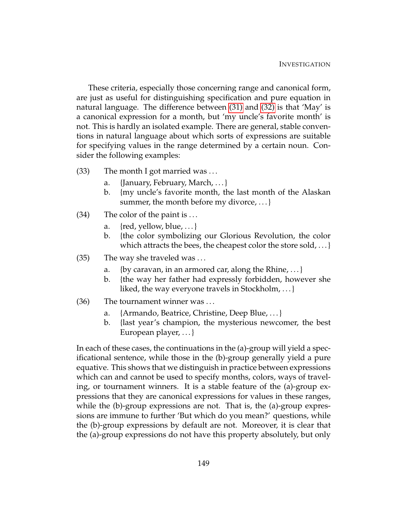These criteria, especially those concerning range and canonical form, are just as useful for distinguishing specification and pure equation in natural language. The difference between [\(31\)](#page-158-2) and [\(32\)](#page-158-3) is that 'May' is a canonical expression for a month, but 'my uncle's favorite month' is not. This is hardly an isolated example. There are general, stable conventions in natural language about which sorts of expressions are suitable for specifying values in the range determined by a certain noun. Consider the following examples:

- (33) The month I got married was . . .
	- a. {January, February, March, . . . }
	- b. {my uncle's favorite month, the last month of the Alaskan summer, the month before my divorce, ... }
- <span id="page-159-0"></span>(34) The color of the paint is . . .
	- a.  $\{red, yellow, blue, ...\}$
	- b. {the color symbolizing our Glorious Revolution, the color which attracts the bees, the cheapest color the store sold, ... }
- <span id="page-159-1"></span>(35) The way she traveled was . . .
	- a. {by caravan, in an armored car, along the Rhine, ...}
	- b. {the way her father had expressly forbidden, however she liked, the way everyone travels in Stockholm, . . . }
- (36) The tournament winner was . . .
	- a. {Armando, Beatrice, Christine, Deep Blue, ...}
	- b. {last year's champion, the mysterious newcomer, the best European player, ... }

In each of these cases, the continuations in the (a)-group will yield a specificational sentence, while those in the (b)-group generally yield a pure equative. This shows that we distinguish in practice between expressions which can and cannot be used to specify months, colors, ways of traveling, or tournament winners. It is a stable feature of the (a)-group expressions that they are canonical expressions for values in these ranges, while the (b)-group expressions are not. That is, the (a)-group expressions are immune to further 'But which do you mean?' questions, while the (b)-group expressions by default are not. Moreover, it is clear that the (a)-group expressions do not have this property absolutely, but only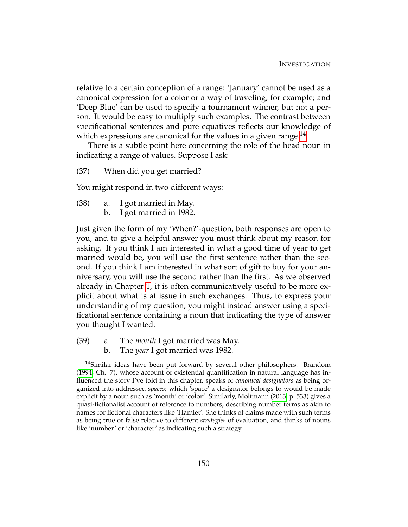relative to a certain conception of a range: 'January' cannot be used as a canonical expression for a color or a way of traveling, for example; and 'Deep Blue' can be used to specify a tournament winner, but not a person. It would be easy to multiply such examples. The contrast between specificational sentences and pure equatives reflects our knowledge of which expressions are canonical for the values in a given range.<sup>[14](#page-160-0)</sup>

There is a subtle point here concerning the role of the head noun in indicating a range of values. Suppose I ask:

(37) When did you get married?

<span id="page-160-1"></span>You might respond in two different ways:

- (38) a. I got married in May.
	- b. I got married in 1982.

Just given the form of my 'When?'-question, both responses are open to you, and to give a helpful answer you must think about my reason for asking. If you think I am interested in what a good time of year to get married would be, you will use the first sentence rather than the second. If you think I am interested in what sort of gift to buy for your anniversary, you will use the second rather than the first. As we observed already in Chapter [1,](#page-12-0) it is often communicatively useful to be more explicit about what is at issue in such exchanges. Thus, to express your understanding of my question, you might instead answer using a specificational sentence containing a noun that indicating the type of answer you thought I wanted:

<span id="page-160-4"></span><span id="page-160-3"></span><span id="page-160-2"></span>(39) a. The *month* I got married was May. b. The *year* I got married was 1982.

<span id="page-160-0"></span> $14$ Similar ideas have been put forward by several other philosophers. Brandom [\(1994,](#page-229-1) Ch. 7), whose account of existential quantification in natural language has influenced the story I've told in this chapter, speaks of *canonical designators* as being organized into addressed *spaces*; which 'space' a designator belongs to would be made explicit by a noun such as 'month' or 'color'. Similarly, Moltmann [\(2013,](#page-232-0) p. 533) gives a quasi-fictionalist account of reference to numbers, describing number terms as akin to names for fictional characters like 'Hamlet'. She thinks of claims made with such terms as being true or false relative to different *strategies* of evaluation, and thinks of nouns like 'number' or 'character' as indicating such a strategy.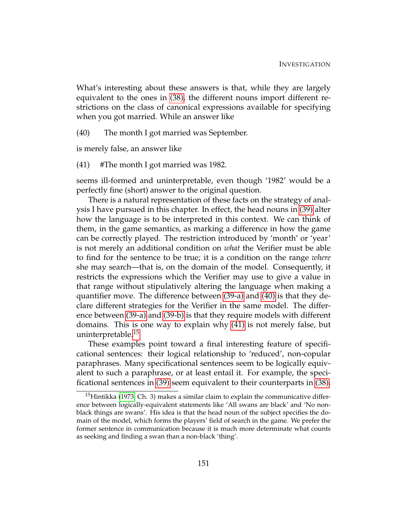What's interesting about these answers is that, while they are largely equivalent to the ones in [\(38\),](#page-160-1) the different nouns import different restrictions on the class of canonical expressions available for specifying when you got married. While an answer like

<span id="page-161-0"></span>(40) The month I got married was September.

<span id="page-161-1"></span>is merely false, an answer like

(41) #The month I got married was 1982.

seems ill-formed and uninterpretable, even though '1982' would be a perfectly fine (short) answer to the original question.

There is a natural representation of these facts on the strategy of analysis I have pursued in this chapter. In effect, the head nouns in [\(39\)](#page-160-2) alter how the language is to be interpreted in this context. We can think of them, in the game semantics, as marking a difference in how the game can be correctly played. The restriction introduced by 'month' or 'year' is not merely an additional condition on *what* the Verifier must be able to find for the sentence to be true; it is a condition on the range *where* she may search—that is, on the domain of the model. Consequently, it restricts the expressions which the Verifier may use to give a value in that range without stipulatively altering the language when making a quantifier move. The difference between [\(39-a\)](#page-160-3) and [\(40\)](#page-161-0) is that they declare different strategies for the Verifier in the same model. The difference between [\(39-a\)](#page-160-3) and [\(39-b\)](#page-160-4) is that they require models with different domains. This is one way to explain why [\(41\)](#page-161-1) is not merely false, but uninterpretable.<sup>[15](#page-161-2)</sup>

These examples point toward a final interesting feature of specificational sentences: their logical relationship to 'reduced', non-copular paraphrases. Many specificational sentences seem to be logically equivalent to such a paraphrase, or at least entail it. For example, the specificational sentences in [\(39\)](#page-160-2) seem equivalent to their counterparts in [\(38\).](#page-160-1)

<span id="page-161-2"></span><sup>&</sup>lt;sup>15</sup>Hintikka [\(1973,](#page-231-3) Ch. 3) makes a similar claim to explain the communicative difference between logically-equivalent statements like 'All swans are black' and 'No nonblack things are swans'. His idea is that the head noun of the subject specifies the domain of the model, which forms the players' field of search in the game. We prefer the former sentence in communication because it is much more determinate what counts as seeking and finding a swan than a non-black 'thing'.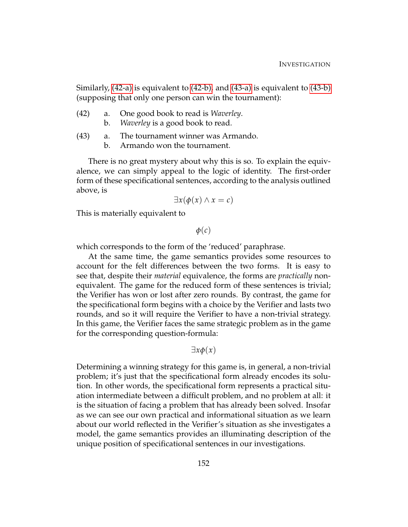Similarly, [\(42-a\)](#page-162-0) is equivalent to [\(42-b\),](#page-162-1) and [\(43-a\)](#page-162-2) is equivalent to [\(43-b\)](#page-162-3) (supposing that only one person can win the tournament):

- <span id="page-162-1"></span><span id="page-162-0"></span>(42) a. One good book to read is *Waverley*.
	- b. *Waverley* is a good book to read.
- <span id="page-162-3"></span><span id="page-162-2"></span>(43) a. The tournament winner was Armando.
	- b. Armando won the tournament.

There is no great mystery about why this is so. To explain the equivalence, we can simply appeal to the logic of identity. The first-order form of these specificational sentences, according to the analysis outlined above, is

$$
\exists x(\phi(x) \land x = c)
$$

This is materially equivalent to

*φ*(*c*)

which corresponds to the form of the 'reduced' paraphrase.

At the same time, the game semantics provides some resources to account for the felt differences between the two forms. It is easy to see that, despite their *material* equivalence, the forms are *practically* nonequivalent. The game for the reduced form of these sentences is trivial; the Verifier has won or lost after zero rounds. By contrast, the game for the specificational form begins with a choice by the Verifier and lasts two rounds, and so it will require the Verifier to have a non-trivial strategy. In this game, the Verifier faces the same strategic problem as in the game for the corresponding question-formula:

∃*xφ*(*x*)

Determining a winning strategy for this game is, in general, a non-trivial problem; it's just that the specificational form already encodes its solution. In other words, the specificational form represents a practical situation intermediate between a difficult problem, and no problem at all: it is the situation of facing a problem that has already been solved. Insofar as we can see our own practical and informational situation as we learn about our world reflected in the Verifier's situation as she investigates a model, the game semantics provides an illuminating description of the unique position of specificational sentences in our investigations.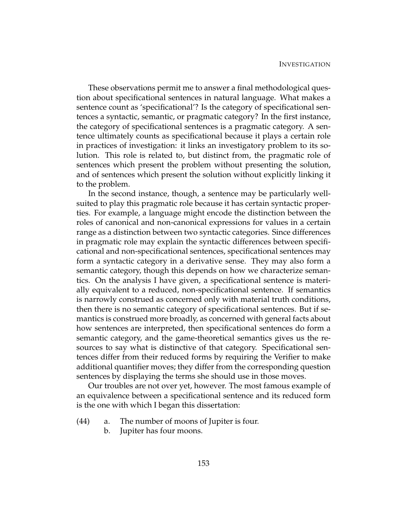These observations permit me to answer a final methodological question about specificational sentences in natural language. What makes a sentence count as 'specificational'? Is the category of specificational sentences a syntactic, semantic, or pragmatic category? In the first instance, the category of specificational sentences is a pragmatic category. A sentence ultimately counts as specificational because it plays a certain role in practices of investigation: it links an investigatory problem to its solution. This role is related to, but distinct from, the pragmatic role of sentences which present the problem without presenting the solution, and of sentences which present the solution without explicitly linking it to the problem.

In the second instance, though, a sentence may be particularly wellsuited to play this pragmatic role because it has certain syntactic properties. For example, a language might encode the distinction between the roles of canonical and non-canonical expressions for values in a certain range as a distinction between two syntactic categories. Since differences in pragmatic role may explain the syntactic differences between specificational and non-specificational sentences, specificational sentences may form a syntactic category in a derivative sense. They may also form a semantic category, though this depends on how we characterize semantics. On the analysis I have given, a specificational sentence is materially equivalent to a reduced, non-specificational sentence. If semantics is narrowly construed as concerned only with material truth conditions, then there is no semantic category of specificational sentences. But if semantics is construed more broadly, as concerned with general facts about how sentences are interpreted, then specificational sentences do form a semantic category, and the game-theoretical semantics gives us the resources to say what is distinctive of that category. Specificational sentences differ from their reduced forms by requiring the Verifier to make additional quantifier moves; they differ from the corresponding question sentences by displaying the terms she should use in those moves.

Our troubles are not over yet, however. The most famous example of an equivalence between a specificational sentence and its reduced form is the one with which I began this dissertation:

- (44) a. The number of moons of Jupiter is four.
	- b. Jupiter has four moons.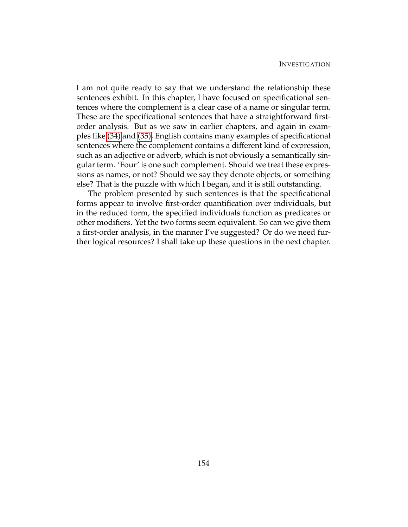I am not quite ready to say that we understand the relationship these sentences exhibit. In this chapter, I have focused on specificational sentences where the complement is a clear case of a name or singular term. These are the specificational sentences that have a straightforward firstorder analysis. But as we saw in earlier chapters, and again in examples like [\(34\)](#page-159-0) and [\(35\),](#page-159-1) English contains many examples of specificational sentences where the complement contains a different kind of expression, such as an adjective or adverb, which is not obviously a semantically singular term. 'Four' is one such complement. Should we treat these expressions as names, or not? Should we say they denote objects, or something else? That is the puzzle with which I began, and it is still outstanding.

The problem presented by such sentences is that the specificational forms appear to involve first-order quantification over individuals, but in the reduced form, the specified individuals function as predicates or other modifiers. Yet the two forms seem equivalent. So can we give them a first-order analysis, in the manner I've suggested? Or do we need further logical resources? I shall take up these questions in the next chapter.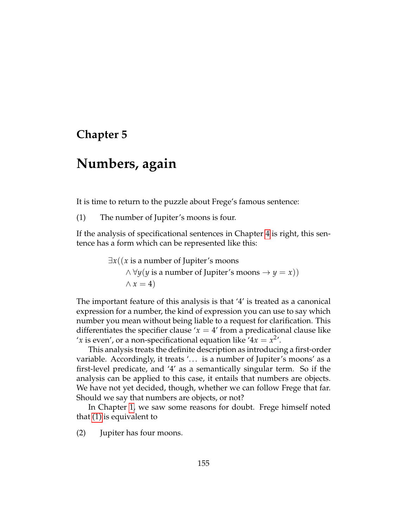# **Chapter 5**

# **Numbers, again**

It is time to return to the puzzle about Frege's famous sentence:

(1) The number of Jupiter's moons is four.

If the analysis of specificational sentences in Chapter [4](#page-125-0) is right, this sentence has a form which can be represented like this:

> <span id="page-165-0"></span>∃*x*((*x* is a number of Jupiter's moons  $\land \forall y(y \text{ is a number of Jupiter's monis} \rightarrow y = x)$  $\wedge x = 4$

The important feature of this analysis is that '4' is treated as a canonical expression for a number, the kind of expression you can use to say which number you mean without being liable to a request for clarification. This differentiates the specifier clause  $x = 4$  from a predicational clause like '*x* is even', or a non-specificational equation like ' $4x = x^2$ '.

This analysis treats the definite description as introducing a first-order variable. Accordingly, it treats '... is a number of Jupiter's moons' as a first-level predicate, and '4' as a semantically singular term. So if the analysis can be applied to this case, it entails that numbers are objects. We have not yet decided, though, whether we can follow Frege that far. Should we say that numbers are objects, or not?

<span id="page-165-1"></span>In Chapter [1,](#page-12-0) we saw some reasons for doubt. Frege himself noted that [\(1\)](#page-165-0) is equivalent to

(2) Jupiter has four moons.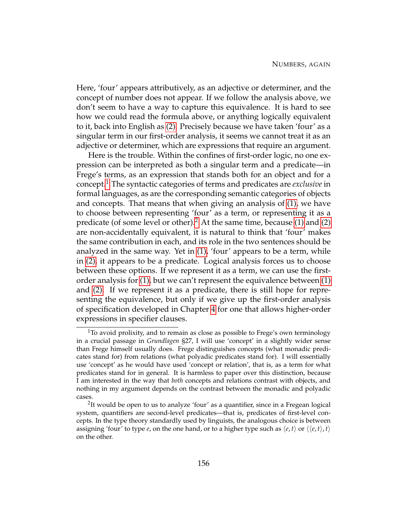Here, 'four' appears attributively, as an adjective or determiner, and the concept of number does not appear. If we follow the analysis above, we don't seem to have a way to capture this equivalence. It is hard to see how we could read the formula above, or anything logically equivalent to it, back into English as [\(2\).](#page-165-1) Precisely because we have taken 'four' as a singular term in our first-order analysis, it seems we cannot treat it as an adjective or determiner, which are expressions that require an argument.

Here is the trouble. Within the confines of first-order logic, no one expression can be interpreted as both a singular term and a predicate—in Frege's terms, as an expression that stands both for an object and for a concept.[1](#page-166-0) The syntactic categories of terms and predicates are *exclusive* in formal languages, as are the corresponding semantic categories of objects and concepts. That means that when giving an analysis of [\(1\),](#page-165-0) we have to choose between representing 'four' as a term, or representing it as a predicate (of some level or other).[2](#page-166-1) At the same time, because [\(1\)](#page-165-0) and [\(2\)](#page-165-1) are non-accidentally equivalent, it is natural to think that 'four' makes the same contribution in each, and its role in the two sentences should be analyzed in the same way. Yet in [\(1\),](#page-165-0) 'four' appears to be a term, while in [\(2\),](#page-165-1) it appears to be a predicate. Logical analysis forces us to choose between these options. If we represent it as a term, we can use the firstorder analysis for [\(1\),](#page-165-0) but we can't represent the equivalence between [\(1\)](#page-165-0) and [\(2\).](#page-165-1) If we represent it as a predicate, there is still hope for representing the equivalence, but only if we give up the first-order analysis of specification developed in Chapter [4](#page-125-0) for one that allows higher-order expressions in specifier clauses.

<span id="page-166-0"></span> $1$ To avoid prolixity, and to remain as close as possible to Frege's own terminology in a crucial passage in *Grundlagen* §27, I will use 'concept' in a slightly wider sense than Frege himself usually does. Frege distinguishes concepts (what monadic predicates stand for) from relations (what polyadic predicates stand for). I will essentially use 'concept' as he would have used 'concept or relation', that is, as a term for what predicates stand for in general. It is harmless to paper over this distinction, because I am interested in the way that *both* concepts and relations contrast with objects, and nothing in my argument depends on the contrast between the monadic and polyadic cases.

<span id="page-166-1"></span><sup>&</sup>lt;sup>2</sup>It would be open to us to analyze 'four' as a quantifier, since in a Fregean logical system, quantifiers are second-level predicates—that is, predicates of first-level concepts. In the type theory standardly used by linguists, the analogous choice is between assigning 'four' to type *e*, on the one hand, or to a higher type such as  $\langle e, t \rangle$  or  $\langle \langle e, t \rangle, t \rangle$ on the other.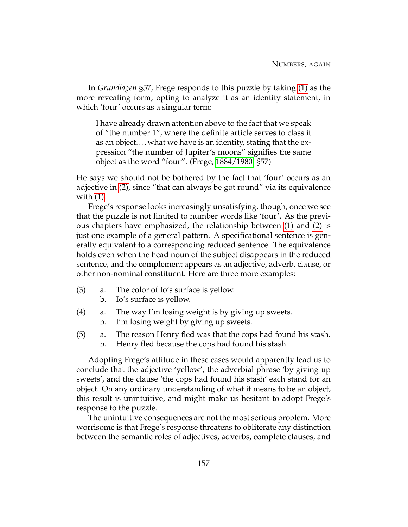In *Grundlagen* §57, Frege responds to this puzzle by taking [\(1\)](#page-165-0) as the more revealing form, opting to analyze it as an identity statement, in which 'four' occurs as a singular term:

I have already drawn attention above to the fact that we speak of "the number 1", where the definite article serves to class it as an object.. . . what we have is an identity, stating that the expression "the number of Jupiter's moons" signifies the same object as the word "four". (Frege, [1884/1980,](#page-230-1) §57)

He says we should not be bothered by the fact that 'four' occurs as an adjective in [\(2\),](#page-165-1) since "that can always be got round" via its equivalence with [\(1\).](#page-165-0)

Frege's response looks increasingly unsatisfying, though, once we see that the puzzle is not limited to number words like 'four'. As the previous chapters have emphasized, the relationship between [\(1\)](#page-165-0) and [\(2\)](#page-165-1) is just one example of a general pattern. A specificational sentence is generally equivalent to a corresponding reduced sentence. The equivalence holds even when the head noun of the subject disappears in the reduced sentence, and the complement appears as an adjective, adverb, clause, or other non-nominal constituent. Here are three more examples:

- <span id="page-167-2"></span><span id="page-167-0"></span>(3) a. The color of Io's surface is yellow.
	- b. Io's surface is yellow.
- <span id="page-167-1"></span>(4) a. The way I'm losing weight is by giving up sweets.
	- b. I'm losing weight by giving up sweets.
- <span id="page-167-3"></span>(5) a. The reason Henry fled was that the cops had found his stash. b. Henry fled because the cops had found his stash.

Adopting Frege's attitude in these cases would apparently lead us to conclude that the adjective 'yellow', the adverbial phrase 'by giving up sweets', and the clause 'the cops had found his stash' each stand for an object. On any ordinary understanding of what it means to be an object, this result is unintuitive, and might make us hesitant to adopt Frege's response to the puzzle.

The unintuitive consequences are not the most serious problem. More worrisome is that Frege's response threatens to obliterate any distinction between the semantic roles of adjectives, adverbs, complete clauses, and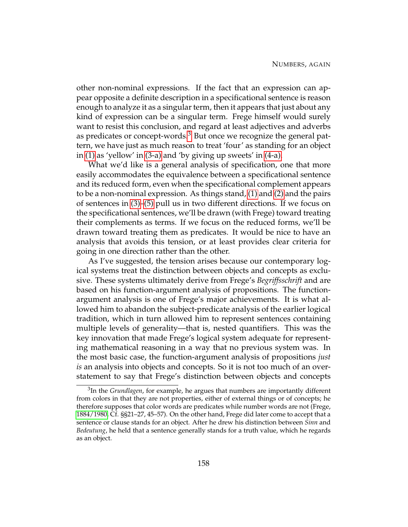other non-nominal expressions. If the fact that an expression can appear opposite a definite description in a specificational sentence is reason enough to analyze it as a singular term, then it appears that just about any kind of expression can be a singular term. Frege himself would surely want to resist this conclusion, and regard at least adjectives and adverbs as predicates or concept-words. $3$  But once we recognize the general pattern, we have just as much reason to treat 'four' as standing for an object in [\(1\)](#page-165-0) as 'yellow' in [\(3-a\)](#page-167-0) and 'by giving up sweets' in [\(4-a\).](#page-167-1)

What we'd like is a general analysis of specification, one that more easily accommodates the equivalence between a specificational sentence and its reduced form, even when the specificational complement appears to be a non-nominal expression. As things stand, [\(1\)](#page-165-0) and [\(2\)](#page-165-1) and the pairs of sentences in [\(3\)](#page-167-2)[–\(5\)](#page-167-3) pull us in two different directions. If we focus on the specificational sentences, we'll be drawn (with Frege) toward treating their complements as terms. If we focus on the reduced forms, we'll be drawn toward treating them as predicates. It would be nice to have an analysis that avoids this tension, or at least provides clear criteria for going in one direction rather than the other.

As I've suggested, the tension arises because our contemporary logical systems treat the distinction between objects and concepts as exclusive. These systems ultimately derive from Frege's *Begriffsschrift* and are based on his function-argument analysis of propositions. The functionargument analysis is one of Frege's major achievements. It is what allowed him to abandon the subject-predicate analysis of the earlier logical tradition, which in turn allowed him to represent sentences containing multiple levels of generality—that is, nested quantifiers. This was the key innovation that made Frege's logical system adequate for representing mathematical reasoning in a way that no previous system was. In the most basic case, the function-argument analysis of propositions *just is* an analysis into objects and concepts. So it is not too much of an overstatement to say that Frege's distinction between objects and concepts

<span id="page-168-0"></span><sup>3</sup> In the *Grundlagen*, for example, he argues that numbers are importantly different from colors in that they are not properties, either of external things or of concepts; he therefore supposes that color words are predicates while number words are not (Frege, [1884/1980,](#page-230-1) Cf. §§21–27, 45–57). On the other hand, Frege did later come to accept that a sentence or clause stands for an object. After he drew his distinction between *Sinn* and *Bedeutung*, he held that a sentence generally stands for a truth value, which he regards as an object.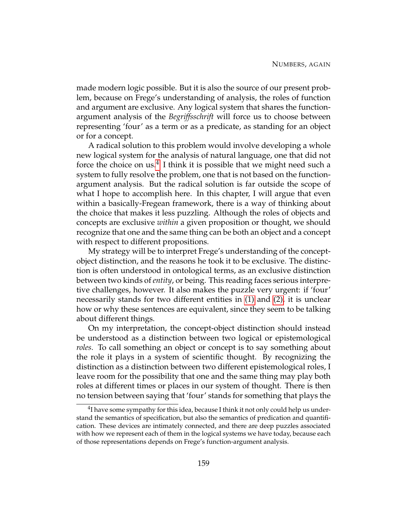made modern logic possible. But it is also the source of our present problem, because on Frege's understanding of analysis, the roles of function and argument are exclusive. Any logical system that shares the functionargument analysis of the *Begriffsschrift* will force us to choose between representing 'four' as a term or as a predicate, as standing for an object or for a concept.

A radical solution to this problem would involve developing a whole new logical system for the analysis of natural language, one that did not force the choice on us.<sup>[4](#page-169-0)</sup> I think it is possible that we might need such a system to fully resolve the problem, one that is not based on the functionargument analysis. But the radical solution is far outside the scope of what I hope to accomplish here. In this chapter, I will argue that even within a basically-Fregean framework, there is a way of thinking about the choice that makes it less puzzling. Although the roles of objects and concepts are exclusive *within* a given proposition or thought, we should recognize that one and the same thing can be both an object and a concept with respect to different propositions.

My strategy will be to interpret Frege's understanding of the conceptobject distinction, and the reasons he took it to be exclusive. The distinction is often understood in ontological terms, as an exclusive distinction between two kinds of *entity*, or being. This reading faces serious interpretive challenges, however. It also makes the puzzle very urgent: if 'four' necessarily stands for two different entities in [\(1\)](#page-165-0) and [\(2\),](#page-165-1) it is unclear how or why these sentences are equivalent, since they seem to be talking about different things.

On my interpretation, the concept-object distinction should instead be understood as a distinction between two logical or epistemological *roles*. To call something an object or concept is to say something about the role it plays in a system of scientific thought. By recognizing the distinction as a distinction between two different epistemological roles, I leave room for the possibility that one and the same thing may play both roles at different times or places in our system of thought. There is then no tension between saying that 'four' stands for something that plays the

<span id="page-169-0"></span> $^{4}$ I have some sympathy for this idea, because I think it not only could help us understand the semantics of specification, but also the semantics of predication and quantification. These devices are intimately connected, and there are deep puzzles associated with how we represent each of them in the logical systems we have today, because each of those representations depends on Frege's function-argument analysis.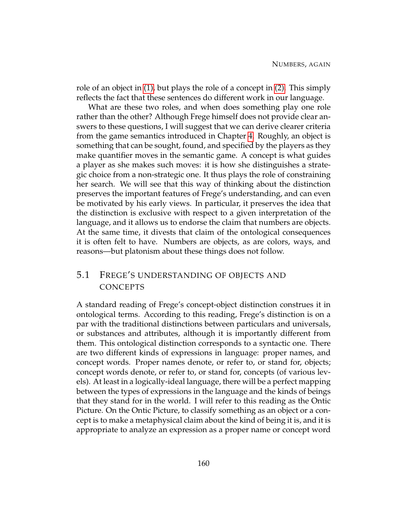role of an object in [\(1\),](#page-165-0) but plays the role of a concept in [\(2\).](#page-165-1) This simply reflects the fact that these sentences do different work in our language.

What are these two roles, and when does something play one role rather than the other? Although Frege himself does not provide clear answers to these questions, I will suggest that we can derive clearer criteria from the game semantics introduced in Chapter [4.](#page-125-0) Roughly, an object is something that can be sought, found, and specified by the players as they make quantifier moves in the semantic game. A concept is what guides a player as she makes such moves: it is how she distinguishes a strategic choice from a non-strategic one. It thus plays the role of constraining her search. We will see that this way of thinking about the distinction preserves the important features of Frege's understanding, and can even be motivated by his early views. In particular, it preserves the idea that the distinction is exclusive with respect to a given interpretation of the language, and it allows us to endorse the claim that numbers are objects. At the same time, it divests that claim of the ontological consequences it is often felt to have. Numbers are objects, as are colors, ways, and reasons—but platonism about these things does not follow.

## 5.1 FREGE'S UNDERSTANDING OF OBJECTS AND **CONCEPTS**

A standard reading of Frege's concept-object distinction construes it in ontological terms. According to this reading, Frege's distinction is on a par with the traditional distinctions between particulars and universals, or substances and attributes, although it is importantly different from them. This ontological distinction corresponds to a syntactic one. There are two different kinds of expressions in language: proper names, and concept words. Proper names denote, or refer to, or stand for, objects; concept words denote, or refer to, or stand for, concepts (of various levels). At least in a logically-ideal language, there will be a perfect mapping between the types of expressions in the language and the kinds of beings that they stand for in the world. I will refer to this reading as the Ontic Picture. On the Ontic Picture, to classify something as an object or a concept is to make a metaphysical claim about the kind of being it is, and it is appropriate to analyze an expression as a proper name or concept word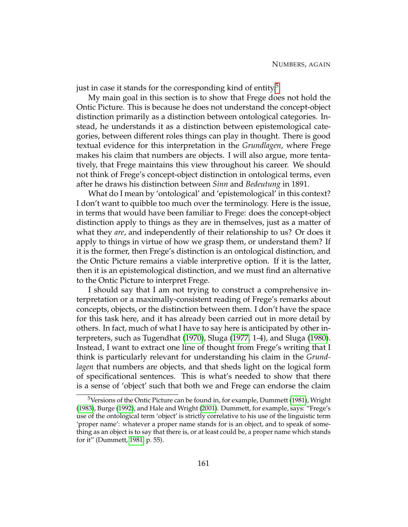just in case it stands for the corresponding kind of entity.<sup>[5](#page-171-0)</sup>

My main goal in this section is to show that Frege does not hold the Ontic Picture. This is because he does not understand the concept-object distinction primarily as a distinction between ontological categories. Instead, he understands it as a distinction between epistemological categories, between different roles things can play in thought. There is good textual evidence for this interpretation in the *Grundlagen*, where Frege makes his claim that numbers are objects. I will also argue, more tentatively, that Frege maintains this view throughout his career. We should not think of Frege's concept-object distinction in ontological terms, even after he draws his distinction between *Sinn* and *Bedeutung* in 1891.

What do I mean by 'ontological' and 'epistemological' in this context? I don't want to quibble too much over the terminology. Here is the issue, in terms that would have been familiar to Frege: does the concept-object distinction apply to things as they are in themselves, just as a matter of what they *are*, and independently of their relationship to us? Or does it apply to things in virtue of how we grasp them, or understand them? If it is the former, then Frege's distinction is an ontological distinction, and the Ontic Picture remains a viable interpretive option. If it is the latter, then it is an epistemological distinction, and we must find an alternative to the Ontic Picture to interpret Frege.

I should say that I am not trying to construct a comprehensive interpretation or a maximally-consistent reading of Frege's remarks about concepts, objects, or the distinction between them. I don't have the space for this task here, and it has already been carried out in more detail by others. In fact, much of what I have to say here is anticipated by other interpreters, such as Tugendhat [\(1970\)](#page-233-0), Sluga [\(1977,](#page-232-1) 1-4), and Sluga [\(1980\)](#page-232-2). Instead, I want to extract one line of thought from Frege's writing that I think is particularly relevant for understanding his claim in the *Grundlagen* that numbers are objects, and that sheds light on the logical form of specificational sentences. This is what's needed to show that there is a sense of 'object' such that both we and Frege can endorse the claim

<span id="page-171-0"></span><sup>&</sup>lt;sup>5</sup>Versions of the Ontic Picture can be found in, for example, Dummett [\(1981\)](#page-230-2), Wright [\(1983\)](#page-233-1), Burge [\(1992\)](#page-229-2), and Hale and Wright [\(2001\)](#page-230-3). Dummett, for example, says: "Frege's use of the ontological term 'object' is strictly correlative to his use of the linguistic term 'proper name': whatever a proper name stands for is an object, and to speak of something as an object is to say that there is, or at least could be, a proper name which stands for it" (Dummett, [1981,](#page-230-2) p. 55).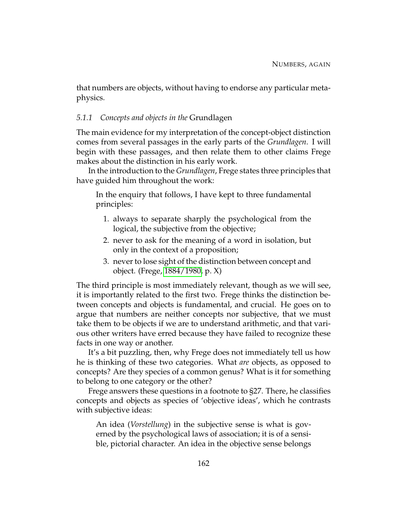that numbers are objects, without having to endorse any particular metaphysics.

### *5.1.1 Concepts and objects in the* Grundlagen

The main evidence for my interpretation of the concept-object distinction comes from several passages in the early parts of the *Grundlagen*. I will begin with these passages, and then relate them to other claims Frege makes about the distinction in his early work.

In the introduction to the *Grundlagen*, Frege states three principles that have guided him throughout the work:

In the enquiry that follows, I have kept to three fundamental principles:

- 1. always to separate sharply the psychological from the logical, the subjective from the objective;
- 2. never to ask for the meaning of a word in isolation, but only in the context of a proposition;
- 3. never to lose sight of the distinction between concept and object. (Frege, [1884/1980,](#page-230-1) p. X)

The third principle is most immediately relevant, though as we will see, it is importantly related to the first two. Frege thinks the distinction between concepts and objects is fundamental, and crucial. He goes on to argue that numbers are neither concepts nor subjective, that we must take them to be objects if we are to understand arithmetic, and that various other writers have erred because they have failed to recognize these facts in one way or another.

It's a bit puzzling, then, why Frege does not immediately tell us how he is thinking of these two categories. What *are* objects, as opposed to concepts? Are they species of a common genus? What is it for something to belong to one category or the other?

Frege answers these questions in a footnote to §27. There, he classifies concepts and objects as species of 'objective ideas', which he contrasts with subjective ideas:

An idea (*Vorstellung*) in the subjective sense is what is governed by the psychological laws of association; it is of a sensible, pictorial character. An idea in the objective sense belongs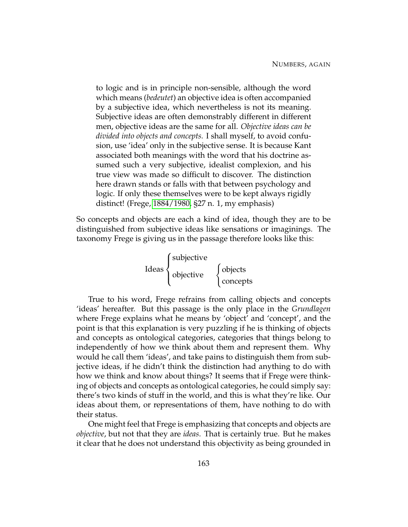to logic and is in principle non-sensible, although the word which means (*bedeutet*) an objective idea is often accompanied by a subjective idea, which nevertheless is not its meaning. Subjective ideas are often demonstrably different in different men, objective ideas are the same for all. *Objective ideas can be divided into objects and concepts.* I shall myself, to avoid confusion, use 'idea' only in the subjective sense. It is because Kant associated both meanings with the word that his doctrine assumed such a very subjective, idealist complexion, and his true view was made so difficult to discover. The distinction here drawn stands or falls with that between psychology and logic. If only these themselves were to be kept always rigidly distinct! (Frege, [1884/1980,](#page-230-1) §27 n. 1, my emphasis)

So concepts and objects are each a kind of idea, though they are to be distinguished from subjective ideas like sensations or imaginings. The taxonomy Frege is giving us in the passage therefore looks like this:

> Ideas  $\sqrt{ }$  $\int$  $\overline{\mathcal{L}}$ subjective objective  $\left\{\right.$ objects concepts

True to his word, Frege refrains from calling objects and concepts 'ideas' hereafter. But this passage is the only place in the *Grundlagen* where Frege explains what he means by 'object' and 'concept', and the point is that this explanation is very puzzling if he is thinking of objects and concepts as ontological categories, categories that things belong to independently of how we think about them and represent them. Why would he call them 'ideas', and take pains to distinguish them from subjective ideas, if he didn't think the distinction had anything to do with how we think and know about things? It seems that if Frege were thinking of objects and concepts as ontological categories, he could simply say: there's two kinds of stuff in the world, and this is what they're like. Our ideas about them, or representations of them, have nothing to do with their status.

One might feel that Frege is emphasizing that concepts and objects are *objective*, but not that they are *ideas*. That is certainly true. But he makes it clear that he does not understand this objectivity as being grounded in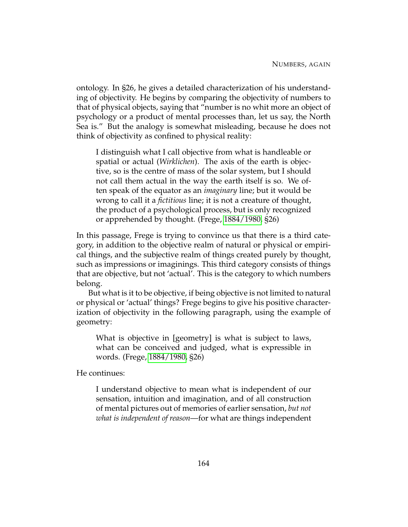ontology. In §26, he gives a detailed characterization of his understanding of objectivity. He begins by comparing the objectivity of numbers to that of physical objects, saying that "number is no whit more an object of psychology or a product of mental processes than, let us say, the North Sea is." But the analogy is somewhat misleading, because he does not think of objectivity as confined to physical reality:

I distinguish what I call objective from what is handleable or spatial or actual (*Wirklichen*). The axis of the earth is objective, so is the centre of mass of the solar system, but I should not call them actual in the way the earth itself is so. We often speak of the equator as an *imaginary* line; but it would be wrong to call it a *fictitious* line; it is not a creature of thought, the product of a psychological process, but is only recognized or apprehended by thought. (Frege, [1884/1980,](#page-230-1) §26)

In this passage, Frege is trying to convince us that there is a third category, in addition to the objective realm of natural or physical or empirical things, and the subjective realm of things created purely by thought, such as impressions or imaginings. This third category consists of things that are objective, but not 'actual'. This is the category to which numbers belong.

But what is it to be objective, if being objective is not limited to natural or physical or 'actual' things? Frege begins to give his positive characterization of objectivity in the following paragraph, using the example of geometry:

What is objective in [geometry] is what is subject to laws, what can be conceived and judged, what is expressible in words. (Frege, [1884/1980,](#page-230-1) §26)

He continues:

I understand objective to mean what is independent of our sensation, intuition and imagination, and of all construction of mental pictures out of memories of earlier sensation, *but not what is independent of reason*—for what are things independent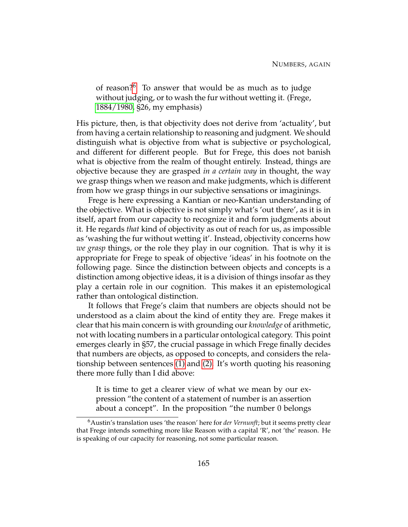of reason?[6](#page-175-0) To answer that would be as much as to judge without judging, or to wash the fur without wetting it. (Frege, [1884/1980,](#page-230-1) §26, my emphasis)

His picture, then, is that objectivity does not derive from 'actuality', but from having a certain relationship to reasoning and judgment. We should distinguish what is objective from what is subjective or psychological, and different for different people. But for Frege, this does not banish what is objective from the realm of thought entirely. Instead, things are objective because they are grasped *in a certain way* in thought, the way we grasp things when we reason and make judgments, which is different from how we grasp things in our subjective sensations or imaginings.

Frege is here expressing a Kantian or neo-Kantian understanding of the objective. What is objective is not simply what's 'out there', as it is in itself, apart from our capacity to recognize it and form judgments about it. He regards *that* kind of objectivity as out of reach for us, as impossible as 'washing the fur without wetting it'. Instead, objectivity concerns how *we grasp* things, or the role they play in our cognition. That is why it is appropriate for Frege to speak of objective 'ideas' in his footnote on the following page. Since the distinction between objects and concepts is a distinction among objective ideas, it is a division of things insofar as they play a certain role in our cognition. This makes it an epistemological rather than ontological distinction.

It follows that Frege's claim that numbers are objects should not be understood as a claim about the kind of entity they are. Frege makes it clear that his main concern is with grounding our *knowledge* of arithmetic, not with locating numbers in a particular ontological category. This point emerges clearly in §57, the crucial passage in which Frege finally decides that numbers are objects, as opposed to concepts, and considers the relationship between sentences [\(1\)](#page-165-0) and [\(2\).](#page-165-1) It's worth quoting his reasoning there more fully than I did above:

It is time to get a clearer view of what we mean by our expression "the content of a statement of number is an assertion about a concept". In the proposition "the number 0 belongs

<span id="page-175-0"></span><sup>&</sup>lt;sup>6</sup>Austin's translation uses 'the reason' here for *der Vernunft*; but it seems pretty clear that Frege intends something more like Reason with a capital 'R', not 'the' reason. He is speaking of our capacity for reasoning, not some particular reason.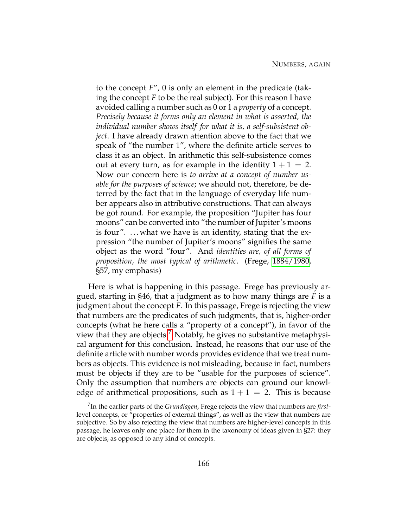to the concept *F*", 0 is only an element in the predicate (taking the concept *F* to be the real subject). For this reason I have avoided calling a number such as 0 or 1 a *property* of a concept. *Precisely because it forms only an element in what is asserted, the individual number shows itself for what it is, a self-subsistent object*. I have already drawn attention above to the fact that we speak of "the number 1", where the definite article serves to class it as an object. In arithmetic this self-subsistence comes out at every turn, as for example in the identity  $1 + 1 = 2$ . Now our concern here is *to arrive at a concept of number usable for the purposes of science*; we should not, therefore, be deterred by the fact that in the language of everyday life number appears also in attributive constructions. That can always be got round. For example, the proposition "Jupiter has four moons" can be converted into "the number of Jupiter's moons is four".  $\dots$  what we have is an identity, stating that the expression "the number of Jupiter's moons" signifies the same object as the word "four". And *identities are, of all forms of proposition, the most typical of arithmetic*. (Frege, [1884/1980,](#page-230-1) §57, my emphasis)

Here is what is happening in this passage. Frege has previously argued, starting in §46, that a judgment as to how many things are *F* is a judgment about the concept *F*. In this passage, Frege is rejecting the view that numbers are the predicates of such judgments, that is, higher-order concepts (what he here calls a "property of a concept"), in favor of the view that they are objects.[7](#page-176-0) Notably, he gives no substantive metaphysical argument for this conclusion. Instead, he reasons that our use of the definite article with number words provides evidence that we treat numbers as objects. This evidence is not misleading, because in fact, numbers must be objects if they are to be "usable for the purposes of science". Only the assumption that numbers are objects can ground our knowledge of arithmetical propositions, such as  $1 + 1 = 2$ . This is because

<span id="page-176-0"></span><sup>7</sup> In the earlier parts of the *Grundlagen*, Frege rejects the view that numbers are *first*level concepts, or "properties of external things", as well as the view that numbers are subjective. So by also rejecting the view that numbers are higher-level concepts in this passage, he leaves only one place for them in the taxonomy of ideas given in §27: they are objects, as opposed to any kind of concepts.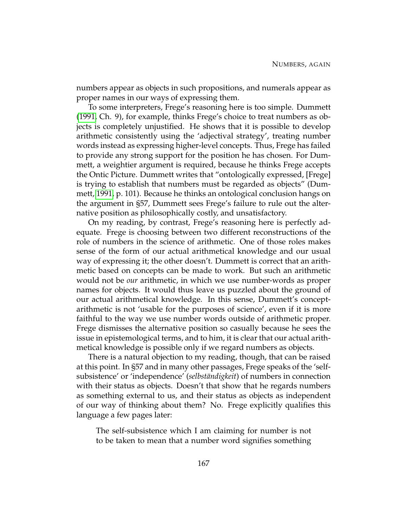numbers appear as objects in such propositions, and numerals appear as proper names in our ways of expressing them.

To some interpreters, Frege's reasoning here is too simple. Dummett [\(1991,](#page-230-4) Ch. 9), for example, thinks Frege's choice to treat numbers as objects is completely unjustified. He shows that it is possible to develop arithmetic consistently using the 'adjectival strategy', treating number words instead as expressing higher-level concepts. Thus, Frege has failed to provide any strong support for the position he has chosen. For Dummett, a weightier argument is required, because he thinks Frege accepts the Ontic Picture. Dummett writes that "ontologically expressed, [Frege] is trying to establish that numbers must be regarded as objects" (Dummett, [1991,](#page-230-4) p. 101). Because he thinks an ontological conclusion hangs on the argument in §57, Dummett sees Frege's failure to rule out the alternative position as philosophically costly, and unsatisfactory.

On my reading, by contrast, Frege's reasoning here is perfectly adequate. Frege is choosing between two different reconstructions of the role of numbers in the science of arithmetic. One of those roles makes sense of the form of our actual arithmetical knowledge and our usual way of expressing it; the other doesn't. Dummett is correct that an arithmetic based on concepts can be made to work. But such an arithmetic would not be *our* arithmetic, in which we use number-words as proper names for objects. It would thus leave us puzzled about the ground of our actual arithmetical knowledge. In this sense, Dummett's conceptarithmetic is not 'usable for the purposes of science', even if it is more faithful to the way we use number words outside of arithmetic proper. Frege dismisses the alternative position so casually because he sees the issue in epistemological terms, and to him, it is clear that our actual arithmetical knowledge is possible only if we regard numbers as objects.

There is a natural objection to my reading, though, that can be raised at this point. In §57 and in many other passages, Frege speaks of the 'selfsubsistence' or 'independence' (*selbständigkeit*) of numbers in connection with their status as objects. Doesn't that show that he regards numbers as something external to us, and their status as objects as independent of our way of thinking about them? No. Frege explicitly qualifies this language a few pages later:

The self-subsistence which I am claiming for number is not to be taken to mean that a number word signifies something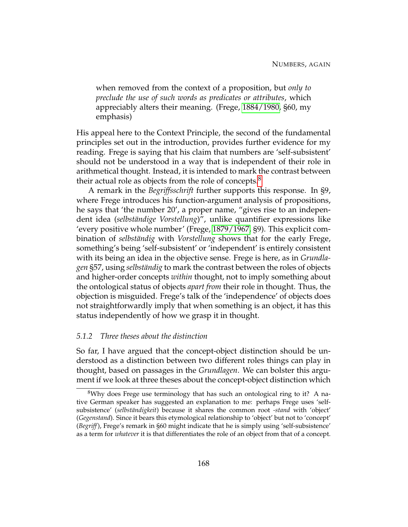when removed from the context of a proposition, but *only to preclude the use of such words as predicates or attributes*, which appreciably alters their meaning. (Frege, [1884/1980,](#page-230-1) §60, my emphasis)

His appeal here to the Context Principle, the second of the fundamental principles set out in the introduction, provides further evidence for my reading. Frege is saying that his claim that numbers are 'self-subsistent' should not be understood in a way that is independent of their role in arithmetical thought. Instead, it is intended to mark the contrast between their actual role as objects from the role of concepts.<sup>[8](#page-178-0)</sup>

A remark in the *Begriffsschrift* further supports this response. In §9, where Frege introduces his function-argument analysis of propositions, he says that 'the number 20', a proper name, "gives rise to an independent idea (*selbständige Vorstellung*)", unlike quantifier expressions like 'every positive whole number' (Frege, [1879/1967,](#page-230-5) §9). This explicit combination of *selbständig* with *Vorstellung* shows that for the early Frege, something's being 'self-subsistent' or 'independent' is entirely consistent with its being an idea in the objective sense. Frege is here, as in *Grundlagen* §57, using *selbständig* to mark the contrast between the roles of objects and higher-order concepts *within* thought, not to imply something about the ontological status of objects *apart from* their role in thought. Thus, the objection is misguided. Frege's talk of the 'independence' of objects does not straightforwardly imply that when something is an object, it has this status independently of how we grasp it in thought.

### *5.1.2 Three theses about the distinction*

So far, I have argued that the concept-object distinction should be understood as a distinction between two different roles things can play in thought, based on passages in the *Grundlagen*. We can bolster this argument if we look at three theses about the concept-object distinction which

<span id="page-178-0"></span><sup>&</sup>lt;sup>8</sup>Why does Frege use terminology that has such an ontological ring to it? A native German speaker has suggested an explanation to me: perhaps Frege uses 'selfsubsistence' (*selbständigkeit*) because it shares the common root *-stand* with 'object' (*Gegenstand*). Since it bears this etymological relationship to 'object' but not to 'concept' (*Begriff*), Frege's remark in §60 might indicate that he is simply using 'self-subsistence' as a term for *whatever* it is that differentiates the role of an object from that of a concept.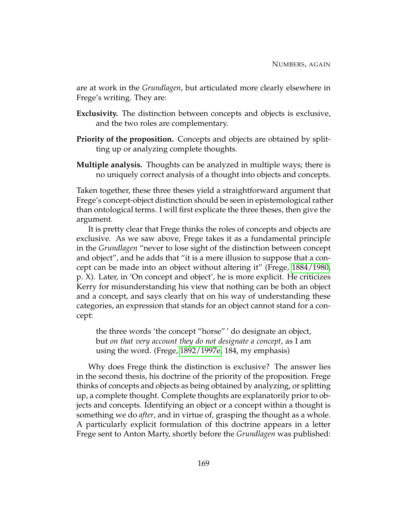are at work in the *Grundlagen*, but articulated more clearly elsewhere in Frege's writing. They are:

- **Exclusivity.** The distinction between concepts and objects is exclusive, and the two roles are complementary.
- **Priority of the proposition.** Concepts and objects are obtained by splitting up or analyzing complete thoughts.
- **Multiple analysis.** Thoughts can be analyzed in multiple ways; there is no uniquely correct analysis of a thought into objects and concepts.

Taken together, these three theses yield a straightforward argument that Frege's concept-object distinction should be seen in epistemological rather than ontological terms. I will first explicate the three theses, then give the argument.

It is pretty clear that Frege thinks the roles of concepts and objects are exclusive. As we saw above, Frege takes it as a fundamental principle in the *Grundlagen* "never to lose sight of the distinction between concept and object", and he adds that "it is a mere illusion to suppose that a concept can be made into an object without altering it" (Frege, [1884/1980,](#page-230-1) p. X). Later, in 'On concept and object', he is more explicit. He criticizes Kerry for misunderstanding his view that nothing can be both an object and a concept, and says clearly that on his way of understanding these categories, an expression that stands for an object cannot stand for a concept:

the three words 'the concept "horse" ' do designate an object, but *on that very account they do not designate a concept*, as I am using the word. (Frege, [1892/1997e,](#page-230-6) 184, my emphasis)

Why does Frege think the distinction is exclusive? The answer lies in the second thesis, his doctrine of the priority of the proposition. Frege thinks of concepts and objects as being obtained by analyzing, or splitting up, a complete thought. Complete thoughts are explanatorily prior to objects and concepts. Identifying an object or a concept within a thought is something we do *after*, and in virtue of, grasping the thought as a whole. A particularly explicit formulation of this doctrine appears in a letter Frege sent to Anton Marty, shortly before the *Grundlagen* was published: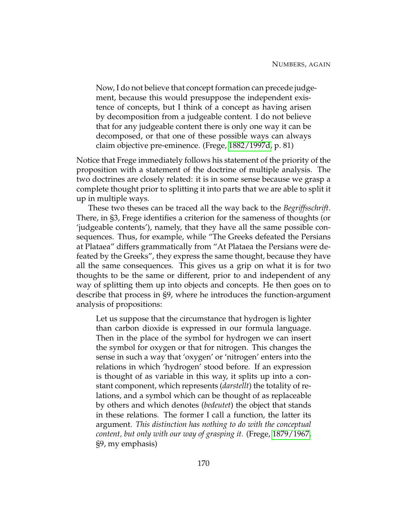Now, I do not believe that concept formation can precede judgement, because this would presuppose the independent existence of concepts, but I think of a concept as having arisen by decomposition from a judgeable content. I do not believe that for any judgeable content there is only one way it can be decomposed, or that one of these possible ways can always claim objective pre-eminence. (Frege, [1882/1997d,](#page-230-0) p. 81)

Notice that Frege immediately follows his statement of the priority of the proposition with a statement of the doctrine of multiple analysis. The two doctrines are closely related: it is in some sense because we grasp a complete thought prior to splitting it into parts that we are able to split it up in multiple ways.

These two theses can be traced all the way back to the *Begriffsschrift*. There, in §3, Frege identifies a criterion for the sameness of thoughts (or 'judgeable contents'), namely, that they have all the same possible consequences. Thus, for example, while "The Greeks defeated the Persians at Plataea" differs grammatically from "At Plataea the Persians were defeated by the Greeks", they express the same thought, because they have all the same consequences. This gives us a grip on what it is for two thoughts to be the same or different, prior to and independent of any way of splitting them up into objects and concepts. He then goes on to describe that process in §9, where he introduces the function-argument analysis of propositions:

Let us suppose that the circumstance that hydrogen is lighter than carbon dioxide is expressed in our formula language. Then in the place of the symbol for hydrogen we can insert the symbol for oxygen or that for nitrogen. This changes the sense in such a way that 'oxygen' or 'nitrogen' enters into the relations in which 'hydrogen' stood before. If an expression is thought of as variable in this way, it splits up into a constant component, which represents (*darstellt*) the totality of relations, and a symbol which can be thought of as replaceable by others and which denotes (*bedeutet*) the object that stands in these relations. The former I call a function, the latter its argument. *This distinction has nothing to do with the conceptual content, but only with our way of grasping it.* (Frege, [1879/1967,](#page-230-1) §9, my emphasis)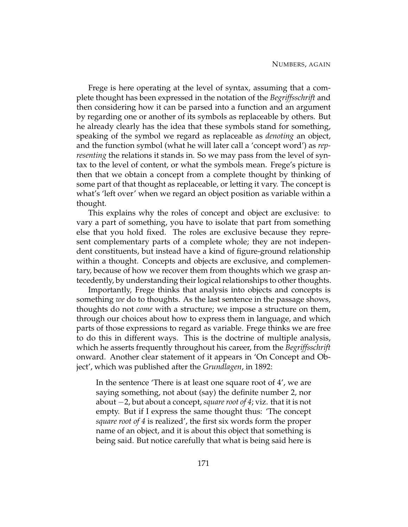Frege is here operating at the level of syntax, assuming that a complete thought has been expressed in the notation of the *Begriffsschrift* and then considering how it can be parsed into a function and an argument by regarding one or another of its symbols as replaceable by others. But he already clearly has the idea that these symbols stand for something, speaking of the symbol we regard as replaceable as *denoting* an object, and the function symbol (what he will later call a 'concept word') as *representing* the relations it stands in. So we may pass from the level of syntax to the level of content, or what the symbols mean. Frege's picture is then that we obtain a concept from a complete thought by thinking of some part of that thought as replaceable, or letting it vary. The concept is what's 'left over' when we regard an object position as variable within a thought.

This explains why the roles of concept and object are exclusive: to vary a part of something, you have to isolate that part from something else that you hold fixed. The roles are exclusive because they represent complementary parts of a complete whole; they are not independent constituents, but instead have a kind of figure-ground relationship within a thought. Concepts and objects are exclusive, and complementary, because of how we recover them from thoughts which we grasp antecedently, by understanding their logical relationships to other thoughts.

Importantly, Frege thinks that analysis into objects and concepts is something *we* do to thoughts. As the last sentence in the passage shows, thoughts do not *come* with a structure; we impose a structure on them, through our choices about how to express them in language, and which parts of those expressions to regard as variable. Frege thinks we are free to do this in different ways. This is the doctrine of multiple analysis, which he asserts frequently throughout his career, from the *Begriffsschrift* onward. Another clear statement of it appears in 'On Concept and Object', which was published after the *Grundlagen*, in 1892:

In the sentence 'There is at least one square root of 4', we are saying something, not about (say) the definite number 2, nor about −2, but about a concept, *square root of 4*; viz. that it is not empty. But if I express the same thought thus: 'The concept *square root of 4* is realized', the first six words form the proper name of an object, and it is about this object that something is being said. But notice carefully that what is being said here is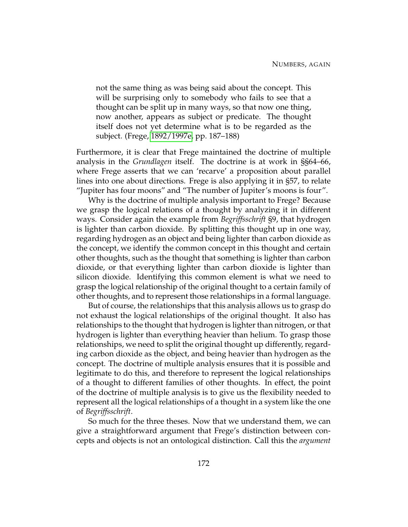not the same thing as was being said about the concept. This will be surprising only to somebody who fails to see that a thought can be split up in many ways, so that now one thing, now another, appears as subject or predicate. The thought itself does not yet determine what is to be regarded as the subject. (Frege, [1892/1997e,](#page-230-2) pp. 187–188)

Furthermore, it is clear that Frege maintained the doctrine of multiple analysis in the *Grundlagen* itself. The doctrine is at work in §§64–66, where Frege asserts that we can 'recarve' a proposition about parallel lines into one about directions. Frege is also applying it in §57, to relate "Jupiter has four moons" and "The number of Jupiter's moons is four".

Why is the doctrine of multiple analysis important to Frege? Because we grasp the logical relations of a thought by analyzing it in different ways. Consider again the example from *Begriffsschrift* §9, that hydrogen is lighter than carbon dioxide. By splitting this thought up in one way, regarding hydrogen as an object and being lighter than carbon dioxide as the concept, we identify the common concept in this thought and certain other thoughts, such as the thought that something is lighter than carbon dioxide, or that everything lighter than carbon dioxide is lighter than silicon dioxide. Identifying this common element is what we need to grasp the logical relationship of the original thought to a certain family of other thoughts, and to represent those relationships in a formal language.

But of course, the relationships that this analysis allows us to grasp do not exhaust the logical relationships of the original thought. It also has relationships to the thought that hydrogen is lighter than nitrogen, or that hydrogen is lighter than everything heavier than helium. To grasp those relationships, we need to split the original thought up differently, regarding carbon dioxide as the object, and being heavier than hydrogen as the concept. The doctrine of multiple analysis ensures that it is possible and legitimate to do this, and therefore to represent the logical relationships of a thought to different families of other thoughts. In effect, the point of the doctrine of multiple analysis is to give us the flexibility needed to represent all the logical relationships of a thought in a system like the one of *Begriffsschrift*.

So much for the three theses. Now that we understand them, we can give a straightforward argument that Frege's distinction between concepts and objects is not an ontological distinction. Call this the *argument*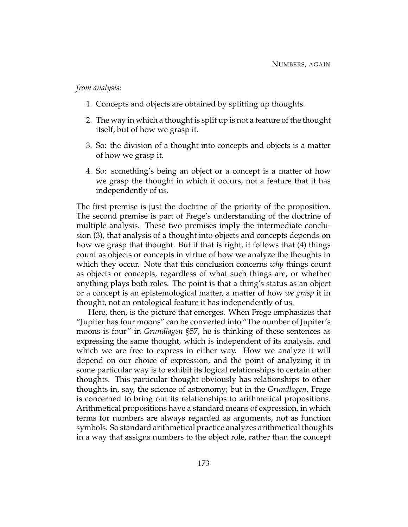## *from analysis*:

- 1. Concepts and objects are obtained by splitting up thoughts.
- 2. The way in which a thought is split up is not a feature of the thought itself, but of how we grasp it.
- 3. So: the division of a thought into concepts and objects is a matter of how we grasp it.
- 4. So: something's being an object or a concept is a matter of how we grasp the thought in which it occurs, not a feature that it has independently of us.

The first premise is just the doctrine of the priority of the proposition. The second premise is part of Frege's understanding of the doctrine of multiple analysis. These two premises imply the intermediate conclusion (3), that analysis of a thought into objects and concepts depends on how we grasp that thought. But if that is right, it follows that (4) things count as objects or concepts in virtue of how we analyze the thoughts in which they occur. Note that this conclusion concerns *why* things count as objects or concepts, regardless of what such things are, or whether anything plays both roles. The point is that a thing's status as an object or a concept is an epistemological matter, a matter of how *we grasp* it in thought, not an ontological feature it has independently of us.

Here, then, is the picture that emerges. When Frege emphasizes that "Jupiter has four moons" can be converted into "The number of Jupiter's moons is four" in *Grundlagen* §57, he is thinking of these sentences as expressing the same thought, which is independent of its analysis, and which we are free to express in either way. How we analyze it will depend on our choice of expression, and the point of analyzing it in some particular way is to exhibit its logical relationships to certain other thoughts. This particular thought obviously has relationships to other thoughts in, say, the science of astronomy; but in the *Grundlagen*, Frege is concerned to bring out its relationships to arithmetical propositions. Arithmetical propositions have a standard means of expression, in which terms for numbers are always regarded as arguments, not as function symbols. So standard arithmetical practice analyzes arithmetical thoughts in a way that assigns numbers to the object role, rather than the concept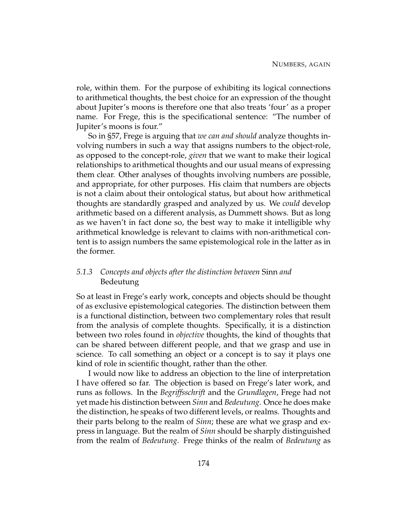role, within them. For the purpose of exhibiting its logical connections to arithmetical thoughts, the best choice for an expression of the thought about Jupiter's moons is therefore one that also treats 'four' as a proper name. For Frege, this is the specificational sentence: "The number of Jupiter's moons is four."

So in §57, Frege is arguing that *we can and should* analyze thoughts involving numbers in such a way that assigns numbers to the object-role, as opposed to the concept-role, *given* that we want to make their logical relationships to arithmetical thoughts and our usual means of expressing them clear. Other analyses of thoughts involving numbers are possible, and appropriate, for other purposes. His claim that numbers are objects is not a claim about their ontological status, but about how arithmetical thoughts are standardly grasped and analyzed by us. We *could* develop arithmetic based on a different analysis, as Dummett shows. But as long as we haven't in fact done so, the best way to make it intelligible why arithmetical knowledge is relevant to claims with non-arithmetical content is to assign numbers the same epistemological role in the latter as in the former.

## *5.1.3 Concepts and objects after the distinction between* Sinn *and* Bedeutung

So at least in Frege's early work, concepts and objects should be thought of as exclusive epistemological categories. The distinction between them is a functional distinction, between two complementary roles that result from the analysis of complete thoughts. Specifically, it is a distinction between two roles found in *objective* thoughts, the kind of thoughts that can be shared between different people, and that we grasp and use in science. To call something an object or a concept is to say it plays one kind of role in scientific thought, rather than the other.

I would now like to address an objection to the line of interpretation I have offered so far. The objection is based on Frege's later work, and runs as follows. In the *Begriffsschrift* and the *Grundlagen*, Frege had not yet made his distinction between *Sinn* and *Bedeutung*. Once he does make the distinction, he speaks of two different levels, or realms. Thoughts and their parts belong to the realm of *Sinn*; these are what we grasp and express in language. But the realm of *Sinn* should be sharply distinguished from the realm of *Bedeutung*. Frege thinks of the realm of *Bedeutung* as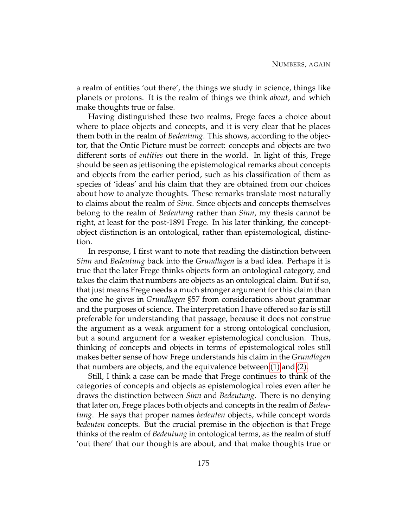a realm of entities 'out there', the things we study in science, things like planets or protons. It is the realm of things we think *about*, and which make thoughts true or false.

Having distinguished these two realms, Frege faces a choice about where to place objects and concepts, and it is very clear that he places them both in the realm of *Bedeutung*. This shows, according to the objector, that the Ontic Picture must be correct: concepts and objects are two different sorts of *entities* out there in the world. In light of this, Frege should be seen as jettisoning the epistemological remarks about concepts and objects from the earlier period, such as his classification of them as species of 'ideas' and his claim that they are obtained from our choices about how to analyze thoughts. These remarks translate most naturally to claims about the realm of *Sinn*. Since objects and concepts themselves belong to the realm of *Bedeutung* rather than *Sinn*, my thesis cannot be right, at least for the post-1891 Frege. In his later thinking, the conceptobject distinction is an ontological, rather than epistemological, distinction.

In response, I first want to note that reading the distinction between *Sinn* and *Bedeutung* back into the *Grundlagen* is a bad idea. Perhaps it is true that the later Frege thinks objects form an ontological category, and takes the claim that numbers are objects as an ontological claim. But if so, that just means Frege needs a much stronger argument for this claim than the one he gives in *Grundlagen* §57 from considerations about grammar and the purposes of science. The interpretation I have offered so far is still preferable for understanding that passage, because it does not construe the argument as a weak argument for a strong ontological conclusion, but a sound argument for a weaker epistemological conclusion. Thus, thinking of concepts and objects in terms of epistemological roles still makes better sense of how Frege understands his claim in the *Grundlagen* that numbers are objects, and the equivalence between [\(1\)](#page-165-0) and [\(2\).](#page-165-1)

Still, I think a case can be made that Frege continues to think of the categories of concepts and objects as epistemological roles even after he draws the distinction between *Sinn* and *Bedeutung*. There is no denying that later on, Frege places both objects and concepts in the realm of *Bedeutung*. He says that proper names *bedeuten* objects, while concept words *bedeuten* concepts. But the crucial premise in the objection is that Frege thinks of the realm of *Bedeutung* in ontological terms, as the realm of stuff 'out there' that our thoughts are about, and that make thoughts true or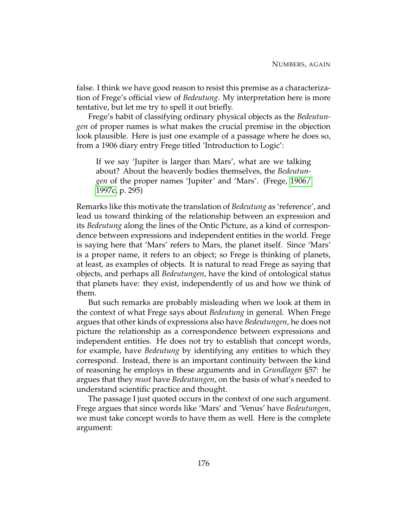false. I think we have good reason to resist this premise as a characterization of Frege's official view of *Bedeutung*. My interpretation here is more tentative, but let me try to spell it out briefly.

Frege's habit of classifying ordinary physical objects as the *Bedeutungen* of proper names is what makes the crucial premise in the objection look plausible. Here is just one example of a passage where he does so, from a 1906 diary entry Frege titled 'Introduction to Logic':

If we say 'Jupiter is larger than Mars', what are we talking about? About the heavenly bodies themselves, the *Bedeutungen* of the proper names 'Jupiter' and 'Mars'. (Frege, [1906/](#page-230-3) [1997c,](#page-230-3) p. 295)

Remarks like this motivate the translation of *Bedeutung* as 'reference', and lead us toward thinking of the relationship between an expression and its *Bedeutung* along the lines of the Ontic Picture, as a kind of correspondence between expressions and independent entities in the world. Frege is saying here that 'Mars' refers to Mars, the planet itself. Since 'Mars' is a proper name, it refers to an object; so Frege is thinking of planets, at least, as examples of objects. It is natural to read Frege as saying that objects, and perhaps all *Bedeutungen*, have the kind of ontological status that planets have: they exist, independently of us and how we think of them.

But such remarks are probably misleading when we look at them in the context of what Frege says about *Bedeutung* in general. When Frege argues that other kinds of expressions also have *Bedeutungen*, he does not picture the relationship as a correspondence between expressions and independent entities. He does not try to establish that concept words, for example, have *Bedeutung* by identifying any entities to which they correspond. Instead, there is an important continuity between the kind of reasoning he employs in these arguments and in *Grundlagen* §57: he argues that they *must* have *Bedeutungen*, on the basis of what's needed to understand scientific practice and thought.

The passage I just quoted occurs in the context of one such argument. Frege argues that since words like 'Mars' and 'Venus' have *Bedeutungen*, we must take concept words to have them as well. Here is the complete argument: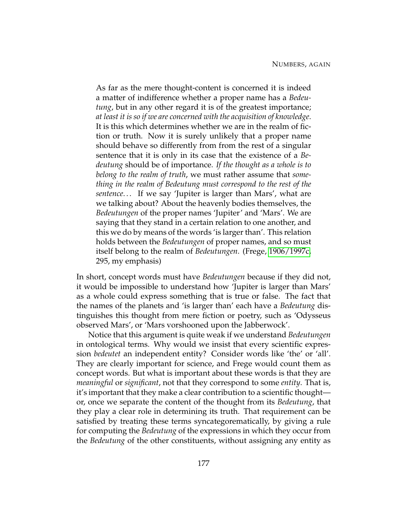As far as the mere thought-content is concerned it is indeed a matter of indifference whether a proper name has a *Bedeutung*, but in any other regard it is of the greatest importance; *at least it is so if we are concerned with the acquisition of knowledge*. It is this which determines whether we are in the realm of fiction or truth. Now it is surely unlikely that a proper name should behave so differently from from the rest of a singular sentence that it is only in its case that the existence of a *Bedeutung* should be of importance. *If the thought as a whole is to belong to the realm of truth*, we must rather assume that *something in the realm of Bedeutung must correspond to the rest of the sentence*. . . If we say 'Jupiter is larger than Mars', what are we talking about? About the heavenly bodies themselves, the *Bedeutungen* of the proper names 'Jupiter' and 'Mars'. We are saying that they stand in a certain relation to one another, and this we do by means of the words 'is larger than'. This relation holds between the *Bedeutungen* of proper names, and so must itself belong to the realm of *Bedeutungen*. (Frege, [1906/1997c,](#page-230-3) 295, my emphasis)

In short, concept words must have *Bedeutungen* because if they did not, it would be impossible to understand how 'Jupiter is larger than Mars' as a whole could express something that is true or false. The fact that the names of the planets and 'is larger than' each have a *Bedeutung* distinguishes this thought from mere fiction or poetry, such as 'Odysseus observed Mars', or 'Mars vorshooned upon the Jabberwock'.

Notice that this argument is quite weak if we understand *Bedeutungen* in ontological terms. Why would we insist that every scientific expression *bedeutet* an independent entity? Consider words like 'the' or 'all'. They are clearly important for science, and Frege would count them as concept words. But what is important about these words is that they are *meaningful* or *significant*, not that they correspond to some *entity*. That is, it's important that they make a clear contribution to a scientific thought or, once we separate the content of the thought from its *Bedeutung*, that they play a clear role in determining its truth. That requirement can be satisfied by treating these terms syncategorematically, by giving a rule for computing the *Bedeutung* of the expressions in which they occur from the *Bedeutung* of the other constituents, without assigning any entity as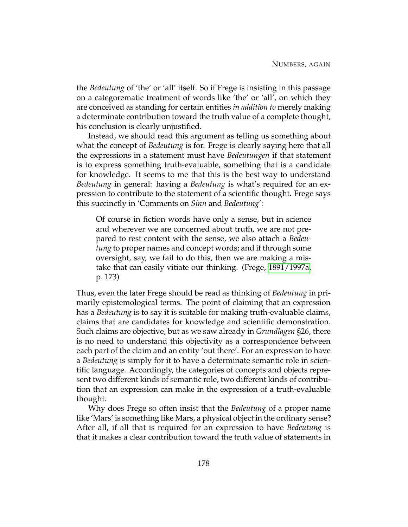the *Bedeutung* of 'the' or 'all' itself. So if Frege is insisting in this passage on a categorematic treatment of words like 'the' or 'all', on which they are conceived as standing for certain entities *in addition to* merely making a determinate contribution toward the truth value of a complete thought, his conclusion is clearly unjustified.

Instead, we should read this argument as telling us something about what the concept of *Bedeutung* is for. Frege is clearly saying here that all the expressions in a statement must have *Bedeutungen* if that statement is to express something truth-evaluable, something that is a candidate for knowledge. It seems to me that this is the best way to understand *Bedeutung* in general: having a *Bedeutung* is what's required for an expression to contribute to the statement of a scientific thought. Frege says this succinctly in 'Comments on *Sinn* and *Bedeutung*':

Of course in fiction words have only a sense, but in science and wherever we are concerned about truth, we are not prepared to rest content with the sense, we also attach a *Bedeutung* to proper names and concept words; and if through some oversight, say, we fail to do this, then we are making a mistake that can easily vitiate our thinking. (Frege, [1891/1997a,](#page-230-4) p. 173)

Thus, even the later Frege should be read as thinking of *Bedeutung* in primarily epistemological terms. The point of claiming that an expression has a *Bedeutung* is to say it is suitable for making truth-evaluable claims, claims that are candidates for knowledge and scientific demonstration. Such claims are objective, but as we saw already in *Grundlagen* §26, there is no need to understand this objectivity as a correspondence between each part of the claim and an entity 'out there'. For an expression to have a *Bedeutung* is simply for it to have a determinate semantic role in scientific language. Accordingly, the categories of concepts and objects represent two different kinds of semantic role, two different kinds of contribution that an expression can make in the expression of a truth-evaluable thought.

Why does Frege so often insist that the *Bedeutung* of a proper name like 'Mars' is something like Mars, a physical object in the ordinary sense? After all, if all that is required for an expression to have *Bedeutung* is that it makes a clear contribution toward the truth value of statements in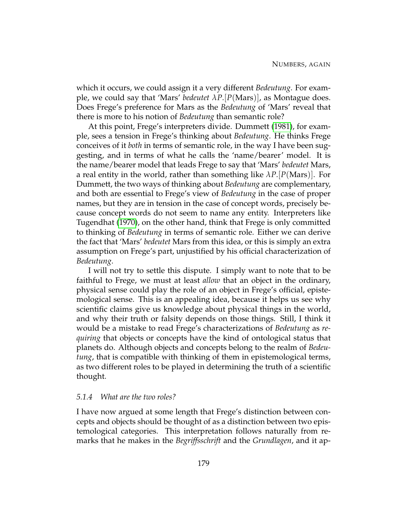which it occurs, we could assign it a very different *Bedeutung*. For example, we could say that 'Mars' *bedeutet λP*.[*P*(Mars)], as Montague does. Does Frege's preference for Mars as the *Bedeutung* of 'Mars' reveal that there is more to his notion of *Bedeutung* than semantic role?

At this point, Frege's interpreters divide. Dummett [\(1981\)](#page-230-5), for example, sees a tension in Frege's thinking about *Bedeutung*. He thinks Frege conceives of it *both* in terms of semantic role, in the way I have been suggesting, and in terms of what he calls the 'name/bearer' model. It is the name/bearer model that leads Frege to say that 'Mars' *bedeutet* Mars, a real entity in the world, rather than something like  $\lambda P$ . [*P*(Mars)]. For Dummett, the two ways of thinking about *Bedeutung* are complementary, and both are essential to Frege's view of *Bedeutung* in the case of proper names, but they are in tension in the case of concept words, precisely because concept words do not seem to name any entity. Interpreters like Tugendhat [\(1970\)](#page-233-0), on the other hand, think that Frege is only committed to thinking of *Bedeutung* in terms of semantic role. Either we can derive the fact that 'Mars' *bedeutet* Mars from this idea, or this is simply an extra assumption on Frege's part, unjustified by his official characterization of *Bedeutung*.

I will not try to settle this dispute. I simply want to note that to be faithful to Frege, we must at least *allow* that an object in the ordinary, physical sense could play the role of an object in Frege's official, epistemological sense. This is an appealing idea, because it helps us see why scientific claims give us knowledge about physical things in the world, and why their truth or falsity depends on those things. Still, I think it would be a mistake to read Frege's characterizations of *Bedeutung* as *requiring* that objects or concepts have the kind of ontological status that planets do. Although objects and concepts belong to the realm of *Bedeutung*, that is compatible with thinking of them in epistemological terms, as two different roles to be played in determining the truth of a scientific thought.

#### *5.1.4 What are the two roles?*

I have now argued at some length that Frege's distinction between concepts and objects should be thought of as a distinction between two epistemological categories. This interpretation follows naturally from remarks that he makes in the *Begriffsschrift* and the *Grundlagen*, and it ap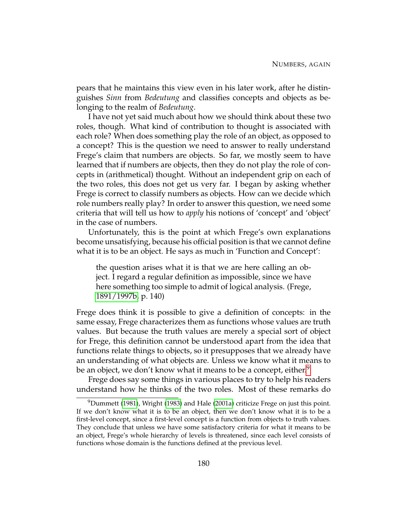pears that he maintains this view even in his later work, after he distinguishes *Sinn* from *Bedeutung* and classifies concepts and objects as belonging to the realm of *Bedeutung*.

I have not yet said much about how we should think about these two roles, though. What kind of contribution to thought is associated with each role? When does something play the role of an object, as opposed to a concept? This is the question we need to answer to really understand Frege's claim that numbers are objects. So far, we mostly seem to have learned that if numbers are objects, then they do not play the role of concepts in (arithmetical) thought. Without an independent grip on each of the two roles, this does not get us very far. I began by asking whether Frege is correct to classify numbers as objects. How can we decide which role numbers really play? In order to answer this question, we need some criteria that will tell us how to *apply* his notions of 'concept' and 'object' in the case of numbers.

Unfortunately, this is the point at which Frege's own explanations become unsatisfying, because his official position is that we cannot define what it is to be an object. He says as much in 'Function and Concept':

the question arises what it is that we are here calling an object. I regard a regular definition as impossible, since we have here something too simple to admit of logical analysis. (Frege, [1891/1997b,](#page-230-6) p. 140)

Frege does think it is possible to give a definition of concepts: in the same essay, Frege characterizes them as functions whose values are truth values. But because the truth values are merely a special sort of object for Frege, this definition cannot be understood apart from the idea that functions relate things to objects, so it presupposes that we already have an understanding of what objects are. Unless we know what it means to be an object, we don't know what it means to be a concept, either.<sup>[9](#page-190-0)</sup>

Frege does say some things in various places to try to help his readers understand how he thinks of the two roles. Most of these remarks do

<span id="page-190-0"></span> $^{9}$ Dummett [\(1981\)](#page-230-5), Wright [\(1983\)](#page-233-1) and Hale [\(2001a\)](#page-230-7) criticize Frege on just this point. If we don't know what it is to be an object, then we don't know what it is to be a first-level concept, since a first-level concept is a function from objects to truth values. They conclude that unless we have some satisfactory criteria for what it means to be an object, Frege's whole hierarchy of levels is threatened, since each level consists of functions whose domain is the functions defined at the previous level.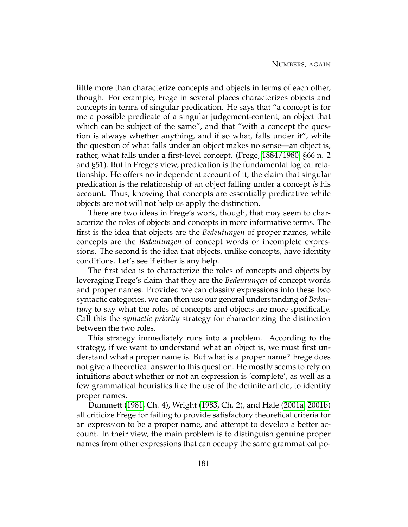little more than characterize concepts and objects in terms of each other, though. For example, Frege in several places characterizes objects and concepts in terms of singular predication. He says that "a concept is for me a possible predicate of a singular judgement-content, an object that which can be subject of the same", and that "with a concept the question is always whether anything, and if so what, falls under it", while the question of what falls under an object makes no sense—an object is, rather, what falls under a first-level concept. (Frege, [1884/1980,](#page-230-8) §66 n. 2 and §51). But in Frege's view, predication is the fundamental logical relationship. He offers no independent account of it; the claim that singular predication is the relationship of an object falling under a concept *is* his account. Thus, knowing that concepts are essentially predicative while objects are not will not help us apply the distinction.

There are two ideas in Frege's work, though, that may seem to characterize the roles of objects and concepts in more informative terms. The first is the idea that objects are the *Bedeutungen* of proper names, while concepts are the *Bedeutungen* of concept words or incomplete expressions. The second is the idea that objects, unlike concepts, have identity conditions. Let's see if either is any help.

The first idea is to characterize the roles of concepts and objects by leveraging Frege's claim that they are the *Bedeutungen* of concept words and proper names. Provided we can classify expressions into these two syntactic categories, we can then use our general understanding of *Bedeutung* to say what the roles of concepts and objects are more specifically. Call this the *syntactic priority* strategy for characterizing the distinction between the two roles.

This strategy immediately runs into a problem. According to the strategy, if we want to understand what an object is, we must first understand what a proper name is. But what is a proper name? Frege does not give a theoretical answer to this question. He mostly seems to rely on intuitions about whether or not an expression is 'complete', as well as a few grammatical heuristics like the use of the definite article, to identify proper names.

Dummett [\(1981,](#page-230-5) Ch. 4), Wright [\(1983,](#page-233-1) Ch. 2), and Hale [\(2001a,](#page-230-7) [2001b\)](#page-230-9) all criticize Frege for failing to provide satisfactory theoretical criteria for an expression to be a proper name, and attempt to develop a better account. In their view, the main problem is to distinguish genuine proper names from other expressions that can occupy the same grammatical po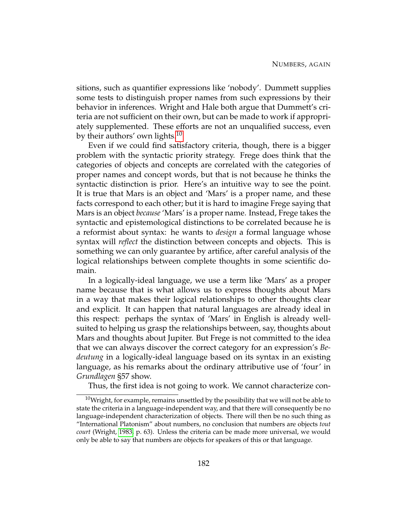sitions, such as quantifier expressions like 'nobody'. Dummett supplies some tests to distinguish proper names from such expressions by their behavior in inferences. Wright and Hale both argue that Dummett's criteria are not sufficient on their own, but can be made to work if appropriately supplemented. These efforts are not an unqualified success, even by their authors' own lights.<sup>[10](#page-192-0)</sup>

Even if we could find satisfactory criteria, though, there is a bigger problem with the syntactic priority strategy. Frege does think that the categories of objects and concepts are correlated with the categories of proper names and concept words, but that is not because he thinks the syntactic distinction is prior. Here's an intuitive way to see the point. It is true that Mars is an object and 'Mars' is a proper name, and these facts correspond to each other; but it is hard to imagine Frege saying that Mars is an object *because* 'Mars' is a proper name. Instead, Frege takes the syntactic and epistemological distinctions to be correlated because he is a reformist about syntax: he wants to *design* a formal language whose syntax will *reflect* the distinction between concepts and objects. This is something we can only guarantee by artifice, after careful analysis of the logical relationships between complete thoughts in some scientific domain.

In a logically-ideal language, we use a term like 'Mars' as a proper name because that is what allows us to express thoughts about Mars in a way that makes their logical relationships to other thoughts clear and explicit. It can happen that natural languages are already ideal in this respect: perhaps the syntax of 'Mars' in English is already wellsuited to helping us grasp the relationships between, say, thoughts about Mars and thoughts about Jupiter. But Frege is not committed to the idea that we can always discover the correct category for an expression's *Bedeutung* in a logically-ideal language based on its syntax in an existing language, as his remarks about the ordinary attributive use of 'four' in *Grundlagen* §57 show.

<span id="page-192-0"></span>Thus, the first idea is not going to work. We cannot characterize con-

 $10$ Wright, for example, remains unsettled by the possibility that we will not be able to state the criteria in a language-independent way, and that there will consequently be no language-independent characterization of objects. There will then be no such thing as "International Platonism" about numbers, no conclusion that numbers are objects *tout court* (Wright, [1983,](#page-233-1) p. 63). Unless the criteria can be made more universal, we would only be able to say that numbers are objects for speakers of this or that language.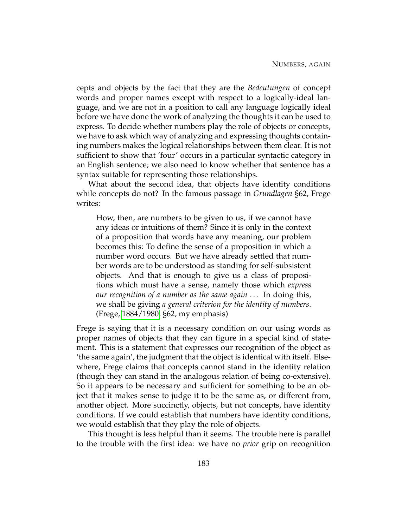cepts and objects by the fact that they are the *Bedeutungen* of concept words and proper names except with respect to a logically-ideal language, and we are not in a position to call any language logically ideal before we have done the work of analyzing the thoughts it can be used to express. To decide whether numbers play the role of objects or concepts, we have to ask which way of analyzing and expressing thoughts containing numbers makes the logical relationships between them clear. It is not sufficient to show that 'four' occurs in a particular syntactic category in an English sentence; we also need to know whether that sentence has a syntax suitable for representing those relationships.

What about the second idea, that objects have identity conditions while concepts do not? In the famous passage in *Grundlagen* §62, Frege writes:

How, then, are numbers to be given to us, if we cannot have any ideas or intuitions of them? Since it is only in the context of a proposition that words have any meaning, our problem becomes this: To define the sense of a proposition in which a number word occurs. But we have already settled that number words are to be understood as standing for self-subsistent objects. And that is enough to give us a class of propositions which must have a sense, namely those which *express our recognition of a number as the same again* . . . In doing this, we shall be giving *a general criterion for the identity of numbers*. (Frege, [1884/1980,](#page-230-8) §62, my emphasis)

Frege is saying that it is a necessary condition on our using words as proper names of objects that they can figure in a special kind of statement. This is a statement that expresses our recognition of the object as 'the same again', the judgment that the object is identical with itself. Elsewhere, Frege claims that concepts cannot stand in the identity relation (though they can stand in the analogous relation of being co-extensive). So it appears to be necessary and sufficient for something to be an object that it makes sense to judge it to be the same as, or different from, another object. More succinctly, objects, but not concepts, have identity conditions. If we could establish that numbers have identity conditions, we would establish that they play the role of objects.

This thought is less helpful than it seems. The trouble here is parallel to the trouble with the first idea: we have no *prior* grip on recognition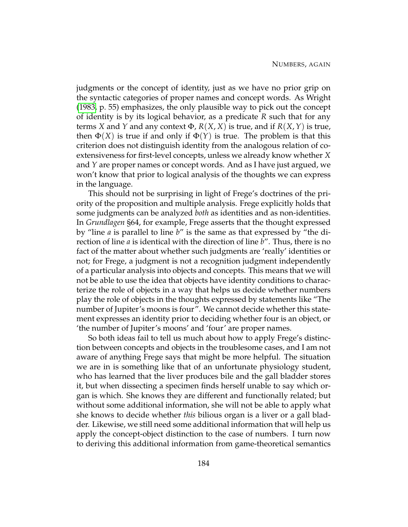judgments or the concept of identity, just as we have no prior grip on the syntactic categories of proper names and concept words. As Wright [\(1983,](#page-233-1) p. 55) emphasizes, the only plausible way to pick out the concept of identity is by its logical behavior, as a predicate *R* such that for any terms *X* and *Y* and any context  $\Phi$ , *R*(*X*, *X*) is true, and if *R*(*X*, *Y*) is true, then  $\Phi(X)$  is true if and only if  $\Phi(Y)$  is true. The problem is that this criterion does not distinguish identity from the analogous relation of coextensiveness for first-level concepts, unless we already know whether *X* and *Y* are proper names or concept words. And as I have just argued, we won't know that prior to logical analysis of the thoughts we can express in the language.

This should not be surprising in light of Frege's doctrines of the priority of the proposition and multiple analysis. Frege explicitly holds that some judgments can be analyzed *both* as identities and as non-identities. In *Grundlagen* §64, for example, Frege asserts that the thought expressed by "line *a* is parallel to line *b*" is the same as that expressed by "the direction of line *a* is identical with the direction of line *b*". Thus, there is no fact of the matter about whether such judgments are 'really' identities or not; for Frege, a judgment is not a recognition judgment independently of a particular analysis into objects and concepts. This means that we will not be able to use the idea that objects have identity conditions to characterize the role of objects in a way that helps us decide whether numbers play the role of objects in the thoughts expressed by statements like "The number of Jupiter's moons is four". We cannot decide whether this statement expresses an identity prior to deciding whether four is an object, or 'the number of Jupiter's moons' and 'four' are proper names.

So both ideas fail to tell us much about how to apply Frege's distinction between concepts and objects in the troublesome cases, and I am not aware of anything Frege says that might be more helpful. The situation we are in is something like that of an unfortunate physiology student, who has learned that the liver produces bile and the gall bladder stores it, but when dissecting a specimen finds herself unable to say which organ is which. She knows they are different and functionally related; but without some additional information, she will not be able to apply what she knows to decide whether *this* bilious organ is a liver or a gall bladder. Likewise, we still need some additional information that will help us apply the concept-object distinction to the case of numbers. I turn now to deriving this additional information from game-theoretical semantics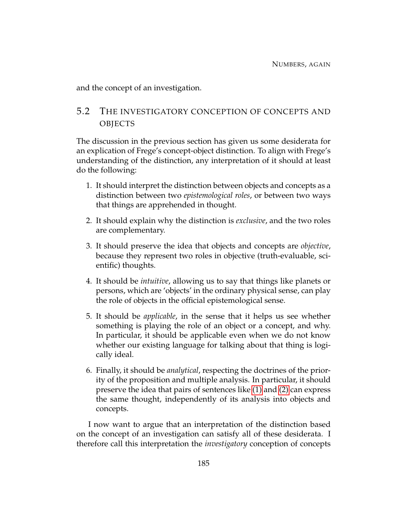and the concept of an investigation.

# 5.2 THE INVESTIGATORY CONCEPTION OF CONCEPTS AND OBJECTS

The discussion in the previous section has given us some desiderata for an explication of Frege's concept-object distinction. To align with Frege's understanding of the distinction, any interpretation of it should at least do the following:

- 1. It should interpret the distinction between objects and concepts as a distinction between two *epistemological roles*, or between two ways that things are apprehended in thought.
- 2. It should explain why the distinction is *exclusive*, and the two roles are complementary.
- 3. It should preserve the idea that objects and concepts are *objective*, because they represent two roles in objective (truth-evaluable, scientific) thoughts.
- 4. It should be *intuitive*, allowing us to say that things like planets or persons, which are 'objects' in the ordinary physical sense, can play the role of objects in the official epistemological sense.
- 5. It should be *applicable*, in the sense that it helps us see whether something is playing the role of an object or a concept, and why. In particular, it should be applicable even when we do not know whether our existing language for talking about that thing is logically ideal.
- 6. Finally, it should be *analytical*, respecting the doctrines of the priority of the proposition and multiple analysis. In particular, it should preserve the idea that pairs of sentences like [\(1\)](#page-165-0) and [\(2\)](#page-165-1) can express the same thought, independently of its analysis into objects and concepts.

I now want to argue that an interpretation of the distinction based on the concept of an investigation can satisfy all of these desiderata. I therefore call this interpretation the *investigatory* conception of concepts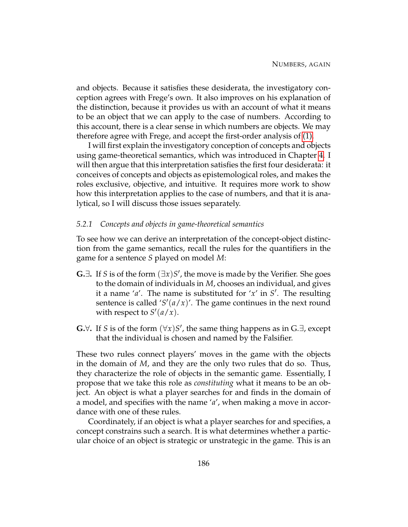and objects. Because it satisfies these desiderata, the investigatory conception agrees with Frege's own. It also improves on his explanation of the distinction, because it provides us with an account of what it means to be an object that we can apply to the case of numbers. According to this account, there is a clear sense in which numbers are objects. We may therefore agree with Frege, and accept the first-order analysis of [\(1\).](#page-165-0)

I will first explain the investigatory conception of concepts and objects using game-theoretical semantics, which was introduced in Chapter [4.](#page-125-0) I will then argue that this interpretation satisfies the first four desiderata: it conceives of concepts and objects as epistemological roles, and makes the roles exclusive, objective, and intuitive. It requires more work to show how this interpretation applies to the case of numbers, and that it is analytical, so I will discuss those issues separately.

#### *5.2.1 Concepts and objects in game-theoretical semantics*

To see how we can derive an interpretation of the concept-object distinction from the game semantics, recall the rules for the quantifiers in the game for a sentence *S* played on model *M*:

- G. $∃$ . If *S* is of the form  $(∃x)S'$ , the move is made by the Verifier. She goes to the domain of individuals in *M*, chooses an individual, and gives it a name ' $a'$ . The name is substituted for ' $x'$  in  $S'$ . The resulting sentence is called ' $S'(a/x)$ '. The game continues in the next round with respect to  $S'(a/x)$ .
- **G.**∀. If *S* is of the form  $(\forall x)S'$ , the same thing happens as in G.∃, except that the individual is chosen and named by the Falsifier.

These two rules connect players' moves in the game with the objects in the domain of *M*, and they are the only two rules that do so. Thus, they characterize the role of objects in the semantic game. Essentially, I propose that we take this role as *constituting* what it means to be an object. An object is what a player searches for and finds in the domain of a model, and specifies with the name '*a*', when making a move in accordance with one of these rules.

Coordinately, if an object is what a player searches for and specifies, a concept constrains such a search. It is what determines whether a particular choice of an object is strategic or unstrategic in the game. This is an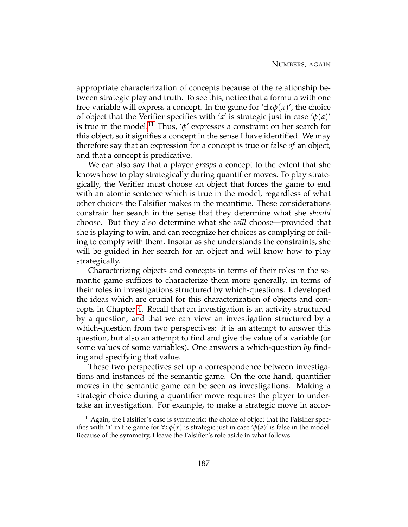appropriate characterization of concepts because of the relationship between strategic play and truth. To see this, notice that a formula with one free variable will express a concept. In the game for  $\exists x \phi(x)$ , the choice of object that the Verifier specifies with '*a*' is strategic just in case ' $\phi$ (*a*)' is true in the model.<sup>[11](#page-197-0)</sup> Thus, ' $\phi$ ' expresses a constraint on her search for this object, so it signifies a concept in the sense I have identified. We may therefore say that an expression for a concept is true or false *of* an object, and that a concept is predicative.

We can also say that a player *grasps* a concept to the extent that she knows how to play strategically during quantifier moves. To play strategically, the Verifier must choose an object that forces the game to end with an atomic sentence which is true in the model, regardless of what other choices the Falsifier makes in the meantime. These considerations constrain her search in the sense that they determine what she *should* choose. But they also determine what she *will* choose—provided that she is playing to win, and can recognize her choices as complying or failing to comply with them. Insofar as she understands the constraints, she will be guided in her search for an object and will know how to play strategically.

Characterizing objects and concepts in terms of their roles in the semantic game suffices to characterize them more generally, in terms of their roles in investigations structured by which-questions. I developed the ideas which are crucial for this characterization of objects and concepts in Chapter [4.](#page-125-0) Recall that an investigation is an activity structured by a question, and that we can view an investigation structured by a which-question from two perspectives: it is an attempt to answer this question, but also an attempt to find and give the value of a variable (or some values of some variables). One answers a which-question *by* finding and specifying that value.

These two perspectives set up a correspondence between investigations and instances of the semantic game. On the one hand, quantifier moves in the semantic game can be seen as investigations. Making a strategic choice during a quantifier move requires the player to undertake an investigation. For example, to make a strategic move in accor-

<span id="page-197-0"></span> $<sup>11</sup>$ Again, the Falsifier's case is symmetric: the choice of object that the Falsifier spec-</sup> ifies with '*a*' in the game for  $\forall x \phi(x)$  is strategic just in case ' $\phi(a)$ ' is false in the model. Because of the symmetry, I leave the Falsifier's role aside in what follows.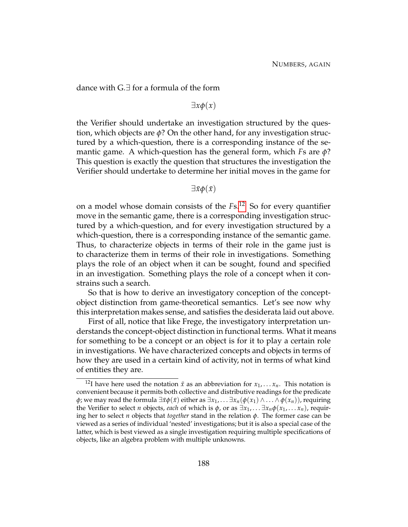dance with G.∃ for a formula of the form

## ∃*xφ*(*x*)

the Verifier should undertake an investigation structured by the question, which objects are *φ*? On the other hand, for any investigation structured by a which-question, there is a corresponding instance of the semantic game. A which-question has the general form, which *F*s are *φ*? This question is exactly the question that structures the investigation the Verifier should undertake to determine her initial moves in the game for

## $\exists \bar{x} \phi(\bar{x})$

on a model whose domain consists of the *F*s.[12](#page-198-0) So for every quantifier move in the semantic game, there is a corresponding investigation structured by a which-question, and for every investigation structured by a which-question, there is a corresponding instance of the semantic game. Thus, to characterize objects in terms of their role in the game just is to characterize them in terms of their role in investigations. Something plays the role of an object when it can be sought, found and specified in an investigation. Something plays the role of a concept when it constrains such a search.

So that is how to derive an investigatory conception of the conceptobject distinction from game-theoretical semantics. Let's see now why this interpretation makes sense, and satisfies the desiderata laid out above.

First of all, notice that like Frege, the investigatory interpretation understands the concept-object distinction in functional terms. What it means for something to be a concept or an object is for it to play a certain role in investigations. We have characterized concepts and objects in terms of how they are used in a certain kind of activity, not in terms of what kind of entities they are.

<span id="page-198-0"></span><sup>&</sup>lt;sup>12</sup>I have here used the notation  $\bar{x}$  as an abbreviation for  $x_1, \ldots, x_n$ . This notation is convenient because it permits both collective and distributive readings for the predicate *φ*; we may read the formula ∃*x* $φ(x)$  either as ∃*x*<sub>1</sub>, . . . ∃*x*<sub>*n*</sub>( $φ(x_1) ∧ … ∧ φ(x_n)$ ), requiring the Verifier to select *n* objects, *each* of which is  $\phi$ , or as  $\exists x_1, \ldots, \exists x_n \phi(x_1, \ldots, x_n)$ , requiring her to select *n* objects that *together* stand in the relation *φ*. The former case can be viewed as a series of individual 'nested' investigations; but it is also a special case of the latter, which is best viewed as a single investigation requiring multiple specifications of objects, like an algebra problem with multiple unknowns.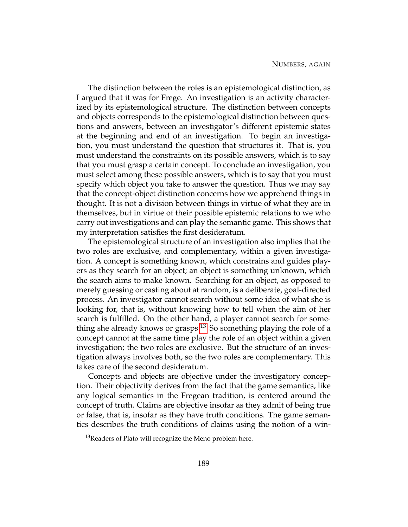The distinction between the roles is an epistemological distinction, as I argued that it was for Frege. An investigation is an activity characterized by its epistemological structure. The distinction between concepts and objects corresponds to the epistemological distinction between questions and answers, between an investigator's different epistemic states at the beginning and end of an investigation. To begin an investigation, you must understand the question that structures it. That is, you must understand the constraints on its possible answers, which is to say that you must grasp a certain concept. To conclude an investigation, you must select among these possible answers, which is to say that you must specify which object you take to answer the question. Thus we may say that the concept-object distinction concerns how we apprehend things in thought. It is not a division between things in virtue of what they are in themselves, but in virtue of their possible epistemic relations to we who carry out investigations and can play the semantic game. This shows that my interpretation satisfies the first desideratum.

The epistemological structure of an investigation also implies that the two roles are exclusive, and complementary, within a given investigation. A concept is something known, which constrains and guides players as they search for an object; an object is something unknown, which the search aims to make known. Searching for an object, as opposed to merely guessing or casting about at random, is a deliberate, goal-directed process. An investigator cannot search without some idea of what she is looking for, that is, without knowing how to tell when the aim of her search is fulfilled. On the other hand, a player cannot search for some-thing she already knows or grasps.<sup>[13](#page-199-0)</sup> So something playing the role of a concept cannot at the same time play the role of an object within a given investigation; the two roles are exclusive. But the structure of an investigation always involves both, so the two roles are complementary. This takes care of the second desideratum.

Concepts and objects are objective under the investigatory conception. Their objectivity derives from the fact that the game semantics, like any logical semantics in the Fregean tradition, is centered around the concept of truth. Claims are objective insofar as they admit of being true or false, that is, insofar as they have truth conditions. The game semantics describes the truth conditions of claims using the notion of a win-

<span id="page-199-0"></span> $13$ Readers of Plato will recognize the Meno problem here.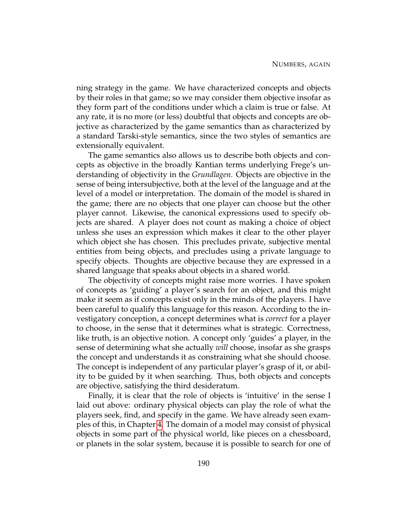ning strategy in the game. We have characterized concepts and objects by their roles in that game; so we may consider them objective insofar as they form part of the conditions under which a claim is true or false. At any rate, it is no more (or less) doubtful that objects and concepts are objective as characterized by the game semantics than as characterized by a standard Tarski-style semantics, since the two styles of semantics are extensionally equivalent.

The game semantics also allows us to describe both objects and concepts as objective in the broadly Kantian terms underlying Frege's understanding of objectivity in the *Grundlagen*. Objects are objective in the sense of being intersubjective, both at the level of the language and at the level of a model or interpretation. The domain of the model is shared in the game; there are no objects that one player can choose but the other player cannot. Likewise, the canonical expressions used to specify objects are shared. A player does not count as making a choice of object unless she uses an expression which makes it clear to the other player which object she has chosen. This precludes private, subjective mental entities from being objects, and precludes using a private language to specify objects. Thoughts are objective because they are expressed in a shared language that speaks about objects in a shared world.

The objectivity of concepts might raise more worries. I have spoken of concepts as 'guiding' a player's search for an object, and this might make it seem as if concepts exist only in the minds of the players. I have been careful to qualify this language for this reason. According to the investigatory conception, a concept determines what is *correct* for a player to choose, in the sense that it determines what is strategic. Correctness, like truth, is an objective notion. A concept only 'guides' a player, in the sense of determining what she actually *will* choose, insofar as she grasps the concept and understands it as constraining what she should choose. The concept is independent of any particular player's grasp of it, or ability to be guided by it when searching. Thus, both objects and concepts are objective, satisfying the third desideratum.

Finally, it is clear that the role of objects is 'intuitive' in the sense I laid out above: ordinary physical objects can play the role of what the players seek, find, and specify in the game. We have already seen examples of this, in Chapter [4.](#page-125-0) The domain of a model may consist of physical objects in some part of the physical world, like pieces on a chessboard, or planets in the solar system, because it is possible to search for one of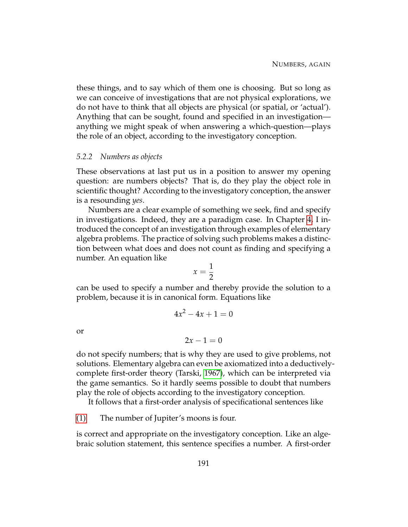these things, and to say which of them one is choosing. But so long as we can conceive of investigations that are not physical explorations, we do not have to think that all objects are physical (or spatial, or 'actual'). Anything that can be sought, found and specified in an investigation anything we might speak of when answering a which-question—plays the role of an object, according to the investigatory conception.

## <span id="page-201-0"></span>*5.2.2 Numbers as objects*

These observations at last put us in a position to answer my opening question: are numbers objects? That is, do they play the object role in scientific thought? According to the investigatory conception, the answer is a resounding *yes*.

Numbers are a clear example of something we seek, find and specify in investigations. Indeed, they are a paradigm case. In Chapter [4,](#page-125-0) I introduced the concept of an investigation through examples of elementary algebra problems. The practice of solving such problems makes a distinction between what does and does not count as finding and specifying a number. An equation like

$$
x=\frac{1}{2}
$$

can be used to specify a number and thereby provide the solution to a problem, because it is in canonical form. Equations like

$$
4x^2 - 4x + 1 = 0
$$

or

$$
2x-1=0
$$

do not specify numbers; that is why they are used to give problems, not solutions. Elementary algebra can even be axiomatized into a deductivelycomplete first-order theory (Tarski, [1967\)](#page-233-2), which can be interpreted via the game semantics. So it hardly seems possible to doubt that numbers play the role of objects according to the investigatory conception.

It follows that a first-order analysis of specificational sentences like

[\(1\)](#page-165-0) The number of Jupiter's moons is four.

is correct and appropriate on the investigatory conception. Like an algebraic solution statement, this sentence specifies a number. A first-order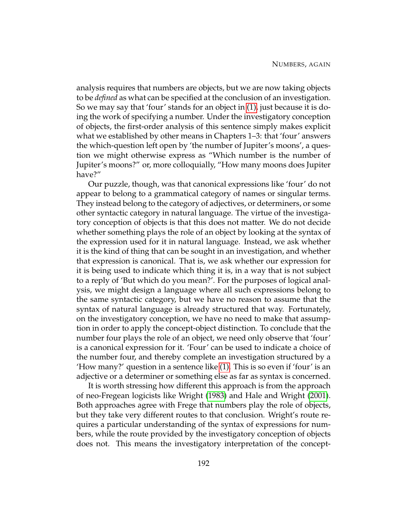analysis requires that numbers are objects, but we are now taking objects to be *defined* as what can be specified at the conclusion of an investigation. So we may say that 'four' stands for an object in [\(1\),](#page-165-0) just because it is doing the work of specifying a number. Under the investigatory conception of objects, the first-order analysis of this sentence simply makes explicit what we established by other means in Chapters 1–3: that 'four' answers the which-question left open by 'the number of Jupiter's moons', a question we might otherwise express as "Which number is the number of Jupiter's moons?" or, more colloquially, "How many moons does Jupiter have?"

Our puzzle, though, was that canonical expressions like 'four' do not appear to belong to a grammatical category of names or singular terms. They instead belong to the category of adjectives, or determiners, or some other syntactic category in natural language. The virtue of the investigatory conception of objects is that this does not matter. We do not decide whether something plays the role of an object by looking at the syntax of the expression used for it in natural language. Instead, we ask whether it is the kind of thing that can be sought in an investigation, and whether that expression is canonical. That is, we ask whether our expression for it is being used to indicate which thing it is, in a way that is not subject to a reply of 'But which do you mean?'. For the purposes of logical analysis, we might design a language where all such expressions belong to the same syntactic category, but we have no reason to assume that the syntax of natural language is already structured that way. Fortunately, on the investigatory conception, we have no need to make that assumption in order to apply the concept-object distinction. To conclude that the number four plays the role of an object, we need only observe that 'four' is a canonical expression for it. 'Four' can be used to indicate a choice of the number four, and thereby complete an investigation structured by a 'How many?' question in a sentence like [\(1\).](#page-165-0) This is so even if 'four' is an adjective or a determiner or something else as far as syntax is concerned.

It is worth stressing how different this approach is from the approach of neo-Fregean logicists like Wright [\(1983\)](#page-233-1) and Hale and Wright [\(2001\)](#page-230-10). Both approaches agree with Frege that numbers play the role of objects, but they take very different routes to that conclusion. Wright's route requires a particular understanding of the syntax of expressions for numbers, while the route provided by the investigatory conception of objects does not. This means the investigatory interpretation of the concept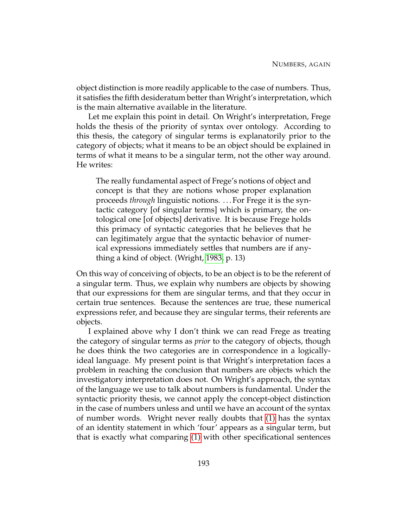object distinction is more readily applicable to the case of numbers. Thus, it satisfies the fifth desideratum better than Wright's interpretation, which is the main alternative available in the literature.

Let me explain this point in detail. On Wright's interpretation, Frege holds the thesis of the priority of syntax over ontology. According to this thesis, the category of singular terms is explanatorily prior to the category of objects; what it means to be an object should be explained in terms of what it means to be a singular term, not the other way around. He writes:

The really fundamental aspect of Frege's notions of object and concept is that they are notions whose proper explanation proceeds *through* linguistic notions. . . . For Frege it is the syntactic category [of singular terms] which is primary, the ontological one [of objects] derivative. It is because Frege holds this primacy of syntactic categories that he believes that he can legitimately argue that the syntactic behavior of numerical expressions immediately settles that numbers are if anything a kind of object. (Wright, [1983,](#page-233-1) p. 13)

On this way of conceiving of objects, to be an object is to be the referent of a singular term. Thus, we explain why numbers are objects by showing that our expressions for them are singular terms, and that they occur in certain true sentences. Because the sentences are true, these numerical expressions refer, and because they are singular terms, their referents are objects.

I explained above why I don't think we can read Frege as treating the category of singular terms as *prior* to the category of objects, though he does think the two categories are in correspondence in a logicallyideal language. My present point is that Wright's interpretation faces a problem in reaching the conclusion that numbers are objects which the investigatory interpretation does not. On Wright's approach, the syntax of the language we use to talk about numbers is fundamental. Under the syntactic priority thesis, we cannot apply the concept-object distinction in the case of numbers unless and until we have an account of the syntax of number words. Wright never really doubts that [\(1\)](#page-165-0) has the syntax of an identity statement in which 'four' appears as a singular term, but that is exactly what comparing [\(1\)](#page-165-0) with other specificational sentences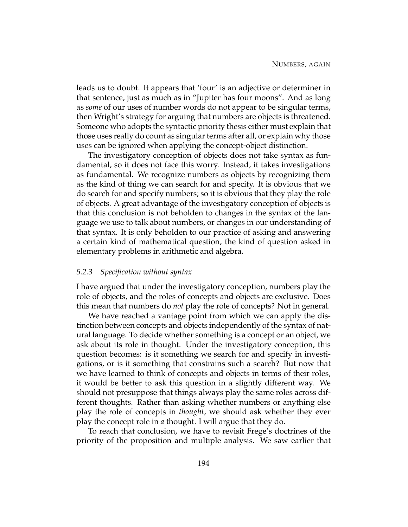leads us to doubt. It appears that 'four' is an adjective or determiner in that sentence, just as much as in "Jupiter has four moons". And as long as *some* of our uses of number words do not appear to be singular terms, then Wright's strategy for arguing that numbers are objects is threatened. Someone who adopts the syntactic priority thesis either must explain that those uses really do count as singular terms after all, or explain why those uses can be ignored when applying the concept-object distinction.

The investigatory conception of objects does not take syntax as fundamental, so it does not face this worry. Instead, it takes investigations as fundamental. We recognize numbers as objects by recognizing them as the kind of thing we can search for and specify. It is obvious that we do search for and specify numbers; so it is obvious that they play the role of objects. A great advantage of the investigatory conception of objects is that this conclusion is not beholden to changes in the syntax of the language we use to talk about numbers, or changes in our understanding of that syntax. It is only beholden to our practice of asking and answering a certain kind of mathematical question, the kind of question asked in elementary problems in arithmetic and algebra.

## *5.2.3 Specification without syntax*

I have argued that under the investigatory conception, numbers play the role of objects, and the roles of concepts and objects are exclusive. Does this mean that numbers do *not* play the role of concepts? Not in general.

We have reached a vantage point from which we can apply the distinction between concepts and objects independently of the syntax of natural language. To decide whether something is a concept or an object, we ask about its role in thought. Under the investigatory conception, this question becomes: is it something we search for and specify in investigations, or is it something that constrains such a search? But now that we have learned to think of concepts and objects in terms of their roles, it would be better to ask this question in a slightly different way. We should not presuppose that things always play the same roles across different thoughts. Rather than asking whether numbers or anything else play the role of concepts in *thought*, we should ask whether they ever play the concept role in *a* thought. I will argue that they do.

To reach that conclusion, we have to revisit Frege's doctrines of the priority of the proposition and multiple analysis. We saw earlier that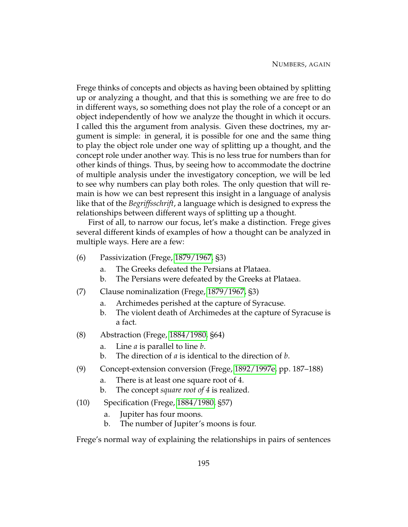Frege thinks of concepts and objects as having been obtained by splitting up or analyzing a thought, and that this is something we are free to do in different ways, so something does not play the role of a concept or an object independently of how we analyze the thought in which it occurs. I called this the argument from analysis. Given these doctrines, my argument is simple: in general, it is possible for one and the same thing to play the object role under one way of splitting up a thought, and the concept role under another way. This is no less true for numbers than for other kinds of things. Thus, by seeing how to accommodate the doctrine of multiple analysis under the investigatory conception, we will be led to see why numbers can play both roles. The only question that will remain is how we can best represent this insight in a language of analysis like that of the *Begriffsschrift*, a language which is designed to express the relationships between different ways of splitting up a thought.

First of all, to narrow our focus, let's make a distinction. Frege gives several different kinds of examples of how a thought can be analyzed in multiple ways. Here are a few:

- (6) Passivization (Frege, [1879/1967,](#page-230-1) §3)
	- a. The Greeks defeated the Persians at Plataea.
	- b. The Persians were defeated by the Greeks at Plataea.
- (7) Clause nominalization (Frege, [1879/1967,](#page-230-1) §3)
	- a. Archimedes perished at the capture of Syracuse.
	- b. The violent death of Archimedes at the capture of Syracuse is a fact.
- <span id="page-205-0"></span>(8) Abstraction (Frege, [1884/1980,](#page-230-8) §64)
	- a. Line *a* is parallel to line *b*.
	- b. The direction of *a* is identical to the direction of *b*.
- (9) Concept-extension conversion (Frege, [1892/1997e,](#page-230-2) pp. 187–188)
	- a. There is at least one square root of 4.
	- b. The concept *square root of 4* is realized.
- (10) Specification (Frege, [1884/1980,](#page-230-8) §57)
	- a. Jupiter has four moons.
	- b. The number of Jupiter's moons is four.

Frege's normal way of explaining the relationships in pairs of sentences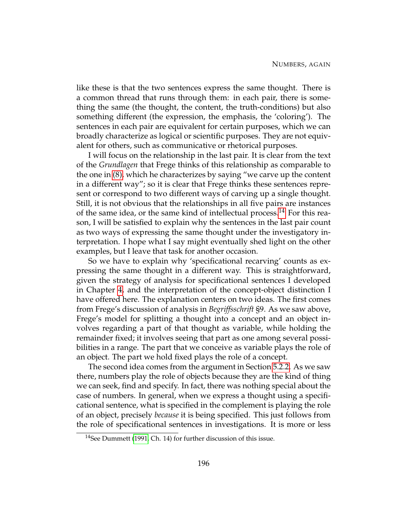like these is that the two sentences express the same thought. There is a common thread that runs through them: in each pair, there is something the same (the thought, the content, the truth-conditions) but also something different (the expression, the emphasis, the 'coloring'). The sentences in each pair are equivalent for certain purposes, which we can broadly characterize as logical or scientific purposes. They are not equivalent for others, such as communicative or rhetorical purposes.

I will focus on the relationship in the last pair. It is clear from the text of the *Grundlagen* that Frege thinks of this relationship as comparable to the one in [\(8\),](#page-205-0) which he characterizes by saying "we carve up the content in a different way"; so it is clear that Frege thinks these sentences represent or correspond to two different ways of carving up a single thought. Still, it is not obvious that the relationships in all five pairs are instances of the same idea, or the same kind of intellectual process.<sup>[14](#page-206-0)</sup> For this reason, I will be satisfied to explain why the sentences in the last pair count as two ways of expressing the same thought under the investigatory interpretation. I hope what I say might eventually shed light on the other examples, but I leave that task for another occasion.

So we have to explain why 'specificational recarving' counts as expressing the same thought in a different way. This is straightforward, given the strategy of analysis for specificational sentences I developed in Chapter [4,](#page-125-0) and the interpretation of the concept-object distinction I have offered here. The explanation centers on two ideas. The first comes from Frege's discussion of analysis in *Begriffsschrift* §9. As we saw above, Frege's model for splitting a thought into a concept and an object involves regarding a part of that thought as variable, while holding the remainder fixed; it involves seeing that part as one among several possibilities in a range. The part that we conceive as variable plays the role of an object. The part we hold fixed plays the role of a concept.

The second idea comes from the argument in Section [5.2.2.](#page-201-0) As we saw there, numbers play the role of objects because they are the kind of thing we can seek, find and specify. In fact, there was nothing special about the case of numbers. In general, when we express a thought using a specificational sentence, what is specified in the complement is playing the role of an object, precisely *because* it is being specified. This just follows from the role of specificational sentences in investigations. It is more or less

<span id="page-206-0"></span><sup>&</sup>lt;sup>14</sup>See Dummett [\(1991,](#page-230-11) Ch. 14) for further discussion of this issue.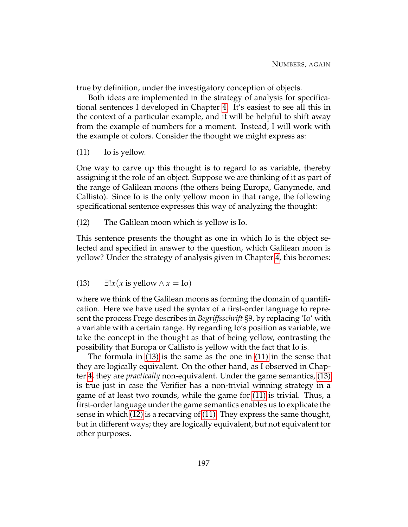true by definition, under the investigatory conception of objects.

Both ideas are implemented in the strategy of analysis for specificational sentences I developed in Chapter [4.](#page-125-0) It's easiest to see all this in the context of a particular example, and it will be helpful to shift away from the example of numbers for a moment. Instead, I will work with the example of colors. Consider the thought we might express as:

<span id="page-207-1"></span>(11) Io is yellow.

One way to carve up this thought is to regard Io as variable, thereby assigning it the role of an object. Suppose we are thinking of it as part of the range of Galilean moons (the others being Europa, Ganymede, and Callisto). Since Io is the only yellow moon in that range, the following specificational sentence expresses this way of analyzing the thought:

<span id="page-207-2"></span>(12) The Galilean moon which is yellow is Io.

This sentence presents the thought as one in which Io is the object selected and specified in answer to the question, which Galilean moon is yellow? Under the strategy of analysis given in Chapter [4,](#page-125-0) this becomes:

<span id="page-207-0"></span>(13) ∃!*x*(*x* is yellow ∧ *x* = Io)

where we think of the Galilean moons as forming the domain of quantification. Here we have used the syntax of a first-order language to represent the process Frege describes in *Begriffsschrift* §9, by replacing 'Io' with a variable with a certain range. By regarding Io's position as variable, we take the concept in the thought as that of being yellow, contrasting the possibility that Europa or Callisto is yellow with the fact that Io is.

The formula in [\(13\)](#page-207-0) is the same as the one in [\(11\)](#page-207-1) in the sense that they are logically equivalent. On the other hand, as I observed in Chapter [4,](#page-125-0) they are *practically* non-equivalent. Under the game semantics, [\(13\)](#page-207-0) is true just in case the Verifier has a non-trivial winning strategy in a game of at least two rounds, while the game for [\(11\)](#page-207-1) is trivial. Thus, a first-order language under the game semantics enables us to explicate the sense in which [\(12\)](#page-207-2) is a recarving of [\(11\).](#page-207-1) They express the same thought, but in different ways; they are logically equivalent, but not equivalent for other purposes.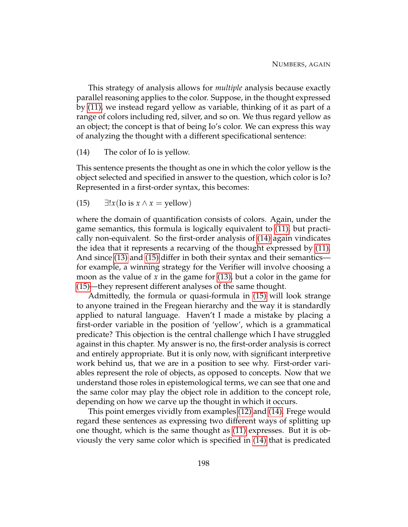This strategy of analysis allows for *multiple* analysis because exactly parallel reasoning applies to the color. Suppose, in the thought expressed by [\(11\),](#page-207-1) we instead regard yellow as variable, thinking of it as part of a range of colors including red, silver, and so on. We thus regard yellow as an object; the concept is that of being Io's color. We can express this way of analyzing the thought with a different specificational sentence:

<span id="page-208-0"></span>(14) The color of Io is yellow.

<span id="page-208-1"></span>This sentence presents the thought as one in which the color yellow is the object selected and specified in answer to the question, which color is Io? Represented in a first-order syntax, this becomes:

(15)  $\exists!x$ (Io is  $x \wedge x =$  yellow)

where the domain of quantification consists of colors. Again, under the game semantics, this formula is logically equivalent to [\(11\),](#page-207-1) but practically non-equivalent. So the first-order analysis of [\(14\)](#page-208-0) again vindicates the idea that it represents a recarving of the thought expressed by [\(11\).](#page-207-1) And since [\(13\)](#page-207-0) and [\(15\)](#page-208-1) differ in both their syntax and their semantics for example, a winning strategy for the Verifier will involve choosing a moon as the value of *x* in the game for [\(13\),](#page-207-0) but a color in the game for [\(15\)—](#page-208-1)they represent different analyses of the same thought.

Admittedly, the formula or quasi-formula in [\(15\)](#page-208-1) will look strange to anyone trained in the Fregean hierarchy and the way it is standardly applied to natural language. Haven't I made a mistake by placing a first-order variable in the position of 'yellow', which is a grammatical predicate? This objection is the central challenge which I have struggled against in this chapter. My answer is no, the first-order analysis is correct and entirely appropriate. But it is only now, with significant interpretive work behind us, that we are in a position to see why. First-order variables represent the role of objects, as opposed to concepts. Now that we understand those roles in epistemological terms, we can see that one and the same color may play the object role in addition to the concept role, depending on how we carve up the thought in which it occurs.

This point emerges vividly from examples [\(12\)](#page-207-2) and [\(14\).](#page-208-0) Frege would regard these sentences as expressing two different ways of splitting up one thought, which is the same thought as [\(11\)](#page-207-1) expresses. But it is obviously the very same color which is specified in [\(14\)](#page-208-0) that is predicated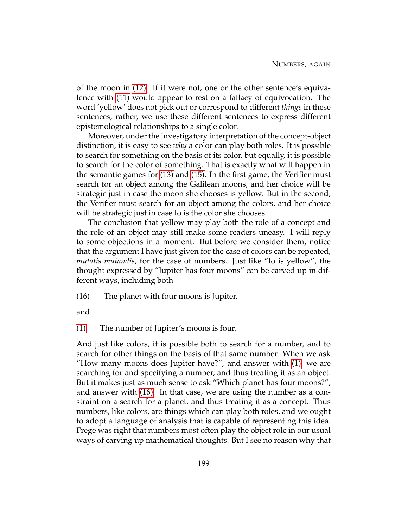of the moon in [\(12\).](#page-207-2) If it were not, one or the other sentence's equivalence with [\(11\)](#page-207-1) would appear to rest on a fallacy of equivocation. The word 'yellow' does not pick out or correspond to different *things* in these sentences; rather, we use these different sentences to express different epistemological relationships to a single color.

Moreover, under the investigatory interpretation of the concept-object distinction, it is easy to see *why* a color can play both roles. It is possible to search for something on the basis of its color, but equally, it is possible to search for the color of something. That is exactly what will happen in the semantic games for [\(13\)](#page-207-0) and [\(15\).](#page-208-1) In the first game, the Verifier must search for an object among the Galilean moons, and her choice will be strategic just in case the moon she chooses is yellow. But in the second, the Verifier must search for an object among the colors, and her choice will be strategic just in case Io is the color she chooses.

The conclusion that yellow may play both the role of a concept and the role of an object may still make some readers uneasy. I will reply to some objections in a moment. But before we consider them, notice that the argument I have just given for the case of colors can be repeated, *mutatis mutandis*, for the case of numbers. Just like "Io is yellow", the thought expressed by "Jupiter has four moons" can be carved up in different ways, including both

<span id="page-209-0"></span>(16) The planet with four moons is Jupiter.

and

[\(1\)](#page-165-0) The number of Jupiter's moons is four.

And just like colors, it is possible both to search for a number, and to search for other things on the basis of that same number. When we ask "How many moons does Jupiter have?", and answer with [\(1\),](#page-165-0) we are searching for and specifying a number, and thus treating it as an object. But it makes just as much sense to ask "Which planet has four moons?", and answer with [\(16\).](#page-209-0) In that case, we are using the number as a constraint on a search for a planet, and thus treating it as a concept. Thus numbers, like colors, are things which can play both roles, and we ought to adopt a language of analysis that is capable of representing this idea. Frege was right that numbers most often play the object role in our usual ways of carving up mathematical thoughts. But I see no reason why that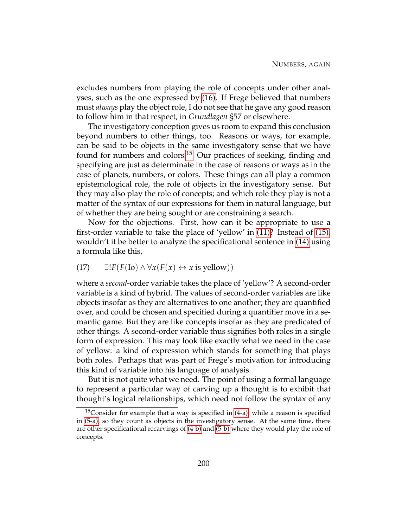excludes numbers from playing the role of concepts under other analyses, such as the one expressed by [\(16\).](#page-209-0) If Frege believed that numbers must *always* play the object role, I do not see that he gave any good reason to follow him in that respect, in *Grundlagen* §57 or elsewhere.

The investigatory conception gives us room to expand this conclusion beyond numbers to other things, too. Reasons or ways, for example, can be said to be objects in the same investigatory sense that we have found for numbers and colors.<sup>[15](#page-210-0)</sup> Our practices of seeking, finding and specifying are just as determinate in the case of reasons or ways as in the case of planets, numbers, or colors. These things can all play a common epistemological role, the role of objects in the investigatory sense. But they may also play the role of concepts; and which role they play is not a matter of the syntax of our expressions for them in natural language, but of whether they are being sought or are constraining a search.

Now for the objections. First, how can it be appropriate to use a first-order variable to take the place of 'yellow' in [\(11\)?](#page-207-1) Instead of [\(15\),](#page-208-1) wouldn't it be better to analyze the specificational sentence in [\(14\)](#page-208-0) using a formula like this,

## <span id="page-210-1"></span>(17)  $\exists! F(F(\text{Io}) \land \forall x(F(x) \leftrightarrow x \text{ is yellow}))$

where a *second*-order variable takes the place of 'yellow'? A second-order variable is a kind of hybrid. The values of second-order variables are like objects insofar as they are alternatives to one another; they are quantified over, and could be chosen and specified during a quantifier move in a semantic game. But they are like concepts insofar as they are predicated of other things. A second-order variable thus signifies both roles in a single form of expression. This may look like exactly what we need in the case of yellow: a kind of expression which stands for something that plays both roles. Perhaps that was part of Frege's motivation for introducing this kind of variable into his language of analysis.

But it is not quite what we need. The point of using a formal language to represent a particular way of carving up a thought is to exhibit that thought's logical relationships, which need not follow the syntax of any

<span id="page-210-0"></span> $15$ Consider for example that a way is specified in  $(4-a)$ , while a reason is specified in [\(5-a\),](#page-167-1) so they count as objects in the investigatory sense. At the same time, there are other specificational recarvings of [\(4-b\)](#page-167-2) and [\(5-b\)](#page-167-3) where they would play the role of concepts.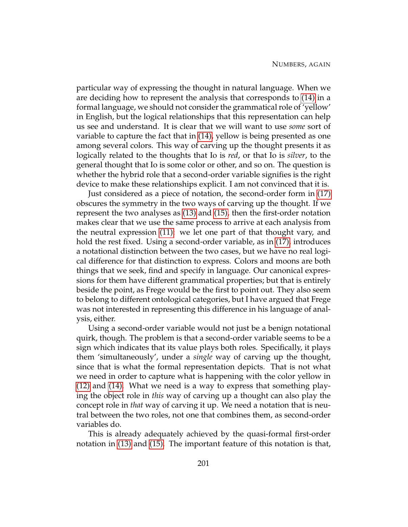particular way of expressing the thought in natural language. When we are deciding how to represent the analysis that corresponds to [\(14\)](#page-208-0) in a formal language, we should not consider the grammatical role of 'yellow' in English, but the logical relationships that this representation can help us see and understand. It is clear that we will want to use *some* sort of variable to capture the fact that in [\(14\),](#page-208-0) yellow is being presented as one among several colors. This way of carving up the thought presents it as logically related to the thoughts that Io is *red*, or that Io is *silver*, to the general thought that Io is some color or other, and so on. The question is whether the hybrid role that a second-order variable signifies is the right device to make these relationships explicit. I am not convinced that it is.

Just considered as a piece of notation, the second-order form in [\(17\)](#page-210-1) obscures the symmetry in the two ways of carving up the thought. If we represent the two analyses as [\(13\)](#page-207-0) and [\(15\),](#page-208-1) then the first-order notation makes clear that we use the same process to arrive at each analysis from the neutral expression [\(11\):](#page-207-1) we let one part of that thought vary, and hold the rest fixed. Using a second-order variable, as in [\(17\),](#page-210-1) introduces a notational distinction between the two cases, but we have no real logical difference for that distinction to express. Colors and moons are both things that we seek, find and specify in language. Our canonical expressions for them have different grammatical properties; but that is entirely beside the point, as Frege would be the first to point out. They also seem to belong to different ontological categories, but I have argued that Frege was not interested in representing this difference in his language of analysis, either.

Using a second-order variable would not just be a benign notational quirk, though. The problem is that a second-order variable seems to be a sign which indicates that its value plays both roles. Specifically, it plays them 'simultaneously', under a *single* way of carving up the thought, since that is what the formal representation depicts. That is not what we need in order to capture what is happening with the color yellow in [\(12\)](#page-207-2) and [\(14\).](#page-208-0) What we need is a way to express that something playing the object role in *this* way of carving up a thought can also play the concept role in *that* way of carving it up. We need a notation that is neutral between the two roles, not one that combines them, as second-order variables do.

This is already adequately achieved by the quasi-formal first-order notation in [\(13\)](#page-207-0) and [\(15\).](#page-208-1) The important feature of this notation is that,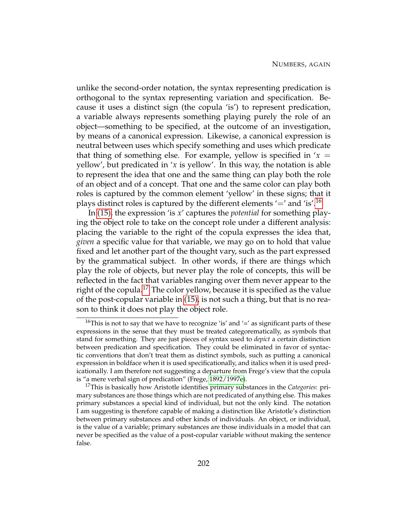unlike the second-order notation, the syntax representing predication is orthogonal to the syntax representing variation and specification. Because it uses a distinct sign (the copula 'is') to represent predication, a variable always represents something playing purely the role of an object—something to be specified, at the outcome of an investigation, by means of a canonical expression. Likewise, a canonical expression is neutral between uses which specify something and uses which predicate that thing of something else. For example, yellow is specified in  $x =$ yellow', but predicated in '*x* is yellow'. In this way, the notation is able to represent the idea that one and the same thing can play both the role of an object and of a concept. That one and the same color can play both roles is captured by the common element 'yellow' in these signs; that it plays distinct roles is captured by the different elements  $\prime =$ ' and 'is'.<sup>[16](#page-212-0)</sup>

In [\(15\),](#page-208-1) the expression 'is *x*' captures the *potential* for something playing the object role to take on the concept role under a different analysis: placing the variable to the right of the copula expresses the idea that, *given* a specific value for that variable, we may go on to hold that value fixed and let another part of the thought vary, such as the part expressed by the grammatical subject. In other words, if there are things which play the role of objects, but never play the role of concepts, this will be reflected in the fact that variables ranging over them never appear to the right of the copula.<sup>[17](#page-212-1)</sup> The color yellow, because it is specified as the value of the post-copular variable in [\(15\),](#page-208-1) is not such a thing, but that is no reason to think it does not play the object role.

<span id="page-212-0"></span><sup>&</sup>lt;sup>16</sup>This is not to say that we have to recognize 'is' and '=' as significant parts of these expressions in the sense that they must be treated categorematically, as symbols that stand for something. They are just pieces of syntax used to *depict* a certain distinction between predication and specification. They could be eliminated in favor of syntactic conventions that don't treat them as distinct symbols, such as putting a canonical expression in boldface when it is used specificationally, and italics when it is used predicationally. I am therefore not suggesting a departure from Frege's view that the copula is "a mere verbal sign of predication" (Frege, [1892/1997e\)](#page-230-2).

<span id="page-212-1"></span><sup>17</sup>This is basically how Aristotle identifies primary substances in the *Categories*: primary substances are those things which are not predicated of anything else. This makes primary substances a special kind of individual, but not the only kind. The notation I am suggesting is therefore capable of making a distinction like Aristotle's distinction between primary substances and other kinds of individuals. An object, or individual, is the value of a variable; primary substances are those individuals in a model that can never be specified as the value of a post-copular variable without making the sentence false.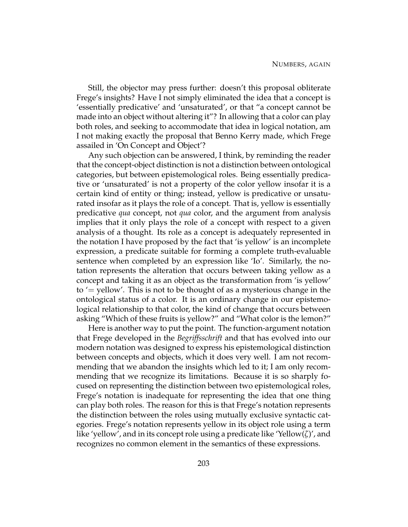Still, the objector may press further: doesn't this proposal obliterate Frege's insights? Have I not simply eliminated the idea that a concept is 'essentially predicative' and 'unsaturated', or that "a concept cannot be made into an object without altering it"? In allowing that a color can play both roles, and seeking to accommodate that idea in logical notation, am I not making exactly the proposal that Benno Kerry made, which Frege assailed in 'On Concept and Object'?

Any such objection can be answered, I think, by reminding the reader that the concept-object distinction is not a distinction between ontological categories, but between epistemological roles. Being essentially predicative or 'unsaturated' is not a property of the color yellow insofar it is a certain kind of entity or thing; instead, yellow is predicative or unsaturated insofar as it plays the role of a concept. That is, yellow is essentially predicative *qua* concept, not *qua* color, and the argument from analysis implies that it only plays the role of a concept with respect to a given analysis of a thought. Its role as a concept is adequately represented in the notation I have proposed by the fact that 'is yellow' is an incomplete expression, a predicate suitable for forming a complete truth-evaluable sentence when completed by an expression like 'Io'. Similarly, the notation represents the alteration that occurs between taking yellow as a concept and taking it as an object as the transformation from 'is yellow' to '= yellow'. This is not to be thought of as a mysterious change in the ontological status of a color. It is an ordinary change in our epistemological relationship to that color, the kind of change that occurs between asking "Which of these fruits is yellow?" and "What color is the lemon?"

Here is another way to put the point. The function-argument notation that Frege developed in the *Begriffsschrift* and that has evolved into our modern notation was designed to express his epistemological distinction between concepts and objects, which it does very well. I am not recommending that we abandon the insights which led to it; I am only recommending that we recognize its limitations. Because it is so sharply focused on representing the distinction between two epistemological roles, Frege's notation is inadequate for representing the idea that one thing can play both roles. The reason for this is that Frege's notation represents the distinction between the roles using mutually exclusive syntactic categories. Frege's notation represents yellow in its object role using a term like 'yellow', and in its concept role using a predicate like 'Yellow(*ζ*)', and recognizes no common element in the semantics of these expressions.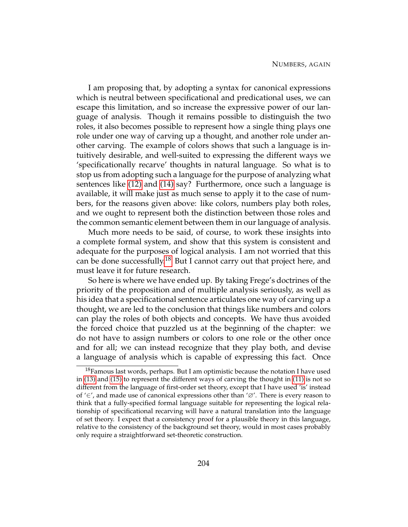I am proposing that, by adopting a syntax for canonical expressions which is neutral between specificational and predicational uses, we can escape this limitation, and so increase the expressive power of our language of analysis. Though it remains possible to distinguish the two roles, it also becomes possible to represent how a single thing plays one role under one way of carving up a thought, and another role under another carving. The example of colors shows that such a language is intuitively desirable, and well-suited to expressing the different ways we 'specificationally recarve' thoughts in natural language. So what is to stop us from adopting such a language for the purpose of analyzing what sentences like [\(12\)](#page-207-2) and [\(14\)](#page-208-0) say? Furthermore, once such a language is available, it will make just as much sense to apply it to the case of numbers, for the reasons given above: like colors, numbers play both roles, and we ought to represent both the distinction between those roles and the common semantic element between them in our language of analysis.

Much more needs to be said, of course, to work these insights into a complete formal system, and show that this system is consistent and adequate for the purposes of logical analysis. I am not worried that this can be done successfully.<sup>[18](#page-214-0)</sup> But I cannot carry out that project here, and must leave it for future research.

So here is where we have ended up. By taking Frege's doctrines of the priority of the proposition and of multiple analysis seriously, as well as his idea that a specificational sentence articulates one way of carving up a thought, we are led to the conclusion that things like numbers and colors can play the roles of both objects and concepts. We have thus avoided the forced choice that puzzled us at the beginning of the chapter: we do not have to assign numbers or colors to one role or the other once and for all; we can instead recognize that they play both, and devise a language of analysis which is capable of expressing this fact. Once

<span id="page-214-0"></span> $18$ Famous last words, perhaps. But I am optimistic because the notation I have used in [\(13\)](#page-207-0) and [\(15\)](#page-208-1) to represent the different ways of carving the thought in [\(11\)](#page-207-1) is not so different from the language of first-order set theory, except that I have used 'is' instead of '∈', and made use of canonical expressions other than '∅'. There is every reason to think that a fully-specified formal language suitable for representing the logical relationship of specificational recarving will have a natural translation into the language of set theory. I expect that a consistency proof for a plausible theory in this language, relative to the consistency of the background set theory, would in most cases probably only require a straightforward set-theoretic construction.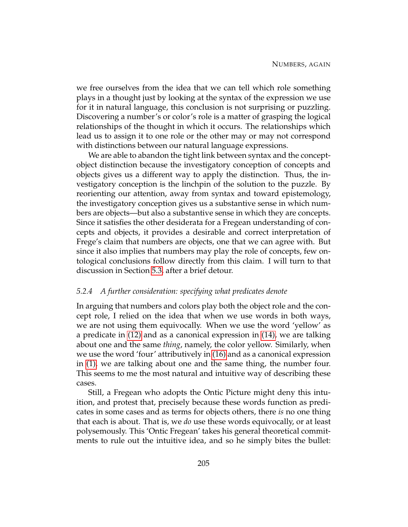we free ourselves from the idea that we can tell which role something plays in a thought just by looking at the syntax of the expression we use for it in natural language, this conclusion is not surprising or puzzling. Discovering a number's or color's role is a matter of grasping the logical relationships of the thought in which it occurs. The relationships which lead us to assign it to one role or the other may or may not correspond with distinctions between our natural language expressions.

We are able to abandon the tight link between syntax and the conceptobject distinction because the investigatory conception of concepts and objects gives us a different way to apply the distinction. Thus, the investigatory conception is the linchpin of the solution to the puzzle. By reorienting our attention, away from syntax and toward epistemology, the investigatory conception gives us a substantive sense in which numbers are objects—but also a substantive sense in which they are concepts. Since it satisfies the other desiderata for a Fregean understanding of concepts and objects, it provides a desirable and correct interpretation of Frege's claim that numbers are objects, one that we can agree with. But since it also implies that numbers may play the role of concepts, few ontological conclusions follow directly from this claim. I will turn to that discussion in Section [5.3,](#page-219-0) after a brief detour.

#### *5.2.4 A further consideration: specifying what predicates denote*

In arguing that numbers and colors play both the object role and the concept role, I relied on the idea that when we use words in both ways, we are not using them equivocally. When we use the word 'yellow' as a predicate in [\(12\)](#page-207-2) and as a canonical expression in [\(14\),](#page-208-0) we are talking about one and the same *thing*, namely, the color yellow. Similarly, when we use the word 'four' attributively in [\(16\)](#page-209-0) and as a canonical expression in [\(1\),](#page-165-0) we are talking about one and the same thing, the number four. This seems to me the most natural and intuitive way of describing these cases.

Still, a Fregean who adopts the Ontic Picture might deny this intuition, and protest that, precisely because these words function as predicates in some cases and as terms for objects others, there *is* no one thing that each is about. That is, we *do* use these words equivocally, or at least polysemously. This 'Ontic Fregean' takes his general theoretical commitments to rule out the intuitive idea, and so he simply bites the bullet: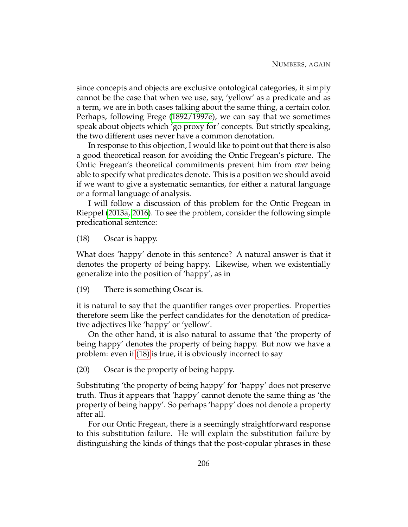since concepts and objects are exclusive ontological categories, it simply cannot be the case that when we use, say, 'yellow' as a predicate and as a term, we are in both cases talking about the same thing, a certain color. Perhaps, following Frege [\(1892/1997e\)](#page-230-0), we can say that we sometimes speak about objects which 'go proxy for' concepts. But strictly speaking, the two different uses never have a common denotation.

In response to this objection, I would like to point out that there is also a good theoretical reason for avoiding the Ontic Fregean's picture. The Ontic Fregean's theoretical commitments prevent him from *ever* being able to specify what predicates denote. This is a position we should avoid if we want to give a systematic semantics, for either a natural language or a formal language of analysis.

<span id="page-216-0"></span>I will follow a discussion of this problem for the Ontic Fregean in Rieppel [\(2013a,](#page-232-0) [2016\)](#page-232-1). To see the problem, consider the following simple predicational sentence:

(18) Oscar is happy.

What does 'happy' denote in this sentence? A natural answer is that it denotes the property of being happy. Likewise, when we existentially generalize into the position of 'happy', as in

(19) There is something Oscar is.

it is natural to say that the quantifier ranges over properties. Properties therefore seem like the perfect candidates for the denotation of predicative adjectives like 'happy' or 'yellow'.

<span id="page-216-1"></span>On the other hand, it is also natural to assume that 'the property of being happy' denotes the property of being happy. But now we have a problem: even if [\(18\)](#page-216-0) is true, it is obviously incorrect to say

(20) Oscar is the property of being happy.

Substituting 'the property of being happy' for 'happy' does not preserve truth. Thus it appears that 'happy' cannot denote the same thing as 'the property of being happy'. So perhaps 'happy' does not denote a property after all.

For our Ontic Fregean, there is a seemingly straightforward response to this substitution failure. He will explain the substitution failure by distinguishing the kinds of things that the post-copular phrases in these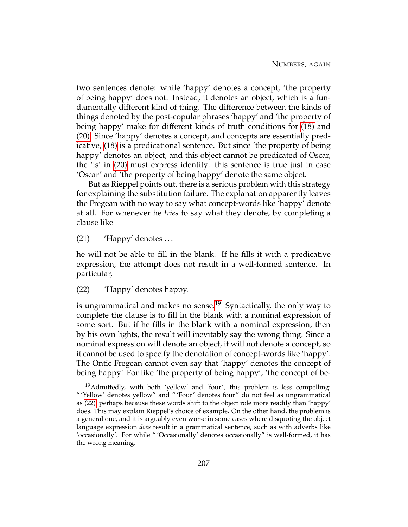two sentences denote: while 'happy' denotes a concept, 'the property of being happy' does not. Instead, it denotes an object, which is a fundamentally different kind of thing. The difference between the kinds of things denoted by the post-copular phrases 'happy' and 'the property of being happy' make for different kinds of truth conditions for [\(18\)](#page-216-0) and [\(20\).](#page-216-1) Since 'happy' denotes a concept, and concepts are essentially predicative, [\(18\)](#page-216-0) is a predicational sentence. But since 'the property of being happy' denotes an object, and this object cannot be predicated of Oscar, the 'is' in [\(20\)](#page-216-1) must express identity: this sentence is true just in case 'Oscar' and 'the property of being happy' denote the same object.

But as Rieppel points out, there is a serious problem with this strategy for explaining the substitution failure. The explanation apparently leaves the Fregean with no way to say what concept-words like 'happy' denote at all. For whenever he *tries* to say what they denote, by completing a clause like

<span id="page-217-2"></span> $(21)$  'Happy' denotes ...

<span id="page-217-1"></span>he will not be able to fill in the blank. If he fills it with a predicative expression, the attempt does not result in a well-formed sentence. In particular,

(22) 'Happy' denotes happy.

is ungrammatical and makes no sense.<sup>[19](#page-217-0)</sup> Syntactically, the only way to complete the clause is to fill in the blank with a nominal expression of some sort. But if he fills in the blank with a nominal expression, then by his own lights, the result will inevitably say the wrong thing. Since a nominal expression will denote an object, it will not denote a concept, so it cannot be used to specify the denotation of concept-words like 'happy'. The Ontic Fregean cannot even say that 'happy' denotes the concept of being happy! For like 'the property of being happy', 'the concept of be-

<span id="page-217-0"></span><sup>19</sup>Admittedly, with both 'yellow' and 'four', this problem is less compelling: " 'Yellow' denotes yellow" and " 'Four' denotes four" do not feel as ungrammatical as [\(22\),](#page-217-1) perhaps because these words shift to the object role more readily than 'happy' does. This may explain Rieppel's choice of example. On the other hand, the problem is a general one, and it is arguably even worse in some cases where disquoting the object language expression *does* result in a grammatical sentence, such as with adverbs like 'occasionally'. For while " 'Occasionally' denotes occasionally" is well-formed, it has the wrong meaning.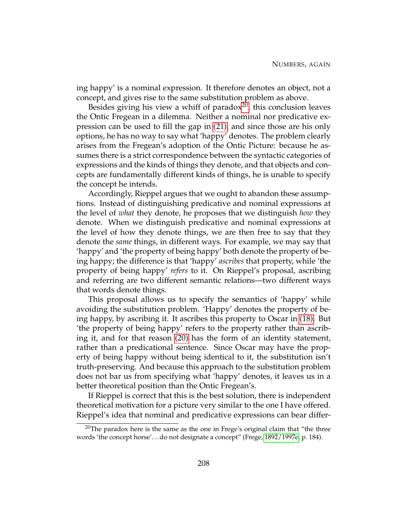ing happy' is a nominal expression. It therefore denotes an object, not a concept, and gives rise to the same substitution problem as above.

Besides giving his view a whiff of paradox $^{20}$  $^{20}$  $^{20}$ , this conclusion leaves the Ontic Fregean in a dilemma. Neither a nominal nor predicative expression can be used to fill the gap in [\(21\),](#page-217-2) and since those are his only options, he has no way to say what 'happy' denotes. The problem clearly arises from the Fregean's adoption of the Ontic Picture: because he assumes there is a strict correspondence between the syntactic categories of expressions and the kinds of things they denote, and that objects and concepts are fundamentally different kinds of things, he is unable to specify the concept he intends.

Accordingly, Rieppel argues that we ought to abandon these assumptions. Instead of distinguishing predicative and nominal expressions at the level of *what* they denote, he proposes that we distinguish *how* they denote. When we distinguish predicative and nominal expressions at the level of how they denote things, we are then free to say that they denote the *same* things, in different ways. For example, we may say that 'happy' and 'the property of being happy' both denote the property of being happy; the difference is that 'happy' *ascribes* that property, while 'the property of being happy' *refers* to it. On Rieppel's proposal, ascribing and referring are two different semantic relations—two different ways that words denote things.

This proposal allows us to specify the semantics of 'happy' while avoiding the substitution problem. 'Happy' denotes the property of being happy, by ascribing it. It ascribes this property to Oscar in [\(18\).](#page-216-0) But 'the property of being happy' refers to the property rather than ascribing it, and for that reason [\(20\)](#page-216-1) has the form of an identity statement, rather than a predicational sentence. Since Oscar may have the property of being happy without being identical to it, the substitution isn't truth-preserving. And because this approach to the substitution problem does not bar us from specifying what 'happy' denotes, it leaves us in a better theoretical position than the Ontic Fregean's.

If Rieppel is correct that this is the best solution, there is independent theoretical motivation for a picture very similar to the one I have offered. Rieppel's idea that nominal and predicative expressions can bear differ-

<span id="page-218-0"></span><sup>&</sup>lt;sup>20</sup>The paradox here is the same as the one in Frege's original claim that "the three words 'the concept horse'. . . do not designate a concept" (Frege, [1892/1997e,](#page-230-0) p. 184).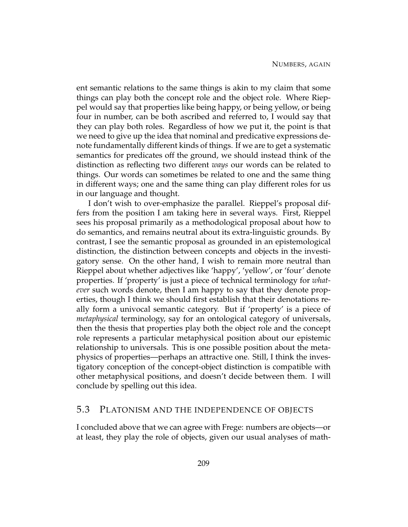ent semantic relations to the same things is akin to my claim that some things can play both the concept role and the object role. Where Rieppel would say that properties like being happy, or being yellow, or being four in number, can be both ascribed and referred to, I would say that they can play both roles. Regardless of how we put it, the point is that we need to give up the idea that nominal and predicative expressions denote fundamentally different kinds of things. If we are to get a systematic semantics for predicates off the ground, we should instead think of the distinction as reflecting two different *ways* our words can be related to things. Our words can sometimes be related to one and the same thing in different ways; one and the same thing can play different roles for us in our language and thought.

I don't wish to over-emphasize the parallel. Rieppel's proposal differs from the position I am taking here in several ways. First, Rieppel sees his proposal primarily as a methodological proposal about how to do semantics, and remains neutral about its extra-linguistic grounds. By contrast, I see the semantic proposal as grounded in an epistemological distinction, the distinction between concepts and objects in the investigatory sense. On the other hand, I wish to remain more neutral than Rieppel about whether adjectives like 'happy', 'yellow', or 'four' denote properties. If 'property' is just a piece of technical terminology for *whatever* such words denote, then I am happy to say that they denote properties, though I think we should first establish that their denotations really form a univocal semantic category. But if 'property' is a piece of *metaphysical* terminology, say for an ontological category of universals, then the thesis that properties play both the object role and the concept role represents a particular metaphysical position about our epistemic relationship to universals. This is one possible position about the metaphysics of properties—perhaps an attractive one. Still, I think the investigatory conception of the concept-object distinction is compatible with other metaphysical positions, and doesn't decide between them. I will conclude by spelling out this idea.

## 5.3 PLATONISM AND THE INDEPENDENCE OF OBJECTS

I concluded above that we can agree with Frege: numbers are objects—or at least, they play the role of objects, given our usual analyses of math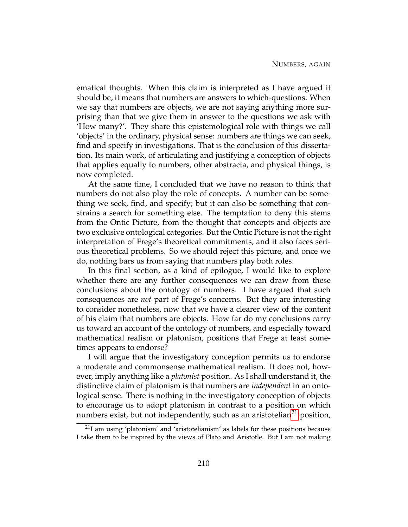ematical thoughts. When this claim is interpreted as I have argued it should be, it means that numbers are answers to which-questions. When we say that numbers are objects, we are not saying anything more surprising than that we give them in answer to the questions we ask with 'How many?'. They share this epistemological role with things we call 'objects' in the ordinary, physical sense: numbers are things we can seek, find and specify in investigations. That is the conclusion of this dissertation. Its main work, of articulating and justifying a conception of objects that applies equally to numbers, other abstracta, and physical things, is now completed.

At the same time, I concluded that we have no reason to think that numbers do not also play the role of concepts. A number can be something we seek, find, and specify; but it can also be something that constrains a search for something else. The temptation to deny this stems from the Ontic Picture, from the thought that concepts and objects are two exclusive ontological categories. But the Ontic Picture is not the right interpretation of Frege's theoretical commitments, and it also faces serious theoretical problems. So we should reject this picture, and once we do, nothing bars us from saying that numbers play both roles.

In this final section, as a kind of epilogue, I would like to explore whether there are any further consequences we can draw from these conclusions about the ontology of numbers. I have argued that such consequences are *not* part of Frege's concerns. But they are interesting to consider nonetheless, now that we have a clearer view of the content of his claim that numbers are objects. How far do my conclusions carry us toward an account of the ontology of numbers, and especially toward mathematical realism or platonism, positions that Frege at least sometimes appears to endorse?

I will argue that the investigatory conception permits us to endorse a moderate and commonsense mathematical realism. It does not, however, imply anything like a *platonist* position. As I shall understand it, the distinctive claim of platonism is that numbers are *independent* in an ontological sense. There is nothing in the investigatory conception of objects to encourage us to adopt platonism in contrast to a position on which numbers exist, but not independently, such as an aristotelian<sup>[21](#page-220-0)</sup> position,

<span id="page-220-0"></span><sup>21</sup>I am using 'platonism' and 'aristotelianism' as labels for these positions because I take them to be inspired by the views of Plato and Aristotle. But I am not making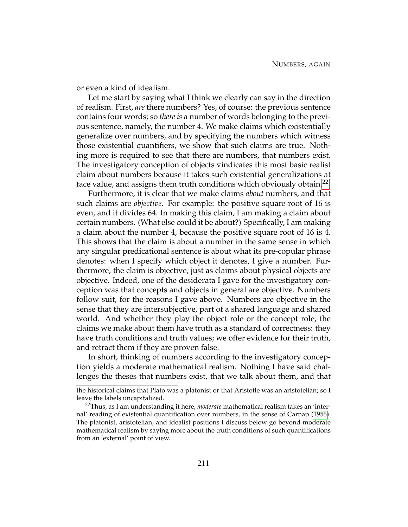or even a kind of idealism.

Let me start by saying what I think we clearly can say in the direction of realism. First, *are* there numbers? Yes, of course: the previous sentence contains four words; so *there is* a number of words belonging to the previous sentence, namely, the number 4. We make claims which existentially generalize over numbers, and by specifying the numbers which witness those existential quantifiers, we show that such claims are true. Nothing more is required to see that there are numbers, that numbers exist. The investigatory conception of objects vindicates this most basic realist claim about numbers because it takes such existential generalizations at face value, and assigns them truth conditions which obviously obtain.[22](#page-221-0)

Furthermore, it is clear that we make claims *about* numbers, and that such claims are *objective*. For example: the positive square root of 16 is even, and it divides 64. In making this claim, I am making a claim about certain numbers. (What else could it be about?) Specifically, I am making a claim about the number 4, because the positive square root of 16 is 4. This shows that the claim is about a number in the same sense in which any singular predicational sentence is about what its pre-copular phrase denotes: when I specify which object it denotes, I give a number. Furthermore, the claim is objective, just as claims about physical objects are objective. Indeed, one of the desiderata I gave for the investigatory conception was that concepts and objects in general are objective. Numbers follow suit, for the reasons I gave above. Numbers are objective in the sense that they are intersubjective, part of a shared language and shared world. And whether they play the object role or the concept role, the claims we make about them have truth as a standard of correctness: they have truth conditions and truth values; we offer evidence for their truth, and retract them if they are proven false.

In short, thinking of numbers according to the investigatory conception yields a moderate mathematical realism. Nothing I have said challenges the theses that numbers exist, that we talk about them, and that

the historical claims that Plato was a platonist or that Aristotle was an aristotelian; so I leave the labels uncapitalized.

<span id="page-221-0"></span><sup>22</sup>Thus, as I am understanding it here, *moderate* mathematical realism takes an 'internal' reading of existential quantification over numbers, in the sense of Carnap [\(1956\)](#page-229-0). The platonist, aristotelian, and idealist positions I discuss below go beyond moderate mathematical realism by saying more about the truth conditions of such quantifications from an 'external' point of view.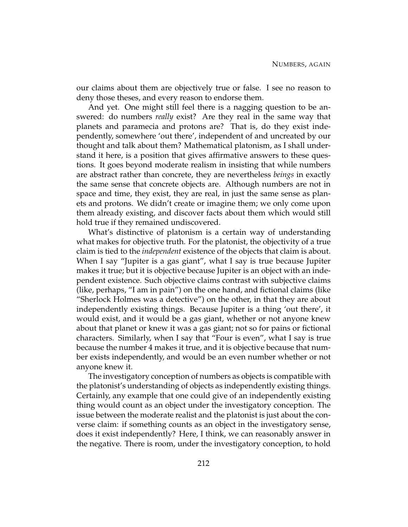our claims about them are objectively true or false. I see no reason to deny those theses, and every reason to endorse them.

And yet. One might still feel there is a nagging question to be answered: do numbers *really* exist? Are they real in the same way that planets and paramecia and protons are? That is, do they exist independently, somewhere 'out there', independent of and uncreated by our thought and talk about them? Mathematical platonism, as I shall understand it here, is a position that gives affirmative answers to these questions. It goes beyond moderate realism in insisting that while numbers are abstract rather than concrete, they are nevertheless *beings* in exactly the same sense that concrete objects are. Although numbers are not in space and time, they exist, they are real, in just the same sense as planets and protons. We didn't create or imagine them; we only come upon them already existing, and discover facts about them which would still hold true if they remained undiscovered.

What's distinctive of platonism is a certain way of understanding what makes for objective truth. For the platonist, the objectivity of a true claim is tied to the *independent* existence of the objects that claim is about. When I say "Jupiter is a gas giant", what I say is true because Jupiter makes it true; but it is objective because Jupiter is an object with an independent existence. Such objective claims contrast with subjective claims (like, perhaps, "I am in pain") on the one hand, and fictional claims (like "Sherlock Holmes was a detective") on the other, in that they are about independently existing things. Because Jupiter is a thing 'out there', it would exist, and it would be a gas giant, whether or not anyone knew about that planet or knew it was a gas giant; not so for pains or fictional characters. Similarly, when I say that "Four is even", what I say is true because the number 4 makes it true, and it is objective because that number exists independently, and would be an even number whether or not anyone knew it.

The investigatory conception of numbers as objects is compatible with the platonist's understanding of objects as independently existing things. Certainly, any example that one could give of an independently existing thing would count as an object under the investigatory conception. The issue between the moderate realist and the platonist is just about the converse claim: if something counts as an object in the investigatory sense, does it exist independently? Here, I think, we can reasonably answer in the negative. There is room, under the investigatory conception, to hold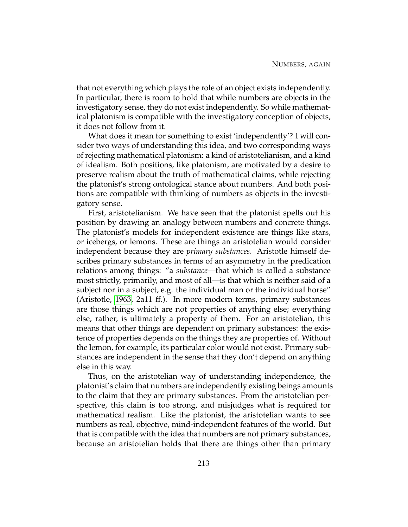that not everything which plays the role of an object exists independently. In particular, there is room to hold that while numbers are objects in the investigatory sense, they do not exist independently. So while mathematical platonism is compatible with the investigatory conception of objects, it does not follow from it.

What does it mean for something to exist 'independently'? I will consider two ways of understanding this idea, and two corresponding ways of rejecting mathematical platonism: a kind of aristotelianism, and a kind of idealism. Both positions, like platonism, are motivated by a desire to preserve realism about the truth of mathematical claims, while rejecting the platonist's strong ontological stance about numbers. And both positions are compatible with thinking of numbers as objects in the investigatory sense.

First, aristotelianism. We have seen that the platonist spells out his position by drawing an analogy between numbers and concrete things. The platonist's models for independent existence are things like stars, or icebergs, or lemons. These are things an aristotelian would consider independent because they are *primary substances*. Aristotle himself describes primary substances in terms of an asymmetry in the predication relations among things: "a *substance*—that which is called a substance most strictly, primarily, and most of all—is that which is neither said of a subject nor in a subject, e.g. the individual man or the individual horse" (Aristotle, [1963,](#page-229-1) 2a11 ff.). In more modern terms, primary substances are those things which are not properties of anything else; everything else, rather, is ultimately a property of them. For an aristotelian, this means that other things are dependent on primary substances: the existence of properties depends on the things they are properties of. Without the lemon, for example, its particular color would not exist. Primary substances are independent in the sense that they don't depend on anything else in this way.

Thus, on the aristotelian way of understanding independence, the platonist's claim that numbers are independently existing beings amounts to the claim that they are primary substances. From the aristotelian perspective, this claim is too strong, and misjudges what is required for mathematical realism. Like the platonist, the aristotelian wants to see numbers as real, objective, mind-independent features of the world. But that is compatible with the idea that numbers are not primary substances, because an aristotelian holds that there are things other than primary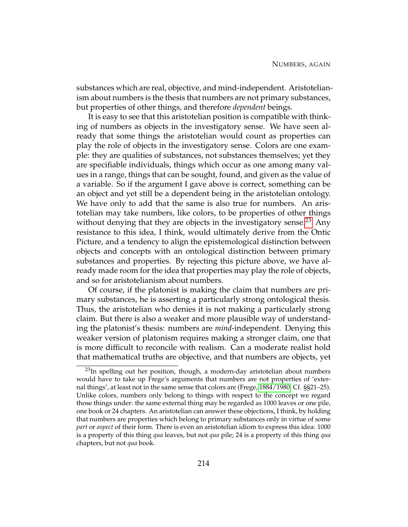substances which are real, objective, and mind-independent. Aristotelianism about numbers is the thesis that numbers are not primary substances, but properties of other things, and therefore *dependent* beings.

It is easy to see that this aristotelian position is compatible with thinking of numbers as objects in the investigatory sense. We have seen already that some things the aristotelian would count as properties can play the role of objects in the investigatory sense. Colors are one example: they are qualities of substances, not substances themselves; yet they are specifiable individuals, things which occur as one among many values in a range, things that can be sought, found, and given as the value of a variable. So if the argument I gave above is correct, something can be an object and yet still be a dependent being in the aristotelian ontology. We have only to add that the same is also true for numbers. An aristotelian may take numbers, like colors, to be properties of other things without denying that they are objects in the investigatory sense.<sup>[23](#page-224-0)</sup> Any resistance to this idea, I think, would ultimately derive from the Ontic Picture, and a tendency to align the epistemological distinction between objects and concepts with an ontological distinction between primary substances and properties. By rejecting this picture above, we have already made room for the idea that properties may play the role of objects, and so for aristotelianism about numbers.

Of course, if the platonist is making the claim that numbers are primary substances, he is asserting a particularly strong ontological thesis. Thus, the aristotelian who denies it is not making a particularly strong claim. But there is also a weaker and more plausible way of understanding the platonist's thesis: numbers are *mind*-independent. Denying this weaker version of platonism requires making a stronger claim, one that is more difficult to reconcile with realism. Can a moderate realist hold that mathematical truths are objective, and that numbers are objects, yet

<span id="page-224-0"></span> $^{23}$ In spelling out her position, though, a modern-day aristotelian about numbers would have to take up Frege's arguments that numbers are not properties of 'external things', at least not in the same sense that colors are (Frege, [1884/1980,](#page-230-1) Cf. §§21–25). Unlike colors, numbers only belong to things with respect to the concept we regard those things under: the same external thing may be regarded as 1000 leaves or one pile, one book or 24 chapters. An aristotelian can answer these objections, I think, by holding that numbers are properties which belong to primary substances only in virtue of some *part* or *aspect* of their form. There is even an aristotelian idiom to express this idea: 1000 is a property of this thing *qua* leaves, but not *qua* pile; 24 is a property of this thing *qua* chapters, but not *qua* book.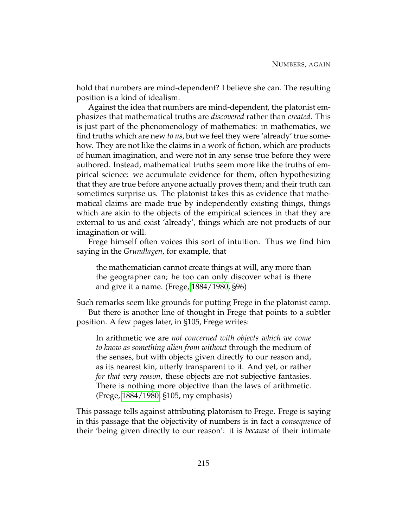hold that numbers are mind-dependent? I believe she can. The resulting position is a kind of idealism.

Against the idea that numbers are mind-dependent, the platonist emphasizes that mathematical truths are *discovered* rather than *created*. This is just part of the phenomenology of mathematics: in mathematics, we find truths which are new *to us*, but we feel they were 'already' true somehow. They are not like the claims in a work of fiction, which are products of human imagination, and were not in any sense true before they were authored. Instead, mathematical truths seem more like the truths of empirical science: we accumulate evidence for them, often hypothesizing that they are true before anyone actually proves them; and their truth can sometimes surprise us. The platonist takes this as evidence that mathematical claims are made true by independently existing things, things which are akin to the objects of the empirical sciences in that they are external to us and exist 'already', things which are not products of our imagination or will.

Frege himself often voices this sort of intuition. Thus we find him saying in the *Grundlagen*, for example, that

the mathematician cannot create things at will, any more than the geographer can; he too can only discover what is there and give it a name. (Frege, [1884/1980,](#page-230-1) §96)

Such remarks seem like grounds for putting Frege in the platonist camp. But there is another line of thought in Frege that points to a subtler position. A few pages later, in §105, Frege writes:

In arithmetic we are *not concerned with objects which we come to know as something alien from without* through the medium of the senses, but with objects given directly to our reason and, as its nearest kin, utterly transparent to it. And yet, or rather *for that very reason*, these objects are not subjective fantasies. There is nothing more objective than the laws of arithmetic. (Frege, [1884/1980,](#page-230-1) §105, my emphasis)

This passage tells against attributing platonism to Frege. Frege is saying in this passage that the objectivity of numbers is in fact a *consequence* of their 'being given directly to our reason': it is *because* of their intimate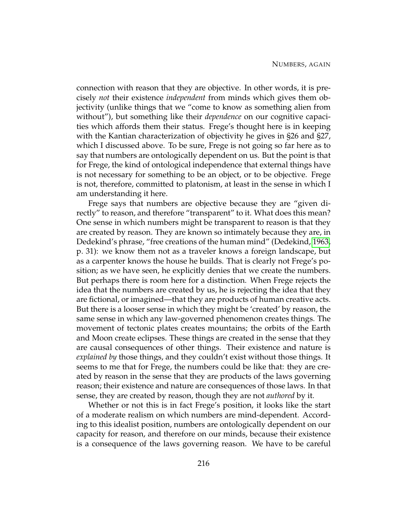connection with reason that they are objective. In other words, it is precisely *not* their existence *independent* from minds which gives them objectivity (unlike things that we "come to know as something alien from without"), but something like their *dependence* on our cognitive capacities which affords them their status. Frege's thought here is in keeping with the Kantian characterization of objectivity he gives in §26 and §27, which I discussed above. To be sure, Frege is not going so far here as to say that numbers are ontologically dependent on us. But the point is that for Frege, the kind of ontological independence that external things have is not necessary for something to be an object, or to be objective. Frege is not, therefore, committed to platonism, at least in the sense in which I am understanding it here.

Frege says that numbers are objective because they are "given directly" to reason, and therefore "transparent" to it. What does this mean? One sense in which numbers might be transparent to reason is that they are created by reason. They are known so intimately because they are, in Dedekind's phrase, "free creations of the human mind" (Dedekind, [1963,](#page-229-2) p. 31): we know them not as a traveler knows a foreign landscape, but as a carpenter knows the house he builds. That is clearly not Frege's position; as we have seen, he explicitly denies that we create the numbers. But perhaps there is room here for a distinction. When Frege rejects the idea that the numbers are created by us, he is rejecting the idea that they are fictional, or imagined—that they are products of human creative acts. But there is a looser sense in which they might be 'created' by reason, the same sense in which any law-governed phenomenon creates things. The movement of tectonic plates creates mountains; the orbits of the Earth and Moon create eclipses. These things are created in the sense that they are causal consequences of other things. Their existence and nature is *explained by* those things, and they couldn't exist without those things. It seems to me that for Frege, the numbers could be like that: they are created by reason in the sense that they are products of the laws governing reason; their existence and nature are consequences of those laws. In that sense, they are created by reason, though they are not *authored* by it.

Whether or not this is in fact Frege's position, it looks like the start of a moderate realism on which numbers are mind-dependent. According to this idealist position, numbers are ontologically dependent on our capacity for reason, and therefore on our minds, because their existence is a consequence of the laws governing reason. We have to be careful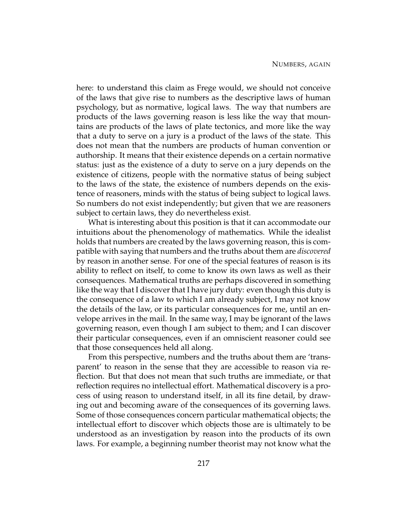here: to understand this claim as Frege would, we should not conceive of the laws that give rise to numbers as the descriptive laws of human psychology, but as normative, logical laws. The way that numbers are products of the laws governing reason is less like the way that mountains are products of the laws of plate tectonics, and more like the way that a duty to serve on a jury is a product of the laws of the state. This does not mean that the numbers are products of human convention or authorship. It means that their existence depends on a certain normative status: just as the existence of a duty to serve on a jury depends on the existence of citizens, people with the normative status of being subject to the laws of the state, the existence of numbers depends on the existence of reasoners, minds with the status of being subject to logical laws. So numbers do not exist independently; but given that we are reasoners subject to certain laws, they do nevertheless exist.

What is interesting about this position is that it can accommodate our intuitions about the phenomenology of mathematics. While the idealist holds that numbers are created by the laws governing reason, this is compatible with saying that numbers and the truths about them are *discovered* by reason in another sense. For one of the special features of reason is its ability to reflect on itself, to come to know its own laws as well as their consequences. Mathematical truths are perhaps discovered in something like the way that I discover that I have jury duty: even though this duty is the consequence of a law to which I am already subject, I may not know the details of the law, or its particular consequences for me, until an envelope arrives in the mail. In the same way, I may be ignorant of the laws governing reason, even though I am subject to them; and I can discover their particular consequences, even if an omniscient reasoner could see that those consequences held all along.

From this perspective, numbers and the truths about them are 'transparent' to reason in the sense that they are accessible to reason via reflection. But that does not mean that such truths are immediate, or that reflection requires no intellectual effort. Mathematical discovery is a process of using reason to understand itself, in all its fine detail, by drawing out and becoming aware of the consequences of its governing laws. Some of those consequences concern particular mathematical objects; the intellectual effort to discover which objects those are is ultimately to be understood as an investigation by reason into the products of its own laws. For example, a beginning number theorist may not know what the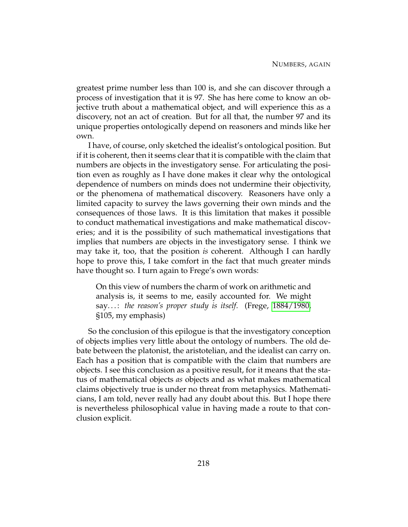greatest prime number less than 100 is, and she can discover through a process of investigation that it is 97. She has here come to know an objective truth about a mathematical object, and will experience this as a discovery, not an act of creation. But for all that, the number 97 and its unique properties ontologically depend on reasoners and minds like her own.

I have, of course, only sketched the idealist's ontological position. But if it is coherent, then it seems clear that it is compatible with the claim that numbers are objects in the investigatory sense. For articulating the position even as roughly as I have done makes it clear why the ontological dependence of numbers on minds does not undermine their objectivity, or the phenomena of mathematical discovery. Reasoners have only a limited capacity to survey the laws governing their own minds and the consequences of those laws. It is this limitation that makes it possible to conduct mathematical investigations and make mathematical discoveries; and it is the possibility of such mathematical investigations that implies that numbers are objects in the investigatory sense. I think we may take it, too, that the position *is* coherent. Although I can hardly hope to prove this, I take comfort in the fact that much greater minds have thought so. I turn again to Frege's own words:

On this view of numbers the charm of work on arithmetic and analysis is, it seems to me, easily accounted for. We might say. . . : *the reason's proper study is itself*. (Frege, [1884/1980,](#page-230-1) §105, my emphasis)

So the conclusion of this epilogue is that the investigatory conception of objects implies very little about the ontology of numbers. The old debate between the platonist, the aristotelian, and the idealist can carry on. Each has a position that is compatible with the claim that numbers are objects. I see this conclusion as a positive result, for it means that the status of mathematical objects *as* objects and as what makes mathematical claims objectively true is under no threat from metaphysics. Mathematicians, I am told, never really had any doubt about this. But I hope there is nevertheless philosophical value in having made a route to that conclusion explicit.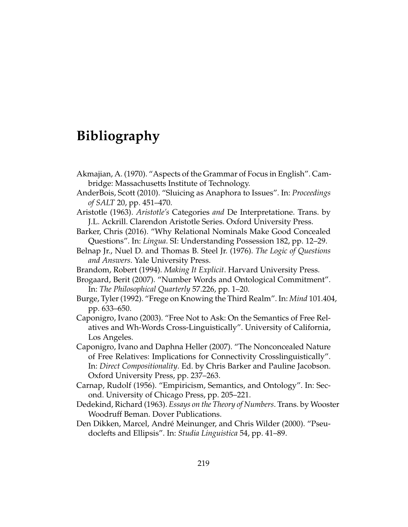## **Bibliography**

- Akmajian, A. (1970). "Aspects of the Grammar of Focus in English". Cambridge: Massachusetts Institute of Technology.
- AnderBois, Scott (2010). "Sluicing as Anaphora to Issues". In: *Proceedings of SALT* 20, pp. 451–470.
- <span id="page-229-1"></span>Aristotle (1963). *Aristotle's* Categories *and* De Interpretatione. Trans. by J.L. Ackrill. Clarendon Aristotle Series. Oxford University Press.
- Barker, Chris (2016). "Why Relational Nominals Make Good Concealed Questions". In: *Lingua*. SI: Understanding Possession 182, pp. 12–29.
- Belnap Jr., Nuel D. and Thomas B. Steel Jr. (1976). *The Logic of Questions and Answers*. Yale University Press.
- Brandom, Robert (1994). *Making It Explicit*. Harvard University Press.
- Brogaard, Berit (2007). "Number Words and Ontological Commitment". In: *The Philosophical Quarterly* 57.226, pp. 1–20.
- Burge, Tyler (1992). "Frege on Knowing the Third Realm". In: *Mind* 101.404, pp. 633–650.
- Caponigro, Ivano (2003). "Free Not to Ask: On the Semantics of Free Relatives and Wh-Words Cross-Linguistically". University of California, Los Angeles.
- Caponigro, Ivano and Daphna Heller (2007). "The Nonconcealed Nature of Free Relatives: Implications for Connectivity Crosslinguistically". In: *Direct Compositionality*. Ed. by Chris Barker and Pauline Jacobson. Oxford University Press, pp. 237–263.
- <span id="page-229-0"></span>Carnap, Rudolf (1956). "Empiricism, Semantics, and Ontology". In: Second. University of Chicago Press, pp. 205–221.
- <span id="page-229-2"></span>Dedekind, Richard (1963). *Essays on the Theory of Numbers*. Trans. by Wooster Woodruff Beman. Dover Publications.
- Den Dikken, Marcel, André Meinunger, and Chris Wilder (2000). "Pseudoclefts and Ellipsis". In: *Studia Linguistica* 54, pp. 41–89.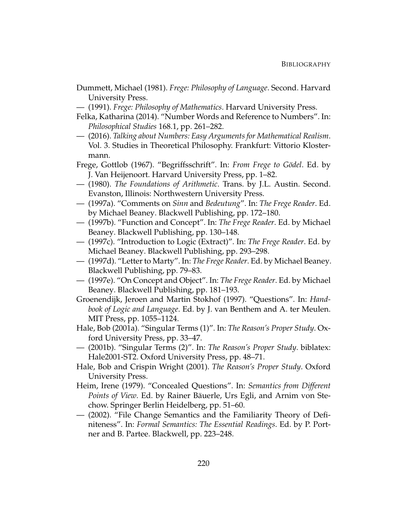- Dummett, Michael (1981). *Frege: Philosophy of Language*. Second. Harvard University Press.
- (1991). *Frege: Philosophy of Mathematics*. Harvard University Press.
- Felka, Katharina (2014). "Number Words and Reference to Numbers". In: *Philosophical Studies* 168.1, pp. 261–282.
- (2016). *Talking about Numbers: Easy Arguments for Mathematical Realism*. Vol. 3. Studies in Theoretical Philosophy. Frankfurt: Vittorio Klostermann.
- Frege, Gottlob (1967). "Begriffsschrift". In: *From Frege to Gödel*. Ed. by J. Van Heijenoort. Harvard University Press, pp. 1–82.
- <span id="page-230-1"></span>— (1980). *The Foundations of Arithmetic*. Trans. by J.L. Austin. Second. Evanston, Illinois: Northwestern University Press.
- (1997a). "Comments on *Sinn* and *Bedeutung*". In: *The Frege Reader*. Ed. by Michael Beaney. Blackwell Publishing, pp. 172–180.
- (1997b). "Function and Concept". In: *The Frege Reader*. Ed. by Michael Beaney. Blackwell Publishing, pp. 130–148.
- (1997c). "Introduction to Logic (Extract)". In: *The Frege Reader*. Ed. by Michael Beaney. Blackwell Publishing, pp. 293–298.
- (1997d). "Letter to Marty". In: *The Frege Reader*. Ed. by Michael Beaney. Blackwell Publishing, pp. 79–83.
- <span id="page-230-0"></span>— (1997e). "On Concept and Object". In: *The Frege Reader*. Ed. by Michael Beaney. Blackwell Publishing, pp. 181–193.
- Groenendijk, Jeroen and Martin Stokhof (1997). "Questions". In: *Handbook of Logic and Language*. Ed. by J. van Benthem and A. ter Meulen. MIT Press, pp. 1055–1124.
- Hale, Bob (2001a). "Singular Terms (1)". In: *The Reason's Proper Study*. Oxford University Press, pp. 33–47.
- (2001b). "Singular Terms (2)". In: *The Reason's Proper Study*. biblatex: Hale2001-ST2. Oxford University Press, pp. 48–71.
- Hale, Bob and Crispin Wright (2001). *The Reason's Proper Study*. Oxford University Press.
- Heim, Irene (1979). "Concealed Questions". In: *Semantics from Different Points of View*. Ed. by Rainer Bäuerle, Urs Egli, and Arnim von Stechow. Springer Berlin Heidelberg, pp. 51–60.
- (2002). "File Change Semantics and the Familiarity Theory of Definiteness". In: *Formal Semantics: The Essential Readings*. Ed. by P. Portner and B. Partee. Blackwell, pp. 223–248.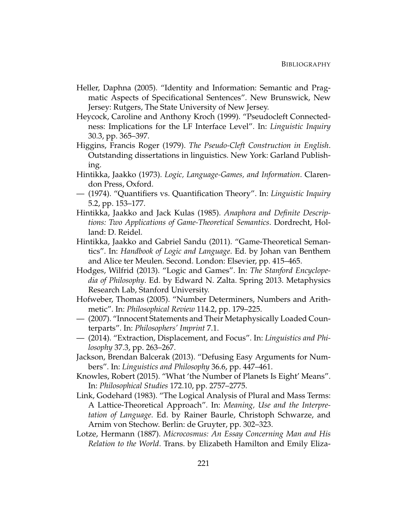- Heller, Daphna (2005). "Identity and Information: Semantic and Pragmatic Aspects of Specificational Sentences". New Brunswick, New Jersey: Rutgers, The State University of New Jersey.
- Heycock, Caroline and Anthony Kroch (1999). "Pseudocleft Connectedness: Implications for the LF Interface Level". In: *Linguistic Inquiry* 30.3, pp. 365–397.
- Higgins, Francis Roger (1979). *The Pseudo-Cleft Construction in English*. Outstanding dissertations in linguistics. New York: Garland Publishing.
- Hintikka, Jaakko (1973). *Logic, Language-Games, and Information*. Clarendon Press, Oxford.
- (1974). "Quantifiers vs. Quantification Theory". In: *Linguistic Inquiry* 5.2, pp. 153–177.
- Hintikka, Jaakko and Jack Kulas (1985). *Anaphora and Definite Descriptions: Two Applications of Game-Theoretical Semantics*. Dordrecht, Holland: D. Reidel.
- Hintikka, Jaakko and Gabriel Sandu (2011). "Game-Theoretical Semantics". In: *Handbook of Logic and Language*. Ed. by Johan van Benthem and Alice ter Meulen. Second. London: Elsevier, pp. 415–465.
- Hodges, Wilfrid (2013). "Logic and Games". In: *The Stanford Encyclopedia of Philosophy*. Ed. by Edward N. Zalta. Spring 2013. Metaphysics Research Lab, Stanford University.
- Hofweber, Thomas (2005). "Number Determiners, Numbers and Arithmetic". In: *Philosophical Review* 114.2, pp. 179–225.
- (2007). "Innocent Statements and Their Metaphysically Loaded Counterparts". In: *Philosophers' Imprint* 7.1.
- (2014). "Extraction, Displacement, and Focus". In: *Linguistics and Philosophy* 37.3, pp. 263–267.
- Jackson, Brendan Balcerak (2013). "Defusing Easy Arguments for Numbers". In: *Linguistics and Philosophy* 36.6, pp. 447–461.
- Knowles, Robert (2015). "What 'the Number of Planets Is Eight' Means". In: *Philosophical Studies* 172.10, pp. 2757–2775.
- Link, Godehard (1983). "The Logical Analysis of Plural and Mass Terms: A Lattice-Theoretical Approach". In: *Meaning, Use and the Interpretation of Language*. Ed. by Rainer Baurle, Christoph Schwarze, and Arnim von Stechow. Berlin: de Gruyter, pp. 302–323.
- Lotze, Hermann (1887). *Microcosmus: An Essay Concerning Man and His Relation to the World*. Trans. by Elizabeth Hamilton and Emily Eliza-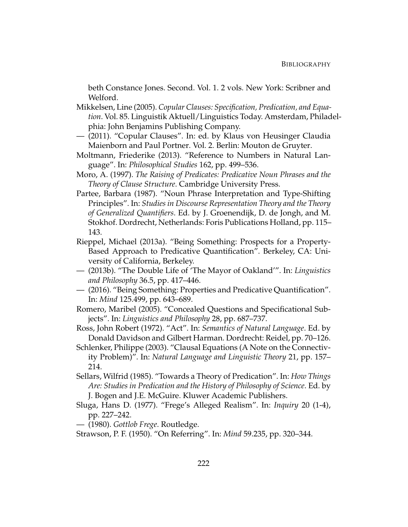beth Constance Jones. Second. Vol. 1. 2 vols. New York: Scribner and Welford.

- Mikkelsen, Line (2005). *Copular Clauses: Specification, Predication, and Equation*. Vol. 85. Linguistik Aktuell/Linguistics Today. Amsterdam, Philadelphia: John Benjamins Publishing Company.
- (2011). "Copular Clauses". In: ed. by Klaus von Heusinger Claudia Maienborn and Paul Portner. Vol. 2. Berlin: Mouton de Gruyter.
- Moltmann, Friederike (2013). "Reference to Numbers in Natural Language". In: *Philosophical Studies* 162, pp. 499–536.
- Moro, A. (1997). *The Raising of Predicates: Predicative Noun Phrases and the Theory of Clause Structure*. Cambridge University Press.
- Partee, Barbara (1987). "Noun Phrase Interpretation and Type-Shifting Principles". In: *Studies in Discourse Representation Theory and the Theory of Generalized Quantifiers*. Ed. by J. Groenendijk, D. de Jongh, and M. Stokhof. Dordrecht, Netherlands: Foris Publications Holland, pp. 115– 143.
- <span id="page-232-0"></span>Rieppel, Michael (2013a). "Being Something: Prospects for a Property-Based Approach to Predicative Quantification". Berkeley, CA: University of California, Berkeley.
- (2013b). "The Double Life of 'The Mayor of Oakland'". In: *Linguistics and Philosophy* 36.5, pp. 417–446.
- <span id="page-232-1"></span>— (2016). "Being Something: Properties and Predicative Quantification". In: *Mind* 125.499, pp. 643–689.
- Romero, Maribel (2005). "Concealed Questions and Specificational Subjects". In: *Linguistics and Philosophy* 28, pp. 687–737.
- Ross, John Robert (1972). "Act". In: *Semantics of Natural Language*. Ed. by Donald Davidson and Gilbert Harman. Dordrecht: Reidel, pp. 70–126.
- Schlenker, Philippe (2003). "Clausal Equations (A Note on the Connectivity Problem)". In: *Natural Language and Linguistic Theory* 21, pp. 157– 214.
- Sellars, Wilfrid (1985). "Towards a Theory of Predication". In: *How Things Are: Studies in Predication and the History of Philosophy of Science*. Ed. by J. Bogen and J.E. McGuire. Kluwer Academic Publishers.
- Sluga, Hans D. (1977). "Frege's Alleged Realism". In: *Inquiry* 20 (1-4), pp. 227–242.
- (1980). *Gottlob Frege*. Routledge.
- Strawson, P. F. (1950). "On Referring". In: *Mind* 59.235, pp. 320–344.